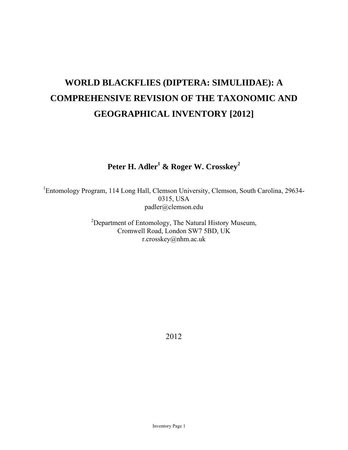# **WORLD BLACKFLIES (DIPTERA: SIMULIIDAE): A COMPREHENSIVE REVISION OF THE TAXONOMIC AND GEOGRAPHICAL INVENTORY [2012]**

## **Peter H. Adler1 & Roger W. Crosskey<sup>2</sup>**

<sup>1</sup>Entomology Program, 114 Long Hall, Clemson University, Clemson, South Carolina, 29634-0315, USA padler@clemson.edu

> $2$ Department of Entomology, The Natural History Museum, Cromwell Road, London SW7 5BD, UK r.crosskey@nhm.ac.uk

> > 2012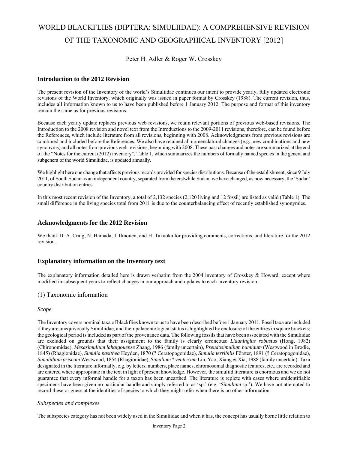## WORLD BLACKFLIES (DIPTERA: SIMULIIDAE): A COMPREHENSIVE REVISION OF THE TAXONOMIC AND GEOGRAPHICAL INVENTORY [2012]

## Peter H. Adler & Roger W. Crosskey

## **Introduction to the 2012 Revision**

The present revision of the Inventory of the world's Simuliidae continues our intent to provide yearly, fully updated electronic revisions of the World Inventory, which originally was issued in paper format by Crosskey (1988). The current revision, thus, includes all information known to us to have been published before 1 January 2012. The purpose and format of this inventory remain the same as for previous revisions.

Because each yearly update replaces previous web revisions, we retain relevant portions of previous web-based revisions. The Introduction to the 2008 revision and novel text from the Introductions to the 2009-2011 revisions, therefore, can be found before the References, which include literature from all revisions, beginning with 2008. Acknowledgments from previous revisions are combined and included before the References. We also have retained all nomenclatural changes (e.g., new combinations and new synonyms) and all notes from previous web revisions, beginning with 2008. These past changes and notes are summarized at the end of the "Notes for the current (2012) inventory". Table 1, which summarizes the numbers of formally named species in the genera and subgenera of the world Simuliidae, is updated annually.

We highlight here one change that affects previous records provided for species distributions. Because of the establishment, since 9 July 2011, of South Sudan as an independent country, separated from the erstwhile Sudan, we have changed, as now necessary, the 'Sudan' country distribution entries.

In this most recent revision of the Inventory, a total of 2,132 species (2,120 living and 12 fossil) are listed as valid (Table 1). The small difference in the living species total from 2011 is due to the counterbalancing effect of recently established synonymies.

## **Acknowledgments for the 2012 Revision**

We thank D. A. Craig, N. Hamada, J. Ilmonen, and H. Takaoka for providing comments, corrections, and literature for the 2012 revision.

## **Explanatory information on the Inventory text**

The explanatory information detailed here is drawn verbatim from the 2004 inventory of Crosskey & Howard, except where modified in subsequent years to reflect changes in our approach and updates to each inventory revision.

## (1) Taxonomic information

#### *Scope*

The Inventory covers nominal taxa of blackflies known to us to have been described before 1 January 2011. Fossil taxa are included if they are unequivocally Simuliidae, and their palaeontological status is highlighted by enclosure of the entries in square brackets; the geological period is included as part of the provenance data. The following fossils that have been associated with the Simuliidae are excluded on grounds that their assignment to the family is clearly erroneous: *Liauningius robustus* (Hong, 1982) (Chironomidae), *Mesasimulium lahaigouense* Zhang, 1986 (family uncertain), *Pseudosimulium humidum* (Westwood in Brodie, 1845) (Rhagionidae), *Simulia pasithea* Heyden, 1870 (? Ceratopogonidae), *Simulia terribilis* Förster, 1891 (? Ceratopogonidae), *Simulidium priscum* Westwood, 1854 (Rhagionidae), *Simulium* ? *ventricum* Lin, Yao, Xiang & Xia, 1988 (family uncertain). Taxa designated in the literature informally, e.g. by letters, numbers, place names, chromosomal diagnostic features, etc., are recorded and are entered where appropriate in the text in light of present knowledge. However, the simuliid literature is enormous and we do not guarantee that every informal handle for a taxon has been unearthed. The literature is replete with cases where unidentifiable specimens have been given no particular handle and simply referred to as 'sp.' (e.g. '*Simulium* sp.'). We have not attempted to record these or guess at the identities of species to which they might refer when there is no other information.

## *Subspecies and complexes*

The subspecies category has not been widely used in the Simuliidae and when it has, the concept has usually borne little relation to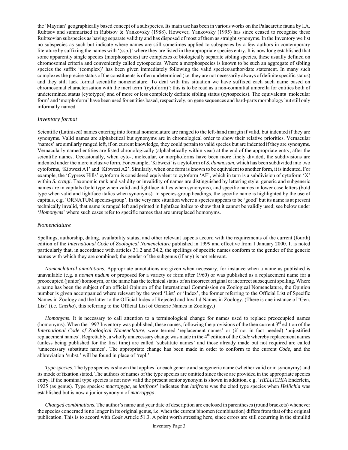the 'Mayrian' geographically based concept of a subspecies. Its main use has been in various works on the Palaearctic fauna by I.A. Rubtsov and summarised in Rubtsov & Yankovsky (1988). However, Yankovsky (1995) has since ceased to recognise these Rubtsovian subspecies as having separate validity and has disposed of most of them as straight synonyms. In the Inventory we list no subspecies as such but indicate where names are still sometimes applied to subspecies by a few authors in contemporary literature by suffixing the names with '(ssp.)' where they are listed in the appropriate species entry. It is now long established that some apparently single species (morphospecies) are complexes of biologically separate sibling species, these usually defined on chromosomal criteria and conveniently called cytospecies. Where a morphospecies is known to be such an aggregate of sibling species the suffix '(complex)' has been given immediately following the valid species/author/date statement. In many such complexes the precise status of the constituents is often undetermined (i.e. they are not necessarily always of definite specific status) and they still lack formal scientific nomenclature. To deal with this situation we have suffixed each such name based on chromosomal characterisation with the inert term '(cytoform)': this is to be read as a non-committal umbrella for entities both of undetermined status (cytotypes) and of more or less completely definite sibling status (cytospecies). The equivalent**s** 'molecular form' and 'morphoform' have been used for entities based, respectively, on gene sequences and hard-parts morphology but still only informally named.

#### *Inventory format*

Scientific (Latinised) names entering into formal nomenclature are ranged to the left-hand margin if valid, but indented if they are synonyms. Valid names are alphabetical but synonyms are in chronological order to show their relative priorities. Vernacular 'names' are similarly ranged left, if on current knowledge, they could pertain to valid species but are indented if they are synonyms. Vernacularly named entities are listed chronologically (alphabetically within year) at the end of the appropriate entry, after the scientific names. Occasionally, when cyto-, molecular, or morphoforms have been more finely divided, the subdivisions are indented under the more inclusive form. For example, 'Kibwezi' is a cytoform of *S. damnosum*, which has been subdivided into two cytoforms, 'Kibwezi A1' and 'Kibwezi A2'. Similarly, when one form is known to be equivalent to another form, it is indented. For example, the 'Cypress Hills' cytoform is considered equivalent to cytoform 'AF', which in turn is a subdivision of cytoform 'X' within *S. craigi*. Taxonomic rank and validity or invalidity of names are distinguished by lettering style: generic and subgeneric names are in capitals (bold type when valid and lightface italics when synonyms), and specific names in lower case letters (bold type when valid and lightface italics when synonyms). In species-group headings, the specific name is highlighted by the use of capitals, e.g. 'ORNATUM species-group'. In the very rare situation where a species appears to be 'good' but its name is at present technically invalid, that name is ranged left and printed in lightface italics to show that it cannot be validly used; see below under '*Homonyms*' where such cases refer to specific names that are unreplaced homonyms.

#### *Nomenclature*

Spellings, authorship, dating, availability status, and other relevant aspects accord with the requirements of the current (fourth) edition of the *International Code of Zoological Nomenclature* published in 1999 and effective from 1 January 2000. It is noted particularly that, in accordance with articles 31.2 and 34.2, the spellings of specific names conform to the gender of the generic names with which they are combined; the gender of the subgenus (if any) is not relevant.

*Nomenclatural annotations*. Appropriate annotations are given when necessary, for instance when a name as published is unavailable (e.g. a *nomen nudum* or proposed for a variety or form after 1960) or was published as a replacement name for a preoccupied (junior) homonym, or the name has the technical status of an incorrect original or incorrect subsequent spelling. Where a name has been the subject of an official Opinion of the International Commission on Zoological Nomenclature, the Opinion number is given accompanied where relevant by the word 'List' or 'Index', the former referring to the Official List of Specific Names in Zoology and the latter to the Official Index of Rejected and Invalid Names in Zoology. (There is one instance of 'Gen. List' (i.e. *Cnetha*), this referring to the Official List of Generic Names in Zoology.)

*Homonyms*. It is necessary to call attention to a terminological change for names used to replace preoccupied names (homonyms). When the 1997 Inventory was published, these names, following the provisions of the then current  $3<sup>rd</sup>$  edition of the *International Code of Zoological Nomenclature*, were termed 'replacement names' or (if not in fact needed) 'unjustified replacement names'. Regrettably, a wholly unnecessary change was made in the 4<sup>th</sup> edition of the *Code* whereby replacement names (unless being published for the first time) are called 'substitute names' and those already made but not required are called 'unnecessary substitute names'. The appropriate change has been made in order to conform to the current *Code*, and the abbreviation 'subst.' will be found in place of 'repl.'.

*Type species*. The type species is shown that applies for each generic and subgeneric name (whether valid or in synonymy) and its mode of fixation stated. The authors of names of the type species are omitted since these are provided in the appropriate species entry. If the nominal type species is not now valid the present senior synonym is shown in addition, e.g. '*HELLICHIA* Enderlein, 1925 (as genus). Type species: *macropyga*, as *latifrons*' indicates that *latifrons* was the cited type species when *Hellichia* was established but is now a junior synonym of *macropyga*.

 *Changed combinations*. The author's name and year date of description are enclosed in parentheses (round brackets) whenever the species concerned is no longer in its original genus, i.e. when the current binomen (combination) differs from that of the original publication. This is to accord with *Code* Article 51.3. A point worth stressing here, since errors are still occurring in the simuliid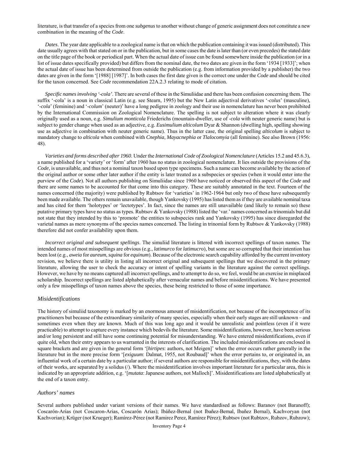literature, is that transfer of a species from one *subgenus* to another without change of generic assignment does not constitute a new combination in the meaning of the *Code*.

*Dates*. The year date applicable to a zoological name is that on which the publication containing it was issued (distributed). This date usually agrees with that stated on or in the publication, but in some cases the date is later than (or even precedes) the stated date on the title page of the book or periodical part. When the actual date of issue can be found somewhere inside the publication (or in a list of issue dates specifically provided) but differs from the nominal date, the two dates are given in the form '1934 [1933]'; when the actual date of issue has been determined from outside the publication (e.g. from information provided by a publisher) the two dates are given in the form '[1988] [1987]'. In both cases the first date given is the correct one under the *Code* and should be cited for the taxon concerned. See *Code* recommendation 22A.2.3 relating to mode of citation.

 *Specific names involving '-cola'*. There are several of these in the Simuliidae and there has been confusion concerning them. The suffix '-cola' is a noun in classical Latin (e.g. see Stearn, 1995) but the New Latin adjectival derivatives '-*colus*' (masculine), '-*cola*' (feminine) and '-*colum*' (neuter)' have a long pedigree in zoology and their use in nomenclature has never been prohibited by the International Commission on Zoological Nomenclature. The spelling is not subject to alteration where it was clearly originally used as a noun, e.g. *Simulium monticola* Friederichs (mountain-dweller, use of -*cola* with neuter generic name) but is subject to gender change when used as an adjective, e.g. *Eusimulium alticolum* Dyar & Shannon (dwelling high, spelling showing use as adjective in combination with neuter generic name). Thus in the latter case, the original spelling *alticolum* is subject to mandatory change to *alticola* when combined with *Cnephia*, *Mayacnephia* or *Tlalocomyia* (all feminine). See also Brown (1956: 48).

 *Varieties and forms described after 1960*. Under the *International Code of Zoological Nomenclature* (Articles 15.2 and 45.6.3), a name published for a 'variety' or 'form' after 1960 has no status in zoological nomenclature. It lies outside the provisions of the *Code*, is unavailable, and thus not a nominal taxon based upon type specimens. Such a name can become available by the action of the original author or some other later author if the entity is later treated as a subspecies or species (when it would enter into the purview of the *Code*). Not all authors publishing on Simuliidae since 1960 have noticed or observed this aspect of the *Code* and there are some names to be accounted for that come into this category. These are suitably annotated in the text. Fourteen of the names concerned (the majority) were published by Rubtsov for 'varieties' in 1962-1964 but only two of these have subsequently been made available. The others remain unavailable, though Yankovsky (1995) has listed them as if they are available nominal taxa and has cited for them 'holotypes' or 'lectotypes'. In fact, since the names are still unavailable (and likely to remain so) these putative primary types have no status as types. Rubtsov & Yankovsky (1988) listed the 'var.' names concerned as trinomials but did not state that they intended by this to 'promote' the entities to subspecies rank and Yankovsky (1995) has since disregarded the varietal names as mere synonyms of the species names concerned. The listing in trinomial form by Rubtsov & Yankovsky (1988) therefore did not confer availability upon them.

*Incorrect original and subsequent spellings*. The simuliid literature is littered with incorrect spellings of taxon names. The intended names of most misspellings are obvious (e.g., *latimurco* for *latimucro*), but some are so corrupted that their intention has been lost (e.g., *aweia* for *aureum*, *squina* for *equinum*). Because of the electronic search capability afforded by the current inventory revision, we believe there is utility in listing all incorrect original and subsequent spellings that we discovered in the primary literature, allowing the user to check the accuracy or intent of spelling variants in the literature against the correct spellings. However, we have by no means captured all incorrect spellings, and to attempt to do so, we feel, would be an exercise in misplaced scholarship. Incorrect spellings are listed alphabetically after vernacular names and before misidentifications. We have presented only a few misspellings of taxon names above the species, these being restricted to those of some importance.

## *Misidentifications*

The history of simuliid taxonomy is marked by an enormous amount of misidentification, not because of the incompetence of its practitioners but because of the extraordinary similarity of many species, especially when their early stages are still unknown – and sometimes even when they are known. Much of this was long ago and it would be unrealistic and pointless (even if it were practicable) to attempt to capture every instance which bedevils the literature. Some misidentifications, however, have been serious and/or long persistent and still have some continuing potential for misunderstanding. We have entered misidentifications, even if quite old, when their entry appears to us warranted in the interests of clarification. The included misidentifications are enclosed in square brackets and are given in the general form '[*hirtipes*: authors, not Meigen]' when the error occurs rather generally in the literature but in the more precise form '[*exiguum*: Dalmat, 1955, not Roubaud]' when the error pertains to, or originated in, an influential work of a certain date by a particular author; if several authors are responsible for misidentifications, they, with the dates of their works, are separated by a solidus (/). Where the misidentification involves important literature for a particular area, this is indicated by an appropriate addition, e.g. '[*mutata*: Japanese authors, not Malloch]'. Misidentifications are listed alphabetically at the end of a taxon entry.

#### *Authors' names*

Several authors published under variant versions of their names. We have standardised as follows: Baranov (not Baranoff); Coscarón-Arias (not Coscaron-Arias, Coscarón Arias); Ibáñez-Bernal (not Ibañez-Bernal, Ibañez Bernal), Kachvoryan (not Kachvorian); Krüger (not Krueger); Ramírez-Pérez (not Ramirez Perez, Ramírez Pérez); Rubtsov (not Rubtzov, Rubzov, Rubzow);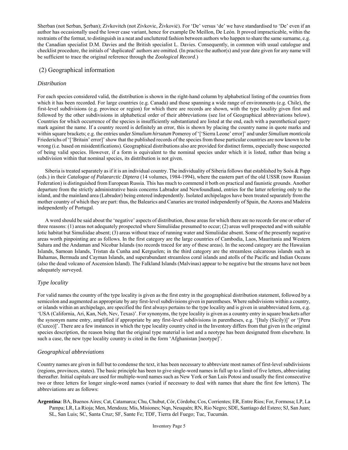Sherban (not Serban, Şerban); Zivkovitch (not Zivkovic, Živković). For 'De' versus 'de' we have standardised to 'De' even if an author has occasionally used the lower case variant, hence for example De Meillon, De León. It proved impracticable, within the restraints of the format, to distinguish in a neat and uncluttered fashion between authors who happen to share the same surname, e.g. the Canadian specialist D.M. Davies and the British specialist L. Davies. Consequently, in common with usual catalogue and checklist procedure, the initials of 'duplicated' authors are omitted. (In practice the author(s) and year date given for any name will be sufficient to trace the original reference through the *Zoological Record*.)

## (2) Geographical information

## *Distribution*

For each species considered valid, the distribution is shown in the right-hand column by alphabetical listing of the countries from which it has been recorded. For large countries (e.g. Canada) and those spanning a wide range of environments (e.g. Chile), the first-level subdivisions (e.g. province or region) for which there are records are shown, with the type locality given first and followed by the other subdivisions in alphabetical order of their abbreviations (see list of Geographical abbreviations below). Countries for which occurrence of the species is insufficiently substantiated are listed at the end, each with a parenthetical query mark against the name. If a country record is definitely an error, this is shown by placing the country name in quote marks and within square brackets; e.g. the entries under *Simulium hirsutum* Pomeroy of '['Sierra Leone' error]' and under *Simulium monticola* Friederichs of '['Britain' error]' show that the published records of the species from those particular countries are now known to be wrong (i.e. based on misidentifications). Geographical distributions also are provided for distinct forms, especially those suspected of being valid species. However, if a form is equivalent to the nominal species under which it is listed, rather than being a subdivision within that nominal species, its distribution is not given.

 Siberia is treated separately as if it is an individual country. The individuality of Siberia follows that established by Soós & Papp (eds.) in their *Catalogue of Palaearctic Diptera* (14 volumes, 1984-1994), where the eastern part of the old USSR (now Russian Federation) is distinguished from European Russia. This has much to commend it both on practical and faunistic grounds. Another departure from the strictly administrative basis concerns Labrador and Newfoundland, entries for the latter referring only to the island, and the mainland area (Labrador) being entered independently. Isolated archipelagos have been treated separately from the mother country of which they are part: thus, the Balearics and Canaries are treated independently of Spain, the Azores and Madeira independently of Portugal.

 A word should be said about the 'negative' aspects of distribution, those areas for which there are no records for one or other of three reasons: (1) areas not adequately prospected where Simuliidae presumed to occur; (2) areas well prospected and with suitable lotic habitat but Simuliidae absent; (3) areas without trace of running water and Simuliidae absent. Some of the presently negative areas worth pinpointing are as follows. In the first category are the large countries of Cambodia, Laos, Mauritania and Western Sahara and the Andaman and Nicobar Islands (no records traced for any of these areas). In the second category are the Hawaiian Islands, Samoan Islands, Tristan da Cunha and Kerguelen; in the third category are the streamless calcareous islands such as Bahamas, Bermuda and Cayman Islands, and superabundant streamless coral islands and atolls of the Pacific and Indian Oceans (also the dead volcano of Ascension Island). The Falkland Islands (Malvinas) appear to be negative but the streams have not been adequately surveyed.

## *Type locality*

For valid names the country of the type locality is given as the first entry in the geographical distribution statement, followed by a semicolon and augmented as appropriate by any first-level subdivisions given in parentheses. Where subdivisions within a country, or islands within an archipelago, are specified the first always pertains to the type locality and is given in unabbreviated form, e.g. 'USA (California, Ari, Kan, Neb, Nev, Texas)'. For synonyms, the type locality is given as a country entry in square brackets after the synonym name entry, amplified if appropriate by any first-level subdivisions in parentheses, e.g. '[Italy (Sicily)]' or '[Peru (Cuzco)]'. There are a few instances in which the type locality country cited in the Inventory differs from that given in the original species description, the reason being that the original type material is lost and a neotype has been designated from elsewhere. In such a case, the new type locality country is cited in the form 'Afghanistan [neotype]'.

## *Geographical abbreviations*

Country names are given in full but to condense the text, it has been necessary to abbreviate most names of first-level subdivisions (regions, provinces, states). The basic principle has been to give single-word names in full up to a limit of five letters, abbreviating thereafter. Initial capitals are used for multiple-word names such as New York or San Luis Potosi and usually the first consecutive two or three letters for longer single-word names (varied if necessary to deal with names that share the first few letters). The abbreviations are as follows:

**Argentina**: BA, Buenos Aires; Cat, Catamarca; Chu, Chubut, Cór, Córdoba; Cos, Corrientes; ER, Entre Rios; For, Formosa; LP, La Pampa; LR, La Rioja; Men, Mendoza; Mis, Misiones; Nqn, Neuquén; RN, Rio Negro; SDE, Santiago del Estero; SJ, San Juan; SL, San Luis; SC, Santa Cruz; SF, Sante Fe; TDF, Tierra del Fuego; Tuc, Tucumán.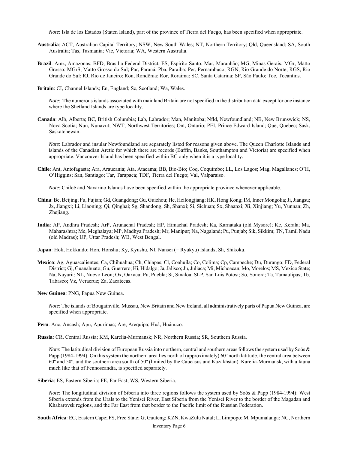*Note*: Isla de los Estados (Staten Island), part of the province of Tierra del Fuego, has been specified when appropriate.

- **Australia**: ACT, Australian Capital Territory; NSW, New South Wales; NT, Northern Territory; Qld, Queensland; SA, South Australia; Tas, Tasmania; Vic, Victoria; WA, Western Australia.
- **Brazil**: Amz, Amazonas; BFD, Brasilia Federal District; ES, Espirito Santo; Mar, Maranhão; MG, Minas Gerais; MGr, Matto Grosso; MGrS, Matto Grosso do Sul; Par, Paraná; Pba, Paraiba; Per, Pernambuco; RGN, Rio Grande do Norte; RGS, Rio Grande do Sul; RJ, Rio de Janeiro; Ron, Rondônia; Ror, Roraima; SC, Santa Catarina; SP, São Paulo; Toc, Tocantins.
- **Britain**: CI, Channel Islands; En, England; Sc, Scotland; Wa, Wales.

 *Note*: The numerous islands associated with mainland Britain are not specified in the distribution data except for one instance where the Shetland Islands are type locality.

**Canada**: Alb, Alberta; BC, British Columbia; Lab, Labrador; Man, Manitoba; Nfld, Newfoundland; NB, New Brunswick; NS, Nova Scotia; Nun, Nunavut; NWT, Northwest Territories; Ont, Ontario; PEI, Prince Edward Island; Que, Quebec; Sask, Saskatchewan.

*Note*: Labrador and insular Newfoundland are separately listed for reasons given above. The Queen Charlotte Islands and islands of the Canadian Arctic for which there are records (Baffin, Banks, Southampton and Victoria) are specified when appropriate. Vancouver Island has been specified within BC only when it is a type locality.

**Chile**: Ant, Antofagasta; Ara, Araucania; Ata, Atacama; BB, Bio-Bio; Coq, Coquimbo; LL, Los Lagos; Mag, Magallanes; O'H, O'Higgins; San, Santiago; Tar, Tarapacá; TDF, Tierra del Fuego; Val, Valparaiso.

*Note*: Chiloé and Navarino Islands have been specified within the appropriate province whenever applicable.

- **China**: Be, Beijing; Fu, Fujian; Gd, Guangdong; Gu, Guizhou; He, Heilongjiang; HK, Hong Kong; IM, Inner Mongolia; Ji, Jiangsu; Jx, Jiangxi; Li, Liaoning; Qi, Qinghai; Sg, Shandong; Sh, Shanxi; Si, Sichuan; Sx, Shaanxi; Xi, Xinjiang; Yu, Yunnan; Zh, Zhejiang.
- **India**: AP, Andhra Pradesh; ArP, Arunachal Pradesh; HP, Himachal Pradesh; Ka, Karnataka (old Mysore); Ke, Kerala; Ma, Maharashtra; Me, Meghalaya; MP, Madhya Pradesh; Mr, Manipur; Na, Nagaland; Pu, Punjab; Sik, Sikkim; TN, Tamil Nadu (old Madras); UP, Uttar Pradesh; WB, West Bengal.

**Japan**: Hok, Hokkaido; Hon, Honshu; Ky, Kyushu, NI, Nansei (= Ryukyu) Islands; Sh, Shikoku.

**Mexico**: Ag, Aguascalientes; Ca, Chihuahua; Ch, Chiapas; Cl, Coahuila; Co, Colima; Cp, Campeche; Du, Durango; FD, Federal District; Gj, Guanahuato; Gu, Guerrero; Hi, Hidalgo; Ja, Jalisco; Ju, Juliaca; Mi, Michoacan; Mo, Morelos; MS, Mexico State; Na, Nayarit; NL, Nuevo Leon; Ox, Oaxaca; Pu, Puebla; Si, Sinaloa; SLP, San Luis Potosi; So, Sonora; Ta, Tamaulipas; Tb, Tabasco; Vz, Veracruz; Za, Zacatecas.

**New Guinea**: PNG, Papua New Guinea.

*Note*: The islands of Bougainville, Mussau, New Britain and New Ireland, all administratively parts of Papua New Guinea, are specified when appropriate.

**Peru**: Anc, Ancash; Apu, Apurimac; Are, Arequipa; Huá, Huánuco.

**Russia**: CR, Central Russia; KM, Karelia-Murmansk; NR, Northern Russia; SR, Southern Russia.

*Note*: The latitudinal division of European Russia into northern, central and southern areas follows the system used by Soós & Papp (1984-1994). On this system the northern area lies north of (approximately) 60º north latitude, the central area between 60º and 50º, and the southern area south of 50º (limited by the Caucasus and Kazakhstan). Karelia-Murmansk, with a fauna much like that of Fennoscandia, is specified separately.

**Siberia**: ES, Eastern Siberia; FE, Far East; WS, Western Siberia.

*Note*: The longitudinal division of Siberia into three regions follows the system used by Soós & Papp (1984-1994): West Siberia extends from the Urals to the Yenisei River, East Siberia from the Yenisei River to the border of the Magadan and Khabarovsk regions, and the Far East from that border to the Pacific limit of the Russian Federation.

**South Africa**: EC, Eastern Cape; FS, Free State; G, Gauteng; KZN, KwaZulu Natal; L, Limpopo; M, Mpumalanga; NC, Northern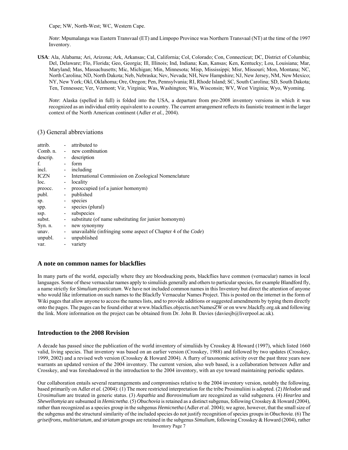Cape; NW, North-West; WC, Western Cape.

*Note*: Mpumalanga was Eastern Transvaal (ET) and Limpopo Province was Northern Transvaal (NT) at the time of the 1997 Inventory.

**USA**: Ala, Alabama; Ari, Arizona; Ark, Arkansas; Cal, California; Col, Colorado; Con, Connecticut; DC, District of Columbia; Del, Delaware; Flo, Florida; Geo, Georgia; Ill, Illinois; Ind, Indiana; Kan, Kansas; Ken, Kentucky; Lou, Louisiana; Mar, Maryland; Mas, Massachusetts; Mic, Michigan; Min, Minnesota; Misp, Mississippi; Misr, Missouri; Mon, Montana; NC, North Carolina; ND, North Dakota; Neb, Nebraska; Nev, Nevada; NH, New Hampshire; NJ, New Jersey, NM, New Mexico; NY, New York; Okl, Oklahoma; Ore, Oregon; Pen, Pennsylvania; RI, Rhode Island; SC, South Carolina; SD, South Dakota; Ten, Tennessee; Ver, Vermont; Vir, Virginia; Was, Washington; Wis, Wisconsin; WV, West Virginia; Wyo, Wyoming.

*Note*: Alaska (spelled in full) is folded into the USA, a departure from pre-2008 inventory versions in which it was recognized as an individual entity equivalent to a country. The current arrangement reflects its faunistic treatment in the larger context of the North American continent (Adler *et al.*, 2004).

## (3) General abbreviations

| attrib.  |                              | - attributed to                                                       |
|----------|------------------------------|-----------------------------------------------------------------------|
| Comb. n. |                              | - new combination                                                     |
| descrip. | $\sim$                       | description                                                           |
| f.       | $\blacksquare$               | form                                                                  |
| incl.    |                              | including                                                             |
| ICZN     | $\sim$                       | International Commission on Zoological Nomenclature                   |
| loc.     | -                            | locality                                                              |
| preocc.  | $\overline{\phantom{a}}$     | preoccupied (of a junior homonym)                                     |
| publ.    | $\overline{\phantom{a}}$     | published                                                             |
| Sp.      | $\qquad \qquad \blacksquare$ | species                                                               |
| spp.     |                              | species (plural)                                                      |
| ssp.     | $\blacksquare$               | subspecies                                                            |
| subst.   | $\overline{\phantom{a}}$     | substitute (of name substituting for junior homonym)                  |
| Syn. n.  | -                            | new synonymy                                                          |
| unav.    | $\overline{\phantom{a}}$     | unavailable (infringing some aspect of Chapter 4 of the <i>Code</i> ) |
| unpubl.  | $\overline{\phantom{a}}$     | unpublished                                                           |
| var.     | $\qquad \qquad \blacksquare$ | variety                                                               |
|          |                              |                                                                       |

## **A note on common names for blackflies**

In many parts of the world, especially where they are bloodsucking pests, blackflies have common (vernacular) names in local languages. Some of these vernacular names apply to simuliids generally and others to particular species, for example Blandford fly, a name strictly for *Simulium posticatum*. We have not included common names in this Inventory but direct the attention of anyone who would like information on such names to the Blackfly Vernacular Names Project. This is posted on the internet in the form of Wiki pages that allow anyone to access the names lists, and to provide additions or suggested amendments by typing them directly onto the pages. The pages can be found either at www.blackflies.objectis.net/NamesZW or on www.blackfly.org.uk and following the link. More information on the project can be obtained from Dr. John B. Davies (daviesjb@liverpool.ac.uk).

## **Introduction to the 2008 Revision**

A decade has passed since the publication of the world inventory of simuliids by Crosskey & Howard (1997), which listed 1660 valid, living species. That inventory was based on an earlier version (Crosskey, 1988) and followed by two updates (Crosskey, 1999, 2002) and a revised web version (Crosskey & Howard 2004). A flurry of taxonomic activity over the past three years now warrants an updated version of the 2004 inventory. The current version, also web based, is a collaboration between Adler and Crosskey, and was foreshadowed in the introduction to the 2004 inventory, with an eye toward maintaining periodic updates.

Inventory Page 7 Our collaboration entails several rearrangements and compromises relative to the 2004 inventory version, notably the following, based primarily on Adler *et al.* (2004): (1) The more restricted interpretation for the tribe Prosimuliini is adopted. (2) *Helodon* and *Urosimulium* are treated in generic status. (3) *Aspathia* and *Boreosimulium* are recognized as valid subgenera. (4) *Hearlea* and *Shewellomyia* are subsumed in *Hemicnetha*. (5) *Obuchovia* is retained as a distinct subgenus, following Crosskey & Howard (2004), rather than recognized as a species group in the subgenus *Hemicnetha* (Adler *et al.* 2004); we agree, however, that the small size of the subgenus and the structural similarity of the included species do not justify recognition of species groups in *Obuchovia*. (6) The *griseifrons*, *multistriatum*, and *striatum* groups are retained in the subgenus *Simulium*, following Crosskey & Howard (2004), rather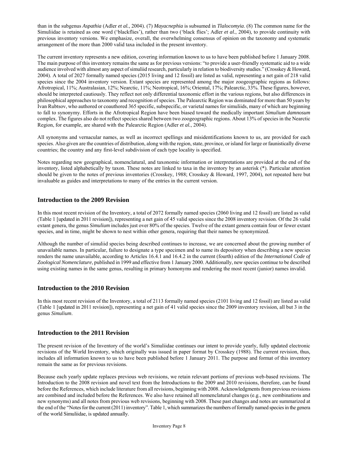than in the subgenus *Aspathia* (Adler *et al.*, 2004). (7) *Mayacnephia* is subsumed in *Tlalocomyia*. (8) The common name for the Simuliidae is retained as one word ('blackflies'), rather than two ('black flies'; Adler *et al.*, 2004), to provide continuity with previous inventory versions. We emphasize, overall, the overwhelming consensus of opinion on the taxonomy and systematic arrangement of the more than 2000 valid taxa included in the present inventory.

The current inventory represents a new edition, covering information known to us to have been published before 1 January 2008. The main purpose of this inventory remains the same as for previous versions: "to provide a user-friendly systematic aid to a wide audience involved with almost any aspect of simuliid research, particularly in relation to biodiversity studies." (Crosskey & Howard, 2004). A total of 2027 formally named species (2015 living and 12 fossil) are listed as valid, representing a net gain of 218 valid species since the 2004 inventory version. Extant species are represented among the major zoogeographic regions as follows: Afrotropical, 11%; Australasian, 12%; Nearctic, 11%; Neotropical, 16%; Oriental, 17%; Palearctic, 33%. These figures, however, should be interpreted cautiously. They reflect not only differential taxonomic effort in the various regions, but also differences in philosophical approaches to taxonomy and recognition of species. The Palearctic Region was dominated for more than 50 years by Ivan Rubtsov, who authored or coauthored 365 specific, subspecific, or varietal names for simuliids, many of which are beginning to fall to synonymy. Efforts in the Afrotropical Region have been biased toward the medically important *Simulium damnosum*  complex. The figures also do not reflect species shared between two zoogeographic regions. About 13% of species in the Nearctic Region, for example, are shared with the Palearctic Region (Adler *et al.*, 2004).

All synonyms and vernacular names, as well as incorrect spellings and misidentifications known to us, are provided for each species. Also given are the countries of distribution, along with the region, state, province, or island for large or faunistically diverse countries; the country and any first-level subdivision of each type locality is specified.

Notes regarding new geographical, nomenclatural, and taxonomic information or interpretations are provided at the end of the inventory, listed alphabetically by taxon. These notes are linked to taxa in the inventory by an asterisk (\*). Particular attention should be given to the notes of previous inventories (Crosskey, 1988; Crosskey & Howard, 1997, 2004), not repeated here but invaluable as guides and interpretations to many of the entries in the current version.

## **Introduction to the 2009 Revision**

In this most recent revision of the Inventory, a total of 2072 formally named species (2060 living and 12 fossil) are listed as valid (Table 1 [updated in 2011 revision]), representing a net gain of 45 valid species since the 2008 inventory revision. Of the 26 valid extant genera, the genus *Simulium* includes just over 80% of the species. Twelve of the extant genera contain four or fewer extant species, and in time, might be shown to nest within other genera, requiring that their names be synonymized.

Although the number of simuliid species being described continues to increase, we are concerned about the growing number of unavailable names. In particular, failure to designate a type specimen and to name its depository when describing a new species renders the name unavailable, according to Articles 16.4.1 and 16.4.2 in the current (fourth) edition of the *International Code of Zoological Nomenclature*, published in 1999 and effective from 1 January 2000. Additionally, new species continue to be described using existing names in the same genus, resulting in primary homonyms and rendering the most recent (junior) names invalid.

## **Introduction to the 2010 Revision**

In this most recent revision of the Inventory, a total of 2113 formally named species (2101 living and 12 fossil) are listed as valid (Table 1 [updated in 2011 revision]), representing a net gain of 41 valid species since the 2009 inventory revision, all but 3 in the genus *Simulium*.

## **Introduction to the 2011 Revision**

The present revision of the Inventory of the world's Simuliidae continues our intent to provide yearly, fully updated electronic revisions of the World Inventory, which originally was issued in paper format by Crosskey (1988). The current revision, thus, includes all information known to us to have been published before 1 January 2011. The purpose and format of this inventory remain the same as for previous revisions.

Because each yearly update replaces previous web revisions, we retain relevant portions of previous web-based revisions. The Introduction to the 2008 revision and novel text from the Introductions to the 2009 and 2010 revisions, therefore, can be found before the References, which include literature from all revisions, beginning with 2008. Acknowledgments from previous revisions are combined and included before the References. We also have retained all nomenclatural changes (e.g., new combinations and new synonyms) and all notes from previous web revisions, beginning with 2008. These past changes and notes are summarized at the end of the "Notes for the current (2011) inventory". Table 1, which summarizes the numbers of formally named species in the genera of the world Simuliidae, is updated annually.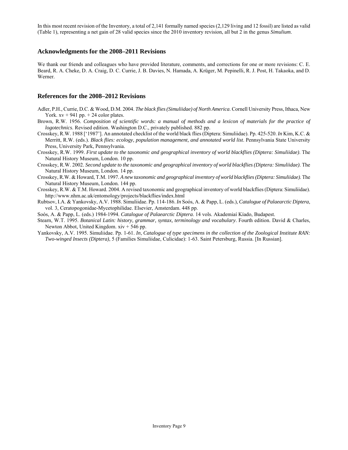In this most recent revision of the Inventory, a total of 2,141 formally named species (2,129 living and 12 fossil) are listed as valid (Table 1), representing a net gain of 28 valid species since the 2010 inventory revision, all but 2 in the genus *Simulium*.

## **Acknowledgments for the 2008–2011 Revisions**

We thank our friends and colleagues who have provided literature, comments, and corrections for one or more revisions: C. E. Beard, R. A. Cheke, D. A. Craig, D. C. Currie, J. B. Davies, N. Hamada, A. Krüger, M. Pepinelli, R. J. Post, H. Takaoka, and D. Werner.

## **References for the 2008–2012 Revisions**

- Adler, P.H., Currie, D.C. & Wood, D.M. 2004. *The black flies (Simuliidae) of North America*. Cornell University Press, Ithaca, New York.  $xy + 941$  pp.  $+ 24$  color plates.
- Brown, R.W. 1956. *Composition of scientific words: a manual of methods and a lexicon of materials for the practice of logotechnics*. Revised edition. Washington D.C., privately published. 882 pp.
- Crosskey, R.W. 1988 ['1987']. An annotated checklist of the world black flies (Diptera: Simuliidae). Pp. 425-520. *In* Kim, K.C. & Merritt, R.W. (eds.). *Black flies: ecology, population management, and annotated world list*. Pennsylvania State University Press, University Park, Pennsylvania.
- Crosskey, R.W. 1999. *First update to the taxonomic and geographical inventory of world blackflies (Diptera: Simuliidae)*. The Natural History Museum, London. 10 pp.
- Crosskey, R.W. 2002. *Second update to the taxonomic and geographical inventory of world blackflies (Diptera: Simuliidae)*. The Natural History Museum, London. 14 pp.
- Crosskey, R.W. & Howard, T.M. 1997. *A new taxonomic and geographical inventory of world blackflies (Diptera: Simuliidae)*. The Natural History Museum, London. 144 pp.
- Crosskey, R.W. & T.M. Howard. 2004. A revised taxonomic and geographical inventory of world blackflies (Diptera: Simuliidae). http://www.nhm.ac.uk/entomology/projects/blackflies/index.html
- Rubtsov, I.A. & Yankovsky, A.V. 1988. Simuliidae. Pp. 114-186. *In* Soόs, A. & Papp, L. (eds.), *Catalogue of Palaearctic Diptera*, vol. 3, Ceratopogonidae-Mycetophilidae. Elsevier, Amsterdam. 448 pp.
- Soόs, A. & Papp, L. (eds.) 1984-1994. *Catalogue of Palaearctic Diptera*. 14 vols. Akademiaí Kíado, Budapest.
- Stearn, W.T. 1995. *Botanical Latin: history, grammar, syntax, terminology and vocabulary*. Fourth edition. David & Charles, Newton Abbot, United Kingdom. xiv + 546 pp.
- Yankovsky, A.V. 1995. Simuliidae. Pp. 1-61. *In*, *Catalogue of type specimens in the collection of the Zoological Institute RAN: Two-winged Insects (Diptera)*, 5 (Families Simuliidae, Culicidae): 1-63. Saint Petersburg, Russia. [In Russian].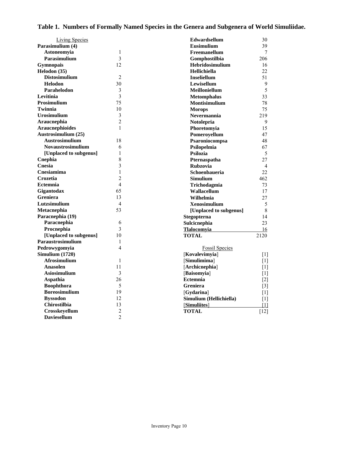## **Table 1. Numbers of Formally Named Species in the Genera and Subgenera of World Simuliidae.**

| <b>Living Species</b>    |                | <b>Edwardsellum</b>     | 30                |
|--------------------------|----------------|-------------------------|-------------------|
| Parasimulium (4)         |                | Eusimulium              | 39                |
| Astoneomyia              | 1              | Freemanellum            | $\tau$            |
| <b>Parasimulium</b>      | 3              | Gomphostilbia           | 206               |
| <b>Gymnopais</b>         | 12             | Hebridosimulium         | 16                |
| Helodon (35)             |                | <b>Hellichiella</b>     | 22.               |
| <b>Distosimulium</b>     | $\overline{2}$ | <b>Inseliellum</b>      | 51                |
| <b>Helodon</b>           | 30             | Lewisellum              | 9                 |
| Parahelodon              | 3              | Meilloniellum           | 5                 |
| Levitinia                | $\overline{3}$ | <b>Metomphalus</b>      | 33                |
| <b>Prosimulium</b>       | 75             | Montisimulium           | 78                |
| Twinnia                  | 10             | <b>Morops</b>           | 75                |
| <b>Urosimulium</b>       | $\mathfrak{Z}$ | Nevermannia             | 219               |
| Araucnephia              | $\overline{2}$ | <b>Notolepria</b>       | 9                 |
| <b>Araucnephioides</b>   | $\mathbf{1}$   | Phoretomyia             | 15                |
| Austrosimulium (25)      |                | Pomeroyellum            | 47                |
| <b>Austrosimulium</b>    | 18             | Psaroniocompsa          | 48                |
| <b>Novaustrosimulium</b> | 6              | Psilopelmia             | 67                |
| [Unplaced to subgenus]   | 1              | <b>Psilozia</b>         | 5                 |
| Cnephia                  | 8              | Pternaspatha            | 27                |
| Cnesia                   | 3              | <b>Rubzovia</b>         | $\overline{4}$    |
| Cnesiamima               | $\mathbf{1}$   | Schoenbaueria           | 22                |
| Crozetia                 | $\overline{c}$ | <b>Simulium</b>         | 462               |
| <b>Ectemnia</b>          | $\overline{4}$ | Trichodagmia            | 73                |
| Gigantodax               | 65             | Wallacellum             | 17                |
| <b>Greniera</b>          | 13             | Wilhelmia               | 27                |
| Lutzsimulium             | $\overline{4}$ | <b>Xenosimulium</b>     | 5                 |
| Metacnephia              | 53             | [Unplaced to subgenus]  | 8                 |
| Paracnephia (19)         |                | Stegopterna             | 14                |
| Paracnephia              | 6              | Sulcicnephia            | 23                |
| Procnephia               | 3              | <b>Tlalocomyia</b>      | 16                |
| [Unplaced to subgenus]   | 10             | <b>TOTAL</b>            | 2120              |
| Paraustrosimulium        | 1              |                         |                   |
| Pedrowygomyia            | $\overline{4}$ | <b>Fossil Species</b>   |                   |
| Simulium (1720)          |                | [Kovalevimyia]          | $\lceil 1 \rceil$ |
| <b>Afrosimulium</b>      | $\mathbf{1}$   | [Simulimima]            | $\lceil 1 \rceil$ |
| Anasolen                 | 11             | [Archicnephia]          | [1]               |
| <b>Asiosimulium</b>      | 3              | [Baisomyia]             | [1]               |
| <b>Aspathia</b>          | 26             | <b>Ectemnia</b>         | $\lceil 2 \rceil$ |
| <b>Boophthora</b>        | 5              | <b>Greniera</b>         | $[3]$             |
| <b>Boreosimulium</b>     | 19             | [Gydarina]              | [1]               |
| <b>Byssodon</b>          | 12             | Simulium (Hellichiella) | [1]               |
| Chirostilbia             | 13             | [Simuliites]            | [1]               |
| Crosskeyellum            | $\overline{2}$ | <b>TOTAL</b>            | $[12]$            |
| <b>Daviesellum</b>       | $\overline{2}$ |                         |                   |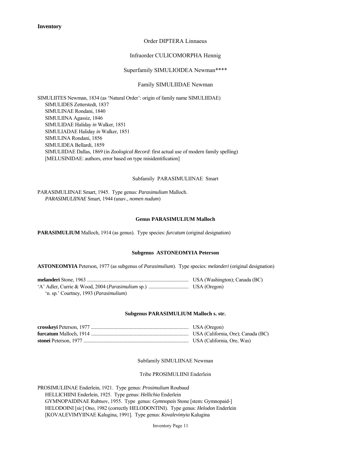**Inventory**

## Order DIPTERA Linnaeus

## Infraorder CULICOMORPHA Hennig

#### Superfamily SIMULIOIDEA Newman\*\*\*\*

## Family SIMULIIDAE Newman

SIMULIITES Newman, 1834 (as 'Natural Order': origin of family name SIMULIIDAE) SIMULIDES Zetterstedt, 1837 SIMULINAE Rondani, 1840 SIMULIINA Agassiz, 1846 SIMULIDAE Haliday *in* Walker, 1851 SIMULIADAE Haliday *in* Walker, 1851 SIMULINA Rondani, 1856 SIMULIDEA Bellardi, 1859 SIMULIIDAE Dallas, 1869 (in *Zoological Record*: first actual use of modern family spelling) [MELUSINIDAE: authors, error based on type misidentification]

Subfamily PARASIMULIINAE Smart

PARASIMULIINAE Smart, 1945. Type genus: *Parasimulium* Malloch.  *PARASIMULIINAE* Smart, 1944 (unav., *nomen nudum*)

#### **Genus PARASIMULIUM Malloch**

**PARASIMULIUM** Malloch, 1914 (as genus). Type species: *furcatum* (original designation)

#### **Subgenus ASTONEOMYIA Peterson**

**ASTONEOMYIA** Peterson, 1977 (as subgenus of *Parasimulium*). Type species: *melanderi* (original designation)

| 'n. sp.' Courtney, 1993 ( <i>Parasimulium</i> ) |  |
|-------------------------------------------------|--|

#### **Subgenus PARASIMULIUM Malloch s. str.**

#### Subfamily SIMULIINAE Newman

#### Tribe PROSIMULIINI Enderlein

PROSIMULIINAE Enderlein, 1921. Type genus: *Prosimulium* Roubaud HELLICHIINI Enderlein, 1925. Type genus: *Hellichia* Enderlein GYMNOPAIDINAE Rubtsov, 1955. Type genus: *Gymnopais* Stone [stem: Gymnopaid-] HELODOINI [*sic*] Ono, 1982 (correctly HELODONTINI). Type genus: *Helodon* Enderlein [KOVALEVIMYIINAE Kalugina, 1991]. Type genus: *Kovalevimyia* Kalugina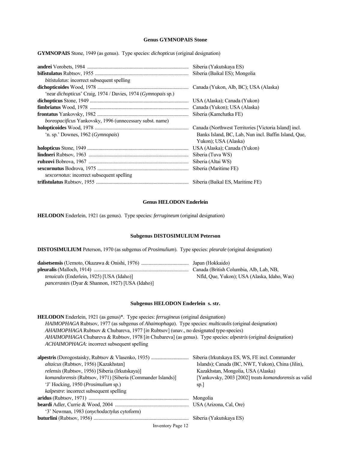## **Genus GYMNOPAIS Stone**

**GYMNOPAIS** Stone, 1949 (as genus). Type species: *dichopticus* (original designation)

| bitistulatus: incorrect subsequent spelling                   |                                                       |
|---------------------------------------------------------------|-------------------------------------------------------|
|                                                               | Canada (Yukon, Alb, BC); USA (Alaska)                 |
| 'near dichopticus' Craig, 1974 / Davies, 1974 (Gymnopais sp.) |                                                       |
|                                                               |                                                       |
|                                                               |                                                       |
|                                                               |                                                       |
| boreopacificus Yankovsky, 1996 (unnecessary subst. name)      |                                                       |
|                                                               | Canada (Northwest Territories [Victoria Island] incl. |
| 'n. sp.' Downes, 1962 ( <i>Gymnopais</i> )                    | Banks Island, BC, Lab, Nun incl. Baffin Island, Que,  |
|                                                               | Yukon); USA (Alaska)                                  |
|                                                               |                                                       |
|                                                               |                                                       |
|                                                               |                                                       |
|                                                               |                                                       |
| sexcornotus: incorrect subsequent spelling                    |                                                       |
|                                                               |                                                       |

#### **Genus HELODON Enderlein**

**HELODON** Enderlein, 1921 (as genus). Type species: *ferrugineum* (original designation)

#### **Subgenus DISTOSIMULIUM Peterson**

**DISTOSIMULIUM** Peterson, 1970 (as subgenus of *Prosimulium*). Type species: *pleurale* (original designation)

|                                                         | Canada (British Columbia, Alb, Lab, NB,     |
|---------------------------------------------------------|---------------------------------------------|
| <i>tenuicalx</i> (Enderlein, 1925) [USA (Idaho)]        | Nfld, Que, Yukon); USA (Alaska, Idaho, Was) |
| <i>pancerastes</i> (Dyar & Shannon, 1927) [USA (Idaho)] |                                             |

## **Subgenus HELODON Enderlein s. str.**

**HELODON** Enderlein, 1921 (as genus)\*. Type species: *ferrugineus* (original designation)  *HAIMOPHAGA* Rubtsov, 1977 (as subgenus of *Ahaimophaga*). Type species: *multicaulis* (original designation)  *AHAIMOPHAGA* Rubtsov & Chubareva, 1977 [*in* Rubtsov] (unav., no designated type-species)  *AHAIMOPHAGA* Chubareva & Rubtsov, 1978 [*in* Chubareva] (as genus). Type species: *alpestris* (original designation)  *ACHAIMOPHAGA*: incorrect subsequent spelling

|                                                             | Siberia (Irkutskaya ES, WS, FE incl. Commander               |
|-------------------------------------------------------------|--------------------------------------------------------------|
| altaicus (Rubtsov, 1956) [Kazakhstan]                       | Islands); Canada (BC, NWT, Yukon), China (Jilin),            |
| relensis (Rubtsov, 1956) [Siberia (Irkutskaya)]             | Kazakhstan, Mongolia, USA (Alaska)                           |
| komandorensis (Rubtsov, 1971) [Siberia (Commander Islands)] | [Yankovsky, 2003 [2002] treats <i>komandorensis</i> as valid |
| 'J' Hocking, 1950 (Prosimulium sp.)                         | sp.                                                          |
| kalpestre: incorrect subsequent spelling                    |                                                              |
|                                                             |                                                              |
|                                                             |                                                              |
| '3' Newman, 1983 (onychodactylus cytoform)                  |                                                              |
|                                                             |                                                              |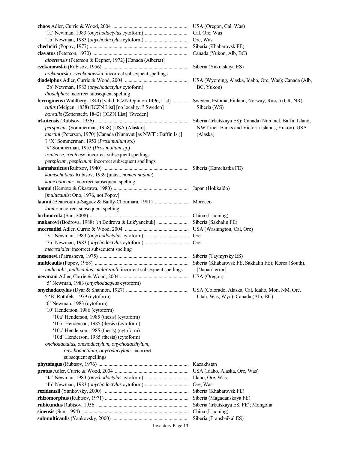| albertensis (Peterson & Depner, 1972) [Canada (Alberta)]                                                          |                                                   |
|-------------------------------------------------------------------------------------------------------------------|---------------------------------------------------|
|                                                                                                                   |                                                   |
| czekanovskii, czenkanowskii: incorrect subsequent spellings                                                       |                                                   |
|                                                                                                                   |                                                   |
| '2b' Newman, 1983 (onychodactylus cytoform)                                                                       | BC, Yukon)                                        |
| diodelphus: incorrect subsequent spelling                                                                         |                                                   |
| ferrugineus (Wahlberg, 1844) [valid, ICZN Opinion 1496, List]  Sweden; Estonia, Finland, Norway, Russia (CR, NR), |                                                   |
| rufus (Meigen, 1838) [ICZN List] [no locality, ? Sweden]                                                          |                                                   |
|                                                                                                                   | Siberia (WS)                                      |
| borealis (Zetterstedt, 1842) [ICZN List] [Sweden]                                                                 |                                                   |
|                                                                                                                   |                                                   |
| perspicuus (Sommerman, 1958) [USA (Alaska)]                                                                       | NWT incl. Banks and Victoria Islands, Yukon), USA |
| martini (Peterson, 1970) [Canada (Nunavut [as NWT]: Baffin Is.)]                                                  | (Alaska)                                          |
| ? 'X' Sommerman, 1953 (Prosimulium sp.)                                                                           |                                                   |
| '#' Sommerman, 1953 (Prosimulium sp.)                                                                             |                                                   |
| ircutense, ireutense: incorrect subsequent spellings                                                              |                                                   |
| perspicum, pespicuum: incorrect subsequent spellings                                                              |                                                   |
|                                                                                                                   |                                                   |
| kamtschaticus Rubtsov, 1939 (unav., nomen nudum)                                                                  |                                                   |
| kamchaticum: incorrect subsequent spelling                                                                        |                                                   |
|                                                                                                                   |                                                   |
| [multicaulis: Ono, 1976, not Popov]                                                                               |                                                   |
|                                                                                                                   |                                                   |
| laami: incorrect subsequent spelling                                                                              |                                                   |
|                                                                                                                   |                                                   |
|                                                                                                                   |                                                   |
|                                                                                                                   |                                                   |
|                                                                                                                   |                                                   |
|                                                                                                                   | Ore                                               |
|                                                                                                                   | <b>Ore</b>                                        |
| <i>mecreaidiei</i> : incorrect subsequent spelling                                                                |                                                   |
|                                                                                                                   |                                                   |
|                                                                                                                   |                                                   |
| mulicaulis, multicaulus, multiczauli: incorrect subsequent spellings                                              | ['Japan' error]                                   |
|                                                                                                                   |                                                   |
| '5' Newman, 1983 (onychodactylus cytoform)                                                                        |                                                   |
|                                                                                                                   |                                                   |
| ? 'B' Rothfels, 1979 (cytoform)                                                                                   | Utah, Was, Wyo); Canada (Alb, BC)                 |
| '6' Newman, 1983 (cytoform)                                                                                       |                                                   |
| '10' Henderson, 1986 (cytoform)                                                                                   |                                                   |
| '10a' Henderson, 1985 (thesis) (cytoform)                                                                         |                                                   |
| '10b' Henderson, 1985 (thesis) (cytoform)                                                                         |                                                   |
| '10c' Henderson, 1985 (thesis) (cytoform)                                                                         |                                                   |
| '10d' Henderson, 1985 (thesis) (cytoform)                                                                         |                                                   |
| onchodactulus, onchodactylum, onychodacthylum,                                                                    |                                                   |
| onychodactilum, onycodactylum: incorrect                                                                          |                                                   |
|                                                                                                                   |                                                   |
| subsequent spellings                                                                                              |                                                   |
|                                                                                                                   |                                                   |
|                                                                                                                   |                                                   |
|                                                                                                                   |                                                   |
|                                                                                                                   | Ore, Was                                          |
|                                                                                                                   | Siberia (Khabarovsk FE)                           |
|                                                                                                                   | Siberia (Magadanskaya FE)                         |
|                                                                                                                   | Siberia (Irkutskaya ES, FE); Mongolia             |
|                                                                                                                   | China (Liaoning)                                  |
|                                                                                                                   | Siberia (Transbaikal ES)                          |

Inventory Page 13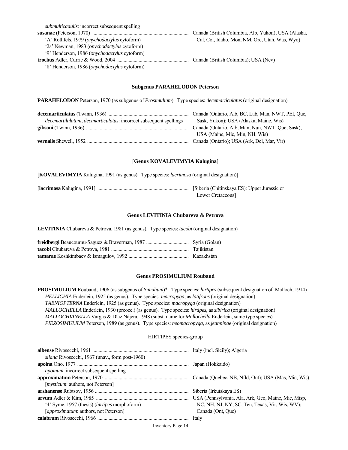| submulticaaulis: incorrect subsequent spelling        |                                                     |
|-------------------------------------------------------|-----------------------------------------------------|
|                                                       | Canada (British Columbia, Alb, Yukon); USA (Alaska, |
| 'A' Rothfels, 1979 ( <i>onychodactylus</i> cytoform)  | Cal, Col, Idaho, Mon, NM, Ore, Utah, Was, Wyo)      |
| '2a' Newman, 1983 ( <i>onvchodactylus</i> cytoform)   |                                                     |
| '9' Henderson, 1986 ( <i>onychodactylus</i> cytoform) |                                                     |
|                                                       | Canada (British Columbia); USA (Nev)                |
| '8' Henderson, 1986 ( <i>onychodactylus</i> cytoform) |                                                     |

#### **Subgenus PARAHELODON Peterson**

**PARAHELODON** Peterson, 1970 (as subgenus of *Prosimulium*). Type species: *decemarticulatus* (original designation)

|                                                                           | Canada (Ontario, Alb, BC, Lab, Man, NWT, PEI, Que, |
|---------------------------------------------------------------------------|----------------------------------------------------|
| <i>decemartilulatum, decimarticulatus:</i> incorrect subsequent spellings | Sask, Yukon); USA (Alaska, Maine, Wis)             |
|                                                                           | Canada (Ontario, Alb, Man, Nun, NWT, Que, Sask);   |
|                                                                           | USA (Maine, Mic, Min, NH, Wis)                     |
|                                                                           |                                                    |

#### [**Genus KOVALEVIMYIA Kalugina**]

[**KOVALEVIMYIA** Kalugina, 1991 (as genus). Type species: *lacrimosa* (original designation)]

[**lacrimosa** Kalugina, 1991] ......................................................................... [Siberia (Chitinskaya ES): Upper Jurassic or Lower Cretaceous]

#### **Genus LEVITINIA Chubareva & Petrova**

**LEVITINIA** Chubareva & Petrova, 1981 (as genus). Type species: *tacobi* (original designation)

| Tajikistan |
|------------|
| Kazakhstan |

#### **Genus PROSIMULIUM Roubaud**

**PROSIMULIUM** Roubaud, 1906 (as subgenus of *Simulium*)\*. Type species: *hirtipes* (subsequent designation of Malloch, 1914)  *HELLICHIA* Enderlein, 1925 (as genus). Type species: *macropyga*, as *latifrons* (original designation)  *TAENIOPTERNA* Enderlein, 1925 (as genus). Type species: *macropyga* (original designation)  *MALLOCHELLA* Enderlein, 1930 (preocc.) (as genus). Type species: *hirtipes*, as *sibirica* (original designation)  *MALLOCHIANELLA* Vargas & Díaz Nájera, 1948 (subst. name for *Mallochella* Enderlein, same type species) *PIEZOSIMULIUM* Peterson, 1989 (as genus). Type species: *neomacropyga*, as *jeanninae* (original designation)

## HIRTIPES species-group

| silana Rivosecchi, 1967 (unav., form post-1960)       |                                                     |
|-------------------------------------------------------|-----------------------------------------------------|
|                                                       |                                                     |
| <i>apoinum</i> : incorrect subsequent spelling        |                                                     |
|                                                       |                                                     |
| [ <i>mysticum</i> : authors, not Peterson]            |                                                     |
|                                                       |                                                     |
|                                                       | USA (Pennsylvania, Ala, Ark, Geo, Maine, Mic, Misp, |
| '4' Syme, 1957 (thesis) ( <i>hirtipes</i> morphoform) | NC, NH, NJ, NY, SC, Ten, Texas, Vir, Wis, WV);      |
| [approximatum: authors, not Peterson]                 | Canada (Ont, Oue)                                   |
|                                                       |                                                     |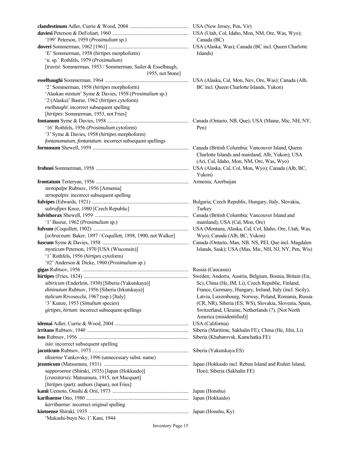| '199' Peterson, 1959 (Prosimulium sp.)                        | Canada (BC)                                              |
|---------------------------------------------------------------|----------------------------------------------------------|
|                                                               |                                                          |
| 'E' Sommerman, 1958 (hirtipes morphoform)                     | Islands)                                                 |
| 'n. sp.' Rothfels, 1979 (Prosimulium)                         |                                                          |
| [travisi: Sommerman, 1953 / Sommerman, Sailer & Esselbaugh,   |                                                          |
| 1955, not Stone]                                              |                                                          |
|                                                               | USA (Alaska, Cal, Mon, Nev, Ore, Was); Canada (Alb,      |
| '2' Sommerman, 1958 (hirtipes morphoform)                     | BC incl. Queen Charlotte Islands, Yukon)                 |
| 'Alaskan mixtum' Syme & Davies, 1958 (Prosimulium sp.)        |                                                          |
| '2 (Alaska)' Basrur, 1962 (hirtipes cytoform)                 |                                                          |
| eselbaughi: incorrect subsequent spelling                     |                                                          |
| [hirtipes: Sommerman, 1953, not Fries]                        |                                                          |
|                                                               |                                                          |
| '16' Rothfels, 1956 (Prosimulium cytoform)                    | Pen)                                                     |
| '3' Syme & Davies, 1958 (hirtipes morphoform)                 |                                                          |
| fontanumatum, fontanatum: incorrect subsequent spellings      |                                                          |
|                                                               | Canada (British Columbia: Vancouver Island, Queen        |
|                                                               | Charlotte Islands and mainland, Alb, Yukon); USA         |
|                                                               | (Ari, Cal, Idaho, Mon, NM, Ore, Was, Wyo)                |
|                                                               | USA (Alaska, Cal, Col, Mon, Wyo); Canada (Alb, BC,       |
|                                                               | Yukon)                                                   |
|                                                               |                                                          |
| stenopalpe Rubtsov, 1956 [Armenia]                            |                                                          |
| strnopalpis: incorrect subsequent spelling                    |                                                          |
|                                                               |                                                          |
| subrufipes Knoz, 1980 [Czech Republic]                        | Turkey                                                   |
|                                                               |                                                          |
| '1' Basrur, 1962 (Prosimulium sp.)                            | mainland); USA (Cal, Mon, Ore)                           |
|                                                               | USA (Montana, Alaska, Cal, Col, Idaho, Ore, Utah, Was,   |
| [ochraceum: Baker, 1897 / Coquillett, 1898, 1900, not Walker] | Wyo); Canada (Alb, BC, Yukon)                            |
|                                                               | Canada (Ontario, Man, NB, NS, PEI, Que incl. Magdalen    |
| mysticum Peterson, 1970 [USA (Wisconsin)]                     | Islands, Sask); USA (Mas, Mic, NH, NJ, NY, Pen, Wis)     |
| '1' Rothfels, 1956 (hirtipes cytoform)                        |                                                          |
| '#2' Anderson & Dicke, 1960 (Prosimulium sp.)                 |                                                          |
|                                                               |                                                          |
|                                                               |                                                          |
| sibiricum (Enderlein, 1930) [Siberia (Yakutskaya)]            | Sc), China (He, IM, Li), Czech Republic, Finland,        |
| diminutum Rubtsov, 1956 [Siberia (Irkutskaya)]                | France, Germany, Hungary, Ireland, Italy (incl. Sicily), |
| italicum Rivosecchi, 1967 (ssp.) [Italy]                      | Latvia, Luxembourg, Norway, Poland, Romania, Russia      |
| '3' Kunze, 1953 (Simulium species)                            | (CR, NR), Siberia (ES, WS), Slovakia, Slovenia, Spain,   |
| girtipes, hirtum: incorrect subsequent spellings              | Switzerland, Ukraine, Netherlands (?). [Not North        |
|                                                               | America (misidentified)]                                 |
|                                                               | USA (California)                                         |
|                                                               | Siberia (Maritime, Sakhalin FE); China (He, Jilin, Li)   |
|                                                               | Siberia (Khabarovsk, Kamchatka FE)                       |
| isio: incorrect subsequent spelling                           |                                                          |
|                                                               | Siberia (Yakutskaya ES)                                  |
| tiksiense Yankovsky, 1996 (unnecessary subst. name)           |                                                          |
|                                                               | Japan (Hokkaido incl. Rebun Island and Rishiri Island,   |
| sapporoense (Shiraki, 1935) [Japan (Hokkaido)]                | Hon); Siberia (Sakhalin FE)                              |
| [crassitarsis: Matsumura, 1915, not Macquart]                 |                                                          |
| [hirtipes (part): authors (Japan), not Fries]                 |                                                          |
|                                                               |                                                          |
|                                                               |                                                          |
| karribaense: incorrect original spelling                      |                                                          |
|                                                               |                                                          |
| 'Mukashi-buyu No. 1' Kani, 1944                               |                                                          |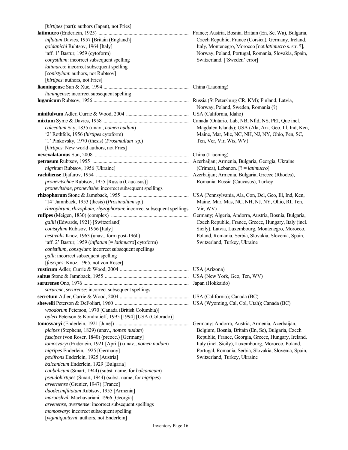| [hirtipes (part): authors (Japan), not Fries]                      |                                                          |
|--------------------------------------------------------------------|----------------------------------------------------------|
|                                                                    | France; Austria, Bosnia, Britain (En, Sc, Wa), Bulgaria, |
| inflatum Davies, 1957 [Britain (England)]                          | Czech Republic, France (Corsica), Germany, Ireland,      |
| goidanichi Rubtsov, 1964 [Italy]                                   | Italy, Montenegro, Morocco [not latimucro s. str. ?],    |
| 'aff. 1' Basrur, 1959 (cytoform)                                   | Norway, Poland, Portugal, Romania, Slovakia, Spain,      |
| conystilum: incorrect subsequent spelling                          | Switzerland. ['Sweden' error]                            |
| latimurco: incorrect subsequent spelling                           |                                                          |
| [conistylum: authors, not Rubtsov]                                 |                                                          |
| [hirtipes: authors, not Fries]                                     |                                                          |
|                                                                    |                                                          |
|                                                                    |                                                          |
| lianingense: incorrect subsequent spelling                         |                                                          |
|                                                                    | Norway, Poland, Sweden, Romania (?)                      |
|                                                                    |                                                          |
|                                                                    |                                                          |
| calceatum Say, 1835 (unav., nomen nudum)                           | Magdalen Islands); USA (Ala, Ark, Geo, Ill, Ind, Ken     |
| '2' Rothfels, 1956 (hirtipes cytoform)                             | Maine, Mar, Mic, NC, NH, NJ, NY, Ohio, Pen, SC,          |
| '1' Pinkovsky, 1970 (thesis) (Prosimulium sp.)                     | Ten, Ver, Vir, Wis, WV)                                  |
|                                                                    |                                                          |
| [hirtipes: New world authors, not Fries]                           |                                                          |
|                                                                    |                                                          |
|                                                                    |                                                          |
| nigritum Rubtsov, 1956 [Ukraine]                                   | (Crimea), Lebanon. $[? = latimucro]$                     |
|                                                                    |                                                          |
| pronevitschae Rubtsov, 1955 [Russia (Caucasus)]                    | Romania, Russia (Caucasus), Turkey                       |
| pronevitshae, pronevitshe: incorrect subsequent spellings          |                                                          |
|                                                                    |                                                          |
| '14' Jamnback, 1953 (thesis) (Prosimulium sp.)                     | Maine, Mar, Mas, NC, NH, NJ, NY, Ohio, RI, Ten,          |
| rhizophrum, rhizophum, rhyzophorum: incorrect subsequent spellings | Vir, WV)                                                 |
|                                                                    | Germany; Algeria, Andorra, Austria, Bosnia, Bulgaria,    |
| gallii (Edwards, 1921) [Switzerland]                               | Czech Republic, France, Greece, Hungary, Italy (incl.    |
| conistylum Rubtsov, 1956 [Italy]                                   | Sicily), Latvia, Luxembourg, Montenegro, Morocco,        |
| aestivalis Knoz, 1963 (unav., form post-1960)                      | Poland, Romania, Serbia, Slovakia, Slovenia, Spain,      |
| 'aff. 2' Basrur, 1959 (inflatum [= latimucro] cytoform)            | Switzerland, Turkey, Ukraine                             |
| conistilum, constylum: incorrect subsequent spellings              |                                                          |
| <i>galli:</i> incorrect subsequent spelling                        |                                                          |
| [fuscipes: Knoz, 1965, not von Roser]                              |                                                          |
|                                                                    |                                                          |
|                                                                    |                                                          |
|                                                                    | Japan (Hokkaido)                                         |
| sarurene, serurense: incorrect subsequent spellings                |                                                          |
|                                                                    |                                                          |
|                                                                    |                                                          |
|                                                                    |                                                          |
| woodorum Peterson, 1970 [Canada (British Columbia)]                |                                                          |
| opleri Peterson & Kondratieff, 1995 [1994] [USA (Colorado)]        |                                                          |
|                                                                    | Germany; Andorra, Austria, Armenia, Azerbaijan,          |
| picipes (Stephens, 1829) (unav., nomen nudum)                      | Belgium, Bosnia, Britain (En, Sc), Bulgaria, Czech       |
| fuscipes (von Roser, 1840) (preocc.) [Germany]                     | Republic, France, Georgia, Greece, Hungary, Ireland,     |
| tomosvaryi (Enderlein, 1921 [April]) (unav., nomen nudum)          | Italy (incl. Sicily), Luxembourg, Morocco, Poland,       |
| nigripes Enderlein, 1925 [Germany]                                 | Portugal, Romania, Serbia, Slovakia, Slovenia, Spain,    |
| pexifrons Enderlein, 1925 [Austria]                                | Switzerland, Turkey, Ukraine                             |
| balcanicum Enderlein, 1929 [Bulgaria]                              |                                                          |
| canbalicum (Smart, 1944) (subst. name, for balcanicum)             |                                                          |
| pseudohirtipes (Smart, 1944) (subst. name, for nigripes)           |                                                          |
| arvernense (Grenier, 1947) [France]                                |                                                          |
| duodecimfiliatum Rubtsov, 1955 [Armenia]                           |                                                          |
| maruashvili Machavariani, 1966 [Georgia]                           |                                                          |
| arvenense, avernense: incorrect subsequent spellings               |                                                          |
| momosvary: incorrect subsequent spelling                           |                                                          |
| [vigintiquaterni: authors, not Enderlein]                          |                                                          |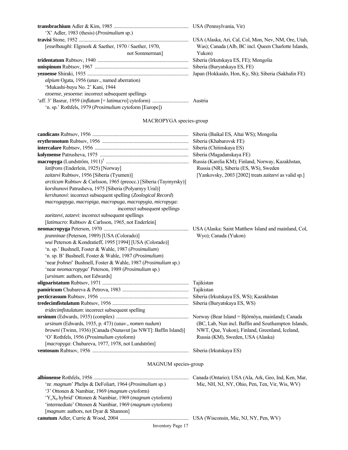| 'X' Adler, 1983 (thesis) ( <i>Prosimulium</i> sp.)                |                                                      |
|-------------------------------------------------------------------|------------------------------------------------------|
|                                                                   | USA (Alaska, Ari, Cal, Col, Mon, Nev, NM, Ore, Utah, |
| <i>Sesselbaughi: Elgmork &amp; Saether, 1970 / Saether, 1970,</i> | Was); Canada (Alb, BC incl. Queen Charlotte Islands, |
| not Sommerman                                                     | Yukon)                                               |
|                                                                   | Siberia (Irkutskaya ES, FE); Mongolia                |
|                                                                   | Siberia (Buryatskaya ES, FE)                         |
|                                                                   | Japan (Hokkaido, Hon, Ky, Sh); Siberia (Sakhalin FE) |
| <i>alpium</i> Ogata, 1956 (unav., named aberration)               |                                                      |
| 'Mukashi-buyu No. 2' Kani, 1944                                   |                                                      |
| ezoense, yesoense: incorrect subsequent spellings                 |                                                      |
|                                                                   |                                                      |
| 'n. sp.' Rothfels, 1979 ( <i>Prosimulium</i> cytoform [Europe])   |                                                      |

## MACROPYGA species-group

| latifrons (Enderlein, 1925) [Norway]<br>zaitzevi Rubtsov, 1956 [Siberia (Tyumen)]<br>arcticum Rubtsov & Carlsson, 1965 (preocc.) [Siberia (Taymyrsky)]<br>korshunovi Patrusheva, 1975 [Siberia (Polyarnyy Ural)]<br>kershunovi: incorrect subsequent spelling (Zoological Record)                                                                                                         | Siberia (Baikal ES, Altai WS); Mongolia<br>Siberia (Khabarovsk FE)<br>Siberia (Chitinskaya ES)<br>Siberia (Magadanskaya FE)<br>Russia (Karelia KM); Finland, Norway, Kazakhstan,<br>Russia (NR), Siberia (ES, WS), Sweden<br>[Yankovsky, 2003 [2002] treats zaitzevi as valid sp.] |
|-------------------------------------------------------------------------------------------------------------------------------------------------------------------------------------------------------------------------------------------------------------------------------------------------------------------------------------------------------------------------------------------|------------------------------------------------------------------------------------------------------------------------------------------------------------------------------------------------------------------------------------------------------------------------------------|
| macrogapyga, macropiga, macropuga, macropygia, micropyga:<br>incorrect subsequent spellings<br>zaeitzevi, zatzevi: incorrect subsequent spellings<br>[latimucro: Rubtsov & Carlsson, 1965, not Enderlein]                                                                                                                                                                                 |                                                                                                                                                                                                                                                                                    |
| jeanninae (Peterson, 1989) [USA (Colorado)]<br>wui Peterson & Kondratieff, 1995 [1994] [USA (Colorado)]<br>'n. sp.' Bushnell, Foster & Wahle, 1987 (Prosimulium)<br>'n. sp. B' Bushnell, Foster & Wahle, 1987 (Prosimulium)<br>'near frohnei' Bushnell, Foster & Wahle, 1987 (Prosimulium sp.)<br>'near neomacropyga' Peterson, 1989 (Prosimulium sp.)<br>[ursinum: authors, not Edwards] | Wyo); Canada (Yukon)                                                                                                                                                                                                                                                               |
|                                                                                                                                                                                                                                                                                                                                                                                           | Tajikistan                                                                                                                                                                                                                                                                         |
|                                                                                                                                                                                                                                                                                                                                                                                           | Tajikistan                                                                                                                                                                                                                                                                         |
|                                                                                                                                                                                                                                                                                                                                                                                           | Siberia (Irkutskaya ES, WS); Kazakhstan                                                                                                                                                                                                                                            |
|                                                                                                                                                                                                                                                                                                                                                                                           | Siberia (Buryatskaya ES, WS)                                                                                                                                                                                                                                                       |
| tridecimfistulatum: incorrect subsequent spelling                                                                                                                                                                                                                                                                                                                                         |                                                                                                                                                                                                                                                                                    |
| ursinum (Edwards, 1935, p. 473) (unav., nomen nudum)<br>browni (Twinn, 1936) [Canada (Nunavut [as NWT]: Baffin Island)]<br>'O' Rothfels, 1956 (Prosimulium cytoform)<br>[macropyga: Chubareva, 1977, 1978, not Lundström]                                                                                                                                                                 | Norway (Bear Island = Björnöya, mainland); Canada<br>(BC, Lab, Nun incl. Baffin and Southampton Islands,<br>NWT, Que, Yukon), Finland, Greenland, Iceland,<br>Russia (KM), Sweden, USA (Alaska)                                                                                    |
|                                                                                                                                                                                                                                                                                                                                                                                           | Siberia (Irkutskaya ES)                                                                                                                                                                                                                                                            |
|                                                                                                                                                                                                                                                                                                                                                                                           |                                                                                                                                                                                                                                                                                    |

## MAGNUM species-group

**albionense** Rothfels, 1956 ............................................................................ Canada (Ontario); USA (Ala, Ark, Geo, Ind, Ken, Mar, 'nr. *magnum*' Phelps & DeFoliart, 1964 (*Prosimulium* sp.) Mic, NH, NJ, NY, Ohio, Pen, Ten, Vir, Wis, WV) '3' Ottonen & Nambiar, 1969 (*magnum* cytoform) 'YcX0 hybrid' Ottonen & Nambiar, 1969 (*magnum* cytoform) 'intermediate' Ottonen & Nambiar, 1969 (*magnum* cytoform) [*magnum*: authors, not Dyar & Shannon] **canutum** Adler, Currie & Wood, 2004 ....................................................... USA (Wisconsin, Mic, NJ, NY, Pen, WV)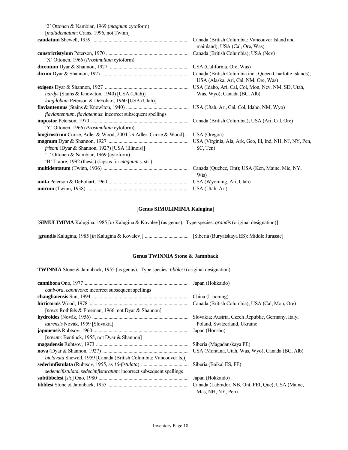'2' Ottonen & Nambiar, 1969 (*magnum* cytoform) [*multidentatum*: Crans, 1996, not Twinn]

|                                                                                  | Canada (British Columbia: Vancouver Island and<br>mainland); USA (Cal, Ore, Was) |
|----------------------------------------------------------------------------------|----------------------------------------------------------------------------------|
|                                                                                  | Canada (British Columbia); USA (Nev)                                             |
| 'X' Ottonen, 1966 (Prosimulium cytoform)                                         |                                                                                  |
|                                                                                  |                                                                                  |
|                                                                                  | USA (Alaska, Ari, Cal, NM, Ore, Was)                                             |
|                                                                                  |                                                                                  |
| <i>hardyi</i> (Stains & Knowlton, 1940) [USA (Utah)]                             | Was, Wyo); Canada (BC, Alb)                                                      |
| longilobum Peterson & DeFoliart, 1960 [USA (Utah)]                               |                                                                                  |
|                                                                                  |                                                                                  |
| flaviantennum, flaviatennus: incorrect subsequent spellings                      |                                                                                  |
|                                                                                  | Canada (British Columbia); USA (Ari, Cal, Ore)                                   |
| 'Y' Ottonen, 1966 (Prosimulium cytoform)                                         |                                                                                  |
| longirostrum Currie, Adler & Wood, 2004 [in Adler, Currie & Wood].  USA (Oregon) |                                                                                  |
|                                                                                  |                                                                                  |
| <i>frisoni</i> (Dyar & Shannon, 1927) [USA (Illinois)]                           | SC, Ten)                                                                         |
| '1' Ottonen & Nambiar, 1969 (cytoform)                                           |                                                                                  |
| 'B' Traore, 1992 (thesis) (lapsus for <i>magnum</i> s. str.)                     |                                                                                  |
|                                                                                  | Wis)                                                                             |
|                                                                                  |                                                                                  |
|                                                                                  |                                                                                  |

#### [**Genus SIMULIMIMA Kalugina**]

[**SIMULIMIMA** Kalugina, 1985 [*in* Kalugina & Kovalev] (as genus). Type species: *grandis* (original designation)]

[**grandis** Kalugina, 1985 [*in* Kalugina & Kovalev]] ................................... [Siberia (Buryatskaya ES): Middle Jurassic]

## **Genus TWINNIA Stone & Jamnback**

**TWINNIA** Stone & Jamnback, 1955 (as genus). Type species: *tibblesi* (original designation)

| canivora, cannivora: incorrect subsequent spellings                       |                                                    |
|---------------------------------------------------------------------------|----------------------------------------------------|
|                                                                           |                                                    |
|                                                                           | Canada (British Columbia); USA (Cal, Mon, Ore)     |
| <i>[nova: Rothfels &amp; Freeman, 1966, not Dyar &amp; Shannon]</i>       |                                                    |
|                                                                           | Slovakia; Austria, Czech Republic, Germany, Italy, |
| tatrensis Novák, 1959 [Slovakia]                                          | Poland, Switzerland, Ukraine                       |
|                                                                           |                                                    |
| [ <i>novum</i> : Bentinck, 1955, not Dyar & Shannon]                      |                                                    |
|                                                                           | Siberia (Magadanskaya FE)                          |
|                                                                           |                                                    |
| <i>biclavata</i> Shewell, 1959 [Canada (British Columbia: Vancouver Is.)] |                                                    |
|                                                                           | Siberia (Baikal ES, FE)                            |
| sedemcifistulata, sedecimfisturatum: incorrect subsequent spellings       |                                                    |
|                                                                           | Japan (Hokkaido)                                   |
|                                                                           |                                                    |
|                                                                           | Mas, NH, NY, Pen)                                  |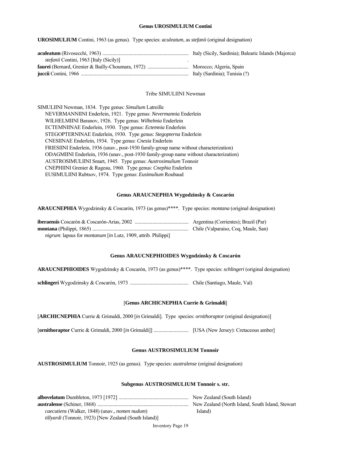#### **Genus UROSIMULIUM Contini**

**UROSIMULIUM** Contini, 1963 (as genus). Type species: *aculeatum*, as *stefanii* (original designation)

|                                                | Italy (Sicily, Sardinia); Balearic Islands (Majorca) |
|------------------------------------------------|------------------------------------------------------|
| <i>stefanii</i> Contini, 1963 [Italy (Sicily)] |                                                      |
|                                                |                                                      |
|                                                | Italy (Sardinia); Tunisia (?)                        |

#### Tribe SIMULIINI Newman

| SIMULIINI Newman, 1834. Type genus: Simulium Latreille                                  |
|-----------------------------------------------------------------------------------------|
| NEVERMANNIINI Enderlein, 1921. Type genus: Nevermannia Enderlein                        |
| WILHELMIINI Baranov, 1926. Type genus: Wilhelmia Enderlein                              |
| ECTEMNIINAE Enderlein, 1930. Type genus: Ectemnia Enderlein                             |
| STEGOPTERNINAE Enderlein, 1930. Type genus: Stegopterna Enderlein                       |
| CNESIINAE Enderlein, 1934. Type genus: Cnesia Enderlein                                 |
| FRIESIINI Enderlein, 1936 (unav., post-1930 family-group name without characterization) |
| ODAGMIINI Enderlein, 1936 (unav., post-1930 family-group name without characterization) |
| AUSTROSIMULIINI Smart, 1945. Type genus: Austrosimulium Tonnoir                         |
| CNEPHIINI Grenier & Rageau, 1960. Type genus: Cnephia Enderlein                         |
| EUSIMULIINI Rubtsov, 1974. Type genus: Eusimulium Roubaud                               |

#### **Genus ARAUCNEPHIA Wygodzinsky & Coscarón**

**ARAUCNEPHIA** Wygodzinsky & Coscarón, 1973 (as genus)\*\*\*\*. Type species: *montana* (original designation)

| nigrum: lapsus for montanum [in Lutz, 1909, attrib. Philippi] |  |
|---------------------------------------------------------------|--|

#### **Genus ARAUCNEPHIOIDES Wygodzinsky & Coscarón**

**ARAUCNEPHIOIDES** Wygodzinsky & Coscarón, 1973 (as genus)\*\*\*\*. Type species: *schlingeri* (original designation)

**schlingeri** Wygodzinsky & Coscarón, 1973 ............................................... Chile (Santiago, Maule, Val)

#### [**Genus ARCHICNEPHIA Currie & Grimaldi**]

[**ARCHICNEPHIA** Currie & Grimaldi, 2000 [*in* Grimaldi]. Type species: *ornithoraptor* (original designation)]

[**ornithoraptor** Currie & Grimaldi, 2000 [*in* Grimaldi]] ............................ [USA (New Jersey): Cretaceous amber]

## **Genus AUSTROSIMULIUM Tonnoir**

**AUSTROSIMULIUM** Tonnoir, 1925 (as genus). Type species: *australense* (original designation)

#### **Subgenus AUSTROSIMULIUM Tonnoir s. str.**

|                                                               | New Zealand (South Island)                       |
|---------------------------------------------------------------|--------------------------------------------------|
|                                                               | New Zealand (North Island, South Island, Stewart |
| <i>caecutiens</i> (Walker, 1848) (unav., <i>nomen nudum</i> ) | Island)                                          |
| <i>tillyardi</i> (Tonnoir, 1923) [New Zealand (South Island)] |                                                  |

Inventory Page 19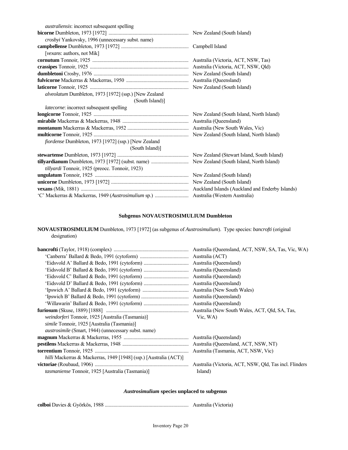| <i>australiensis:</i> incorrect subsequent spelling   |  |
|-------------------------------------------------------|--|
|                                                       |  |
| crosbyi Yankovsky, 1996 (unnecessary subst. name)     |  |
|                                                       |  |
| [vexans: authors, not Mik]                            |  |
|                                                       |  |
|                                                       |  |
|                                                       |  |
|                                                       |  |
|                                                       |  |
| alveolatum Dumbleton, 1973 [1972] (ssp.) [New Zealand |  |
| (South Island)]                                       |  |
| latecorne: incorrect subsequent spelling              |  |
|                                                       |  |
|                                                       |  |
|                                                       |  |
|                                                       |  |
| fiordense Dumbleton, 1973 [1972] (ssp.) [New Zealand  |  |
| (South Island)]                                       |  |
|                                                       |  |
|                                                       |  |
| tillyardi Tonnoir, 1925 (preocc. Tonnoir, 1923)       |  |
|                                                       |  |
|                                                       |  |
|                                                       |  |
|                                                       |  |

## **Subgenus NOVAUSTROSIMULIUM Dumbleton**

**NOVAUSTROSIMULIUM** Dumbleton, 1973 [1972] (as subgenus of *Austrosimulium*). Type species: *bancrofti* (original designation)

|                                                                          | Australia (Queensland, ACT, NSW, SA, Tas, Vic, WA)     |
|--------------------------------------------------------------------------|--------------------------------------------------------|
|                                                                          | Australia (ACT)                                        |
|                                                                          | Australia (Queensland)                                 |
|                                                                          | Australia (Queensland)                                 |
|                                                                          | Australia (Queensland)                                 |
|                                                                          | Australia (Queensland)                                 |
|                                                                          | Australia (New South Wales)                            |
|                                                                          | Australia (Queensland)                                 |
|                                                                          | Australia (Queensland)                                 |
|                                                                          | Australia (New South Wales, ACT, Qld, SA, Tas,         |
| <i>weindorferi</i> Tonnoir, 1925 [Australia (Tasmania)]                  | Vic. WA)                                               |
| <i>simile</i> Tonnoir, 1925 [Australia (Tasmania)]                       |                                                        |
| <i>austrosimile</i> (Smart, 1944) (unnecessary subst. name)              |                                                        |
|                                                                          |                                                        |
|                                                                          |                                                        |
|                                                                          | Australia (Tasmania, ACT, NSW, Vic)                    |
| <i>hilli</i> Mackerras & Mackerras, 1949 [1948] (ssp.) [Australia (ACT)] |                                                        |
|                                                                          | Australia (Victoria, ACT, NSW, Old, Tas incl. Flinders |
| <i>tasmaniense</i> Tonnoir, 1925 [Australia (Tasmania)]                  | Island)                                                |

## *Austrosimulium* **species unplaced to subgenus**

**colboi** Davies & Györkös, 1988 ................................................................... Australia (Victoria)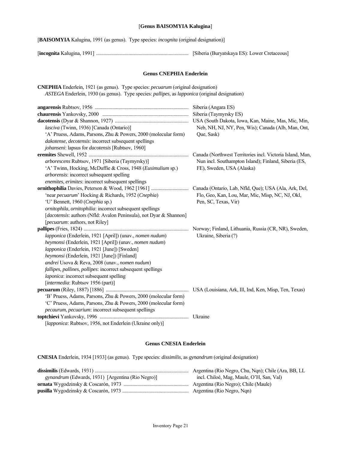#### [**Genus BAISOMYIA Kalugina**]

[**BAISOMYIA** Kalugina, 1991 (as genus). Type species: *incognita* (original designation)]

[**incognita** Kalugina, 1991] .......................................................................... [Siberia (Buryatskaya ES): Lower Cretaceous]

#### **Genus CNEPHIA Enderlein**

**CNEPHIA** Enderlein, 1921 (as genus). Type species: *pecuarum* (original designation)  *ASTEGA* Enderlein, 1930 (as genus). Type species: *pallipes*, as *lapponica* (original designation) **angarensis** Rubtsov, 1956 ........................................................................... Siberia (Angara ES) **chaurensis** Yankovsky, 2000 ..................................................................... Siberia (Taymyrsky ES) **dacotensis** (Dyar & Shannon, 1927) ........................................................... USA (South Dakota, Iowa, Kan, Maine, Mas, Mic, Min, *lasciva* (Twinn, 1936) [Canada (Ontario)] Neb, NH, NJ, NY, Pen, Wis); Canada (Alb, Man, Ont, 'A' Pruess, Adams, Parsons, Zhu & Powers, 2000 (molecular form) Que, Sask) *dakotense*, *decotensis*: incorrect subsequent spellings *johanseni*: lapsus for *dacotensis* [Rubtsov, 1960] **eremites** Shewell, 1952 ................................................................................ Canada (Northwest Territories incl. Victoria Island, Man, *arborescens* Rubtsov, 1971 [Siberia (Taymyrsky)] Nun incl. Southampton Island); Finland, Siberia (ES, 'A' Twinn, Hocking, McDuffie & Cross, 1948 (*Eusimulium* sp.) FE), Sweden, USA (Alaska) *arborensis*: incorrect subsequent spelling *enemites*, *erimites*: incorrect subsequent spellings **ornithophilia** Davies, Peterson & Wood, 1962 [1961] .............................. Canada (Ontario, Lab, Nfld, Que); USA (Ala, Ark, Del, 'near *pecuarum*' Hocking & Richards, 1952 (*Cnephia*) Flo, Geo, Kan, Lou, Mar, Mic, Misp, NC, NJ, Okl, 'U' Bennett, 1960 (*Cnephia* sp.) Pen, SC, Texas, Vir) *ornitophila*, *ornitophilia*: incorrect subsequent spellings [*dacotensis*: authors (Nfld: Avalon Peninsula), not Dyar & Shannon] [*pecuarum*: authors, not Riley] **pallipes** (Fries, 1824) .................................................................................... Norway; Finland, Lithuania, Russia (CR, NR), Sweden,  *lapponica* (Enderlein, 1921 [April]) (unav., *nomen nudum*) Ukraine, Siberia (?)  *heymonsi* (Enderlein, 1921 [April]) (unav., *nomen nudum*)  *lapponica* (Enderlein, 1921 [June]) [Sweden]  *heymonsi* (Enderlein, 1921 [June]) [Finland] *andrei* Usova & Reva, 2008 (unav., *nomen nudum*) *fallipes*, *pallines*, *pollipes*: incorrect subsequent spellings *laponica*: incorrect subsequent spelling [*intermedia*: Rubtsov 1956 (part)] **pecuarum** (Riley, 1887) [1886] .................................................................. USA (Louisiana, Ark, Ill, Ind, Ken, Misp, Ten, Texas) 'B' Pruess, Adams, Parsons, Zhu & Powers, 2000 (molecular form) 'C' Pruess, Adams, Parsons, Zhu & Powers, 2000 (molecular form) *pecaurum*, *pecuarium*: incorrect subsequent spellings **toptchievi** Yankovsky, 1996 ....................................................................... Ukraine [*lapponica*: Rubtsov, 1956, not Enderlein (Ukraine only)]

#### **Genus CNESIA Enderlein**

**CNESIA** Enderlein, 1934 [1933] (as genus). Type species: *dissimilis*, as *gynandrum* (original designation)

|                                                          | Argentina (Rio Negro, Chu, Ngn); Chile (Ara, BB, LL |
|----------------------------------------------------------|-----------------------------------------------------|
| <i>gynandrum</i> (Edwards, 1931) [Argentina (Rio Negro)] | incl. Chiloé, Mag, Maule, O'H, San, Val)            |
|                                                          | Argentina (Rio Negro); Chile (Maule)                |
|                                                          |                                                     |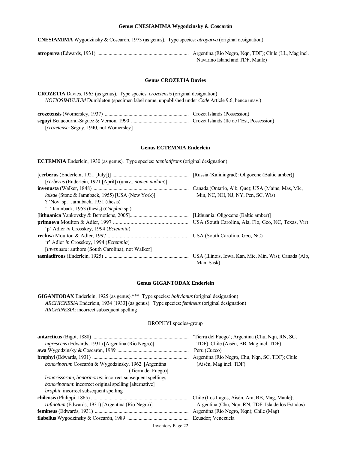#### **Genus CNESIAMIMA Wygodzinsky & Coscarón**

**CNESIAMIMA** Wygodzinsky & Coscarón, 1973 (as genus). Type species: *atroparva* (original designation)

**atroparva** (Edwards, 1931) ......................................................................... Argentina (Rio Negro, Nqn, TDF); Chile (LL, Mag incl. Navarino Island and TDF, Maule)

#### **Genus CROZETIA Davies**

**CROZETIA** Davies, 1965 (as genus). Type species: *crozetensis* (original designation)  *NOTIOSIMULIUM* Dumbleton (specimen label name, unpublished under *Code* Article 9.6, hence unav.)

|                                          | Crozet Islands (Possession) |
|------------------------------------------|-----------------------------|
|                                          |                             |
| [crozetense: Séguy, 1940, not Womersley] |                             |

## **Genus ECTEMNIA Enderlein**

**ECTEMNIA** Enderlein, 1930 (as genus). Type species: *taeniatifrons* (original designation)

|                                                           | [Russia (Kaliningrad): Oligocene (Baltic amber)]                     |
|-----------------------------------------------------------|----------------------------------------------------------------------|
| [cerberus (Enderlein, 1921 [April]) (unav., nomen nudum)] |                                                                      |
|                                                           | Canada (Ontario, Alb, Que); USA (Maine, Mas, Mic,                    |
| loisae (Stone & Jamnback, 1955) [USA (New York)]          | Min, NC, NH, NJ, NY, Pen, SC, Wis)                                   |
| ? 'Nov. sp.' Jamnback, 1951 (thesis)                      |                                                                      |
| '1' Jamnback, 1953 (thesis) ( <i>Cnephia</i> sp.)         |                                                                      |
|                                                           |                                                                      |
|                                                           |                                                                      |
| 'p' Adler in Crosskey, 1994 ( <i>Ectemnia</i> )           |                                                                      |
|                                                           |                                                                      |
| 'r' Adler in Crosskey, 1994 (Ectemnia)                    |                                                                      |
| [invenusta: authors (South Carolina), not Walker]         |                                                                      |
|                                                           | USA (Illinois, Iowa, Kan, Mic, Min, Wis); Canada (Alb,<br>Man, Sask) |

#### **Genus GIGANTODAX Enderlein**

**GIGANTODAX** Enderlein, 1925 (as genus).\*\*\* Type species: *bolivianus* (original designation)  *ARCHICNESIA* Enderlein, 1934 [1933] (as genus). Type species: *femineus* (original designation)  *ARCHINESIA*: incorrect subsequent spelling

#### BROPHYI species-group

|                                                                  | 'Tierra del Fuego'; Argentina (Chu, Nqn, RN, SC,   |
|------------------------------------------------------------------|----------------------------------------------------|
| <i>nigrescens</i> (Edwards, 1931) [Argentina (Rio Negro)]        | TDF), Chile (Aisén, BB, Mag incl. TDF)             |
|                                                                  | Peru (Cuzco)                                       |
|                                                                  | Argentina (Rio Negro, Chu, Nqn, SC, TDF); Chile    |
| <i>bonorinorum</i> Coscarón & Wygodzinsky, 1962 [Argentina]      | (Aisén, Mag incl. TDF)                             |
| (Tierra del Fuego)]                                              |                                                    |
| <i>bonarissorum, bonorinorus:</i> incorrect subsequent spellings |                                                    |
| <i>bonorinonum</i> : incorrect original spelling [alternative]   |                                                    |
| <i>brophii:</i> incorrect subsequent spelling                    |                                                    |
|                                                                  | Chile (Los Lagos, Aisén, Ara, BB, Mag, Maule);     |
| rufinotum (Edwards, 1931) [Argentina (Rio Negro)]                | Argentina (Chu, Nqn, RN, TDF: Isla de los Estados) |
|                                                                  | Argentina (Rio Negro, Nqn); Chile (Mag)            |
|                                                                  |                                                    |
|                                                                  |                                                    |

Inventory Page 22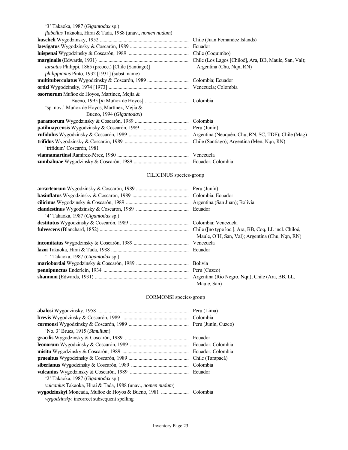| '3' Takaoka, 1987 ( <i>Gigantodax</i> sp.)                 |                          |
|------------------------------------------------------------|--------------------------|
| flabellus Takaoka, Hirai & Tada, 1988 (unav., nomen nudum) |                          |
|                                                            |                          |
|                                                            |                          |
|                                                            |                          |
|                                                            |                          |
| tarsatus Philippi, 1865 (preocc.) [Chile (Santiago)]       | Argentina (Chu, Nqn, RN) |
| <i>philippianus Pinto, 1932 [1931] (subst. name)</i>       |                          |
|                                                            |                          |
|                                                            |                          |
| osornorum Muñoz de Hoyos, Martínez, Mejía &                |                          |
|                                                            |                          |
| 'sp. nov.' Muñoz de Hoyos, Martínez, Mejía &               |                          |
| Bueno, 1994 (Gigantodax)                                   |                          |
|                                                            |                          |
|                                                            |                          |
|                                                            |                          |
|                                                            |                          |
| 'trifidum' Coscarón, 1981                                  |                          |
|                                                            |                          |
|                                                            |                          |

## CILICINUS species-group

|                                            | Peru (Junín)                                    |
|--------------------------------------------|-------------------------------------------------|
|                                            |                                                 |
|                                            |                                                 |
|                                            |                                                 |
| '4' Takaoka, 1987 ( <i>Gigantodax</i> sp.) |                                                 |
|                                            |                                                 |
|                                            |                                                 |
|                                            | Maule, O'H, San, Val); Argentina (Chu, Nqn, RN) |
|                                            |                                                 |
|                                            |                                                 |
| '1' Takaoka, 1987 ( <i>Gigantodax</i> sp.) |                                                 |
|                                            |                                                 |
|                                            |                                                 |
|                                            |                                                 |
|                                            | Maule, San)                                     |

## CORMONSI species-group

|                                                                           | Peru (Lima)         |
|---------------------------------------------------------------------------|---------------------|
|                                                                           | Colombia            |
|                                                                           | Peru (Junín, Cuzco) |
| 'No. 3' Brues, 1915 (Simulium)                                            |                     |
|                                                                           | Ecuador             |
|                                                                           | Ecuador; Colombia   |
|                                                                           | Ecuador: Colombia   |
|                                                                           | Chile (Tarapacá)    |
|                                                                           | Colombia            |
|                                                                           | Ecuador             |
| '2' Takaoka, 1987 (Gigantodax sp.)                                        |                     |
| <i>vulcanius</i> Takaoka, Hirai & Tada, 1988 (unav., <i>nomen nudum</i> ) |                     |
|                                                                           |                     |
| <i>wygodzinsky:</i> incorrect subsequent spelling                         |                     |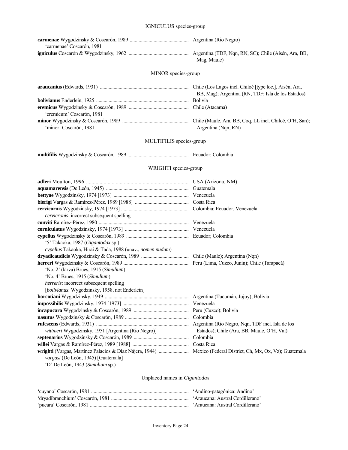| 'carmenae' Coscarón, 1981 |                        |
|---------------------------|------------------------|
|                           | Argentina (TDF, Nqn, 1 |

**igniculus** Coscarón & Wygodzinsky, 1962 ................................................ Argentina (TDF, Nqn, RN, SC); Chile (Aisén, Ara, BB, Mag, Maule)

## MINOR species-group

|                           | BB, Mag); Argentina (RN, TDF: Isla de los Estados) |
|---------------------------|----------------------------------------------------|
|                           |                                                    |
|                           |                                                    |
| 'eremicum' Coscarón, 1981 |                                                    |
|                           |                                                    |
| 'minor' Coscarón, 1981    | Argentina (Nqn, RN)                                |
|                           |                                                    |

## MULTIFILIS species-group

**multifilis** Wygodzinsky & Coscarón, 1989 ................................................. Ecuador; Colombia

## WRIGHTI species-group

| cervicronis: incorrect subsequent spelling                |                                            |
|-----------------------------------------------------------|--------------------------------------------|
|                                                           |                                            |
|                                                           |                                            |
|                                                           |                                            |
| '5' Takaoka, 1987 (Gigantodax sp.)                        |                                            |
| cypellus Takaoka, Hirai & Tada, 1988 (unav., nomen nudum) |                                            |
|                                                           |                                            |
|                                                           |                                            |
| 'No. 2' (larva) Brues, 1915 (Simulium)                    |                                            |
| 'No. 4' Brues, 1915 (Simulium)                            |                                            |
| herreris: incorrect subsequent spelling                   |                                            |
| [bolivianus: Wygodzinsky, 1958, not Enderlein]            |                                            |
|                                                           |                                            |
|                                                           |                                            |
|                                                           |                                            |
|                                                           |                                            |
|                                                           |                                            |
| wittmeri Wygodzinsky, 1951 [Argentina (Rio Negro)]        | Estados); Chile (Ara, BB, Maule, O'H, Val) |
|                                                           | Colombia                                   |
|                                                           |                                            |
|                                                           |                                            |
| vargasi (De León, 1945) [Guatemala]                       |                                            |
| 'D' De León, 1943 (Simulium sp.)                          |                                            |

## Unplaced names in *Gigantodax*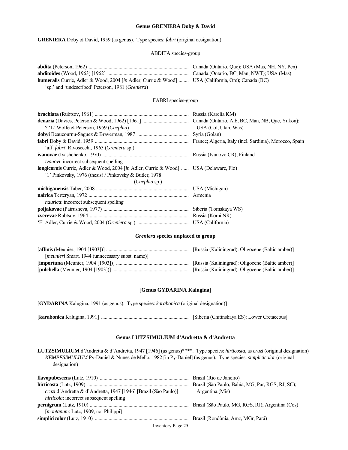#### **Genus GRENIERA Doby & David**

**GRENIERA** Doby & David, 1959 (as genus). Type species: *fabri* (original designation)

## ABDITA species-group

| <b>humeralis</b> Currie, Adler & Wood, 2004 [in Adler, Currie & Wood]  USA (California, Ore); Canada (BC) |  |
|-----------------------------------------------------------------------------------------------------------|--|
| 'sp.' and 'undescribed' Peterson, 1981 ( <i>Greniera</i> )                                                |  |
|                                                                                                           |  |

## FABRI species-group

|                                                                                       | Russia (Karelia KM)  |
|---------------------------------------------------------------------------------------|----------------------|
|                                                                                       |                      |
| ? 'L' Wolfe & Peterson, 1959 (Cnephia)                                                | USA (Col, Utah, Was) |
|                                                                                       | Syria (Golan)        |
|                                                                                       |                      |
| 'aff. <i>fabri</i> ' Rivosecchi, 1963 ( <i>Greniera</i> sp.)                          |                      |
|                                                                                       |                      |
| <i>ivanovi:</i> incorrect subsequent spelling                                         |                      |
| longicornis Currie, Adler & Wood, 2004 [in Adler, Currie & Wood]  USA (Delaware, Flo) |                      |
| '1' Pinkovsky, 1976 (thesis) / Pinkovsky & Butler, 1978                               |                      |
| (Cnephia sp.)                                                                         |                      |
|                                                                                       |                      |
|                                                                                       |                      |
| naurica: incorrect subsequent spelling                                                |                      |
|                                                                                       |                      |
|                                                                                       |                      |
|                                                                                       |                      |

#### *Greniera* **species unplaced to group**

|                                                          | [Russia (Kaliningrad): Oligocene (Baltic amber)] |
|----------------------------------------------------------|--------------------------------------------------|
| [ <i>meunieri</i> Smart, 1944 (unnecessary subst. name)] |                                                  |
|                                                          | [Russia (Kaliningrad): Oligocene (Baltic amber)] |
|                                                          | [Russia (Kaliningrad): Oligocene (Baltic amber)] |

## [**Genus GYDARINA Kalugina**]

[**GYDARINA** Kalugina, 1991 (as genus). Type species: *karabonica* (original designation)]

[**karabonica** Kalugina, 1991] ...................................................................... [Siberia (Chitinskaya ES): Lower Cretaceous]

## **Genus LUTZSIMULIUM d'Andretta & d'Andretta**

**LUTZSIMULIUM** d'Andretta & d'Andretta, 1947 [1946] (as genus)\*\*\*\*. Type species: *hirticosta*, as *cruzi* (original designation) *KEMPFSIMULIUM* Py-Daniel & Nunes de Mello, 1982 [in Py-Daniel] (as genus). Type species: *simplicicolor* (original designation)

|                                                                 | Brazil (São Paulo, Bahía, MG, Par, RGS, RJ, SC); |
|-----------------------------------------------------------------|--------------------------------------------------|
| cruzi d'Andretta & d'Andretta, 1947 [1946] [Brazil (São Paulo)] | Argentina (Mis)                                  |
| hirticola: incorrect subsequent spelling                        |                                                  |
|                                                                 |                                                  |
| <i>[montanum: Lutz, 1909, not Philippi]</i>                     |                                                  |
|                                                                 |                                                  |
|                                                                 |                                                  |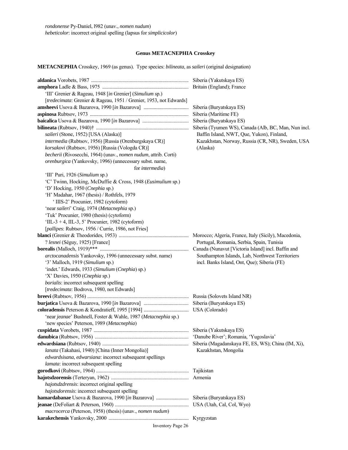#### **Genus METACNEPHIA Crosskey**

**METACNEPHIA** Crosskey, 1969 (as genus). Type species: *bilineata*, as *saileri* (original designation)

**aldanica** Vorobets, 1987 .............................................................................. Siberia (Yakutskaya ES) **amphora** Ladle & Bass, 1975 ..................................................................... Britain (England); France 'III' Grenier & Rageau, 1948 [*in* Grenier] (*Simulium* sp.) [*tredecimata*: Grenier & Rageau, 1951 / Grenier, 1953, not Edwards] **amsheevi** Usova & Bazarova, 1990 [*in* Bazarova] .................................... Siberia (Buryatskaya ES) **aspinosa** Rubtsov, 1973 ............................................................................... Siberia (Maritime FE) **baicalica** Usova & Bazarova, 1990 [*in* Bazarova] ..................................... Siberia (Buryatskaya ES) **bilineata** (Rubtsov, 1940)† .......................................................................... Siberia (Tyumen WS), Canada (Alb, BC, Man, Nun incl. *saileri* (Stone, 1952) [USA (Alaska)] Baffin Island, NWT, Que, Yukon), Finland, *intermedia* (Rubtsov, 1956) [Russia (Orenburgskaya CR)] Kazakhstan, Norway, Russia (CR, NR), Sweden, USA *korsakovi* (Rubtsov, 1956) [Russia (Vologda CR)] (Alaska)  *becherii* (Rivosecchi, 1964) (unav., *nomen nudum*, attrib. Corti)  *orenburgica* (Yankovsky, 1996) (unnecessary subst. name, for *intermedia*) 'III' Puri, 1926 (*Simulium* sp.) 'C' Twinn, Hocking, McDuffie & Cross, 1948 (*Eusimulium* sp.) 'D' Hocking, 1950 (*Cnephia* sp.) 'H' Madahar, 1967 (thesis) / Rothfels, 1979 ' IIIS-2' Procunier, 1982 (cytoform) 'near *saileri*' Craig, 1974 (*Metacnephia* sp.) 'Tuk' Procunier, 1980 (thesis) (cytoform) 'IIL-3 + 4, IIL-3, 5' Procunier, 1982 (cytoform) [*pallipes*: Rubtsov, 1956 / Currie, 1986, not Fries] **blanci** (Grenier & Theodorides, 1953) ........................................................ Morocco; Algeria, France, Italy (Sicily), Macedonia, ? *lesnei* (Séguy, 1925) [France] Portugal, Romania, Serbia, Spain, Tunisia **borealis** (Malloch, 1919)\*\*\* ....................................................................... Canada (Nunavut [Victoria Island] incl. Baffin and  *arctocanadensis* Yankovsky, 1996 (unnecessary subst. name) Southampton Islands, Lab, Northwest Territoriers '3' Malloch, 1919 (*Simulium* sp.) incl. Banks Island, Ont, Que); Siberia (FE) 'indet.' Edwards, 1933 (*Simulium* (*Cnephia*) sp.) 'X' Davies, 1950 (*Cnephia* sp.) *borialis*: incorrect subsequent spelling [*tredecimata*: Bodrova, 1980, not Edwards] **breevi** (Rubtsov, 1956) ................................................................................. Russia (Solovets Island NR) **burjatica** Usova & Bazarova, 1990 [*in* Bazarova] .................................... Siberia (Buryatskaya ES) **coloradensis** Peterson & Kondratieff, 1995 [1994] .................................... USA (Colorado) 'near *jeanae*' Bushnell, Foster & Wahle, 1987 (*Metacnephia* sp.) 'new species' Peterson, 1989 (*Metacnephia*) **cuspidata** Vorobets, 1987 ............................................................................ Siberia (Yakutskaya ES) **danubica** (Rubtsov, 1956) ........................................................................... 'Danube River'; Romania, 'Yugoslavia' **edwardsiana** (Rubtsov, 1940) ..................................................................... Siberia (Magadanskaya FE, ES, WS); China (IM, Xi),  *lanata* (Takahasi, 1940) [China (Inner Mongolia)] Kazakhstan, Mongolia *edwardsisana*, *edwarsiana*: incorrect subsequent spellings *lamata*: incorrect subsequent spelling **gorodkovi** (Rubtsov, 1964) .......................................................................... Tajikistan **hajotsdzorensis** (Terteryan, 1962) .............................................................. Armenia *hajotsdzdrensis*: incorrect original spelling *hajotsdorensis*: incorrect subsequent spelling **hamardabanae** Usova & Bazarova, 1990 [*in* Bazarova] .......................... Siberia (Buryatskaya ES) **jeanae** (DeFoliart & Peterson, 1960) ........................................................... USA (Utah, Cal, Col, Wyo)  *macrocerca* (Peterson, 1958) (thesis) (unav., *nomen nudum*) **karakechensis** Yankovsky, 2000 ................................................................ Kyrgyzstan

Inventory Page 26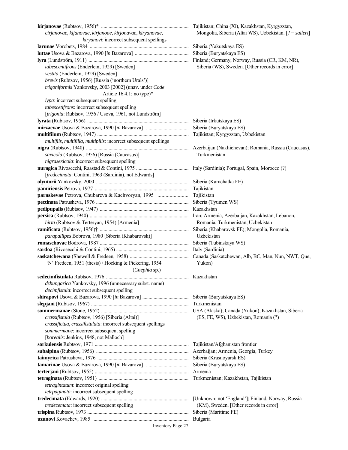| cirjanovae, kijanovae, kirjanoae, kirjonavae, kiryanovae,         | Mongolia, Siberia (Altai WS), Uzbekistan. [? = saileri] |
|-------------------------------------------------------------------|---------------------------------------------------------|
| kiryanovi: incorrect subsequent spellings                         |                                                         |
|                                                                   |                                                         |
|                                                                   |                                                         |
|                                                                   |                                                         |
| tabescentifrons (Enderlein, 1929) [Sweden]                        | Siberia (WS), Sweden. [Other records in error]          |
| vestita (Enderlein, 1929) [Sweden]                                |                                                         |
| brevis (Rubtsov, 1956) [Russia ('northern Urals')]                |                                                         |
| trigoniformis Yankovsky, 2003 [2002] (unav. under Code            |                                                         |
| Article $16.4.1$ ; no type)*                                      |                                                         |
| lypa: incorrect subsequent spelling                               |                                                         |
| tabescetifrons: incorrect subsequent spelling                     |                                                         |
| [trigonia: Rubtsov, 1956 / Usova, 1961, not Lundström]            |                                                         |
|                                                                   |                                                         |
|                                                                   |                                                         |
|                                                                   |                                                         |
|                                                                   |                                                         |
| multifiis, multifilla, multipilis: incorrect subsequent spellings |                                                         |
|                                                                   |                                                         |
| saxicola (Rubtsov, 1956) [Russia (Caucasus)]                      | Turkmenistan                                            |
| nigrasexicola: incorrect subsequent spelling                      |                                                         |
|                                                                   |                                                         |
| [tredecimata: Contini, 1963 (Sardinia), not Edwards]              |                                                         |
|                                                                   |                                                         |
|                                                                   |                                                         |
| paraskevae Petrova, Chubareva & Kachvoryan, 1995                  | Tajikistan                                              |
|                                                                   |                                                         |
|                                                                   |                                                         |
|                                                                   |                                                         |
| hirta (Rubtsov & Terteryan, 1954) [Armenia]                       | Romania, Turkmenistan, Uzbekistan                       |
|                                                                   |                                                         |
| parapallipes Bobrova, 1980 [Siberia (Khabarovsk)]                 | Uzbekistan                                              |
|                                                                   |                                                         |
|                                                                   |                                                         |
|                                                                   |                                                         |
| 'N' Fredeen, 1951 (thesis) / Hocking & Pickering, 1954            | Yukon)                                                  |
| (Cnephia sp.)                                                     |                                                         |
|                                                                   |                                                         |
| dzhungarica Yankovsky, 1996 (unnecessary subst. name)             |                                                         |
| decimfistula: incorrect subsequent spelling                       |                                                         |
|                                                                   |                                                         |
|                                                                   | Turkmenistan                                            |
|                                                                   |                                                         |
| crassifistula (Rubtsov, 1956) [Siberia (Altai)]                   | (ES, FE, WS), Uzbekistan, Romania (?)                   |
| crassifictua, crassifistulata: incorrect subsequent spellings     |                                                         |
| sommermane: incorrect subsequent spelling                         |                                                         |
| [borealis: Jenkins, 1948, not Malloch]                            |                                                         |
|                                                                   | Tajikistan/Afghanistan frontier                         |
|                                                                   |                                                         |
|                                                                   |                                                         |
|                                                                   |                                                         |
|                                                                   |                                                         |
|                                                                   |                                                         |
|                                                                   |                                                         |
| tetragintatum: incorrect original spelling                        |                                                         |
| tetrpaginata: incorrect subsequent spelling                       |                                                         |
|                                                                   |                                                         |
| tredecemata: incorrect subsequent spelling                        | (KM), Sweden. [Other records in error]                  |
|                                                                   |                                                         |
|                                                                   |                                                         |
| Inventory Page 27                                                 |                                                         |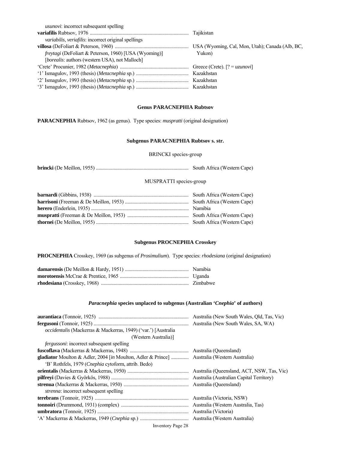| <i>usunovi</i> : incorrect subsequent spelling               |        |
|--------------------------------------------------------------|--------|
|                                                              |        |
| variabilis, veriafilis: incorrect original spellings         |        |
|                                                              |        |
| <i>freytagi</i> (DeFoliart & Peterson, 1960) [USA (Wyoming)] | Yukon) |
| <i>[borealis: authors (western USA), not Malloch]</i>        |        |
|                                                              |        |
|                                                              |        |
|                                                              |        |
|                                                              |        |

## **Genus PARACNEPHIA Rubtsov**

**PARACNEPHIA** Rubtsov, 1962 (as genus). Type species: *muspratti* (original designation)

## **Subgenus PARACNEPHIA Rubtsov s. str.**

## BRINCKI species-group

**brincki** (De Meillon, 1955) .......................................................................... South Africa (Western Cape)

## MUSPRATTI species-group

## **Subgenus PROCNEPHIA Crosskey**

**PROCNEPHIA** Crosskey, 1969 (as subgenus of *Prosimulium*). Type species: *rhodesiana* (original designation)

## *Paracnephia* **species unplaced to subgenus (Australian '***Cnephia***' of authors)**

|                                                                | Australia (New South Wales, Old, Tas, Vic) |
|----------------------------------------------------------------|--------------------------------------------|
|                                                                | Australia (New South Wales, SA, WA)        |
| occidentalis (Mackerras & Mackerras, 1949) ('var.') [Australia |                                            |
| (Western Australia)]                                           |                                            |
| <i>fergussoni:</i> incorrect subsequent spelling               |                                            |
|                                                                |                                            |
|                                                                |                                            |
| 'B' Rothfels, 1979 (Cnephia cytoform, attrib. Bedo)            |                                            |
|                                                                | Australia (Queensland, ACT, NSW, Tas, Vic) |
|                                                                |                                            |
|                                                                |                                            |
| <i>strenna</i> : incorrect subsequent spelling                 |                                            |
|                                                                |                                            |
|                                                                |                                            |
|                                                                |                                            |
|                                                                | Australia (Western Australia)              |
|                                                                |                                            |

#### Inventory Page 28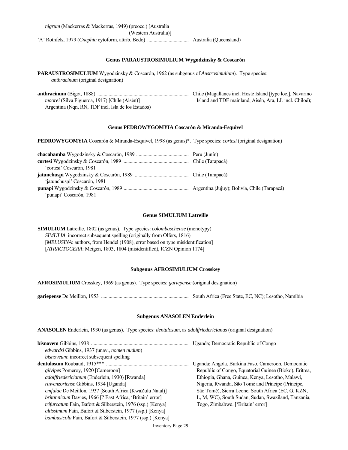#### **Genus PARAUSTROSIMULIUM Wygodzinsky & Coscarón**

**PARAUSTROSIMULIUM** Wygodzinsky & Coscarón, 1962 (as subgenus of *Austrosimulium*). Type species: *anthracinum* (original designation)

**anthracinum** (Bigot, 1888) ......................................................................... Chile (Magallanes incl. Hoste Island [type loc.], Navarino *moorei* (Silva Figueroa, 1917) [Chile (Aisén)] Island and TDF mainland, Aisén, Ara, LL incl. Chiloé); Argentina (Nqn, RN, TDF incl. Isla de los Estados)

## **Genus PEDROWYGOMYIA Coscarón & Miranda-Esquivel**

**PEDROWYGOMYIA** Coscarón & Miranda-Esquivel, 1998 (as genus)\*. Type species: *cortesi* (original designation)

| 'cortesi' Coscarón, 1981     |  |
|------------------------------|--|
|                              |  |
| 'jatunchuspi' Coscarón, 1981 |  |
|                              |  |
| 'punapi' Coscarón, 1981      |  |

#### **Genus SIMULIUM Latreille**

**SIMULIUM** Latreille, 1802 (as genus). Type species: *colombaschense* (monotypy)  *SIMULIA*: incorrect subsequent spelling (originally from Olfers, 1816) [MELUSINA: authors, from Hendel (1908), error based on type misidentification] [*ATRACTOCERA*: Meigen, 1803, 1804 (misidentified), ICZN Opinion 1174]

## **Subgenus AFROSIMULIUM Crosskey**

**AFROSIMULIUM** Crosskey, 1969 (as genus). Type species: *gariepense* (original designation)

**gariepense** De Meillon, 1953 ...................................................................... South Africa (Free State, EC, NC); Lesotho, Namibia

#### **Subgenus ANASOLEN Enderlein**

**ANASOLEN** Enderlein, 1930 (as genus). Type species: *dentulosum*, as *adolffriedericianus* (original designation)

|                                                                    | Uganda; Democratic Republic of Congo                   |
|--------------------------------------------------------------------|--------------------------------------------------------|
| <i>edwardsi</i> Gibbins, 1937 (unav., <i>nomen nudum</i> )         |                                                        |
| <i>bisnoveum</i> : incorrect subsequent spelling                   |                                                        |
|                                                                    | Uganda; Angola, Burkina Faso, Cameroon, Democratic     |
| <i>gilvipes</i> Pomeroy, 1920 [Cameroon]                           | Republic of Congo, Equatorial Guinea (Bioko), Eritrea, |
| adolffriedericianum (Enderlein, 1930) [Rwanda]                     | Ethiopia, Ghana, Guinea, Kenya, Lesotho, Malawi,       |
| <i>ruwenzoriense</i> Gibbins, 1934 [Uganda]                        | Nigeria, Rwanda, São Tomé and Príncipe (Príncipe,      |
| emfulae De Meillon, 1937 [South Africa (KwaZulu Natal)]            | São Tomé), Sierra Leone, South Africa (EC, G, KZN,     |
| <i>britannicum</i> Davies, 1966 [? East Africa, 'Britain' error]   | L, M, WC), South Sudan, Sudan, Swaziland, Tanzania,    |
| <i>trifurcatum</i> Fain, Bafort & Silberstein, 1976 (ssp.) [Kenya] | Togo, Zimbabwe. ['Britain' error]                      |
| altissimum Fain, Bafort & Silberstein, 1977 (ssp.) [Kenya]         |                                                        |
| <i>bambusicola</i> Fain, Bafort & Silberstein, 1977 (ssp.) [Kenya] |                                                        |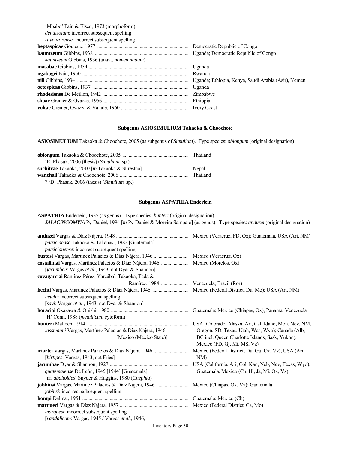| 'Mbabo' Fain & Elsen, 1973 (morphoform)                     |  |
|-------------------------------------------------------------|--|
| <i>dentusolum</i> : incorrect subsequent spelling           |  |
| <i>ruvenzorense:</i> incorrect subsequent spelling          |  |
|                                                             |  |
|                                                             |  |
| <i>kauntzeum</i> Gibbins, 1936 (unav., <i>nomen nudum</i> ) |  |
|                                                             |  |
|                                                             |  |
|                                                             |  |
|                                                             |  |
|                                                             |  |
|                                                             |  |
|                                                             |  |
|                                                             |  |

## **Subgenus ASIOSIMULIUM Takaoka & Choochote**

**ASIOSIMULIUM** Takaoka & Choochote, 2005 (as subgenus of *Simulium*). Type species: *oblongum* (original designation)

| 'E' Phasuk, 2006 (thesis) (Simulium sp.)           |  |
|----------------------------------------------------|--|
|                                                    |  |
|                                                    |  |
| ? 'D' Phasuk, 2006 (thesis) ( <i>Simulium</i> sp.) |  |

## **Subgenus ASPATHIA Enderlein**

**ASPATHIA** Enderlein, 1935 (as genus). Type species: *hunteri* (original designation)  *JALACINGOMYIA* Py-Daniel, 1994 [*in* Py-Daniel & Moreira Sampaio] (as genus). Type species: *anduzei* (original designation)

| patziciaense Takaoka & Takahasi, 1982 [Guatemala]                              |                                                      |
|--------------------------------------------------------------------------------|------------------------------------------------------|
| patzicianense: incorrect subsequent spelling                                   |                                                      |
|                                                                                |                                                      |
| costalimai Vargas, Martínez Palacios & Díaz Nájera, 1946  Mexico (Morelos, Ox) |                                                      |
| [jacumbae: Vargas et al., 1943, not Dyar & Shannon]                            |                                                      |
| covagarciai Ramírez-Pérez, Yarzábal, Takaoka, Tada &                           |                                                      |
| Ramírez, 1984  Venezuela; Brazil (Ror)                                         |                                                      |
|                                                                                |                                                      |
| hetchi: incorrect subsequent spelling                                          |                                                      |
| [sayi: Vargas et al., 1943, not Dyar & Shannon]                                |                                                      |
|                                                                                | Guatemala; Mexico (Chiapas, Ox), Panama, Venezuela   |
| 'H' Conn, 1988 ( <i>metallicum</i> cytoform)                                   |                                                      |
|                                                                                |                                                      |
| lassmanni Vargas, Martínez Palacios & Díaz Nájera, 1946                        | Oregon, SD, Texas, Utah, Was, Wyo); Canada (Alb,     |
| [Mexico (Mexico State)]                                                        | BC incl. Queen Charlotte Islands, Sask, Yukon),      |
|                                                                                | Mexico (FD, Gj, Mi, MS, Vz)                          |
|                                                                                | Mexico (Federal District, Du, Gu, Ox, Vz); USA (Ari, |
| [ <i>hirtipes</i> : Vargas, 1943, not Fries]                                   | NM                                                   |
|                                                                                |                                                      |
| guatemalense De León, 1945 [1944] [Guatemala]                                  | Guatemala, Mexico (Ch, Hi, Ja, Mi, Ox, Vz)           |
| 'nr. abditoides' Snyder & Huggins, 1980 (Cnephia)                              |                                                      |
|                                                                                |                                                      |
| jobinsi: incorrect subsequent spelling                                         |                                                      |
|                                                                                |                                                      |
|                                                                                |                                                      |
| <i>marquesi:</i> incorrect subsequent spelling                                 |                                                      |
| [vandalicum: Vargas, 1945 / Vargas et al., 1946,                               |                                                      |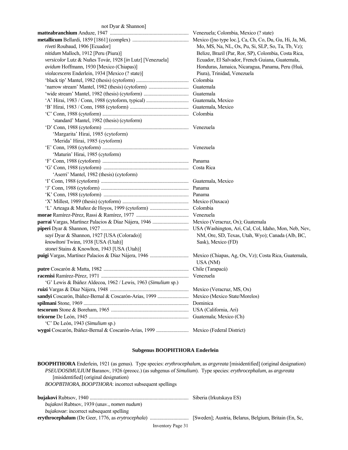## not Dyar & Shannon]

| riveti Roubaud, 1906 [Ecuador]                                | Mo, MS, Na, NL, Ox, Pu, Si, SLP, So, Ta, Tb, Vz);    |
|---------------------------------------------------------------|------------------------------------------------------|
| nitidum Malloch, 1912 [Peru (Piura)]                          | Belize, Brazil (Par, Ror, SP), Colombia, Costa Rica, |
| versicolor Lutz & Nuñes Továr, 1928 [in Lutz] [Venezuela]     | Ecuador, El Salvador, French Guiana, Guatemala,      |
| avidum Hoffmann, 1930 [Mexico (Chiapas)]                      | Honduras, Jamaica, Nicaragua, Panama, Peru (Huá,     |
| violacescens Enderlein, 1934 [Mexico (? state)]               | Piura), Trinidad, Venezuela                          |
|                                                               | Colombia                                             |
|                                                               | Guatemala                                            |
|                                                               | Guatemala                                            |
|                                                               | Guatemala, Mexico                                    |
|                                                               | Guatemala, Mexico                                    |
|                                                               |                                                      |
| 'standard' Mantel, 1982 (thesis) (cytoform)                   |                                                      |
|                                                               |                                                      |
| 'Margarita' Hirai, 1985 (cytoform)                            |                                                      |
| 'Merida' Hirai, 1985 (cytoform)                               |                                                      |
|                                                               |                                                      |
| 'Maturin' Hirai, 1985 (cytoform)                              |                                                      |
|                                                               |                                                      |
|                                                               |                                                      |
| 'Aserri' Mantel, 1982 (thesis) (cytoform)                     |                                                      |
|                                                               |                                                      |
|                                                               |                                                      |
|                                                               |                                                      |
|                                                               |                                                      |
|                                                               | Colombia                                             |
|                                                               | Venezuela                                            |
|                                                               |                                                      |
|                                                               |                                                      |
| sayi Dyar & Shannon, 1927 [USA (Colorado)]                    | NM, Ore, SD, Texas, Utah, Wyo); Canada (Alb, BC,     |
| knowltoni Twinn, 1938 [USA (Utah)]                            | Sask), Mexico (FD)                                   |
| stonei Stains & Knowlton, 1943 [USA (Utah)]                   |                                                      |
|                                                               | USA (NM)                                             |
|                                                               |                                                      |
|                                                               |                                                      |
| 'G' Lewis & Ibáñez Aldecoa, 1962 / Lewis, 1963 (Simulium sp.) |                                                      |
|                                                               | Mexico (Veracruz, MS, Ox)                            |
| sandyi Coscarón, Ibáñez-Bernal & Coscarón-Arias, 1999         | Mexico (Mexico State/Morelos)                        |
|                                                               | Dominica                                             |
|                                                               | USA (California, Ari)                                |
|                                                               | Guatemala; Mexico (Ch)                               |
| 'C' De León, 1943 (Simulium sp.)                              |                                                      |
|                                                               | Mexico (Federal District)                            |

## **Subgenus BOOPHTHORA Enderlein**

**BOOPHTHORA** Enderlein, 1921 (as genus). Type species: *erythrocephalum*, as *argyreata* [misidentified] (original designation)  *PSEUDOSIMULIUM* Baranov, 1926 (preocc.) (as subgenus of *Simulium*). Type species: *erythrocephalum*, as *argyreata* [misidentified] (original designation)  *BOOPBTHORA*, *BOOPTHORA*: incorrect subsequent spellings

|                                                            | Siberia (Irkutskaya ES) |
|------------------------------------------------------------|-------------------------|
| <i>bujakovi</i> Rubtsov, 1939 (unav., <i>nomen nudum</i> ) |                         |
| <i>bujakovae</i> : incorrect subsequent spelling           |                         |
|                                                            |                         |

Inventory Page 31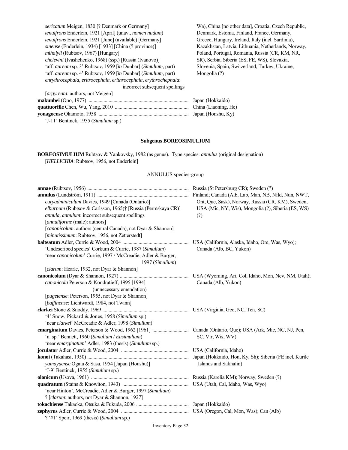| sericatum Meigen, 1830 [? Denmark or Germany]                         | Wa), China [no other    |
|-----------------------------------------------------------------------|-------------------------|
| tenuifrons Enderlein, 1921 [April] (unav., nomen nudum)               | Denmark, Estonia, Fii   |
| tenuifrons Enderlein, 1921 [June] (available) [Germany]               | Greece, Hungary, Irel   |
| <i>sinense</i> (Enderlein, 1934) [1933] [China (? province)]          | Kazakhstan, Latvia, L   |
| <i>mihalyii</i> (Rubtsov, 1967) [Hungary]                             | Poland, Portugal, Ron   |
| <i>chelevini</i> (Ivashchenko, 1968) (ssp.) [Russia (Ivanovo)]        | SR), Serbia, Siberia (1 |
| 'aff. <i>aureum</i> sp. 3' Rubtsov, 1959 [in Dunbar] (Simulium, part) | Slovenia, Spain, Switz  |
| 'aff. aureum sp. 4' Rubtsov, 1959 [in Dunbar] (Simulium, part)        | Mongolia (?)            |
| enrythrocephala, eritrocephala, erithrocephala, erythrochephala:      |                         |
| incorrect subsequent spellings                                        |                         |
| [ <i>argyreata</i> : authors, not Meigen]                             |                         |
|                                                                       | Japan (Hokkaido)        |
|                                                                       |                         |

data], Croatia, Czech Republic, *nland, France, Germany, tenuifrons* Endergreen, 1921 and, Italy (incl. Sardinia), *ithuania*, Netherlands, Norway, *mania, Russia* (CR, KM, NR, *ES, FE, WS), Slovakia,* 'aff. *aureum* sp. 3' Rubtsov, 1959 [*in* Dunbar] (*Simulium*, part) Slovenia, Spain, Switzerland, Turkey, Ukraine,

| $\mu$ $\kappa$ $\mu$ cana. authors, not ivicing the |                  |
|-----------------------------------------------------|------------------|
|                                                     | Japan (Hokkaido) |
|                                                     |                  |
|                                                     |                  |
| 'J-11' Bentinck, 1955 (Simulium sp.)                |                  |

## **Subgenus BOREOSIMULIUM**

**BOREOSIMULIUM** Rubtsov & Yankovsky, 1982 (as genus). Type species: *annulus* (original designation) [HELLICHIA: Rubtsov, 1956, not Enderlein]

## ANNULUS species-group

| euryadminiculum Davies, 1949 [Canada (Ontario)]              | Ont, Que, Sask), Norway, Russia (CR, KM), Sweden,  |
|--------------------------------------------------------------|----------------------------------------------------|
| elburnum (Rubtsov & Carlsson, 1965)† [Russia (Permskaya CR)] | USA (Mic, NY, Wis), Mongolia (?), Siberia (ES, WS) |
| annula, annulum: incorrect subsequent spellings              | (?)                                                |
| [annuliforme (male): authors]                                |                                                    |
| [canonicolum: authors (central Canada), not Dyar & Shannon]  |                                                    |
| [minutissimum: Rubtsov, 1956, not Zetterstedt]               |                                                    |
|                                                              |                                                    |
| 'Undescribed species' Corkum & Currie, 1987 (Simulium)       | Canada (Alb, BC, Yukon)                            |
| 'near canonicolum' Currie, 1997 / McCreadie, Adler & Burger, |                                                    |
| 1997 (Simulium)                                              |                                                    |
| [clarum: Hearle, 1932, not Dyar & Shannon]                   |                                                    |
|                                                              |                                                    |
| canonicola Peterson & Kondratieff, 1995 [1994]               | Canada (Alb, Yukon)                                |
| (unnecessary emendation)                                     |                                                    |
| [pugetense: Peterson, 1955, not Dyar & Shannon]              |                                                    |
| [baffinense: Lichtwardt, 1984, not Twinn]                    |                                                    |
|                                                              |                                                    |
| '4' Snow, Pickard & Jones, 1958 (Simulium sp.)               |                                                    |
| 'near clarkei' McCreadie & Adler, 1998 (Simulium)            |                                                    |
|                                                              |                                                    |
| 'n. sp.' Bennett, 1960 (Simulium / Eusimulium)               | SC, Vir, Wis, WV)                                  |
| 'near emarginatum' Adler, 1983 (thesis) (Simulium sp.)       |                                                    |
|                                                              |                                                    |
|                                                              |                                                    |
| yamayaense Ogata & Sasa, 1954 [Japan (Honshu)]               | Islands and Sakhalin)                              |
| 'J-9' Bentinck, 1955 (Simulium sp.)                          |                                                    |
|                                                              |                                                    |
|                                                              |                                                    |
| 'near Hinton', McCreadie, Adler & Burger, 1997 (Simulium)    |                                                    |
| ? [clarum: authors, not Dyar & Shannon, 1927]                |                                                    |
|                                                              |                                                    |
|                                                              |                                                    |
| ? '#1' Speir, 1969 (thesis) (Simulium sp.)                   |                                                    |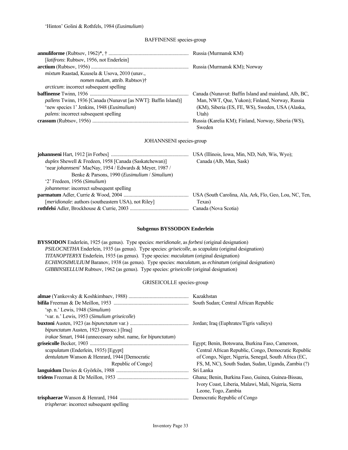## BAFFINENSE species-group

| [ <i>latifrons: Rubtsov, 1956, not Enderlein</i> ]             |                                                       |
|----------------------------------------------------------------|-------------------------------------------------------|
|                                                                |                                                       |
| mixtum Raastad, Kuusela & Usova, 2010 (unav.,                  |                                                       |
| nomen nudum, attrib. Rubtsov)†                                 |                                                       |
| <i>arcticum</i> : incorrect subsequent spelling                |                                                       |
|                                                                | Canada (Nunavut: Baffin Island and mainland, Alb, BC, |
| pallens Twinn, 1936 [Canada (Nunavut [as NWT]: Baffin Island)] | Man, NWT, Que, Yukon); Finland, Norway, Russia        |
| 'new species 1' Jenkins, 1948 (Eusimulium)                     | (KM), Siberia (ES, FE, WS), Sweden, USA (Alaska,      |
| <i>palens:</i> incorrect subsequent spelling                   | Utah)                                                 |
|                                                                | Russia (Karelia KM); Finland, Norway, Siberia (WS),   |
|                                                                | Sweden                                                |
| JOHANNSENI species-group                                       |                                                       |
|                                                                |                                                       |
| <i>duplex</i> Shewell & Fredeen, 1958 [Canada (Saskatchewan)]  | Canada (Alb, Man, Sask)                               |
| 'near johannseni' MacNay, 1954 / Edwards & Meyer, 1987 /       |                                                       |
| Benke & Parsons, 1990 (Eusimulium / Simulium)                  |                                                       |
| '2' Fredeen, 1956 (Simulium)                                   |                                                       |
| johannense: incorrect subsequent spelling                      |                                                       |
|                                                                |                                                       |
| [ <i>meridionale</i> : authors (southeastern USA), not Riley]  | Texas)                                                |
|                                                                |                                                       |

## **Subgenus BYSSODON Enderlein**

**BYSSODON** Enderlein, 1925 (as genus). Type species: *meridionale*, as *forbesi* (original designation)  *PSILOCNETHA* Enderlein, 1935 (as genus). Type species: *griseicolle*, as *scapulata* (original designation)  *TITANOPTERYX* Enderlein, 1935 (as genus). Type species: *maculatum* (original designation)  *ECHINOSIMULIUM* Baranov, 1938 (as genus). Type species: *maculatum*, as *echinatum* (original designation)  *GIBBINSIELLUM* Rubtsov, 1962 (as genus). Type species: *griseicolle* (original designation)

## GRISEICOLLE species-group

|                                                                                 | South Sudan; Central African Republic                |
|---------------------------------------------------------------------------------|------------------------------------------------------|
| 'sp. n.' Lewis, 1948 (Simulium)<br>'var. n.' Lewis, 1953 (Simulium griseicolle) |                                                      |
|                                                                                 |                                                      |
| <i>bipunctatum</i> Austen, 1923 (preocc.) [Iraq]                                |                                                      |
| <i>irakae</i> Smart, 1944 (unnecessary subst. name, for <i>bipunctatum</i> )    |                                                      |
|                                                                                 | Egypt; Benin, Botswana, Burkina Faso, Cameroon,      |
| <i>scapulatum</i> (Enderlein, 1935) [Egypt]                                     | Central African Republic, Congo, Democratic Republic |
| dentulatum Wanson & Henrard, 1944 [Democratic                                   | of Congo, Niger, Nigeria, Senegal, South Africa (EC, |
| Republic of Congo                                                               | FS, M, NC), South Sudan, Sudan, Uganda, Zambia (?)   |
|                                                                                 | Sri Lanka                                            |
|                                                                                 | Ghana; Benin, Burkina Faso, Guinea, Guinea-Bissau,   |
|                                                                                 | Ivory Coast, Liberia, Malawi, Mali, Nigeria, Sierra  |
|                                                                                 | Leone, Togo, Zambia                                  |
|                                                                                 |                                                      |
| trispherae: incorrect subsequent spelling                                       |                                                      |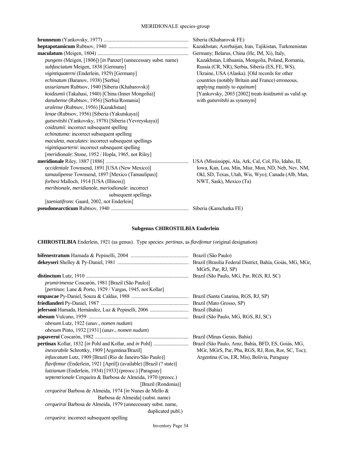|                                                                | Siberia (Khabarovsk FE)                                |
|----------------------------------------------------------------|--------------------------------------------------------|
|                                                                | Kazakhstan; Azerbaijan, Iran, Tajikistan, Turkmenistan |
|                                                                | Germany; Belarus, China (He, IM, Xi), Italy,           |
| pungens (Meigen, [1806]) [in Panzer] (unnecessary subst. name) | Kazakhstan, Lithuania, Mongolia, Poland, Romania,      |
| subfasciatum Meigen, 1838 [Germany]                            | Russia (CR, NR), Serbia, Siberia (ES, FE, WS),         |
| vigintiquaterni (Enderlein, 1929) [Germany]                    | Ukraine, USA (Alaska). [Old records for other          |
| echinatum (Baranov, 1938) [Serbia]                             | countries (notably Britain and France) erroneous,      |
| ussurianum Rubtsov, 1940 [Siberia (Khabarovsk)]                | applying mainly to equinum]                            |
| koidzumii (Takahasi, 1940) [China (Inner Mongolia)]            | [Yankovsky, 2003 [2002] treats koidzumii as valid sp.  |
| danubense (Rubtsov, 1956) [Serbia/Romania]                     | with <i>gutsevitshi</i> as synonym]                    |
| uralense (Rubtsov, 1956) [Kazakhstan]                          |                                                        |
| lenae (Rubtsov, 1956) [Siberia (Yakutskaya)]                   |                                                        |
| gutsevitshi (Yankovsky, 1978) [Siberia (Yevreyskaya)]          |                                                        |
| coidzumii: incorrect subsequent spelling                       |                                                        |
| echinatuma: incorrect subsequent spelling                      |                                                        |
| maculeta, maculates: incorrect subsequent spellings            |                                                        |
| vigintiquarterni: incorrect subsequent spelling                |                                                        |
| [meridionale: Stone, 1952 / Hopla, 1965, not Riley]            |                                                        |
|                                                                | USA (Mississippi, Ala, Ark, Cal, Col, Flo, Idaho, Ill, |
| occidentale Townsend, 1891 [USA (New Mexico)]                  | Iowa, Kan, Lou, Min, Misr, Mon, ND, Neb, Nev, NM,      |
| tamaulipense Townsend, 1897 [Mexico (Tamaulipas)]              | Okl, SD, Texas, Utah, Wis, Wyo); Canada (Alb, Man,     |
| forbesi Malloch, 1914 [USA (Illinois)]                         | NWT, Sask), Mexico (Ta)                                |
| meribionale, meridianole, meriodionale: incorrect              |                                                        |
| subsequent spellings                                           |                                                        |
| [taeniatifrons: Gaard, 2002, not Enderlein]                    |                                                        |
|                                                                |                                                        |
|                                                                |                                                        |

## **Subgenus CHIROSTILBIA Enderlein**

**CHIROSTILBIA** Enderlein, 1921 (as genus). Type species: *pertinax*, as *flavifemur* (original designation)

|                                                                     | MGrS, Par, RJ, SP)                                |
|---------------------------------------------------------------------|---------------------------------------------------|
|                                                                     |                                                   |
| <i>prumirimense</i> Coscarón, 1981 [Brazil (São Paulo)]             |                                                   |
| [pertinax: Lane & Porto, 1929 / Vargas, 1945, not Kollar]           |                                                   |
|                                                                     |                                                   |
|                                                                     |                                                   |
|                                                                     |                                                   |
|                                                                     |                                                   |
| obesum Lutz, 1922 (unav., nomen nudum)                              |                                                   |
| obesum Pinto, 1932 [1931] (unav., nomen nudum)                      |                                                   |
|                                                                     |                                                   |
|                                                                     |                                                   |
| inexorabile Schrottky, 1909 [Argentina/Brazil]                      | MGr, MGrS, Par, Pba, RGS, RJ, Ron, Ror, SC, Toc); |
| <i>infuscatum</i> Lutz, 1909 [Brazil (Rio de Janeiro/São Paulo)]    | Argentina (Cos, ER, Mis), Bolivia, Paraguay       |
| flavifemur (Enderlein, 1921 [April]) (available) [Brazil (? state)] |                                                   |
| lutzianum (Enderlein, 1934) [1933] (preocc.) [Paraguay]             |                                                   |
| septentrionale Cerqueira & Barbosa de Almeida, 1970 (preocc.)       |                                                   |
| [Brazil (Rondonia)]                                                 |                                                   |
| cerqueirai Barbosa de Almeida, 1974 [in Nunes de Mello &            |                                                   |
| Barbosa de Almeida] (subst. name)                                   |                                                   |
| cerqueirai Barbosa de Almeida, 1979 (unnecessary subst. name,       |                                                   |
| duplicated publ.)                                                   |                                                   |
| <i>cerqueira:</i> incorrect subsequent spelling                     |                                                   |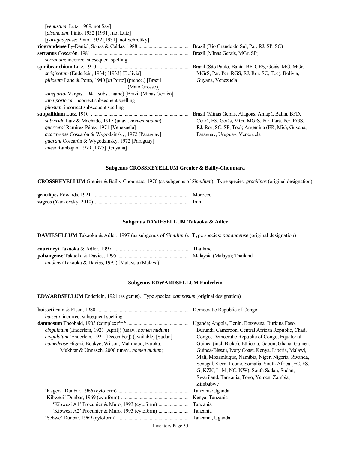| <i>venustum</i> : Lutz, 1909, not Say]                                   |                                                     |
|--------------------------------------------------------------------------|-----------------------------------------------------|
| [ <i>distinctum</i> : Pinto, 1932 [1931], not Lutz]                      |                                                     |
| [ <i>paraguayense</i> : Pinto, 1932 [1931], not Schrottky]               |                                                     |
|                                                                          | Brazil (Rio Grande do Sul, Par, RJ, SP, SC)         |
|                                                                          | Brazil (Minas Gerais, MGr, SP)                      |
| <i>serranum:</i> incorrect subsequent spelling                           |                                                     |
|                                                                          | Brazil (São Paulo, Bahía, BFD, ES, Goiás, MG, MGr,  |
| <i>striginotum</i> (Enderlein, 1934) [1933] [Bolivia]                    | MGrS, Par, Per, RGS, RJ, Ror, SC, Toc); Bolivia,    |
| <i>pillosum</i> Lane & Porto, 1940 [ <i>in</i> Porto] (preocc.) [Brazil] | Guyana, Venezuela                                   |
| (Mato Grosso)]                                                           |                                                     |
| laneportoi Vargas, 1941 (subst. name) [Brazil (Minas Gerais)]            |                                                     |
| <i>lane-porteroi:</i> incorrect subsequent spelling                      |                                                     |
| <i>pilosum</i> : incorrect subsequent spelling                           |                                                     |
|                                                                          | Brazil (Minas Gerais, Alagoas, Amapá, Bahía, BFD,   |
| subviride Lutz & Machado, 1915 (unav., <i>nomen nudum</i> )              | Ceará, ES, Goiás, MGr, MGrS, Par, Pará, Per, RGS,   |
| <i>guerreroi</i> Ramírez-Pérez, 1971 [Venezuela]                         | RJ, Ror, SC, SP, Toc); Argentina (ER, Mis), Guyana, |
| <i>acarayense</i> Coscarón & Wygodzinsky, 1972 [Paraguay]                | Paraguay, Uruguay, Venezuela                        |
| <i>guarani</i> Coscarón & Wygodzinsky, 1972 [Paraguay]                   |                                                     |
| nilesi Rambajan, 1979 [1975] [Guyana]                                    |                                                     |
|                                                                          |                                                     |

## **Subgenus CROSSKEYELLUM Grenier & Bailly-Choumara**

**CROSSKEYELLUM** Grenier & Bailly-Choumara, 1970 (as subgenus of *Simulium*). Type species: *gracilipes* (original designation)

| Morocco     |
|-------------|
| <b>Iran</b> |

## **Subgenus DAVIESELLUM Takaoka & Adler**

**DAVIESELLUM** Takaoka & Adler, 1997 (as subgenus of *Simulium*). Type species: *pahangense* (original designation)

|                                                      | Thailand |
|------------------------------------------------------|----------|
|                                                      |          |
| unidens (Takaoka & Davies, 1995) [Malaysia (Malaya)] |          |

## **Subgenus EDWARDSELLUM Enderlein**

**EDWARDSELLUM** Enderlein, 1921 (as genus). Type species: *damnosum* (original designation)

|                                                                    | Democratic Republic of Congo                          |
|--------------------------------------------------------------------|-------------------------------------------------------|
| <i>buisetti:</i> incorrect subsequent spelling                     |                                                       |
|                                                                    | Uganda; Angola, Benin, Botswana, Burkina Faso,        |
| cingulatum (Enderlein, 1921 [April]) (unav., nomen nudum)          | Burundi, Cameroon, Central African Republic, Chad,    |
| <i>cingulatum</i> (Enderlein, 1921 [December]) (available) [Sudan] | Congo, Democratic Republic of Congo, Equatorial       |
| hamedense Higazi, Boakye, Wilson, Mahmoud, Baroka,                 | Guinea (incl. Bioko), Ethiopia, Gabon, Ghana, Guinea, |
| Mukhtar & Unnasch, 2000 (unav., <i>nomen nudum</i> )               | Guinea-Bissau, Ivory Coast, Kenya, Liberia, Malawi,   |
|                                                                    | Mali, Mozambique, Namibia, Niger, Nigeria, Rwanda,    |
|                                                                    | Senegal, Sierra Leone, Somalia, South Africa (EC, FS, |
|                                                                    | G, KZN, L, M, NC, NW), South Sudan, Sudan,            |
|                                                                    | Swaziland, Tanzania, Togo, Yemen, Zambia,             |
|                                                                    | Zimbabwe                                              |
|                                                                    | Tanzania/Uganda                                       |
|                                                                    | Kenya, Tanzania                                       |
|                                                                    | Tanzania                                              |
|                                                                    | Tanzania                                              |
|                                                                    | Tanzania, Uganda                                      |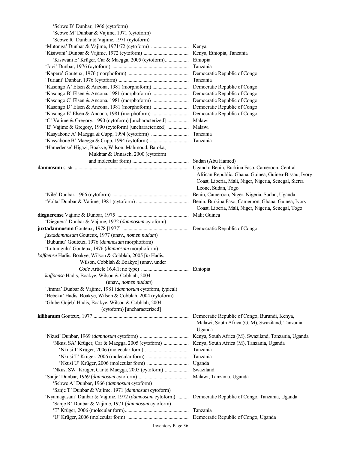| 'Sebwe B' Dunbar, 1966 (cytoform)                                                                       |                                                                                                                                                                                        |
|---------------------------------------------------------------------------------------------------------|----------------------------------------------------------------------------------------------------------------------------------------------------------------------------------------|
| 'Sebwe M' Dunbar & Vajime, 1971 (cytoform)                                                              |                                                                                                                                                                                        |
| 'Sebwe R' Dunbar & Vajime, 1971 (cytoform)                                                              |                                                                                                                                                                                        |
|                                                                                                         |                                                                                                                                                                                        |
|                                                                                                         |                                                                                                                                                                                        |
|                                                                                                         |                                                                                                                                                                                        |
|                                                                                                         | Tanzania                                                                                                                                                                               |
|                                                                                                         |                                                                                                                                                                                        |
|                                                                                                         | Tanzania                                                                                                                                                                               |
|                                                                                                         |                                                                                                                                                                                        |
|                                                                                                         |                                                                                                                                                                                        |
|                                                                                                         |                                                                                                                                                                                        |
|                                                                                                         |                                                                                                                                                                                        |
|                                                                                                         |                                                                                                                                                                                        |
|                                                                                                         |                                                                                                                                                                                        |
|                                                                                                         | Malawi                                                                                                                                                                                 |
| 'E' Vajime & Gregory, 1990 (cytoform) [uncharacterized]                                                 | Malawi                                                                                                                                                                                 |
|                                                                                                         | Tanzania                                                                                                                                                                               |
|                                                                                                         |                                                                                                                                                                                        |
| 'Hamedense' Higazi, Boakye, Wilson, Mahmoud, Baroka,                                                    |                                                                                                                                                                                        |
| Mukhtar & Unnasch, 2000 (cytoform                                                                       |                                                                                                                                                                                        |
|                                                                                                         |                                                                                                                                                                                        |
|                                                                                                         | Uganda; Benin, Burkina Faso, Cameroon, Central<br>African Republic, Ghana, Guinea, Guinea-Bissau, Ivory<br>Coast, Liberia, Mali, Niger, Nigeria, Senegal, Sierra<br>Leone, Sudan, Togo |
|                                                                                                         |                                                                                                                                                                                        |
|                                                                                                         | Coast, Liberia, Mali, Niger, Nigeria, Senegal, Togo                                                                                                                                    |
|                                                                                                         |                                                                                                                                                                                        |
| 'Dieguera' Dunbar & Vajime, 1972 (damnosum cytoform)                                                    |                                                                                                                                                                                        |
|                                                                                                         |                                                                                                                                                                                        |
| juxtadamnosum Gouteux, 1977 (unav., nomen nudum)                                                        |                                                                                                                                                                                        |
| 'Bubumu' Gouteux, 1976 (damnosum morphoform)                                                            |                                                                                                                                                                                        |
| 'Lutumgulu' Gouteux, 1976 (damnosum morphoform)                                                         |                                                                                                                                                                                        |
| kaffaense Hadis, Boakye, Wilson & Cobblah, 2005 [in Hadis,                                              |                                                                                                                                                                                        |
| Wilson, Cobblah & Boakye] (unav. under                                                                  |                                                                                                                                                                                        |
|                                                                                                         |                                                                                                                                                                                        |
| kaffaense Hadis, Boakye, Wilson & Cobblah, 2004                                                         |                                                                                                                                                                                        |
| (unav., nomen nudum)                                                                                    |                                                                                                                                                                                        |
| 'Jimma' Dunbar & Vajime, 1981 (damnosum cytoform, typical)                                              |                                                                                                                                                                                        |
| 'Bebeka' Hadis, Boakye, Wilson & Cobblah, 2004 (cytoform)                                               |                                                                                                                                                                                        |
| 'Ghibe-Gojeb' Hadis, Boakye, Wilson & Cobblah, 2004                                                     |                                                                                                                                                                                        |
| (cytoform) [uncharacterized]                                                                            |                                                                                                                                                                                        |
|                                                                                                         |                                                                                                                                                                                        |
|                                                                                                         | Malawi, South Africa (G, M), Swaziland, Tanzania,<br>Uganda                                                                                                                            |
|                                                                                                         |                                                                                                                                                                                        |
|                                                                                                         |                                                                                                                                                                                        |
|                                                                                                         | Tanzania                                                                                                                                                                               |
|                                                                                                         | Tanzania                                                                                                                                                                               |
|                                                                                                         | Uganda                                                                                                                                                                                 |
| 'Nkusi SW' Krüger, Car & Maegga, 2005 (cytoform)                                                        | Swaziland                                                                                                                                                                              |
|                                                                                                         |                                                                                                                                                                                        |
| 'Sebwe A' Dunbar, 1966 (damnosum cytoform)                                                              |                                                                                                                                                                                        |
| 'Sanje T' Dunbar & Vajime, 1971 (damnosum cytoform)                                                     |                                                                                                                                                                                        |
| 'Nyamagasani' Dunbar & Vajime, 1972 (damnosum cytoform)  Democratic Republic of Congo, Tanzania, Uganda |                                                                                                                                                                                        |
| 'Sanje R' Dunbar & Vajime, 1971 (damnosum cytoform)                                                     |                                                                                                                                                                                        |
|                                                                                                         |                                                                                                                                                                                        |
|                                                                                                         |                                                                                                                                                                                        |
|                                                                                                         |                                                                                                                                                                                        |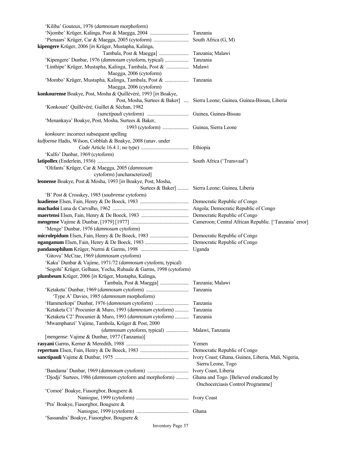| 'Kiliba' Gouteux, 1976 (damnosum morphoform)                      |                                                                              |
|-------------------------------------------------------------------|------------------------------------------------------------------------------|
|                                                                   |                                                                              |
|                                                                   |                                                                              |
| kipengere Krüger, 2006 [in Krüger, Mustapha, Kalinga,             |                                                                              |
|                                                                   |                                                                              |
|                                                                   |                                                                              |
|                                                                   |                                                                              |
| Maegga, 2006 (cytoform)                                           |                                                                              |
| 'Mombo' Krüger, Mustapha, Kalinga, Tambala, Post &  Tanzania      |                                                                              |
| Maegga, 2006 (cytoform)                                           |                                                                              |
| konkourense Boakye, Post, Mosha & Quillévéré, 1993 [in Boakye,    |                                                                              |
|                                                                   | Post, Mosha, Surtees & Baker]  Sierra Leone; Guinea, Guinea-Bissau, Liberia  |
| 'Konkouré' Quillévéré, Guillet & Séchan, 1982                     |                                                                              |
|                                                                   |                                                                              |
| 'Menankaya' Boakye, Post, Mosha, Surtees & Baker,                 |                                                                              |
|                                                                   |                                                                              |
| konkoure: incorrect subsequent spelling                           |                                                                              |
| kulfoense Hadis, Wilson, Cobblah & Boakye, 2008 (unav. under      |                                                                              |
|                                                                   |                                                                              |
| 'Kulfo' Dunbar, 1969 (cytoform)                                   |                                                                              |
|                                                                   |                                                                              |
| 'Olifants' Krüger, Car & Maegga, 2005 (damnosum                   |                                                                              |
| cytoform) [uncharacterized]                                       |                                                                              |
| leonense Boakye, Post & Mosha, 1993 [in Boakye, Post, Mosha,      |                                                                              |
|                                                                   | Surtees & Baker]  Sierra Leone; Guinea, Liberia                              |
| 'B' Post & Crosskey, 1985 (soubrense cytoform)                    |                                                                              |
|                                                                   |                                                                              |
|                                                                   |                                                                              |
|                                                                   |                                                                              |
|                                                                   |                                                                              |
| 'Menge' Dunbar, 1976 (damnosum cytoform)                          |                                                                              |
|                                                                   |                                                                              |
|                                                                   |                                                                              |
|                                                                   |                                                                              |
| 'Gitovu' McCrae, 1969 (damnosum cytoform)                         |                                                                              |
| 'Kaku' Dunbar & Vajime, 1971/72 (damnosum cytoform, typical)      |                                                                              |
| 'Sogohi' Krüger, Gelhaus, Yocha, Rubaale & Garms, 1998 (cytoform) |                                                                              |
| plumbeum Krüger, 2006 [in Krüger, Mustapha, Kalinga,              |                                                                              |
|                                                                   |                                                                              |
|                                                                   |                                                                              |
| 'Type A' Davies, 1985 (damnosum morphoform)                       |                                                                              |
|                                                                   | Tanzania                                                                     |
| 'Ketaketa C1' Procunier & Muro, 1993 (damnosum cytoform)          | Tanzania                                                                     |
| 'Ketaketa C2' Procunier & Muro, 1993 (damnosum cytoform)          | Tanzania                                                                     |
| 'Mwamphanzi' Vajime, Tambola, Krüger & Post, 2000                 |                                                                              |
| (damnosum cytoform, typical)                                      | Malawi, Tanzania                                                             |
| [mengense: Vajime & Dunbar, 1977 (Tanzania)]                      |                                                                              |
|                                                                   |                                                                              |
|                                                                   | Yemen                                                                        |
|                                                                   |                                                                              |
|                                                                   |                                                                              |
|                                                                   | Sierra Leone, Togo                                                           |
|                                                                   | Ivory Coast, Liberia                                                         |
| 'Djodji' Surtees, 1986 (damnosum cytoform and morphoform)         | Ghana and Togo. [Believed eradicated by<br>Onchocerciasis Control Programme] |
| 'Comoé' Boakye, Fiasorgbor, Bougsere &                            |                                                                              |
|                                                                   |                                                                              |
| 'Pra' Boakye, Fiasorgbor, Bougsere &                              |                                                                              |
|                                                                   |                                                                              |
| 'Sassandra' Boakye, Fiasorgbor, Bougsere &                        |                                                                              |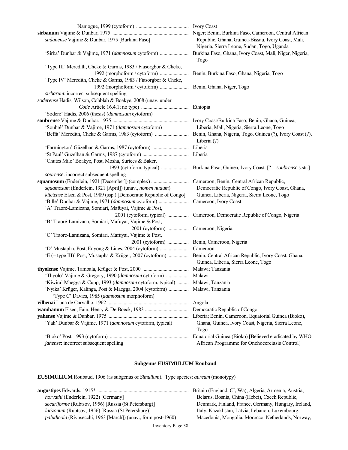| sudanense Vajime & Dunbar, 1975 [Burkina Faso]                              | Republic, Ghana, Guinea-Bissau, Ivory Coast, Mali,<br>Nigeria, Sierra Leone, Sudan, Togo, Uganda |
|-----------------------------------------------------------------------------|--------------------------------------------------------------------------------------------------|
|                                                                             | Togo                                                                                             |
| 'Type III' Meredith, Cheke & Garms, 1983 / Fiasorgbor & Cheke,              |                                                                                                  |
|                                                                             | Benin, Burkina Faso, Ghana, Nigeria, Togo                                                        |
| 'Type IV' Meredith, Cheke & Garms, 1983 / Fiasorgbor & Cheke,               |                                                                                                  |
|                                                                             |                                                                                                  |
| sirbarum: incorrect subsequent spelling                                     |                                                                                                  |
| soderense Hadis, Wilson, Cobblah & Boakye, 2008 (unav. under                |                                                                                                  |
|                                                                             |                                                                                                  |
| 'Sodere' Hadis, 2006 (thesis) (damnosum cytoform)                           |                                                                                                  |
|                                                                             |                                                                                                  |
| 'Soubré' Dunbar & Vajime, 1971 (damnosum cytoform)                          | Liberia, Mali, Nigeria, Sierra Leone, Togo                                                       |
|                                                                             |                                                                                                  |
|                                                                             | Liberia (?)                                                                                      |
|                                                                             |                                                                                                  |
|                                                                             |                                                                                                  |
| 'Chutes Milo' Boakye, Post, Mosha, Surtees & Baker,                         |                                                                                                  |
|                                                                             |                                                                                                  |
| sourense: incorrect subsequent spelling                                     |                                                                                                  |
|                                                                             |                                                                                                  |
| squamosum (Enderlein, 1921 [April]) (unav., nomen nudum)                    | Democratic Republic of Congo, Ivory Coast, Ghana,                                                |
| kitetense Elsen & Post, 1989 (ssp.) [Democratic Republic of Congo]          | Guinea, Liberia, Nigeria, Sierra Leone, Togo                                                     |
|                                                                             | Cameroon, Ivory Coast                                                                            |
| 'A' Traoré-Lamizana, Somiari, Mafuyai, Vajime & Post,                       |                                                                                                  |
|                                                                             |                                                                                                  |
| 'B' Traoré-Lamizana, Somiari, Mafuyai, Vajime & Post,                       |                                                                                                  |
| 2001 (cytoform)  Cameroon, Nigeria                                          |                                                                                                  |
| 'C' Traoré-Lamizana, Somiari, Mafuyai, Vajime & Post,                       |                                                                                                  |
| 2001 (cytoform)  Benin, Cameroon, Nigeria                                   |                                                                                                  |
|                                                                             |                                                                                                  |
|                                                                             |                                                                                                  |
|                                                                             | Guinea, Liberia, Sierra Leone, Togo                                                              |
|                                                                             |                                                                                                  |
|                                                                             |                                                                                                  |
| 'Kiwira' Maegga & Cupp, 1993 (damnosum cytoform, typical)  Malawi, Tanzania |                                                                                                  |
| 'Nyika' Krüger, Kalinga, Post & Maegga, 2004 (cytoform)                     | Malawi, Tanzania                                                                                 |
| 'Type C' Davies, 1985 (damnosum morphoform)                                 |                                                                                                  |
|                                                                             | Angola                                                                                           |
|                                                                             | Democratic Republic of Congo                                                                     |
|                                                                             | Liberia; Benin, Cameroon, Equatorial Guinea (Bioko),                                             |
| 'Yah' Dunbar & Vajime, 1971 (damnosum cytoform, typical)                    | Ghana, Guinea, Ivory Coast, Nigeria, Sierra Leone,<br>Togo                                       |
|                                                                             | Equatorial Guinea (Bioko) [Believed eradicated by WHO                                            |
| jahense: incorrect subsequent spelling                                      | African Programme for Onchocerciasis Control]                                                    |

# **Subgenus EUSIMULIUM Roubaud**

**EUSIMULIUM** Roubaud, 1906 (as subgenus of *Simulium*). Type species: *aureum* (monotypy)

|                                                                      | Britain (England, CI, Wa); Algeria, Armenia, Austria, |
|----------------------------------------------------------------------|-------------------------------------------------------|
| <i>horvathi</i> (Enderlein, 1922) [Germany]                          | Belarus, Bosnia, China (Hebei), Czech Republic,       |
| <i>securiforme</i> (Rubtsov, 1956) [Russia (St Petersburg)]          | Denmark, Finland, France, Germany, Hungary, Ireland,  |
| <i>latizonum</i> (Rubtsov, 1956) [Russia (St Petersburg)]            | Italy, Kazakhstan, Latvia, Lebanon, Luxembourg,       |
| <i>paludicola</i> (Rivosecchi, 1963 [March]) (unav., form post-1960) | Macedonia, Mongolia, Morocco, Netherlands, Norway,    |
|                                                                      |                                                       |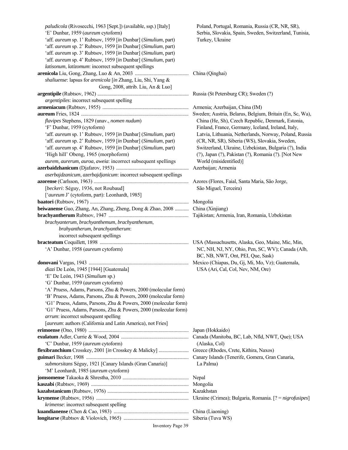*paludicola* (Rivosecchi, 1963 [Sept.]) (available, ssp.) [Italy] Poland, Portugal, Romania, Russia (CR, NR, SR), 'E' Dunbar, 1959 (*aureum* cytoform) Serbia, Slovakia, Spain, Sweden, Switzerland, Tunisia, 'aff. *aureum* sp. 1' Rubtsov, 1959 [*in* Dunbar] (*Simulium*, part) Turkey, Ukraine 'aff. *aureum* sp. 2' Rubtsov, 1959 [*in* Dunbar] (*Simulium*, part) 'aff. *aureum* sp. 3' Rubtsov, 1959 [*in* Dunbar] (*Simulium*, part) 'aff. *aureum* sp. 4' Rubtsov, 1959 [*in* Dunbar] (*Simulium*, part) *latisonum*, *latizomum*: incorrect subsequent spellings **arenicola** Liu, Gong, Zhang, Luo & An, 2003 ........................................... China (Qinghai) *shaliuense*: lapsus for *arenicola* [*in* Zhang, Liu, Shi, Yang & Gong, 2008, attrib. Liu, An & Luo] **argentipile** (Rubtsov, 1962) ......................................................................... Russia (St Petersburg CR); Sweden (?) *argentipiles*: incorrect subsequent spelling **armeniacum** (Rubtsov, 1955) ..................................................................... Armenia; Azerbaijan, China (IM) **aureum** Fries, 1824 ...................................................................................... Sweden; Austria, Belarus, Belgium, Britain (En, Sc, Wa),  *flavipes* Stephens, 1829 (unav., *nomen nudum*) China (He, Sh), Czech Republic, Denmark, Estonia, 'F' Dunbar, 1959 (cytoform) Finland, France, Germany, Iceland, Ireland, Italy, 'aff. *aureum* sp. 1' Rubtsov, 1959 [*in* Dunbar] (*Simulium*, part) Latvia, Lithuania, Netherlands, Norway, Poland, Russia 'aff. *aureum* sp. 2' Rubtsov, 1959 [*in* Dunbar] (*Simulium*, part) (CR, NR, SR), Siberia (WS), Slovakia, Sweden, 'aff. *aureum* sp. 4' Rubtsov, 1959 [*in* Dunbar] (*Simulium*, part) Switzerland, Ukraine, Uzbekistan, Bulgaria (?), India 'High hill' Obeng, 1965 (morphoform) (?), Japan (?), Pakistan (?), Romania (?). [Not New *aurem*, *aurerum*, *auroa*, *aweia*: incorrect subsequent spellings World (misidentified)] **azerbaidzhanicum** (Djafarov, 1953) .......................................................... Azerbaijan; Armenia *aserbajdzanicum*, *azerbajdjanicum*: incorrect subsequent spellings **azorense** (Carlsson, 1963) ............................................................................ Azores (Flores, Faial, Santa Maria, São Jorge, [*beckeri*: Séguy, 1936, not Roubaud] São Miguel, Terceira) ['*aureum* J' (cytoform, part): Leonhardt, 1985] **baatori** (Rubtsov, 1967) ............................................................................... Mongolia **beiwanense** Guo, Zhang, An, Zhang, Zheng, Dong & Zhao, 2008 ........... China (Xinjiang) **brachyantherum** Rubtsov, 1947 ................................................................ Tajikistan; Armenia, Iran, Romania, Uzbekistan *brachyanterum*, *brachyanthemum*, *brachyanthenum*, *brahyantherum*, *branchyantherum*: incorrect subsequent spellings **bracteatum** Coquillett, 1898 ....................................................................... USA (Massachusetts, Alaska, Geo, Maine, Mic, Min, 'A' Dunbar, 1958 (*aureum* cytoform) NC, NH, NJ, NY, Ohio, Pen, SC, WV); Canada (Alb, **donovani** Vargas, 1943 ................................................................................ Mexico (Chiapas, Du, Gj, Mi, Mo, Vz); Guatemala, *diazi* De León, 1945 [1944] [Guatemala] USA (Ari, Cal, Col, Nev, NM, Ore) 'E' De León, 1943 (*Simulium* sp.) 'G' Dunbar, 1959 (*aureum* cytoform) 'A' Pruess, Adams, Parsons, Zhu & Powers, 2000 (molecular form) 'B' Pruess, Adams, Parsons, Zhu & Powers, 2000 (molecular form) 'G1' Pruess, Adams, Parsons, Zhu & Powers, 2000 (molecular form) 'G1' Pruess, Adams, Parsons, Zhu & Powers, 2000 (molecular form) *arrum*: incorrect subsequent spelling [*aureum*: authors (California and Latin America), not Fries] **erimoense** (Ono, 1980) ................................................................................ Japan (Hokkaido) **exulatum** Adler, Currie & Wood, 2004 ...................................................... Canada (Manitoba, BC, Lab, Nfld, NWT, Que); USA 'C' Dunbar, 1959 (*aureum* cytoform) (Alaska, Col) **flexibranchium** Crosskey, 2001 [*in* Crosskey & Malicky] ........................ Greece (Rhodes, Crete, Kithira, Naxos) **guimari** Becker, 1908 .................................................................................. Canary Islands (Tenerife, Gomera, Gran Canaria,  *submorsitans* Séguy, 1921 [Canary Islands (Gran Canaria)] La Palma) 'M' Leonhardt, 1985 (*aureum* cytoform) **jomsomense** Takaoka & Shrestha, 2010 ..................................................... Nepal **kaszabi** (Rubtsov, 1969) .............................................................................. Mongolia **kazahstanicum** (Rubtsov, 1976) ................................................................. Kazakhstan **krymense** (Rubtsov, 1956) .......................................................................... Ukraine (Crimea); Bulgaria, Romania. [? = *nigrofusipes*]  *krimense*: incorrect subsequent spelling **kuandianense** (Chen & Cao, 1983) ............................................................ China (Liaoning) **longitarse** (Rubtsov & Violovich, 1965) .................................................... Siberia (Tuva WS)

BC, NB, NWT, Ont, PEI, Que, Sask)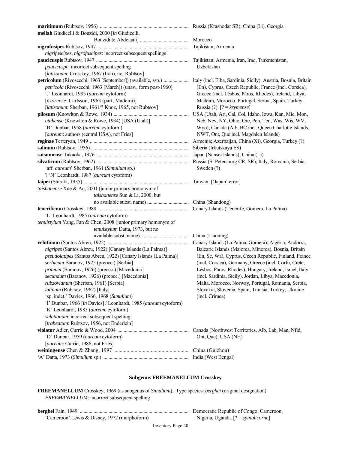| mellah Giudicelli & Bouzidi, 2000 [in Giudicelli,                |                                                         |
|------------------------------------------------------------------|---------------------------------------------------------|
|                                                                  |                                                         |
|                                                                  |                                                         |
| nigrifuscipes, nigrofuscipes: incorrect subsequent spellings     |                                                         |
|                                                                  |                                                         |
| paucicuspe: incorrect subsequent spelling                        | Uzbekistan                                              |
| [latizonum: Crosskey, 1967 (Iran), not Rubtsov]                  |                                                         |
|                                                                  |                                                         |
| petricola (Rivosecchi, 1963 [March]) (unav., form post-1960)     | (En), Cyprus, Czech Republic, France (incl. Corsica),   |
| 'J' Leonhardt, 1985 (aureum cytoform)                            | Greece (incl. Lésbos, Páros, Rhodes), Ireland, Libya,   |
| [azorense: Carlsson, 1963 (part, Madeira)]                       | Madeira, Morocco, Portugal, Serbia, Spain, Turkey,      |
| [latizonum: Sherban, 1961/? Knoz, 1965, not Rubtsov]             | Russia (?). $[? = krymense]$                            |
|                                                                  | USA (Utah, Ari, Cal, Col, Idaho, Iowa, Kan, Mic, Mon,   |
| utahense (Knowlton & Rowe, 1934) [USA (Utah)]                    | Neb, Nev, NY, Ohio, Ore, Pen, Ten, Was, Wis, WV,        |
| 'B' Dunbar, 1958 (aureum cytoform)                               | Wyo); Canada (Alb, BC incl. Queen Charlotte Islands,    |
| [aureum: authors (central USA), not Fries]                       | NWT, Ont, Que incl. Magdalen Islands)                   |
|                                                                  |                                                         |
|                                                                  |                                                         |
|                                                                  | Japan (Nansei Islands); China (Li)                      |
|                                                                  |                                                         |
| 'aff. aureum' Sherban, 1961 (Simulium sp.)                       | Sweden (?)                                              |
| ? 'N' Leonhardt, 1987 (aureum cytoform)                          |                                                         |
|                                                                  |                                                         |
| taishanense Xue & An, 2001 (junior primary homonym of            |                                                         |
| taishanense Sun & Li, 2000, but                                  |                                                         |
|                                                                  |                                                         |
|                                                                  |                                                         |
| 'L' Leonhardt, 1985 (aureum cytoform)                            |                                                         |
| tenuistylum Yang, Fan & Chen, 2008 (junior primary homonym of    |                                                         |
| tenuistylum Datta, 1973, but no                                  |                                                         |
|                                                                  |                                                         |
|                                                                  | Canary Islands (La Palma, Gomera); Algeria, Andorra,    |
| nigripes (Santos Abreu, 1922) [Canary Islands (La Palma)]        | Balearic Islands (Majorca, Minorca), Bosnia, Britain    |
| pseudolatipes (Santos Abreu, 1922) [Canary Islands (La Palma)]   | (En, Sc, Wa), Cyprus, Czech Republic, Finland, France   |
| serbicum Baranov, 1925 (preocc.) [Serbia]                        | (incl. Corsica), Germany, Greece (incl. Corfu, Crete,   |
| primum (Baranov, 1926) (preocc.) [Macedonia]                     | Lésbos, Páros, Rhodes), Hungary, Ireland, Israel, Italy |
| secundum (Baranov, 1926) (preocc.) [Macedonia]                   | (incl. Sardinia, Sicily), Jordan, Libya, Macedonia,     |
| rubzovianum (Sherban, 1961) [Serbia]                             | Malta, Morocco, Norway, Portugal, Romania, Serbia,      |
| latinum (Rubtsov, 1962) [Italy]                                  | Slovakia, Slovenia, Spain, Tunisia, Turkey, Ukraine     |
| 'sp. indet.' Davies, 1966, 1968 (Simulium)                       | (incl. Crimea)                                          |
| 'I' Dunbar, 1966 [in Davies] / Leonhardt, 1985 (aureum cytoform) |                                                         |
| 'K' Leonhardt, 1985 (aureum cytoform)                            |                                                         |
| velutianum: incorrect subsequent spelling                        |                                                         |
| [trabeatum: Rubtsov, 1956, not Enderlein]                        |                                                         |
|                                                                  | Canada (Northwest Territories, Alb, Lab, Man, Nfld,     |
| 'D' Dunbar, 1959 (aureum cytoform)                               | Ont, Que); USA (NH)                                     |
| [aureum: Currie, 1986, not Fries]                                |                                                         |
|                                                                  | China (Guizhou)                                         |
|                                                                  | India (West Bengal)                                     |

### **Subgenus FREEMANELLUM Crosskey**

**FREEMANELLUM** Crosskey, 1969 (as subgenus of *Simulium*). Type species: *berghei* (original designation)  *FREEMANIELLUM*: incorrect subsequent spelling

**berghei** Fain, 1949 ....................................................................................... Democratic Republic of Congo; Cameroon, 'Cameroon' Lewis & Disney, 1972 (morphoform) Nigeria, Uganda. [? = *spinulicorne*]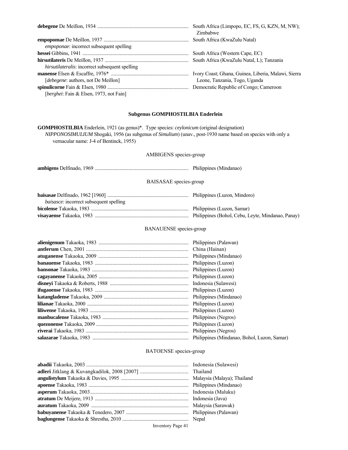|                                                        | South Africa (Limpopo, EC, FS, G, KZN, M, NW);<br>Zimbabwe |
|--------------------------------------------------------|------------------------------------------------------------|
| empoponae: incorrect subsequent spelling               | South Africa (KwaZulu Natal)                               |
|                                                        | South Africa (Western Cape, EC)                            |
|                                                        | South Africa (KwaZulu Natal, L); Tanzania                  |
| <i>hirsutilateralis:</i> incorrect subsequent spelling |                                                            |
|                                                        | Ivory Coast; Ghana, Guinea, Liberia, Malawi, Sierra        |
| [debegene: authors, not De Meillon]                    | Leone, Tanzania, Togo, Uganda                              |
|                                                        |                                                            |
| [berghei: Fain & Elsen, 1973, not Fain]                |                                                            |

#### **Subgenus GOMPHOSTILBIA Enderlein**

**GOMPHOSTILBIA** Enderlein, 1921 (as genus)\*. Type species: *ceylonicum* (original designation)  *NIPPONOSIMULIUM* Shogaki, 1956 (as subgenus of *Simulium*) (unav., post-1930 name based on species with only a vernacular name: J-4 of Bentinck, 1955)

#### AMBIGENS species-group

| <b>BAISASAE</b> species-group                   |  |
|-------------------------------------------------|--|
| <i>baisasce</i> : incorrect subsequent spelling |  |
|                                                 |  |

### BANAUENSE species-group

#### BATOENSE species-group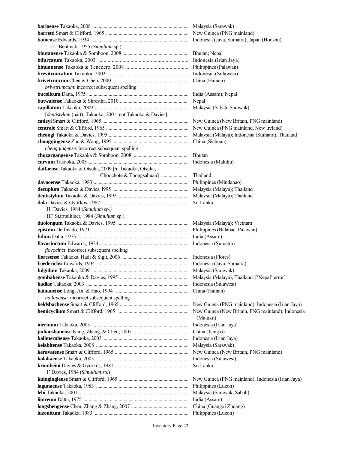**barioense** Takaoka, 2008 ............................................................................. Malaysia (Sarawak) **barretti** Smart & Clifford, 1965 .................................................................. New Guinea (PNG mainland) **batoense** Edwards, 1934 .............................................................................. Indonesia (Java, Sumatra); Japan (Honshu) 'J-12' Bentinck, 1955 (*Simulium* sp.) **bhutanense** Takaoka & Somboon, 2008 .................................................... Bhutan; Nepal **bifurcatum** Takaoka, 2003 ................................................................... Indonesia (Irian Jaya) **binuanense** Takaoka & Tenedero, 2008 ............................................... Philippines (Palawan) **brevitruncatum** Takaoka, 2003 ............................................................ Indonesia (Sulawesi) **brivetruncum** Chen & Chen, 2000 ............................................................. China (Hainan) *brivetrumcum*: incorrect subsequent spelling **bucolicum** Datta, 1975 ................................................................................. India (Assam); Nepal **butwalense** Takaoka & Shrestha, 2010 ....................................................... Nepal **capillatum** Takaoka, 2009 ........................................................................... Malaysia (Sabah, Sarawak) [*dentistylum* (part): Takaoka, 2001, not Takaoka & Davies] **catleyi** Smart & Clifford, 1965 .................................................................... New Guinea (New Britain, PNG mainland) **centrale** Smart & Clifford, 1965 .................................................................. New Guinea (PNG mainland, New Ireland) **cheongi** Takaoka & Davies, 1995 ................................................................ Malaysia (Malaya); Indonesia (Sumatra), Thailand **chongqingense** Zhu & Wang, 1995 ............................................................ China (Sichuan) *chengqingense*: incorrect subsequent spelling **chuzargangense** Takaoka & Somboon, 2008 ............................................ Bhutan **curvum** Takaoka, 2003 ................................................................................ Indonesia (Maluku) **datfaense** Takaoka & Otsuka, 2009 [*in* Takaoka, Otsuka, Choochote & Thongsahuan] ...................... Thailand **davaoense** Takaoka, 1983 ............................................................................ Philippines (Mindanao) **decuplum** Takaoka & Davies, l995 ............................................................. Malaysia (Malaya); Thailand **dentistylum** Takaoka & Davies, 1995 ........................................................ Malaysia (Malaya); Thailand **dola** Davies & Györkös, 1987 ...................................................................... Sri Lanka 'II' Davies, 1984 (*Simulium* sp.) 'III' Starmühlner, 1984 (*Simulium* sp.) **duolongum** Takaoka & Davies, 1995 ......................................................... Malaysia (Malaya); Vietnam **epistum** Delfinado, 1971 .............................................................................. Philippines (Balabac, Palawan) **fidum** Datta, 1975 ......................................................................................... India (Assam) **flavocinctum** Edwards, 1934 ....................................................................... Indonesia (Sumatra) *flovocinct*: incorrect subsequent spelling **floresense** Takaoka, Hadi & Sigit, 2006 ...................................................... Indonesia (Flores) **friederichsi** Edwards, 1934 .......................................................................... Indonesia (Java, Sumatra) **fulgidum** Takaoka, 2009 .............................................................................. Malaysia (Sarawak) **gombakense** Takaoka & Davies, 1995 ....................................................... Malaysia (Malaya); Thailand. ['Nepal' error] **hadiae** Takaoka, 2003 .................................................................................. Indonesia (Sulawesi) **hainanense** Long, An & Hao, 1994 .......................................................... China (Hainan) *hailanense*: incorrect subsequent spelling **heldsbachense** Smart & Clifford, 1965 ....................................................... New Guinea (PNG mainland); Indonesia (Irian Jaya) **hemicyclium** Smart & Clifford, 1965 ......................................................... New Guinea (New Britain, PNG mainland); Indonesia (Maluku) **inermum** Takaoka, 2003 ............................................................................. Indonesia (Irian Jaya) **jiulianshanense** Kang, Zhang, & Chen, 2007 ............................................ China (Jiangxi) **kalimerahense** Takaoka, 2003 .................................................................... Indonesia (Irian Jaya) **kelabitense** Takaoka, 2008 .......................................................................... Malaysia (Sarawak) **keravatense** Smart & Clifford, 1965 ........................................................... New Guinea (New Britain, PNG mainland) **kolakaense** Takaoka, 2003 .......................................................................... Indonesia (Sulawesi) **krombeini** Davies & Györkös, 1987 ........................................................... Sri Lanka 'I' Davies, 1984 (*Simulium* sp.) **kuingingiense** Smart & Clifford, 1965 ........................................................ New Guinea (PNG mainland); Indonesia (Irian Jaya) **lagunaense** Takaoka, 1983 .......................................................................... Philippines (Luzon) **lehi** Takaoka, 2001 ....................................................................................... Malaysia (Sarawak, Sabah) **litoreum** Datta, 1975 .................................................................................... India (Assam) **longshengense** Chen, Zhang & Zhang, 2007 .............................................. China (Guangxi Zhuang) **luzonicum** Takaoka, 1983 ........................................................................... Philippines (Luzon)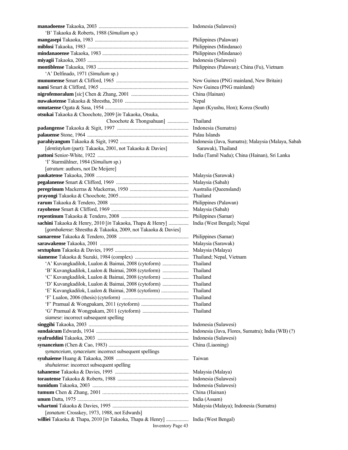Inventory Page 43 **manadoense** Takaoka, 2003 ........................................................................ Indonesia (Sulawesi) 'B' Takaoka & Roberts, 1988 (*Simulium* sp.) **mangasepi** Takaoka, 1983 ........................................................................... Philippines (Palawan) **miblosi** Takaoka, 1983 ................................................................................. Philippines (Mindanao) **mindanaoense** Takaoka, 1983 ..................................................................... Philippines (Mindanao) **miyagii** Takaoka, 2003 ................................................................................. Indonesia (Sulawesi) **montiblense** Takaoka, 1983 ......................................................................... Philippines (Palawan); China (Fu), Vietnam 'A' Delfinado, 1971 (*Simulium* sp.) **munumense** Smart & Clifford, 1965 .......................................................... New Guinea (PNG mainland, New Britain) **nami** Smart & Clifford, 1965 ....................................................................... New Guinea (PNG mainland) **nigrofemoralum** [*sic*] Chen & Zhang, 2001 .............................................. China (Hainan) **nuwakotense** Takaoka & Shrestha, 2010 ................................................... Nepal **omutaense** Ogata & Sasa, 1954 ................................................................... Japan (Kyushu, Hon); Korea (South) **otsukai** Takaoka & Choochote, 2009 [*in* Takaoka, Otsuka, Choochote & Thongsahuan] ................. Thailand **padangense** Takaoka & Sigit, 1997 ..................................................... Indonesia (Sumatra) **palauense** Stone, 1964 ................................................................................. Palau Islands **parahiyangum** Takaoka & Sigit, 1992 ....................................................... Indonesia (Java, Sumatra); Malaysia (Malaya, Sabah [*dentistylum* (part): Takaoka, 2001, not Takaoka & Davies] Sarawak), Thailand **pattoni** Senior-White, 1922 ......................................................................... India (Tamil Nadu); China (Hainan), Sri Lanka 'I' Starmühlner, 1984 (*Simulium* sp.) [*atratum*: authors, not De Meijere] **paukatense** Takaoka, 2008 .......................................................................... Malaysia (Sarawak) **pegalanense** Smart & Clifford, 1969 .......................................................... Malaysia (Sabah) **peregrinum** Mackerras & Mackerras, 1950 ............................................... Australia (Queensland) **prayongi** Takaoka & Choochote, 2005 ........................................................ Thailand **rarum** Takaoka & Tendero, 2008 ............................................................... Philippines (Palawan) **rayohense** Smart & Clifford, 1969 .............................................................. Malaysia (Sabah) **repentinum** Takaoka & Tendero, 2008 ...................................................... Philippines (Samar) **sachini** Takaoka & Henry, 2010 [*in* Takaoka, Thapa & Henry] ................ India (West Bengal); Nepal [*gombakense*: Shrestha & Takaoka, 2009, not Takaoka & Davies] **samarense** Takaoka & Tendero, 2008 ........................................................ Philippines (Samar) **sarawakense** Takaoka, 2001 ....................................................................... Malaysia (Sarawak) **sextuplum** Takaoka & Davies, 1995 ........................................................... Malaysia (Malaya) **siamense** Takaoka & Suzuki, 1984 (complex) ........................................... Thailand; Nepal, Vietnam 'A' Kuvangkadilok, Lualon & Baimai, 2008 (cytoform) ..................... Thailand 'B' Kuvangkadilok, Lualon & Baimai, 2008 (cytoform) ..................... Thailand 'C' Kuvangkadilok, Lualon & Baimai, 2008 (cytoform) ..................... Thailand 'D' Kuvangkadilok, Lualon & Baimai, 2008 (cytoform) ..................... Thailand 'E' Kuvangkadilok, Lualon & Baimai, 2008 (cytoform) ...................... Thailand 'F' Lualon, 2006 (thesis) (cytoform) ..................................................... Thailand 'F' Pramual & Wongpakam, 2011 (cytoform) ...................................... Thailand 'G' Pramual & Wongpakam, 2011 (cytoform) ..................................... Thailand  *siamese*: incorrect subsequent spelling **singgihi** Takaoka, 2003 ................................................................................ Indonesia (Sulawesi) **sundaicum** Edwards, 1934 .......................................................................... Indonesia (Java, Flores, Sumatra); India (WB) (?) **syafruddini** Takaoka, 2003 ......................................................................... Indonesia (Sulawesi) **synanceium** (Chen & Cao, 1983) ................................................................ China (Liaoning) *symanceium*, *synaceium*: incorrect subsequent spellings **syuhaiense** Huang & Takaoka, 2008 .......................................................... Taiwan *shuhaiense*: incorrect subsequent spelling **tahanense** Takaoka & Davies, 1995 ........................................................... Malaysia (Malaya) **torautense** Takaoka & Roberts, 1988 ......................................................... Indonesia (Sulawesi) **tumidum** Takaoka, 2003 ............................................................................. Indonesia (Sulawesi) **tumum** Chen & Zhang, 2001 ................................................................ China (Hainan) **unum** Datta, 1975 ......................................................................................... India (Assam) **whartoni** Takaoka & Davies, 1995 ............................................................. Malaysia (Malaya); Indonesia (Sumatra) [*zonatum*: Crosskey, 1973, 1988, not Edwards] **williei** Takaoka & Thapa, 2010 [*in* Takaoka, Thapa & Henry] .................. India (West Bengal)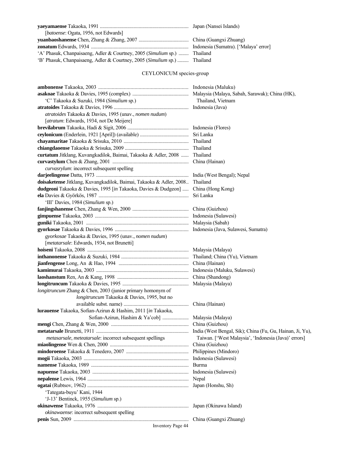| [ <i>batoense</i> : Ogata, 1956, not Edwards]                             |  |
|---------------------------------------------------------------------------|--|
|                                                                           |  |
|                                                                           |  |
| 'A' Phasuk, Chanpaisaeng, Adler & Courtney, 2005 (Simulium sp.)  Thailand |  |
| 'B' Phasuk, Chanpaisaeng, Adler & Courtney, 2005 (Simulium sp.)  Thailand |  |
|                                                                           |  |

# CEYLONICUM species-group

| 'C' Takaoka & Suzuki, 1984 (Simulium sp.)                                                                      | Thailand, Vietnam |
|----------------------------------------------------------------------------------------------------------------|-------------------|
|                                                                                                                |                   |
| atratoides Takaoka & Davies, 1995 (unav., nomen nudum)                                                         |                   |
| [atratum: Edwards, 1934, not De Meijere]                                                                       |                   |
|                                                                                                                |                   |
|                                                                                                                |                   |
|                                                                                                                |                   |
|                                                                                                                |                   |
| curtatum Jitklang, Kuvangkadilok, Baimai, Takaoka & Adler, 2008  Thailand                                      |                   |
|                                                                                                                |                   |
| curvasrylum: incorrect subsequent spelling                                                                     |                   |
|                                                                                                                |                   |
| doisaketense Jitklang, Kuvangkadilok, Baimai, Takaoka & Adler, 2008 Thailand                                   |                   |
| dudgeoni Takaoka & Davies, 1995 [in Takaoka, Davies & Dudgeon]  China (Hong Kong)                              |                   |
|                                                                                                                | Sri Lanka         |
| 'III' Davies, 1984 (Simulium sp.)                                                                              |                   |
|                                                                                                                |                   |
|                                                                                                                |                   |
|                                                                                                                |                   |
|                                                                                                                |                   |
| gyorkosae Takaoka & Davies, 1995 (unav., nomen nudum)                                                          |                   |
| [ <i>metatarsale</i> : Edwards, 1934, not Brunetti]                                                            |                   |
|                                                                                                                |                   |
|                                                                                                                |                   |
|                                                                                                                |                   |
|                                                                                                                |                   |
|                                                                                                                |                   |
|                                                                                                                |                   |
| longitruncum Zhang & Chen, 2003 (junior primary homonym of                                                     |                   |
| longitruncum Takaoka & Davies, 1995, but no                                                                    |                   |
|                                                                                                                |                   |
| lurauense Takaoka, Sofian-Azirun & Hashim, 2011 [in Takaoka,                                                   |                   |
|                                                                                                                |                   |
|                                                                                                                |                   |
|                                                                                                                |                   |
| metasarsale, meteatarsale: incorrect subsequent spellings Taiwan. ['West Malaysia', 'Indonesia (Java)' errors] |                   |
|                                                                                                                |                   |
|                                                                                                                |                   |
|                                                                                                                |                   |
|                                                                                                                |                   |
|                                                                                                                |                   |
|                                                                                                                |                   |
|                                                                                                                |                   |
| 'Tategata-buyu' Kani, 1944                                                                                     |                   |
| 'J-13' Bentinck, 1955 (Simulium sp.)                                                                           |                   |
|                                                                                                                |                   |
| okinawaense: incorrect subsequent spelling                                                                     |                   |
|                                                                                                                |                   |
| $Insy$ Dece $A4$                                                                                               |                   |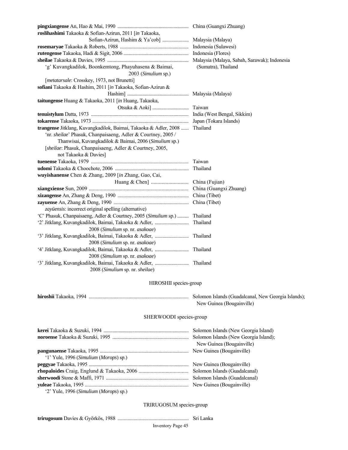| roslihashimi Takaoka & Sofian-Azirun, 2011 [in Takaoka,                   |                                              |
|---------------------------------------------------------------------------|----------------------------------------------|
|                                                                           |                                              |
|                                                                           |                                              |
|                                                                           |                                              |
|                                                                           | Malaysia (Malaya, Sabah, Sarawak); Indonesia |
| 'g' Kuvangkadilok, Boonkemtong, Phayuhasena & Baimai,                     | (Sumatra), Thailand                          |
| 2003 (Simulium sp.)                                                       |                                              |
| [metatarsale: Crosskey, 1973, not Brunetti]                               |                                              |
| sofiani Takaoka & Hashim, 2011 [in Takaoka, Sofian-Azirun &               |                                              |
|                                                                           |                                              |
| taitungense Huang & Takaoka, 2011 [in Huang, Takaoka,                     |                                              |
|                                                                           |                                              |
|                                                                           |                                              |
|                                                                           |                                              |
| trangense Jitklang, Kuvangkadilok, Baimai, Takaoka & Adler, 2008          | Thailand                                     |
| 'nr. sheilae' Phasuk, Chanpaisaeng, Adler & Courtney, 2005 /              |                                              |
| Thanwisai, Kuvangkadilok & Baimai, 2006 (Simulium sp.)                    |                                              |
| [sheilae: Phasuk, Chanpaisaeng, Adler & Courtney, 2005,                   |                                              |
| not Takaoka & Davies]                                                     |                                              |
|                                                                           |                                              |
|                                                                           | Thailand                                     |
| wuyishanense Chen & Zhang, 2009 [in Zhang, Gao, Cai,                      |                                              |
|                                                                           |                                              |
|                                                                           |                                              |
|                                                                           |                                              |
|                                                                           |                                              |
| zayüensis: incorrect original spelling (alternative)                      |                                              |
| 'C' Phasuk, Chanpaisaeng, Adler & Courtney, 2005 (Simulium sp.)  Thailand |                                              |
| '2' Jitklang, Kuvangkadilok, Baimai, Takaoka & Adler,                     | Thailand                                     |
| 2008 (Simulium sp. nr. asakoae)                                           |                                              |
|                                                                           |                                              |
| 2008 (Simulium sp. nr. asakoae)                                           |                                              |
|                                                                           |                                              |
| 2008 (Simulium sp. nr. asakoae)                                           |                                              |
|                                                                           |                                              |
| 2008 (Simulium sp. nr. sheilae)                                           |                                              |

### HIROSHII species-group

**hiroshii** Takaoka, 1994 ................................................................................ Solomon Islands (Guadalcanal, New Georgia Islands);

New Guinea (Bougainville)

### SHERWOODI species-group

|                                                                                               | Solomon Islands (New Georgia Island)  |
|-----------------------------------------------------------------------------------------------|---------------------------------------|
|                                                                                               | Solomon Islands (New Georgia Island); |
|                                                                                               | New Guinea (Bougainville)             |
|                                                                                               |                                       |
| $'1'$ Yule, 1996 (Simulium (Morops) sp.)                                                      |                                       |
|                                                                                               | New Guinea (Bougainville)             |
|                                                                                               | Solomon Islands (Guadalcanal)         |
|                                                                                               | Solomon Islands (Guadalcanal)         |
|                                                                                               |                                       |
| $(2)$ V <sub>11</sub> $(0)$ $(0)$ $(1)$ $(0)$ $(1)$ $(1)$ $(1)$ $(1)$ $(1)$ $(1)$ $(1)$ $(1)$ |                                       |

'2' Yule, 1996 (*Simulium* (*Morops*) sp.)

### TRIRUGOSUM species-group

**trirugosum** Davies & Györkös, 1988 ......................................................... Sri Lanka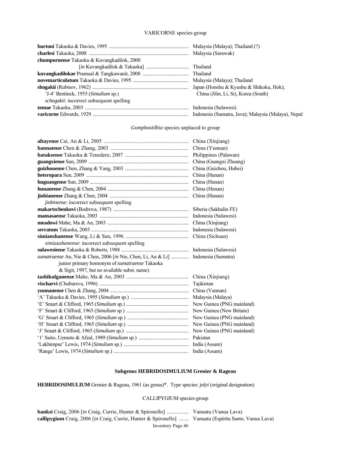#### VARICORNE species-group

| chumpornense Takaoka & Kuvangkadilok, 2000       |                                                     |
|--------------------------------------------------|-----------------------------------------------------|
|                                                  |                                                     |
|                                                  |                                                     |
|                                                  |                                                     |
|                                                  |                                                     |
| 'J-4' Bentinck, 1955 (Simulium sp.)              | China (Jilin, Li, Si), Korea (South)                |
| <i>schogakii</i> : incorrect subsequent spelling |                                                     |
|                                                  |                                                     |
|                                                  | Indonesia (Sumatra, Java); Malaysia (Malaya), Nepal |

#### *Gomphostilbia* species unplaced to group

|                                                                                   | China (Xinjiang)          |
|-----------------------------------------------------------------------------------|---------------------------|
|                                                                                   |                           |
|                                                                                   | Philippines (Palawan)     |
|                                                                                   | China (Guangxi Zhuang)    |
|                                                                                   | China (Guizhou, Hubei)    |
|                                                                                   | China (Hunan)             |
|                                                                                   | China (Hunan)             |
|                                                                                   | China (Hunan)             |
|                                                                                   | China (Hunan)             |
| <i>jinbinense</i> : incorrect subsequent spelling                                 |                           |
|                                                                                   | Siberia (Sakhalin FE)     |
|                                                                                   | Indonesia (Sulawesi)      |
|                                                                                   | China (Xinjiang)          |
|                                                                                   | Indonesia (Sulawesi)      |
|                                                                                   | China (Sichuan)           |
| simiaushanense: incorrect subsequent spelling                                     |                           |
|                                                                                   |                           |
| sumatraense An, Nie & Chen, 2006 [in Nie, Chen, Li, An & Li]  Indonesia (Sumatra) |                           |
| junior primary homonym of sumatraense Takaoka                                     |                           |
|                                                                                   |                           |
| & Sigit, 1997, but no available subst. name)                                      |                           |
|                                                                                   | China (Xinjiang)          |
|                                                                                   | Tajikistan                |
|                                                                                   | China (Yunnan)            |
|                                                                                   |                           |
|                                                                                   | New Guinea (PNG mainland) |
|                                                                                   | New Guinea (New Britain)  |
|                                                                                   | New Guinea (PNG mainland) |
|                                                                                   | New Guinea (PNG mainland) |
|                                                                                   |                           |
|                                                                                   |                           |
|                                                                                   |                           |

### **Subgenus HEBRIDOSIMULIUM Grenier & Rageau**

**HEBRIDOSIMULIUM** Grenier & Rageau, 1961 (as genus)\*. Type species: *jolyi* (original designation)

#### CALLIPYGIUM species-group

Inventory Page 46 **banksi** Craig, 2006 [*in* Craig, Currie, Hunter & Spironello] ................ Vanuatu (Vanua Lava) **callipygium** Craig, 2006 [*in* Craig, Currie, Hunter & Spironello] ....... Vanuatu (Espíritu Santo, Vanua Lava)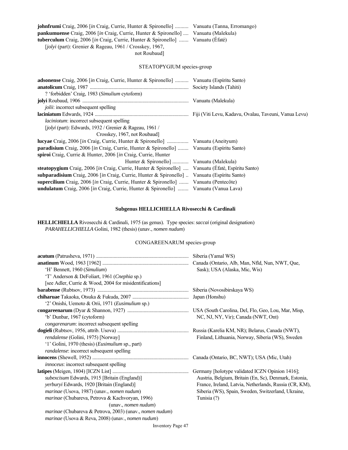| <b>johnfrumi</b> Craig, 2006 [in Craig, Currie, Hunter & Spironello]  Vanuatu (Tanna, Erromango)   |  |
|----------------------------------------------------------------------------------------------------|--|
| <b>pankumuense</b> Craig, 2006 [ <i>in</i> Craig, Currie, Hunter & Spironello]  Vanuatu (Malekula) |  |
| <b>tuberculum</b> Craig, 2006 [in Craig, Currie, Hunter & Spironello]  Vanuatu (Éfaté)             |  |
| <i>(iolyi (part): Grenier &amp; Rageau, 1961 / Crosskey, 1967,</i>                                 |  |

not Roubaud]

### STEATOPYGIUM species-group

| adsonense Craig, 2006 [in Craig, Currie, Hunter & Spironello]  Vanuatu (Espíritu Santo)           |  |
|---------------------------------------------------------------------------------------------------|--|
|                                                                                                   |  |
| ? 'forbidden' Craig, 1983 (Simulium cytoform)                                                     |  |
|                                                                                                   |  |
| <i>jolii</i> : incorrect subsequent spelling                                                      |  |
|                                                                                                   |  |
| <i>laciniotum</i> : incorrect subsequent spelling                                                 |  |
| $[jolyi$ (part): Edwards, 1932 / Grenier & Rageau, 1961 /                                         |  |
| Crosskey, 1967, not Roubaud]                                                                      |  |
|                                                                                                   |  |
| <b>paradisium</b> Craig, 2006 [in Craig, Currie, Hunter & Spironello]  Vanuatu (Espíritu Santo)   |  |
| spiroi Craig, Currie & Hunter, 2006 [in Craig, Currie, Hunter                                     |  |
| Hunter & Spironello]  Vanuatu (Malekula)                                                          |  |
| steatopygium Craig, 2006 [in Craig, Currie, Hunter & Spironello]  Vanuatu (Efaté, Espíritu Santo) |  |
| subparadisium Craig, 2006 [in Craig, Currie, Hunter & Spironello]  Vanuatu (Espíritu Santo)       |  |
| supercilium Craig, 2006 [in Craig, Currie, Hunter & Spironello]  Vanuatu (Pentecôte)              |  |
| undulatum Craig, 2006 [in Craig, Currie, Hunter & Spironello]  Vanuatu (Vanua Lava)               |  |

#### **Subgenus HELLICHIELLA Rivosecchi & Cardinali**

**HELLICHIELLA** Rivosecchi & Cardinali, 1975 (as genus). Type species: *saccai* (original designation) *PARAHELLICHIELLA* Golini, 1982 (thesis) (unav., *nomen nudum*)

### CONGAREENARUM species-group

|                                                                         | Siberia (Yamal WS)                                     |
|-------------------------------------------------------------------------|--------------------------------------------------------|
|                                                                         | Canada (Ontario, Alb, Man, Nfld, Nun, NWT, Que,        |
| 'H' Bennett, 1960 (Simulium)                                            | Sask); USA (Alaska, Mic, Wis)                          |
| 'T' Anderson & DeFoliart, 1961 (Cnephia sp.)                            |                                                        |
| [see Adler, Currie & Wood, 2004 for misidentifications]                 |                                                        |
|                                                                         |                                                        |
|                                                                         |                                                        |
| '2' Onishi, Uemoto & Orii, 1971 (Eusimulium sp.)                        |                                                        |
|                                                                         |                                                        |
| 'b' Dunbar, 1967 (cytoform)                                             | NC, NJ, NY, Vir); Canada (NWT, Ont)                    |
| congarenarum: incorrect subsequent spelling                             |                                                        |
|                                                                         |                                                        |
| rendalense (Golini, 1975) [Norway]                                      | Finland, Lithuania, Norway, Siberia (WS), Sweden       |
| '1' Golini, 1970 (thesis) ( <i>Eusimulium</i> sp., part)                |                                                        |
| randalense: incorrect subsequent spelling                               |                                                        |
|                                                                         | Canada (Ontario, BC, NWT); USA (Mic, Utah)             |
| <i>innoceus</i> : incorrect subsequent spelling                         |                                                        |
|                                                                         | Germany [holotype validated ICZN Opinion 1416];        |
| subexcisum Edwards, 1915 [Britain (England)]                            | Austria, Belgium, Britain (En, Sc), Denmark, Estonia,  |
| yerburyi Edwards, 1920 [Britain (England)]                              | France, Ireland, Latvia, Netherlands, Russia (CR, KM), |
| marinae (Usova, 1987) (unav., nomen nudum)                              | Siberia (WS), Spain, Sweden, Switzerland, Ukraine,     |
| marinae (Chubareva, Petrova & Kachvoryan, 1996)                         | Tunisia (?)                                            |
| (unav., nomen <sub>nudum</sub> )                                        |                                                        |
| <i>marinae</i> (Chubareva & Petrova, 2003) (unav., <i>nomen nudum</i> ) |                                                        |
| <i>marinae</i> (Usova & Reva, 2008) (unav., <i>nomen nudum</i> )        |                                                        |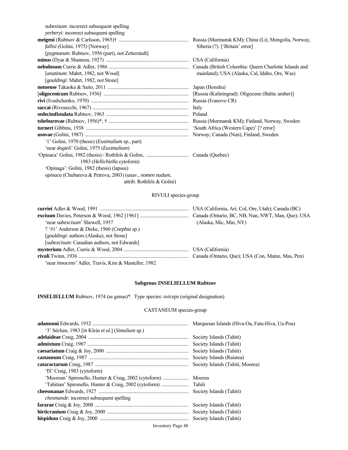| <i>subexisum:</i> incorrect subsequent spelling                         |                                                     |
|-------------------------------------------------------------------------|-----------------------------------------------------|
| <i>verberyi:</i> incorrect subsequent spelling                          |                                                     |
|                                                                         | Russia (Murmansk KM); China (Li), Mongolia, Norway, |
| <i>fallisi</i> (Golini, 1975) [Norway]                                  | Siberia (?). ['Britain' error]                      |
| [pygmaeum: Rubtsov, 1956 (part), not Zetterstedt]                       |                                                     |
|                                                                         |                                                     |
|                                                                         |                                                     |
| [ <i>anatinum</i> : Mahrt, 1982, not Wood]                              | mainland); USA (Alaska, Cal, Idaho, Ore, Was)       |
| [gouldingi: Mahrt, 1982, not Stone]                                     |                                                     |
|                                                                         |                                                     |
|                                                                         |                                                     |
|                                                                         |                                                     |
|                                                                         | Italy                                               |
|                                                                         |                                                     |
|                                                                         |                                                     |
|                                                                         | 'South Africa (Western Cape)' [? error]             |
|                                                                         |                                                     |
| '1' Golini, 1970 (thesis) (Eusimulium sp., part)                        |                                                     |
| 'near <i>dogieli'</i> Golini, 1975 (Eusimulium)                         |                                                     |
|                                                                         |                                                     |
| 1983 (Hellichiella cytoform)                                            |                                                     |
| 'Opinaga': Golini, 1982 (thesis) (lapsus)                               |                                                     |
| <i>opinaca</i> (Chubareva & Petrova, 2003) (unav., <i>nomen nudum</i> , |                                                     |
| attrib. Rothfels & Golini)                                              |                                                     |

# RIVULI species-group

| 'near subexcisum' Shewell, 1957                              | (Alaska, Mic, Min, NY) |
|--------------------------------------------------------------|------------------------|
| ? '#1' Anderson & Dicke, 1960 (Cnephia sp.)                  |                        |
| [gouldingi: authors (Alaska), not Stone]                     |                        |
| [subexcisum: Canadian authors, not Edwards]                  |                        |
|                                                              |                        |
|                                                              |                        |
| 'near <i>innocens</i> ' Adler, Travis, Kim & Masteller, 1982 |                        |

# **Subgenus INSELIELLUM Rubtsov**

**INSELIELLUM** Rubtsov, 1974 (as genus)\*. Type species: *oviceps* (original designation)

# CASTANEUM species-group

| '3' Séchan, 1983 [in Klein et al.] (Simulium sp.) | Marquesas Islands (Hiva-Oa, Fatu-Hiva, Ua-Pou) |
|---------------------------------------------------|------------------------------------------------|
|                                                   | Society Islands (Tahiti)                       |
|                                                   |                                                |
|                                                   |                                                |
|                                                   | Society Islands (Raiatea)                      |
|                                                   |                                                |
| 'IS' Craig, 1983 (cytoform)                       |                                                |
|                                                   | Moorea                                         |
|                                                   | Tahiti                                         |
|                                                   |                                                |
| <i>chesmande:</i> incorrect subsequent spelling   |                                                |
|                                                   |                                                |
|                                                   | Society Islands (Tahiti)                       |
|                                                   | Society Islands (Tahiti)                       |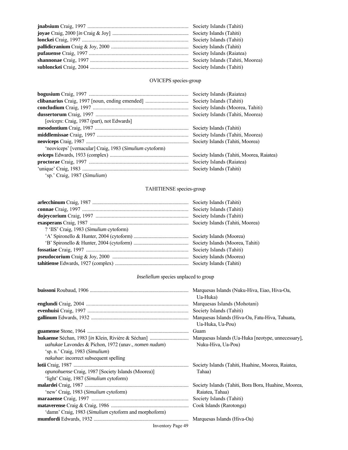# OVICEPS species-group

|                                                          | Society Islands (Raiatea)                 |
|----------------------------------------------------------|-------------------------------------------|
|                                                          | Society Islands (Tahiti)                  |
|                                                          | Society Islands (Moorea, Tahiti)          |
|                                                          | Society Islands (Tahiti, Moorea)          |
| [ <i>oviceps</i> : Craig, 1987 (part), not Edwards]      |                                           |
|                                                          | Society Islands (Tahiti)                  |
|                                                          | Society Islands (Tahiti, Moorea)          |
|                                                          | Society Islands (Tahiti, Moorea)          |
| 'neoviceps' [vernacular] Craig, 1983 (Simulium cytoform) |                                           |
|                                                          | Society Islands (Tahiti, Moorea, Raiatea) |
|                                                          |                                           |
|                                                          |                                           |
| 'sp.' Craig, 1987 (Simulium)                             |                                           |

# TAHITIENSE species-group

| ? 'IIS' Craig, 1983 (Simulium cytoform) |  |
|-----------------------------------------|--|
|                                         |  |
|                                         |  |
|                                         |  |
|                                         |  |
|                                         |  |

# *Inseliellum* species unplaced to group

|                                                                                                                                                          | Marquesas Islands (Nuku-Hiva, Eiao, Hiva-Oa,                        |
|----------------------------------------------------------------------------------------------------------------------------------------------------------|---------------------------------------------------------------------|
|                                                                                                                                                          | Ua-Huka)<br>Marquesas Islands (Mohotani)                            |
|                                                                                                                                                          | Society Islands (Tahiti)                                            |
|                                                                                                                                                          | Marquesas Islands (Hiva-Oa, Fatu-Hiva, Tahuata,<br>Ua-Huka, Ua-Pou) |
|                                                                                                                                                          | Guam                                                                |
| <i>uahukae</i> Lavondes & Pichon, 1972 (unav., <i>nomen nudum</i> )<br>'sp. n.' Craig, 1983 (Simulium)<br><i>nakuhae</i> : incorrect subsequent spelling | Nuku-Hiva, Ua-Pou)                                                  |
|                                                                                                                                                          | Society Islands (Tahiti, Huahine, Moorea, Raiatea,                  |
| <i>opunohuense</i> Craig, 1987 [Society Islands (Moorea)]                                                                                                | Tahaa)                                                              |
| 'light' Craig, 1987 (Simulium cytoform)                                                                                                                  |                                                                     |
|                                                                                                                                                          | Society Islands (Tahiti, Bora Bora, Huahine, Moorea,                |
| 'new' Craig, 1983 (Simulium cytoform)                                                                                                                    | Raiatea, Tahaa)                                                     |
|                                                                                                                                                          | Society Islands (Tahiti)                                            |
|                                                                                                                                                          |                                                                     |
| 'damn' Craig, 1983 (Simulium cytoform and morphoform)                                                                                                    |                                                                     |
|                                                                                                                                                          | Marquesas Islands (Hiva-Oa)                                         |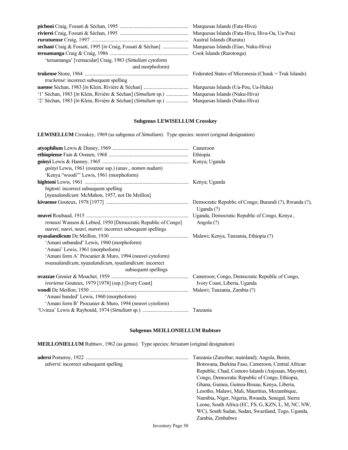|                                                                                             | Marquesas Islands (Fatu-Hiva, Hiva-Oa, Ua-Pou) |
|---------------------------------------------------------------------------------------------|------------------------------------------------|
|                                                                                             | Austral Islands (Rurutu)                       |
|                                                                                             | Marquesas Islands (Eiao, Nuku-Hiva)            |
|                                                                                             |                                                |
| 'teruamanga' [vernacular] Craig, 1983 (Simulium cytoform                                    |                                                |
| and morphoform)                                                                             |                                                |
|                                                                                             |                                                |
| <i>truckense</i> : incorrect subsequent spelling                                            |                                                |
|                                                                                             |                                                |
| '1' Séchan, 1983 [in Klein, Rivière & Séchan] (Simulium sp.)  Marquesas Islands (Nuku-Hiva) |                                                |
| '2' Séchan, 1983 [in Klein, Rivière & Séchan] (Simulium sp.)                                | Marquesas Islands (Nuku-Hiva)                  |

# **Subgenus LEWISELLUM Crosskey**

**LEWISELLUM** Crosskey, 1969 (as subgenus of *Simulium*). Type species: *neavei* (original designation)

| goinyi Lewis, 1961 (ovazzae ssp.) (unav., nomen nudum)       |                              |
|--------------------------------------------------------------|------------------------------|
| 'Kenya "woodi" Lewis, 1961 (morphoform)                      |                              |
|                                                              |                              |
| <i>higtoni</i> : incorrect subsequent spelling               |                              |
| [nyasalandicum: McMahon, 1957, not De Meillon]               |                              |
|                                                              | Uganda $(?)$                 |
|                                                              |                              |
| renauxi Wanson & Lebied, 1950 [Democratic Republic of Congo] | Angola (?)                   |
| naevei, naevi, neavi, noevei: incorrect subsequent spellings |                              |
|                                                              |                              |
| 'Amani unbanded' Lewis, 1960 (morphoform)                    |                              |
| 'Amani' Lewis, 1961 (morphoform)                             |                              |
| 'Amani form A' Procunier & Muro, 1994 (neavei cytoform)      |                              |
| nvassalandicum, nyazalandicum, nyazlandicum: incorrect       |                              |
| subsequent spellings                                         |                              |
|                                                              |                              |
| ivoriense Gouteux, 1979 [1978] (ssp.) [Ivory Coast]          | Ivory Coast, Liberia, Uganda |
|                                                              |                              |
| 'Amani banded' Lewis, 1960 (morphoform)                      |                              |
| 'Amani form B' Procunier & Muro, 1994 (neavei cytoform)      |                              |
|                                                              |                              |

### **Subgenus MEILLONIELLUM Rubtsov**

**MEILLONIELLUM** Rubtsov, 1962 (as genus). Type species: *hirsutum* (original designation)

|                                                | Tanzania (Zanzibar, mainland); Angola, Benin,      |
|------------------------------------------------|----------------------------------------------------|
| <i>adversi</i> : incorrect subsequent spelling | Botswana, Burkina Faso, Cameroon, Central African  |
|                                                | Republic, Chad, Comoro Islands (Anjouan, Mayotte), |
|                                                | Congo, Democratic Republic of Congo, Ethiopia,     |
|                                                | Ghana, Guinea, Guinea-Bissau, Kenya, Liberia,      |
|                                                | Lesotho, Malawi, Mali, Mauritius, Mozambique,      |
|                                                | Namibia, Niger, Nigeria, Rwanda, Senegal, Sierra   |
|                                                | Leone, South Africa (EC, FS, G, KZN, L, M, NC, NW, |
|                                                | WC), South Sudan, Sudan, Swaziland, Togo, Uganda,  |
|                                                | Zambia, Zimbabwe                                   |
|                                                |                                                    |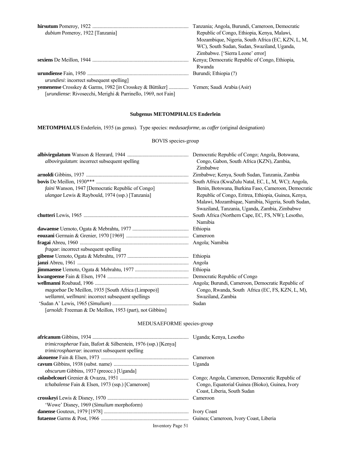|                                                                | Tanzania; Angola, Burundi, Cameroon, Democratic   |
|----------------------------------------------------------------|---------------------------------------------------|
| <i>dubium</i> Pomeroy, 1922 [Tanzania]                         | Republic of Congo, Ethiopia, Kenya, Malawi,       |
|                                                                | Mozambique, Nigeria, South Africa (EC, KZN, L, M, |
|                                                                | WC), South Sudan, Sudan, Swaziland, Uganda,       |
|                                                                | Zimbabwe. ['Sierra Leone' error]                  |
|                                                                | Kenya; Democratic Republic of Congo, Ethiopia,    |
|                                                                | Rwanda                                            |
|                                                                | Burundi: Ethiopia (?)                             |
| <i>urundiesi:</i> incorrect subsequent spelling                |                                                   |
|                                                                |                                                   |
| [urundiense: Rivosecchi, Merighi & Parrinello, 1969, not Fain] |                                                   |

### **Subgenus METOMPHALUS Enderlein**

**METOMPHALUS** Enderlein, 1935 (as genus). Type species: *medusaeforme*, as *caffer* (original designation)

### BOVIS species-group

|                                                    | Democratic Republic of Congo; Angola, Botswana,      |
|----------------------------------------------------|------------------------------------------------------|
| albovirgulatum: incorrect subsequent spelling      | Congo, Gabon, South Africa (KZN), Zambia,            |
|                                                    | Zimbabwe                                             |
|                                                    |                                                      |
|                                                    | Zimbabwe; Kenya, South Sudan, Tanzania, Zambia       |
|                                                    | South Africa (KwaZulu Natal, EC, L, M, WC); Angola,  |
| faini Wanson, 1947 [Democratic Republic of Congo]  | Benin, Botswana, Burkina Faso, Cameroon, Democratic  |
| ulangae Lewis & Raybould, 1974 (ssp.) [Tanzania]   | Republic of Congo, Eritrea, Ethiopia, Guinea, Kenya, |
|                                                    | Malawi, Mozambique, Namibia, Nigeria, South Sudan,   |
|                                                    | Swaziland, Tanzania, Uganda, Zambia, Zimbabwe        |
|                                                    | South Africa (Northern Cape, EC, FS, NW); Lesotho,   |
|                                                    | Namibia                                              |
|                                                    | Ethiopia                                             |
|                                                    | Cameroon                                             |
|                                                    |                                                      |
| fragae: incorrect subsequent spelling              |                                                      |
|                                                    |                                                      |
|                                                    |                                                      |
|                                                    |                                                      |
|                                                    |                                                      |
|                                                    | Angola; Burundi, Cameroon, Democratic Republic of    |
| magoebae De Meillon, 1935 [South Africa (Limpopo)] | Congo, Rwanda, South Africa (EC, FS, KZN, L, M),     |
| wellamni, wellmani: incorrect subsequent spellings | Swaziland, Zambia                                    |
|                                                    | Sudan                                                |
|                                                    |                                                      |

[*arnoldi*: Freeman & De Meillon, 1953 (part), not Gibbins]

# MEDUSAEFORME species-group

| <i>trimicrospherae</i> Fain, Bafort & Silberstein, 1976 (ssp.) [Kenya] |                                                 |
|------------------------------------------------------------------------|-------------------------------------------------|
| <i>trimicrosphaerae:</i> incorrect subsequent spelling                 |                                                 |
|                                                                        |                                                 |
|                                                                        |                                                 |
| <i>obscurum</i> Gibbins, 1937 (preocc.) [Uganda]                       |                                                 |
|                                                                        |                                                 |
| <i>tchabalense</i> Fain & Elsen, 1973 (ssp.) [Cameroon]                | Congo, Equatorial Guinea (Bioko), Guinea, Ivory |
|                                                                        | Coast, Liberia, South Sudan                     |
|                                                                        |                                                 |
| 'Wowe' Disney, 1969 (Simulium morphoform)                              |                                                 |
|                                                                        |                                                 |
|                                                                        |                                                 |
|                                                                        |                                                 |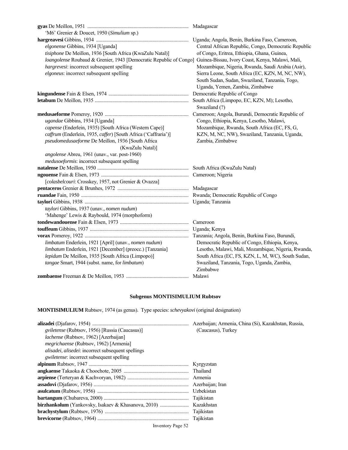| 'M6' Grenier & Doucet, 1950 (Simulium sp.)                                                                          |                                                      |
|---------------------------------------------------------------------------------------------------------------------|------------------------------------------------------|
|                                                                                                                     |                                                      |
| elgonense Gibbins, 1934 [Uganda]                                                                                    | Central African Republic, Congo, Democratic Republic |
| tisiphone De Meillon, 1936 [South Africa (KwaZulu Natal)]                                                           | of Congo, Eritrea, Ethiopia, Ghana, Guinea,          |
| loangolense Roubaud & Grenier, 1943 [Democratic Republic of Congo] Guinea-Bissau, Ivory Coast, Kenya, Malawi, Mali, |                                                      |
| hargrevesi: incorrect subsequent spelling                                                                           | Mozambique, Nigeria, Rwanda, Saudi Arabia (Asir),    |
| elgoneus: incorrect subsequent spelling                                                                             | Sierra Leone, South Africa (EC, KZN, M, NC, NW),     |
|                                                                                                                     | South Sudan, Sudan, Swaziland, Tanzania, Togo,       |
|                                                                                                                     | Uganda, Yemen, Zambia, Zimbabwe                      |
|                                                                                                                     |                                                      |
|                                                                                                                     |                                                      |
|                                                                                                                     | Swaziland (?)                                        |
|                                                                                                                     | Cameroon; Angola, Burundi, Democratic Republic of    |
| ugandae Gibbins, 1934 [Uganda]                                                                                      | Congo, Ethiopia, Kenya, Lesotho, Malawi,             |
| capense (Enderlein, 1935) [South Africa (Western Cape)]                                                             | Mozambique, Rwanda, South Africa (EC, FS, G,         |
| caffrum (Enderlein, 1935, caffer) [South Africa ('Caffraria')]                                                      | KZN, M, NC, NW), Swaziland, Tanzania, Uganda,        |
| pseudomedusaeforme De Meillon, 1936 [South Africa                                                                   | Zambia, Zimbabwe                                     |
| (KwaZulu Natal)]                                                                                                    |                                                      |
| angolense Abreu, 1961 (unav., var. post-1960)                                                                       |                                                      |
| medusoeformis: incorrect subsequent spelling                                                                        |                                                      |
|                                                                                                                     |                                                      |
|                                                                                                                     |                                                      |
| [colasbelcouri: Crosskey, 1957, not Grenier & Ovazza]                                                               |                                                      |
|                                                                                                                     |                                                      |
|                                                                                                                     |                                                      |
|                                                                                                                     |                                                      |
| taylori Gibbins, 1937 (unav., nomen nudum)                                                                          |                                                      |
| 'Mahenge' Lewis & Raybould, 1974 (morphoform)                                                                       |                                                      |
|                                                                                                                     | Cameroon                                             |
|                                                                                                                     | Uganda; Kenya                                        |
|                                                                                                                     |                                                      |
| limbatum Enderlein, 1921 [April] (unav., nomen nudum)                                                               | Democratic Republic of Congo, Ethiopia, Kenya,       |
| limbatum Enderlein, 1921 [December] (preocc.) [Tanzania]                                                            | Lesotho, Malawi, Mali, Mozambique, Nigeria, Rwanda,  |
| lepidum De Meillon, 1935 [South Africa (Limpopo)]                                                                   | South Africa (EC, FS, KZN, L, M, WC), South Sudan,   |
| tangae Smart, 1944 (subst. name, for limbatum)                                                                      | Swaziland, Tanzania, Togo, Uganda, Zambia,           |
|                                                                                                                     | Zimbabwe                                             |
|                                                                                                                     |                                                      |

# **Subgenus MONTISIMULIUM Rubtsov**

**MONTISIMULIUM** Rubtsov, 1974 (as genus). Type species: *schevyakovi* (original designation)

| <i>gviletense</i> (Rubtsov, 1956) [Russia (Caucasus)]     | (Caucasus), Turkey |
|-----------------------------------------------------------|--------------------|
| <i>lachense</i> (Rubtsov, 1962) [Azerbaijan]              |                    |
| <i>megrichaense</i> (Rubtsov, 1962) [Armenia]             |                    |
| <i>alisadei, alisedei:</i> incorrect subsequent spellings |                    |
| <i>gwiletense</i> : incorrect subsequent spelling         |                    |
|                                                           |                    |
|                                                           |                    |
|                                                           |                    |
|                                                           |                    |
|                                                           |                    |
|                                                           | Tajikistan         |
|                                                           | Kazakhstan         |
|                                                           | Tajikistan         |
|                                                           |                    |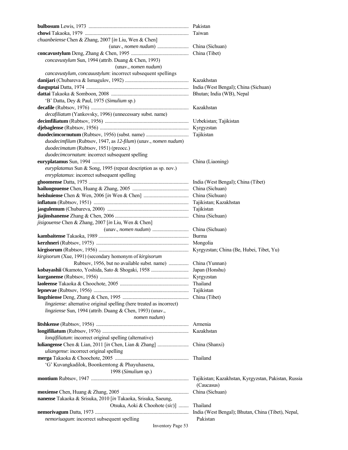| chuanbeiense Chen & Zhang, 2007 [in Liu, Wen & Chen]                  |                                                      |
|-----------------------------------------------------------------------|------------------------------------------------------|
|                                                                       |                                                      |
|                                                                       |                                                      |
| concavustylum Sun, 1994 (attrib. Duang & Chen, 1993)                  |                                                      |
| (unav., nomen nudum)                                                  |                                                      |
| cancavustylum, concauustylum: incorrect subsequent spellings          |                                                      |
|                                                                       |                                                      |
|                                                                       |                                                      |
|                                                                       |                                                      |
|                                                                       |                                                      |
| 'B' Datta, Dey & Paul, 1975 (Simulium sp.)                            |                                                      |
|                                                                       |                                                      |
| decafiliatum (Yankovsky, 1996) (unnecessary subst. name)              |                                                      |
|                                                                       |                                                      |
|                                                                       |                                                      |
|                                                                       |                                                      |
| duodecimfilum (Rubtsov, 1947, as 12-filum) (unav., nomen nudum)       |                                                      |
| duodecimatum (Rubtsov, 1951) (preocc.)                                |                                                      |
| duodecimcornatum: incorrect subsequent spelling                       |                                                      |
|                                                                       |                                                      |
| euryplatamus Sun & Song, 1995 (repeat description as sp. nov.)        |                                                      |
| enryplatamus: incorrect subsequent spelling                           |                                                      |
|                                                                       |                                                      |
|                                                                       |                                                      |
|                                                                       |                                                      |
|                                                                       |                                                      |
|                                                                       |                                                      |
|                                                                       |                                                      |
|                                                                       |                                                      |
| jisigouense Chen & Zhang, 2007 [in Liu, Wen & Chen]                   |                                                      |
|                                                                       |                                                      |
|                                                                       |                                                      |
|                                                                       |                                                      |
|                                                                       |                                                      |
| kirgisorum (Xue, 1991) (secondary homonym of kirgisorum               |                                                      |
|                                                                       |                                                      |
|                                                                       |                                                      |
|                                                                       |                                                      |
|                                                                       | Thailand                                             |
|                                                                       | Tajikistan                                           |
|                                                                       | China (Tibet)                                        |
| lingziense: alternative original spelling (here treated as incorrect) |                                                      |
| lingziense Sun, 1994 (attrib. Duang & Chen, 1993) (unav.,             |                                                      |
| nomen nudum)                                                          |                                                      |
|                                                                       | Armenia                                              |
|                                                                       | Kazakhstan                                           |
| lonqifiliatum: incorrect original spelling (alternative)              |                                                      |
|                                                                       |                                                      |
|                                                                       | China (Shanxi)                                       |
| uliangense: incorrect original spelling                               |                                                      |
|                                                                       | Thailand                                             |
| 'G' Kuvangkadilok, Boonkemtong & Phayuhasena,                         |                                                      |
| 1998 (Simulium sp.)                                                   |                                                      |
|                                                                       | Tajikistan; Kazakhstan, Kyrgyzstan, Pakistan, Russia |
|                                                                       | (Caucasus)                                           |
|                                                                       | China (Sichuan)                                      |
| nanense Takaoka & Srisuka, 2010 [in Takaoka, Srisuka, Saeung,         |                                                      |
| Otsuka, Aoki & Choohote (sic)]                                        | Thailand                                             |
|                                                                       | India (West Bengal); Bhutan, China (Tibet), Nepal,   |
| nemoriuagum: incorrect subsequent spelling                            | Pakistan                                             |
| Inventory Page 53                                                     |                                                      |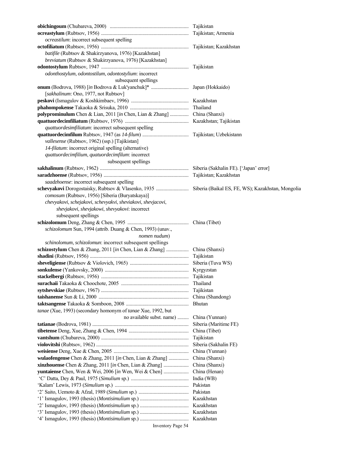| ocreastilum: incorrect subsequent spelling                               |                       |
|--------------------------------------------------------------------------|-----------------------|
|                                                                          |                       |
| batifile (Rubtsov & Shakirzyanova, 1976) [Kazakhstan]                    |                       |
| breviatum (Rubtsov & Shakirzyanova, 1976) [Kazakhstan]                   |                       |
|                                                                          |                       |
| odonthostylum, odontostilum, odontostylium: incorrect                    |                       |
| subsequent spellings                                                     |                       |
|                                                                          |                       |
| [sakhalinum: Ono, 1977, not Rubtsov]                                     |                       |
|                                                                          |                       |
|                                                                          |                       |
|                                                                          | Thailand              |
| polyprominulum Chen & Lian, 2011 [in Chen, Lian & Zhang]  China (Shanxi) |                       |
|                                                                          |                       |
| quattuordesimfiliatum: incorrect subsequent spelling                     |                       |
|                                                                          |                       |
| vallesense (Rubtsov, 1962) (ssp.) [Tajikistan]                           |                       |
| 14-filatum: incorrect original spelling (alternative)                    |                       |
| quattuordecimfilium, quatuordecimfilum: incorrect                        |                       |
| subsequent spellings                                                     |                       |
|                                                                          |                       |
|                                                                          |                       |
| saadzhoense: incorrect subsequent spelling                               |                       |
|                                                                          |                       |
| comosum (Rubtsov, 1956) [Siberia (Buryatskaya)]                          |                       |
| chevyakovi, schejakovi, schevyakvi, sheviakovi, shevjacovi,              |                       |
| shevjakovi, shevjakowi, shevyakovi: incorrect                            |                       |
| subsequent spellings                                                     |                       |
|                                                                          |                       |
|                                                                          |                       |
| schizolomum Sun, 1994 (attrib. Duang & Chen, 1993) (unav.,               |                       |
| nomen nudum)                                                             |                       |
| schinolomum, schizolomun: incorrect subsequent spellings                 |                       |
|                                                                          |                       |
|                                                                          | Tajikistan            |
|                                                                          |                       |
|                                                                          |                       |
|                                                                          |                       |
|                                                                          | Thailand              |
|                                                                          | Tajikistan            |
|                                                                          | China (Shandong)      |
|                                                                          | <b>Bhutan</b>         |
| tanae (Xue, 1993) (secondary homonym of tanae Xue, 1992, but             |                       |
| no available subst. name)                                                | China (Yunnan)        |
|                                                                          | Siberia (Maritime FE) |
|                                                                          | China (Tibet)         |
|                                                                          | Tajikistan            |
|                                                                          | Siberia (Sakhalin FE) |
|                                                                          | China (Yunnan)        |
| wulaofengense Chen & Zhang, 2011 [in Chen, Lian & Zhang]                 | China (Shanxi)        |
|                                                                          |                       |
|                                                                          | China (Shanxi)        |
|                                                                          | China (Henan)         |
|                                                                          | India (WB)            |
|                                                                          | Pakistan              |
|                                                                          | Pakistan              |
|                                                                          | Kazakhstan            |
|                                                                          |                       |
|                                                                          |                       |
|                                                                          |                       |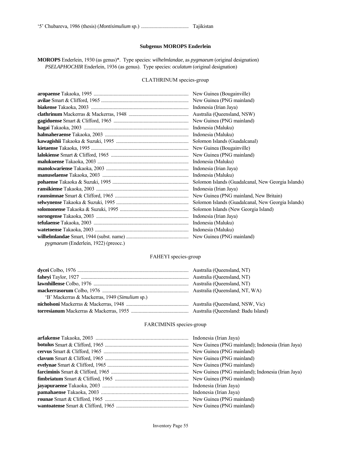#### **Subgenus MOROPS Enderlein**

**MOROPS** Enderlein, 1930 (as genus)\*. Type species: *wilhelmlandae*, as *pygmaeum* (original designation)  *PSELAPHOCHIR* Enderlein, 1936 (as genus). Type species: *oculatum* (original designation)

#### CLATHRINUM species-group

| Indonesia (Maluku)                                 |  |
|----------------------------------------------------|--|
|                                                    |  |
|                                                    |  |
|                                                    |  |
|                                                    |  |
|                                                    |  |
|                                                    |  |
|                                                    |  |
|                                                    |  |
|                                                    |  |
| Solomon Islands (Guadalcanal, New Georgia Islands) |  |
|                                                    |  |
|                                                    |  |
|                                                    |  |
|                                                    |  |
|                                                    |  |
|                                                    |  |
|                                                    |  |

### FAHEYI species-group

| 'B' Mackerras & Mackerras, 1949 (Simulium sp.) |  |
|------------------------------------------------|--|
|                                                |  |
|                                                |  |

### FARCIMINIS species-group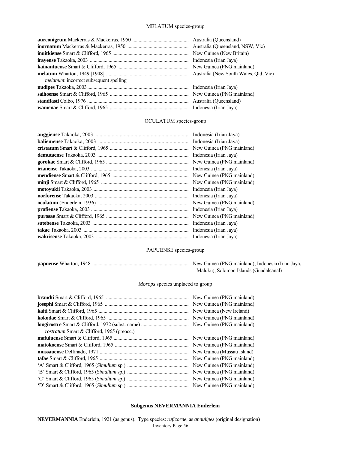### MELATUM species-group

|                                                | New Guinea (New Britain) |
|------------------------------------------------|--------------------------|
|                                                | Indonesia (Irian Jaya)   |
|                                                |                          |
|                                                |                          |
| <i>melanum</i> : incorrect subsequent spelling |                          |
|                                                |                          |
|                                                |                          |
|                                                |                          |
|                                                |                          |

### OCULATUM species-group

| Indonesia (Irian Jaya)    |
|---------------------------|
| Indonesia (Irian Jaya)    |
| New Guinea (PNG mainland) |
| Indonesia (Irian Jaya)    |
| New Guinea (PNG mainland) |
| Indonesia (Irian Jaya)    |
| New Guinea (PNG mainland) |
| New Guinea (PNG mainland) |
| Indonesia (Irian Jaya)    |
| Indonesia (Irian Jaya)    |
| New Guinea (PNG mainland) |
| Indonesia (Irian Jaya)    |
| New Guinea (PNG mainland) |
| Indonesia (Irian Jaya)    |
| Indonesia (Irian Jaya)    |
| Indonesia (Irian Jaya)    |

### PAPUENSE species-group

| Maluku), Solomon Islands (Guadalcanal) |
|----------------------------------------|

### *Morops* species unplaced to group

| <i>rostratum</i> Smart & Clifford, 1965 (preocc.) | New Guinea (PNG mainland)<br>New Guinea (PNG mainland)<br>New Guinea (New Ireland)<br>New Guinea (PNG mainland)<br>New Guinea (PNG mainland) |
|---------------------------------------------------|----------------------------------------------------------------------------------------------------------------------------------------------|
|                                                   | New Guinea (PNG mainland)                                                                                                                    |
|                                                   | New Guinea (PNG mainland)                                                                                                                    |
|                                                   | New Guinea (Mussau Island)                                                                                                                   |
|                                                   | New Guinea (PNG mainland)                                                                                                                    |
|                                                   | New Guinea (PNG mainland)                                                                                                                    |
|                                                   | New Guinea (PNG mainland)                                                                                                                    |
|                                                   | New Guinea (PNG mainland)                                                                                                                    |
|                                                   | New Guinea (PNG mainland)                                                                                                                    |

#### **Subgenus NEVERMANNIA Enderlein**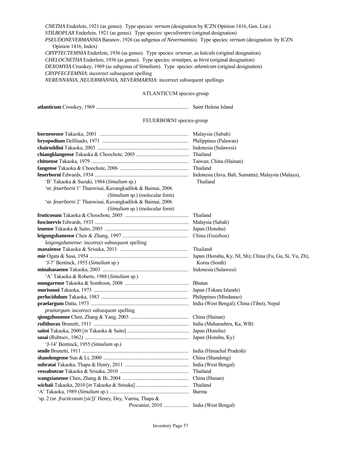*CNETHA* Enderlein, 1921 (as genus). Type species: *vernum* (designation by ICZN Opinion 1416, Gen. List.)  *STILBOPLAX* Enderlein, 1921 (as genus). Type species: *speculiventre* (original designation)  *PSEUDONEVERMANNIA* Baranov, 1926 (as subgenus of *Nevermannia*). Type species: *vernum* (designation by ICZN Opinion 1416, Index)  *CRYPTECTEMNIA* Enderlein, 1936 (as genus). Type species: *orsovae*, as *laticalx* (original designation)  *CHELOCNETHA* Enderlein, 1936 (as genus). Type species: *ornatipes*, as *biroi* (original designation)  *DEXOMYIA* Crosskey, 1969 (as subgenus of *Simulium*). Type species: *atlanticum* (original designation) *CRYPFECFEMNIA*: incorrect subsequent spelling *NERENNANIA*, *NEUERMANNIA*, *NEVERMARNIA*: incorrect subsequent spellings ATLANTICUM species-group **atlanticum** Crosskey, 1969 .......................................................................... Saint Helena Island FEUERBORNI species-group **borneoense** Takaoka, 2001 .................................................................. Malaysia (Sabah) **bryopodium** Delfinado, 1971 ..................................................................... Philippines (Palawan) **chairuddini** Takaoka, 2003 ......................................................................... Indonesia (Sulawesi) **chiangklangense** Takaoka & Choochote, 2005 .......................................... Thailand **chitoense** Takaoka, 1979 .............................................................................. Taiwan; China (Hainan) **fangense** Takaoka & Choochote, 2006 ....................................................... Thailand **feuerborni** Edwards, 1934 ........................................................................... Indonesia (Java, Bali, Sumatra); Malaysia (Malaya), 'B' Takaoka & Suzuki, 1984 (*Simulium* sp.) Thailand 'nr. *feuerborni* 1' Thanwisai, Kuvangkadilok & Baimai, 2006 (*Simulium* sp.) (molecular form) 'nr. *feuerborni* 2' Thanwisai, Kuvangkadilok & Baimai, 2006 (*Simulium* sp.) (molecular form) **fruticosum** Takaoka & Choochote, 2005 ................................................... Thailand **fuscinervis** Edwards, 1933 ........................................................................... Malaysia (Sabah) **izuense** Takaoka & Saito, 2005 ................................................................... Japan (Honshu) **leigongshanense** Chen & Zhang, 1997 ................................................. China (Guizhou) *laigongshanense*: incorrect subsequent spelling **maeaiense** Takaoka & Srisuka, 2011 ................................................... Thailand **mie** Ogata & Sasa, 1954 ............................................................................... Japan (Honshu, Ky, NI, Sh); China (Fu, Gu, Si, Yu, Zh), 'J-7' Bentinck, 1955 (*Simulium* sp.) Korea (South) **minahasaense** Takaoka, 2003 ..................................................................... Indonesia (Sulawesi) 'A' Takaoka & Roberts, 1988 (*Simulium* sp.) **mongarense** Takaoka & Somboon, 2008 ................................................... Bhutan **morisonoi** Takaoka, 1973 ............................................................................ Japan (Tokara Islands) **perlucidulum** Takaoka, 1983 ...................................................................... Philippines (Mindanao) **praelargum** Datta, 1973 .............................................................................. India (West Bengal); China (Tibet), Nepal *praetargum*: incorrect subsequent spelling **qiongzhouense** Chen, Zhang & Yang, 2003 ............................................... China (Hainan) **rufithorax** Brunetti, 1911 ............................................................................ India (Maharashtra, Ka, WB) **saitoi** Takaoka, 2000 [*in* Takaoka & Saito] ................................................. Japan (Honshu) **sasai** (Rubtsov, 1962) ................................................................................... Japan (Honshu, Ky) 'J-14' Bentinck, 1955 (*Simulium* sp.) **senile** Brunetti, 1911 ..................................................................................... India (Himachal Pradesh) **shandongense** Sun & Li, 2000 .................................................................... China (Shandong) **subratai** Takaoka, Thapa & Henry, 2011 ................................................... India (West Bengal) **vessabutrae** Takaoka & Srisuka, 2010 ....................................................... Thailand **wangxianense** Chen, Zhang & Bi, 2004 ..................................................... China (Hunan) **wichaii** Takaoka, 2010 [*in* Takaoka & Srisuka] .......................................... Thailand 'A' Takaoka, 1989 (*Simulium* sp.) ............................................................... Burma 'sp. 2 (nr. *fructicosum* [*sic*])' Henry, Dey, Varma, Thapa & Procunier, 2010 .................... India (West Bengal)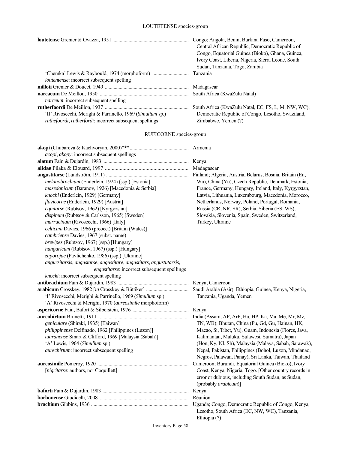# LOUTETENSE species-group

|                                                                 | Congo; Angola, Benin, Burkina Faso, Cameroon,<br>Central African Republic, Democratic Republic of<br>Congo, Equatorial Guinea (Bioko), Ghana, Guinea, |
|-----------------------------------------------------------------|-------------------------------------------------------------------------------------------------------------------------------------------------------|
|                                                                 | Ivory Coast, Liberia, Nigeria, Sierra Leone, South                                                                                                    |
|                                                                 | Sudan, Tanzania, Togo, Zambia                                                                                                                         |
| <i>loutentense</i> : incorrect subsequent spelling              | Tanzania                                                                                                                                              |
|                                                                 | Madagascar                                                                                                                                            |
|                                                                 | South Africa (KwaZulu Natal)                                                                                                                          |
| <i>narceum</i> : incorrect subsequent spelling                  |                                                                                                                                                       |
|                                                                 | South Africa (KwaZulu Natal, EC, FS, L, M, NW, WC);                                                                                                   |
| 'II' Rivosecchi, Merighi & Parrinello, 1969 (Simulium sp.)      | Democratic Republic of Congo, Lesotho, Swaziland,                                                                                                     |
| <i>ruthefoordi, rutherfordi;</i> incorrect subsequent spellings | Zimbabwe, Yemen (?)                                                                                                                                   |

## RUFICORNE species-group

| <i>acopi</i> , <i>akopy</i> : incorrect subsequent spellings        |                                                                                                                                      |
|---------------------------------------------------------------------|--------------------------------------------------------------------------------------------------------------------------------------|
|                                                                     |                                                                                                                                      |
|                                                                     |                                                                                                                                      |
|                                                                     |                                                                                                                                      |
| melanobrachium (Enderlein, 1924) (ssp.) [Estonia]                   | Wa), China (Yu), Czech Republic, Denmark, Estonia,                                                                                   |
| mazedonicum (Baranov, 1926) [Macedonia & Serbia]                    | France, Germany, Hungary, Ireland, Italy, Kyrgyzstan,                                                                                |
| knochi (Enderlein, 1929) [Germany]                                  | Latvia, Lithuania, Luxembourg, Macedonia, Morocco,                                                                                   |
| flavicorne (Enderlein, 1929) [Austria]                              | Netherlands, Norway, Poland, Portugal, Romania,                                                                                      |
| equitarse (Rubtsov, 1962) [Kyrgyzstan]                              | Russia (CR, NR, SR), Serbia, Siberia (ES, WS),                                                                                       |
| dispinum (Rubtsov & Carlsson, 1965) [Sweden]                        | Slovakia, Slovenia, Spain, Sweden, Switzerland,                                                                                      |
| marrucinum (Rivosecchi, 1966) [Italy]                               | Turkey, Ukraine                                                                                                                      |
| celticum Davies, 1966 (preocc.) [Britain (Wales)]                   |                                                                                                                                      |
| cambriense Davies, 1967 (subst. name)                               |                                                                                                                                      |
| brevipes (Rubtsov, 1967) (ssp.) [Hungary]                           |                                                                                                                                      |
| hungaricum (Rubtsov, 1967) (ssp.) [Hungary]                         |                                                                                                                                      |
| zaporojae (Pavlichenko, 1986) (ssp.) [Ukraine]                      |                                                                                                                                      |
| angursitarsis, angustarse, angustitare, angustitars, angustutarsis, |                                                                                                                                      |
| engustitarse: incorrect subsequent spellings                        |                                                                                                                                      |
| knocki: incorrect subsequent spelling                               |                                                                                                                                      |
|                                                                     |                                                                                                                                      |
|                                                                     | Saudi Arabia (Asir); Ethiopia, Guinea, Kenya, Nigeria,                                                                               |
| 'I' Rivosecchi, Merighi & Parrinello, 1969 (Simulium sp.)           | Tanzania, Uganda, Yemen                                                                                                              |
| 'A' Rivosecchi & Merighi, 1970 (aureosimile morphoform)             |                                                                                                                                      |
|                                                                     |                                                                                                                                      |
|                                                                     |                                                                                                                                      |
| geniculare (Shiraki, 1935) [Taiwan]                                 | TN, WB); Bhutan, China (Fu, Gd, Gu, Hainan, HK,                                                                                      |
| philippinense Delfinado, 1962 [Philippines (Luzon)]                 | Macao, Si, Tibet, Yu), Guam, Indonesia (Flores, Java,                                                                                |
| tuaranense Smart & Clifford, 1969 [Malaysia (Sabah)]                | Kalimantan, Maluku, Sulawesi, Sumatra), Japan                                                                                        |
| 'A' Lewis, 1964 (Simulium sp.)                                      | (Hon, Ky, NI, Sh), Malaysia (Malaya, Sabah, Sarawak),                                                                                |
| <i>aurechirtum</i> : incorrect subsequent spelling                  | Nepal, Pakistan, Philippines (Bohol, Luzon, Mindanao,                                                                                |
|                                                                     | Negros, Palawan, Panay), Sri Lanka, Taiwan, Thailand                                                                                 |
|                                                                     | Cameroon; Burundi, Equatorial Guinea (Bioko), Ivory                                                                                  |
| [nigritarse: authors, not Coquillett]                               | Coast, Kenya, Nigeria, Togo. [Other country records in<br>error or dubious, including South Sudan, as Sudan,<br>(probably arabicum)] |
|                                                                     |                                                                                                                                      |
|                                                                     |                                                                                                                                      |
|                                                                     | Lesotho, South Africa (EC, NW, WC), Tanzania,<br>Ethiopia (?)                                                                        |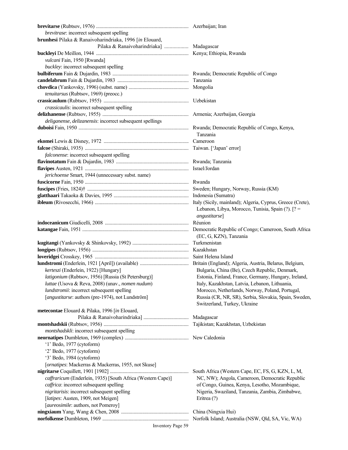| brevitrase: incorrect subsequent spelling                   |                                                                                       |
|-------------------------------------------------------------|---------------------------------------------------------------------------------------|
| brunhesi Pilaka & Ranaivoharindriaka, 1996 [in Elouard,     |                                                                                       |
|                                                             |                                                                                       |
|                                                             |                                                                                       |
| vulcani Fain, 1950 [Rwanda]                                 |                                                                                       |
| buckley: incorrect subsequent spelling                      |                                                                                       |
|                                                             |                                                                                       |
|                                                             |                                                                                       |
|                                                             |                                                                                       |
|                                                             |                                                                                       |
| tenuitarsus (Rubtsov, 1969) (preocc.)                       |                                                                                       |
|                                                             |                                                                                       |
| crassicaulis: incorrect subsequent spelling                 |                                                                                       |
|                                                             |                                                                                       |
| deliganense, delizanensis: incorrect subsequent spellings   |                                                                                       |
|                                                             | Tanzania                                                                              |
|                                                             |                                                                                       |
|                                                             |                                                                                       |
| falconense: incorrect subsequent spelling                   |                                                                                       |
|                                                             |                                                                                       |
|                                                             |                                                                                       |
| jerichoense Smart, 1944 (unnecessary subst. name)           |                                                                                       |
|                                                             |                                                                                       |
|                                                             |                                                                                       |
|                                                             |                                                                                       |
|                                                             |                                                                                       |
|                                                             | Lebanon, Libya, Morocco, Tunisia, Spain (?). [? =<br>angustitarse]                    |
|                                                             |                                                                                       |
|                                                             | (EC, G, KZN), Tanzania                                                                |
|                                                             |                                                                                       |
|                                                             |                                                                                       |
|                                                             |                                                                                       |
|                                                             |                                                                                       |
|                                                             |                                                                                       |
| kerteszi (Enderlein, 1922) [Hungary]                        | Bulgaria, China (Be), Czech Republic, Denmark,                                        |
| latigonium (Rubtsov, 1956) [Russia (St Petersburg)]         | Estonia, Finland, France, Germany, Hungary, Ireland,                                  |
| luttae (Usova & Reva, 2008) (unav., nomen nudum)            | Italy, Kazakhstan, Latvia, Lebanon, Lithuania,                                        |
| lundstromii: incorrect subsequent spelling                  | Morocco, Netherlands, Norway, Poland, Portugal,                                       |
| [angustitarse: authors (pre-1974), not Lundström]           | Russia (CR, NR, SR), Serbia, Slovakia, Spain, Sweden,<br>Switzerland, Turkey, Ukraine |
| metecontae Elouard & Pilaka, 1996 [in Elouard,              |                                                                                       |
|                                                             | Madagascar                                                                            |
|                                                             | Tajikistan; Kazakhstan, Uzbekistan                                                    |
| montshadskli: incorrect subsequent spelling                 |                                                                                       |
|                                                             |                                                                                       |
| $'1'$ Bedo, 1977 (cytoform)                                 |                                                                                       |
| '2' Bedo, 1977 (cytoform)                                   |                                                                                       |
| '3' Bedo, 1984 (cytoform)                                   |                                                                                       |
| [ornatipes: Mackerras & Mackerras, 1955, not Skuse]         |                                                                                       |
|                                                             | South Africa (Western Cape, EC, FS, G, KZN, L, M,                                     |
| caffraricum (Enderlein, 1935) [South Africa (Western Cape)] | NC, NW); Angola, Cameroon, Democratic Republic                                        |
| caffrica: incorrect subsequent spelling                     | of Congo, Guinea, Kenya, Lesotho, Mozambique,                                         |
| nigritarisis: incorrect subsequent spelling                 | Nigeria, Swaziland, Tanzania, Zambia, Zimbabwe,                                       |
|                                                             |                                                                                       |
| [latipes: Austen, 1909, not Meigen]                         | Eritrea (?)                                                                           |
| [aureosimile: authors, not Pomeroy]                         |                                                                                       |
|                                                             | China (Ningxia Hui)                                                                   |
|                                                             | Norfolk Island; Australia (NSW, Qld, SA, Vic, WA)                                     |
| Inventory Page 59                                           |                                                                                       |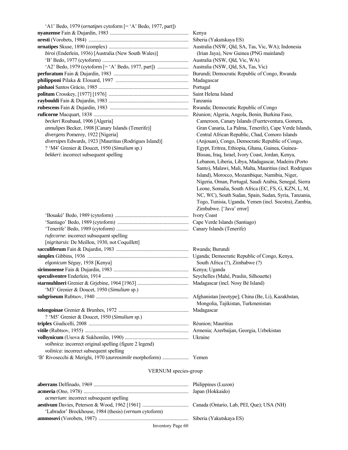| 'A1' Bedo, 1979 (ornatipes cytoform [= 'A' Bedo, 1977, part]) |                                 |
|---------------------------------------------------------------|---------------------------------|
|                                                               |                                 |
|                                                               |                                 |
|                                                               |                                 |
| biroi (Enderlein, 1936) [Australia (New South Wales)]         | (Irian Jaya), New Guinea (PN    |
|                                                               |                                 |
|                                                               | Australia (NSW, Qld, SA, Tas,   |
|                                                               | Burundi; Democratic Republic    |
|                                                               | Madagascar                      |
|                                                               | Portugal                        |
|                                                               | Saint Helena Island             |
|                                                               | Tanzania                        |
|                                                               | Rwanda; Democratic Republic     |
|                                                               | Réunion; Algeria, Angola, Ben   |
| beckeri Roubaud, 1906 [Algeria]                               | Cameroon, Canary Islands (F     |
| annulipes Becker, 1908 [Canary Islands (Tenerife)]            | Gran Canaria, La Palma, Ten     |
| divergens Pomeroy, 1922 [Nigeria]                             | Central African Republic, Ch    |
| diversipes Edwards, 1923 [Mauritius (Rodrigues Island)]       | (Anjouan), Congo, Democrat      |
| ? 'M4' Grenier & Doucet, 1950 (Simulium sp.)                  | Egypt, Eritrea, Ethiopia, Ghai  |
| bekkeri: incorrect subsequent spelling                        | Bissau, Iraq, Israel, Ivory Coa |
|                                                               |                                 |
|                                                               | Lebanon, Liberia, Libya, Mao    |
|                                                               | Santo), Malawi, Mali, Malta,    |
|                                                               | Island), Morocco, Mozambiq      |
|                                                               | Nigeria, Oman, Portugal, Sau    |
|                                                               | Leone, Somalia, South Africa    |
|                                                               | NC, WC), South Sudan, Spai      |
|                                                               | Togo, Tunisia, Uganda, Yem      |
|                                                               | Zimbabwe. ['Java' error]        |
|                                                               | <b>Ivory Coast</b>              |
|                                                               |                                 |
|                                                               |                                 |
| rufecorne: incorrect subsequent spelling                      |                                 |
| [nigritarsis: De Meillon, 1930, not Coquillett]               |                                 |
|                                                               |                                 |
|                                                               |                                 |
| elgonicum Séguy, 1938 [Kenya]                                 | South Africa (?), Zimbabwe (    |
|                                                               |                                 |
|                                                               |                                 |
|                                                               |                                 |
| 'M3' Grenier & Doucet, 1950 (Simulium sp.)                    |                                 |
|                                                               |                                 |
|                                                               | Mongolia, Tajikistan, Turkmo    |
|                                                               | Madagascar                      |
| ? 'M5' Grenier & Doucet, 1950 (Simulium sp.)                  |                                 |
|                                                               | Réunion; Mauritius              |
|                                                               |                                 |
|                                                               |                                 |
| volhnica: incorrect original spelling (figure 2 legend)       |                                 |
| volinica: incorrect subsequent spelling                       |                                 |
|                                                               |                                 |
|                                                               |                                 |
| VED MIJM species group                                        |                                 |

ld, SA, Tas, Vic, WA); Indonesia **Guinea (PNG mainland)**  $ld,$  Vic, WA) ld, SA, Tas, Vic) ic Republic of Congo, Rwanda ic Republic of Congo **ruficorne** Macquart, 1838 ............................................................................ Réunion; Algeria, Angola, Benin, Burkina Faso, **y** Islands (Fuerteventura, Gomera, Palma, Tenerife), Cape Verde Islands,  $d$ epublic, Chad, Comoro Islands  $b$ , Democratic Republic of Congo, hiopia, Ghana, Guinea, Guinea**bkkerikheri: incorrect subsetional** Bissau, Ivory Coast, Jordan, Kenya, Libya, Madagascar, Madeira (Porto Aali, Malta, Mauritius (incl. Rodrigues Mozambique, Namibia, Niger, ortugal, Saudi Arabia, Senegal, Sierra  $B$ outh Africa (EC, FS, G, KZN, L, M, Sudan, Spain, Sudan, Syria, Tanzania, ganda, Yemen (incl. Socotra), Zambia,

ic Republic of Congo, Kenya,  $Zimbabwe$  (?) Praslin, Silhouette) **starmulleri** Greenier Bé Island)

pe]; China (Be, Li), Kazakhstan, stan, Turkmenistan

 $un, Georgia, Uzbekistan$ 

#### VERNUM species-group

| <i>acmerium:</i> incorrect subsequent spelling         |  |
|--------------------------------------------------------|--|
|                                                        |  |
| 'Labrador' Brockhouse, 1984 (thesis) (vernum cytoform) |  |
|                                                        |  |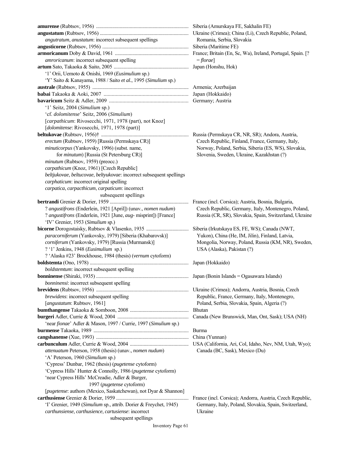**amurense** (Rubtsov, 1956) .......................................................................... Siberia (Amurskaya FE, Sakhalin FE) **angustatum** (Rubtsov, 1956) ....................................................................... Ukraine (Crimea); China (Li), Czech Republic, Poland, *angutratum*, *anustatum*: incorrect subsequent spellings Romania, Serbia, Slovakia **angusticorne** (Rubtsov, 1956) ..................................................................... Siberia (Maritime FE) **armoricanum** Doby & David, 1961 ........................................................... France; Britain (En, Sc, Wa), Ireland, Portugal, Spain. [? *amroricanum*: incorrect subsequent spelling  $= \text{florae}$ **artum** Sato, Takaoka & Saito, 2005 ............................................................ Japan (Honshu, Hok) '1' Orii, Uemoto & Onishi, 1969 (*Eusimulium* sp.) 'Y' Saito & Kanayama, 1988 / Saito *et al.*, 1995 (*Simulium* sp.) **australe** (Rubtsov, 1955) ............................................................................. Armenia; Azerbaijan **babai** Takaoka & Aoki, 2007 ............................................................... Japan (Hokkaido) **bavaricum** Seitz & Adler, 2009 ........................................................... Germany; Austria '1' Seitz, 2004 (*Simulium* sp.) 'cf. *dolomitense*' Seitz, 2006 (*Simulium*) [*carpathicum*: Rivosecchi, 1971, 1978 (part), not Knoz] [*dolomitense*: Rivosecchi, 1971, 1978 (part)] **beltukovae** (Rubtsov, 1956)† ...................................................................... Russia (Permskaya CR, NR, SR); Andora, Austria, *erectum* (Rubtsov, 1959) [Russia (Permskaya CR)] Czech Republic, Finland, France, Germany, Italy, *minuticorpus* (Yankovsky, 1996) (subst. name, Norway, Poland, Serbia, Siberia (ES, WS), Slovakia, for *minutum*) [Russia (St Petersburg CR)] Slovenia, Sweden, Ukraine, Kazakhstan (?)  *minutum* (Rubtsov, 1959) (preocc.) *carpathicum* (Knoz, 1961) [Czech Republic] *beltjukovae*, *beltucovae*, *beltyukovae*: incorrect subsequent spellings *carphaticum*: incorrect original spelling *carpatica*, *carpacthicum*, *carpaticum*: incorrect subsequent spellings **bertrandi** Grenier & Dorier, 1959 ............................................................... France (incl. Corsica); Austria, Bosnia, Bulgaria, ? *angustifrons* (Enderlein, 1921 [April]) (unav., *nomen nudum*) Czech Republic, Germany, Italy, Montenegro, Poland, ? *angustifrons* (Enderlein, 1921 [June, *aug*- misprint]) [France] Russia (CR, SR), Slovakia, Spain, Switzerland, Ukraine 'IV' Grenier, 1953 (*Simulium* sp.) **bicorne** Dorogostaisky, Rubtsov & Vlasenko, 1935 .................................. Siberia (Irkutskaya ES, FE, WS); Canada (NWT, *paracorniferum* (Yankovsky, 1979) [Siberia (Khabarovsk)] Yukon), China (He, IM, Jilin), Finland, Latvia, *corniferum* (Yankovsky, 1979) [Russia (Murmansk)] Mongolia, Norway, Poland, Russia (KM, NR), Sweden, ? '1' Jenkins, 1948 (*Eusimulium* sp.) USA (Alaska), Pakistan (?) ? 'Alaska #23' Brockhouse, 1984 (thesis) (*vernum* cytoform) **boldstemta** (Ono, 1978) ............................................................................... Japan (Hokkaido)  *boldstemtum*: incorrect subsequent spelling **bonninense** (Shiraki, 1935) .......................................................................... Japan (Bonin Islands = Ogasawara Islands) *bonninensi*: incorrect subsequent spelling **brevidens** (Rubtsov, 1956) .......................................................................... Ukraine (Crimea); Andorra, Austria, Bosnia, Czech *brewidens*: incorrect subsequent spelling Republic, France, Germany, Italy, Montenegro, [*angustatum*: Rubtsov, 1961] Poland, Serbia, Slovakia, Spain, Algeria (?) **bumthangense** Takaoka & Somboon, 2008 ............................................... Bhutan **burgeri** Adler, Currie & Wood, 2004 ......................................................... Canada (New Brunswick, Man, Ont, Sask); USA (NH) 'near *fionae*' Adler & Mason, 1997 / Currie, 1997 (*Simulium* sp.) **burmense** Takaoka, 1989 ............................................................................ Burma **cangshanense** (Xue, 1993) .......................................................................... China (Yunnan) **carbunculum** Adler, Currie & Wood, 2004 ............................................... USA (California, Ari, Col, Idaho, Nev, NM, Utah, Wyo); *attenuatum* Peterson, 1958 (thesis) (unav., *nomen nudum*) Canada (BC, Sask), Mexico (Du) 'A' Peterson, 1960 (*Simulium* sp.) 'Cypress' Dunbar, 1962 (thesis) (*pugetense* cytoform) 'Cypress Hills' Hunter & Connolly, 1986 (*pugetense* cytoform) 'near Cypress Hills' McCreadie, Adler & Burger, 1997 (*pugetense* cytoform) [*pugetense*: authors (Mexico, Saskatchewan), not Dyar & Shannon] **carthusiense** Grenier & Dorier, 1959 .......................................................... France (incl. Corsica); Andorra, Austria, Czech Republic, 'I' Grenier, 1949 (*Simulium* sp., attrib. Dorier & Freychet, 1945) Germany, Italy, Poland, Slovakia, Spain, Switzerland, *carthunsiense*, *carthusience*, *cartusiense*: incorrect Ukraine subsequent spellings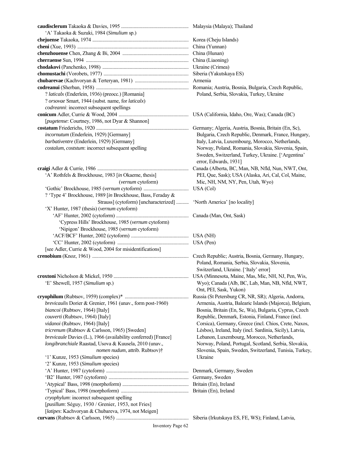| 'A' Takaoka & Suzuki, 1984 (Simulium sp.)                         |                                                                                                                                    |
|-------------------------------------------------------------------|------------------------------------------------------------------------------------------------------------------------------------|
|                                                                   |                                                                                                                                    |
|                                                                   |                                                                                                                                    |
|                                                                   |                                                                                                                                    |
|                                                                   | China (Liaoning)                                                                                                                   |
|                                                                   |                                                                                                                                    |
|                                                                   | Siberia (Yakutskaya ES)                                                                                                            |
|                                                                   | Armenia                                                                                                                            |
|                                                                   |                                                                                                                                    |
| ? laticalx (Enderlein, 1936) (preocc.) [Romania]                  | Poland, Serbia, Slovakia, Turkey, Ukraine                                                                                          |
| ? orsovae Smart, 1944 (subst. name, for laticalx)                 |                                                                                                                                    |
| codreanni: incorrect subsequent spellings                         |                                                                                                                                    |
|                                                                   |                                                                                                                                    |
|                                                                   |                                                                                                                                    |
| [pugetense: Courtney, 1986, not Dyar & Shannon]                   |                                                                                                                                    |
|                                                                   | Germany; Algeria, Austria, Bosnia, Britain (En, Sc),                                                                               |
| incornutum (Enderlein, 1929) [Germany]                            | Bulgaria, Czech Republic, Denmark, France, Hungary,                                                                                |
| barbativentre (Enderlein, 1929) [Germany]                         | Italy, Latvia, Luxembourg, Morocco, Netherlands,                                                                                   |
| costalum, coststum: incorrect subsequent spelling                 | Norway, Poland, Romania, Slovakia, Slovenia, Spain,<br>Sweden, Switzerland, Turkey, Ukraine. ['Argentina'<br>error, Edwards, 1931] |
|                                                                   | Canada (Alberta, BC, Man, NB, Nfld, Nun, NWT, Ont,                                                                                 |
| 'A' Rothfels & Brockhouse, 1983 [in Okaeme, thesis]               | PEI, Que, Sask); USA (Alaska, Ari, Cal, Col, Maine,                                                                                |
| (vernum cytoform)                                                 | Mic, NH, NM, NY, Pen, Utah, Wyo)                                                                                                   |
|                                                                   | USA (Col)                                                                                                                          |
| ? 'Type 4' Brockhouse, 1989 [in Brockhouse, Bass, Feraday &       |                                                                                                                                    |
| Strauss] (cytoform) [uncharacterized]                             | 'North America' [no locality]                                                                                                      |
| 'X' Hunter, 1987 (thesis) (vernum cytoform)                       |                                                                                                                                    |
|                                                                   |                                                                                                                                    |
| 'Cypress Hills' Brockhouse, 1985 (vernum cytoform)                |                                                                                                                                    |
| 'Nipigon' Brockhouse, 1985 (vernum cytoform)                      |                                                                                                                                    |
|                                                                   |                                                                                                                                    |
|                                                                   |                                                                                                                                    |
| [see Adler, Currie & Wood, 2004 for misidentifications]           |                                                                                                                                    |
|                                                                   | Czech Republic; Austria, Bosnia, Germany, Hungary,                                                                                 |
|                                                                   | Poland, Romania, Serbia, Slovakia, Slovenia,                                                                                       |
|                                                                   |                                                                                                                                    |
|                                                                   | Switzerland, Ukraine. ['Italy' error]                                                                                              |
|                                                                   |                                                                                                                                    |
| 'E' Shewell, 1957 (Simulium sp.)                                  | Wyo); Canada (Alb, BC, Lab, Man, NB, Nfld, NWT,                                                                                    |
|                                                                   | Ont, PEI, Sask, Yukon)                                                                                                             |
|                                                                   | Russia (St Petersburg CR, NR, SR); Algeria, Andorra,                                                                               |
| <i>brevicaulis</i> Dorier & Grenier, 1961 (unav., form post-1960) | Armenia, Austria, Balearic Islands (Majorca), Belgium,                                                                             |
| biancoi (Rubtsov, 1964) [Italy]                                   | Bosnia, Britain (En, Sc, Wa), Bulgaria, Cyprus, Czech                                                                              |
| couverti (Rubtsov, 1964) [Italy]                                  | Republic, Denmark, Estonia, Finland, France (incl.                                                                                 |
| vidanoi (Rubtsov, 1964) [Italy]                                   | Corsica), Germany, Greece (incl. Chios, Crete, Naxos,                                                                              |
| tricrenum (Rubtsov & Carlsson, 1965) [Sweden]                     | Lésbos), Ireland, Italy (incl. Sardinia, Sicily), Latvia,                                                                          |
| brevicaule Davies (L.), 1966 (availability conferred) [France]    | Lebanon, Luxembourg, Morocco, Netherlands,                                                                                         |
| longibranchiale Raastad, Usova & Kuusela, 2010 (unav.,            | Norway, Poland, Portugal, Scotland, Serbia, Slovakia,                                                                              |
| nomen nudum, attrib. Rubtsov)†                                    | Slovenia, Spain, Sweden, Switzerland, Tunisia, Turkey,                                                                             |
| '1' Kunze, 1953 (Simulium species)                                | Ukraine                                                                                                                            |
| '2' Kunze, 1953 (Simulium species)                                |                                                                                                                                    |
|                                                                   | Denmark, Germany, Sweden                                                                                                           |
|                                                                   |                                                                                                                                    |
|                                                                   |                                                                                                                                    |
|                                                                   |                                                                                                                                    |
| cryophylum: incorrect subsequent spelling                         |                                                                                                                                    |
| [pusillum: Séguy, 1930 / Grenier, 1953, not Fries]                |                                                                                                                                    |
| [latipes: Kachvoryan & Chubareva, 1974, not Meigen]               |                                                                                                                                    |
|                                                                   |                                                                                                                                    |
|                                                                   |                                                                                                                                    |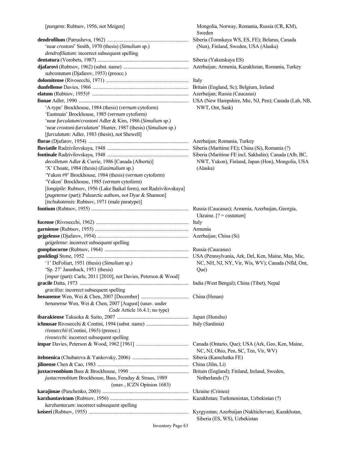|                                                                    | Sweden                                                 |
|--------------------------------------------------------------------|--------------------------------------------------------|
|                                                                    | Siberia (Tomskaya WS, ES, FE); Belarus, Canada         |
| 'near croxtoni' Smith, 1970 (thesis) (Simulium sp.)                | (Nun), Finland, Sweden, USA (Alaska)                   |
| dendrofiliatum: incorrect subsequent spelling                      |                                                        |
|                                                                    |                                                        |
|                                                                    |                                                        |
| subcostatum (Djafarov, 1953) (preocc.)                             |                                                        |
|                                                                    |                                                        |
|                                                                    |                                                        |
|                                                                    |                                                        |
|                                                                    |                                                        |
| 'A-type' Brockhouse, 1984 (thesis) (vernum cytoform)               | NWT, Ont, Sask)                                        |
| 'Eastmain' Brockhouse, 1985 (vernum cytoform)                      |                                                        |
| 'near furculatum/croxtoni Adler & Kim, 1986 (Simulium sp.)         |                                                        |
| 'near croxtoni-furculatum' Hunter, 1987 (thesis) (Simulium sp.)    |                                                        |
| [furculatum: Adler, 1983 (thesis), not Shewell]                    |                                                        |
|                                                                    |                                                        |
|                                                                    |                                                        |
|                                                                    | Siberia (Maritime FE incl. Sakhalin); Canada (Alb, BC, |
| decolletum Adler & Currie, 1986 [Canada (Alberta)]                 | NWT, Yukon), Finland, Japan (Hon), Mongolia, USA       |
| 'X' Choate, 1984 (thesis) (Eusimulium sp.)                         | (Alaska)                                               |
| 'Yukon #9' Brockhouse, 1984 (thesis) (vernum cytoform)             |                                                        |
| 'Yukon' Brockhouse, 1985 (vernum cytoform)                         |                                                        |
| [longipile: Rubtsov, 1956 (Lake Baikal form), not Radzivilovskaya] |                                                        |
| [pugetense (part): Palearctic authors, not Dyar & Shannon]         |                                                        |
| [tschukotensis: Rubtsov, 1971 (male paratype)]                     |                                                        |
|                                                                    |                                                        |
|                                                                    | Ukraine. $[? = costatum]$                              |
|                                                                    |                                                        |
|                                                                    |                                                        |
|                                                                    |                                                        |
| geigelense: incorrect subsequent spelling                          |                                                        |
|                                                                    |                                                        |
|                                                                    |                                                        |
| '1' DeFoliart, 1951 (thesis) (Simulium sp.)                        | NC, NH, NJ, NY, Vir, Wis, WV); Canada (Nfld, Ont,      |
| 'Sp. 27' Jamnback, 1951 (thesis)                                   | Que)                                                   |
| [impar (part): Carle, 2011 [2010], not Davies, Peterson & Wood]    |                                                        |
|                                                                    | India (West Bengal); China (Tibet), Nepal              |
| graciliss: incorrect subsequent spelling                           |                                                        |
|                                                                    |                                                        |
| henanense Wen, Wei & Chen, 2007 [August] (unav. under              |                                                        |
| Code Article 16.4.1; no type)                                      |                                                        |
|                                                                    |                                                        |
|                                                                    |                                                        |
| rivosecchii (Contini, 1965) (preocc.)                              |                                                        |
| rivosecchi: incorrect subsequent spelling                          |                                                        |
|                                                                    | Canada (Ontario, Que); USA (Ark, Geo, Ken, Maine,      |
|                                                                    | NC, NJ, Ohio, Pen, SC, Ten, Vir, WV)                   |
|                                                                    | Siberia (Kamchatka FE)                                 |
|                                                                    | China (Jilin, Li)                                      |
|                                                                    |                                                        |
| juxtacrenobium Brockhouse, Bass, Feraday & Straus, 1989            | Netherlands (?)                                        |
| (unav., ICZN Opinion 1683)                                         |                                                        |
|                                                                    |                                                        |
| karzhantacum: incorrect subsequent spelling                        |                                                        |
|                                                                    |                                                        |
|                                                                    | Siberia (ES, WS), Uzbekistan                           |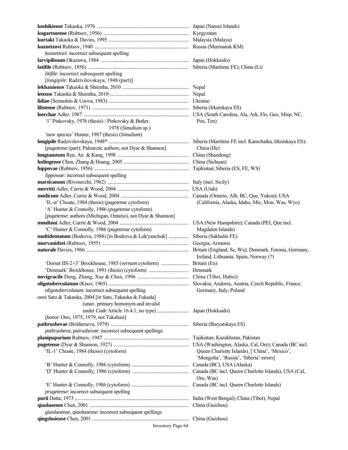| kusnetzovi: incorrect subsequent spelling                    |                                                       |
|--------------------------------------------------------------|-------------------------------------------------------|
|                                                              |                                                       |
|                                                              |                                                       |
| litifile: incorrect subsequent spelling                      |                                                       |
| [longipile: Radzivilovskaya, 1948 (part)]                    |                                                       |
|                                                              |                                                       |
|                                                              |                                                       |
|                                                              |                                                       |
|                                                              |                                                       |
|                                                              |                                                       |
| '1' Pinkovsky, 1976 (thesis) / Pinkovsky & Butler,           | Pen, Ten)                                             |
| 1978 (Simulium sp.)                                          |                                                       |
|                                                              |                                                       |
| 'new species' Hunter, 1987 (thesis) (Simulium)               |                                                       |
|                                                              | Siberia (Maritime FE incl. Kamchatka, Irkutskaya ES); |
| [pugetense (part): Palearctic authors, not Dyar & Shannon]   | China (He)                                            |
|                                                              |                                                       |
|                                                              |                                                       |
|                                                              |                                                       |
| lippowae: incorrect subsequent spelling                      |                                                       |
|                                                              |                                                       |
|                                                              |                                                       |
|                                                              |                                                       |
| 'IL-st' Choate, 1984 (thesis) (pugetense cytoform)           | (California, Alaska, Idaho, Mic, Mon, Was, Wyo)       |
| 'A' Hunter & Connolly, 1986 (pugetense cytoform)             |                                                       |
| [pugetense: authors (Michigan, Ontario), not Dyar & Shannon] |                                                       |
|                                                              |                                                       |
| 'C' Hunter & Connolly, 1986 (pugetense cytoform)             | Magdalen Islands)                                     |
| multidentatum (Bodrova, 1988) [in Bodrova & Luk'yanchuk]     | Siberia (Sakhalin FE)                                 |
|                                                              | Georgia; Armenia                                      |
|                                                              |                                                       |
|                                                              | Ireland, Lithuania, Spain, Norway (?)                 |
|                                                              |                                                       |
|                                                              |                                                       |
|                                                              |                                                       |
|                                                              | China (Tibet, Hubei)                                  |
| oligotubercolatum: incorrect subsequent spelling             | Slovakia; Andorra, Austria, Czech Republic, France,   |
|                                                              | Germany, Italy, Poland                                |
| onoi Sato & Takaoka, 2004 [in Sato, Takaoka & Fukuda]        |                                                       |
| (unav. primary homonym and invalid                           |                                                       |
|                                                              | Japan (Hokkaido)                                      |
| [konoi: Ono, 1975, 1979, not Takahasi]                       |                                                       |
|                                                              | Siberia (Buryatskaya ES)                              |
| pathrusheva, patrushevae: incorrect subsequent spellings     |                                                       |
|                                                              |                                                       |
|                                                              |                                                       |
| 'IL-1' Choate, 1984 (thesis) (cytoform)                      | Queen Charlotte Islands). ['China', 'Mexico',         |
|                                                              | 'Mongolia', 'Russia', 'Siberia' errors]               |
|                                                              | Canada (BC), USA (Alaska)                             |
|                                                              |                                                       |
|                                                              | Ore, Was)                                             |
|                                                              |                                                       |
| <i>prugetense</i> : incorrect subsequent spelling            |                                                       |
|                                                              |                                                       |
|                                                              | China (Guizhou)                                       |
| giaolaoense, qiaoluoense: incorrect subsequent spellings     |                                                       |
|                                                              |                                                       |
| <b>Inventory Page 64</b>                                     |                                                       |
|                                                              |                                                       |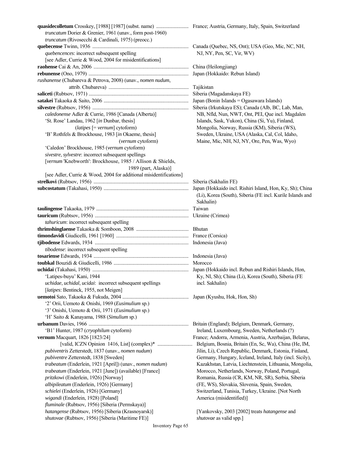| truncatum Dorier & Grenier, 1961 (unav., form post-1960)           |                                                           |
|--------------------------------------------------------------------|-----------------------------------------------------------|
| truncatum (Rivosecchi & Cardinali, 1975) (preocc.)                 |                                                           |
|                                                                    |                                                           |
| quebencences: incorrect subsequent spelling                        | NJ, NY, Pen, SC, Vir, WV)                                 |
| [see Adler, Currie & Wood, 2004 for misidentifications]            |                                                           |
|                                                                    |                                                           |
|                                                                    | Japan (Hokkaido: Rebun Island)                            |
| rushanense (Chubareva & Petrova, 2008) (unav., nomen nudum,        |                                                           |
|                                                                    |                                                           |
|                                                                    | Tajikistan                                                |
|                                                                    | Siberia (Magadanskaya FE)                                 |
|                                                                    | Japan (Bonin Islands = Ogasawara Islands)                 |
|                                                                    | Siberia (Irkutskaya ES); Canada (Alb, BC, Lab, Man,       |
| caledonense Adler & Currie, 1986 [Canada (Alberta)]                | NB, Nfld, Nun, NWT, Ont, PEI, Que incl. Magdalen          |
| 'St. Rose' Landau, 1962 [in Dunbar, thesis]                        | Islands, Sask, Yukon), China (Si, Yu), Finland,           |
| $(latipes$ [= vernum] cytoform)                                    | Mongolia, Norway, Russia (KM), Siberia (WS),              |
| 'B' Rothfels & Brockhouse, 1983 [in Okaeme, thesis]                | Sweden, Ukraine, USA (Alaska, Cal, Col, Idaho,            |
| (vernum cytoform)                                                  | Maine, Mic, NH, NJ, NY, Ore, Pen, Was, Wyo)               |
| 'Caledon' Brockhouse, 1985 (vernum cytoform)                       |                                                           |
| sivestre, sylvestre: incorrect subsequent spellings                |                                                           |
|                                                                    |                                                           |
| [vernum 'Knebworth': Brockhouse, 1985 / Allison & Shields,         |                                                           |
| 1989 (part, Alaska)]                                               |                                                           |
| [see Adler, Currie & Wood, 2004 for additional misidentifications] |                                                           |
|                                                                    |                                                           |
|                                                                    | Japan (Hokkaido incl. Rishiri Island, Hon, Ky, Sh); China |
|                                                                    | (Li), Korea (South), Siberia (FE incl. Kurile Islands and |
|                                                                    | Sakhalin)                                                 |
|                                                                    |                                                           |
|                                                                    |                                                           |
| tahuricum: incorrect subsequent spelling                           |                                                           |
|                                                                    |                                                           |
|                                                                    |                                                           |
|                                                                    |                                                           |
|                                                                    |                                                           |
| tibodense: incorrect subsequent spelling                           |                                                           |
|                                                                    |                                                           |
|                                                                    |                                                           |
|                                                                    |                                                           |
| 'Latipes-buyu' Kani, 1944                                          | Ky, NI, Sh); China (Li), Korea (South), Siberia (FE       |
| uchidae, uchidal, ucidai: incorrect subsequent spellings           | incl. Sakhalin)                                           |
| [latipes: Bentinck, 1955, not Meigen]                              |                                                           |
|                                                                    |                                                           |
| '2' Orii, Uemoto & Onishi, 1969 (Eusimulium sp.)                   |                                                           |
| '3' Onishi, Uemoto & Orii, 1971 (Eusimulium sp.)                   |                                                           |
|                                                                    |                                                           |
| 'H' Saito & Kanayama, 1988 (Simulium sp.)                          |                                                           |
|                                                                    | Britain (England); Belgium, Denmark, Germany,             |
| 'B1' Hunter, 1987 (cryophilum cytoform)                            | Ireland, Luxembourg, Sweden, Netherlands (?)              |
| vernum Macquart, 1826 [1823/24]                                    | France; Andorra, Armenia, Austria, Azerbaijan, Belarus,   |
|                                                                    | Belgium, Bosnia, Britain (En, Sc, Wa), China (He, IM,     |
| pubiventris Zetterstedt, 1837 (unav., nomen nudum)                 | Jilin, Li), Czech Republic, Denmark, Estonia, Finland,    |
| pubiventre Zetterstedt, 1838 [Sweden]                              | Germany, Hungary, Iceland, Ireland, Italy (incl. Sicily), |
| trabeatum (Enderlein, 1921 [April]) (unav., nomen nudum)           | Kazakhstan, Latvia, Liechtenstein, Lithuania, Mongolia,   |
| trabeatum (Enderlein, 1921 [June]) (available) [France]            | Morocco, Netherlands, Norway, Poland, Portugal,           |
| pritzkowi (Enderlein, 1926) [Norway]                               | Romania, Russia (CR, KM, NR, SR), Serbia, Siberia         |
|                                                                    |                                                           |
| albipileatum (Enderlein, 1926) [Germany]                           | (FE, WS), Slovakia, Slovenia, Spain, Sweden,              |
| schielei (Enderlein, 1926) [Germany]                               | Switzerland, Tunisia, Turkey, Ukraine. [Not North         |
| wigandi (Enderlein, 1928) [Poland]                                 | America (misidentified)]                                  |
| fluminale (Rubtsov, 1956) [Siberia (Permskaya)]                    |                                                           |
| hatangense (Rubtsov, 1956) [Siberia (Krasnoyarsk)]                 | [Yankovsky, 2003 [2002] treats hatangense and             |
| shutovae (Rubtsov, 1956) [Siberia (Maritime FE)]                   | shutovae as valid spp.]                                   |
|                                                                    |                                                           |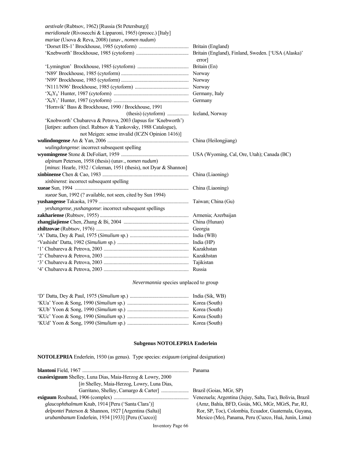| <i>aestivale</i> (Rubtsov, 1962) [Russia (St Petersburg)]          |        |
|--------------------------------------------------------------------|--------|
| meridionale (Rivosecchi & Lipparoni, 1965) (preocc.) [Italy]       |        |
| mariae (Usova & Reva, 2008) (unav., nomen nudum)                   |        |
|                                                                    |        |
|                                                                    |        |
|                                                                    | error] |
|                                                                    |        |
|                                                                    |        |
|                                                                    |        |
|                                                                    |        |
|                                                                    |        |
|                                                                    |        |
| 'Hornvik' Bass & Brockhouse, 1990 / Brockhouse, 1991               |        |
|                                                                    |        |
| 'Knobworth' Chubareva & Petrova, 2003 (lapsus for 'Knebworth')     |        |
| [latipes: authors (incl. Rubtsov & Yankovsky, 1988 Catalogue),     |        |
| not Meigen: sense invalid (ICZN Opinion 1416)]                     |        |
|                                                                    |        |
| wulingdongense: incorrect subsequent spelling                      |        |
|                                                                    |        |
| alpinum Peterson, 1958 (thesis) (unav., nomen nudum)               |        |
| [minus: Hearle, 1932 / Coleman, 1951 (thesis), not Dyar & Shannon] |        |
|                                                                    |        |
| xinbinenst: incorrect subsequent spelling                          |        |
|                                                                    |        |
| xueae Sun, 1992 (? available, not seen, cited by Sun 1994)         |        |
|                                                                    |        |
| yeshangense, yushangonse: incorrect subsequent spellings           |        |
|                                                                    |        |
|                                                                    |        |
|                                                                    |        |
|                                                                    |        |
|                                                                    |        |
|                                                                    |        |
|                                                                    |        |
|                                                                    |        |
|                                                                    |        |

### *Nevermannia* species unplaced to group

# **Subgenus NOTOLEPRIA Enderlein**

**NOTOLEPRIA** Enderlein, 1930 (as genus). Type species: *exiguum* (original designation)

| Venezuela; Argentina (Jujuy, Salta, Tuc), Bolivia, Brazil |
|-----------------------------------------------------------|
| (Amz, Bahía, BFD, Goiás, MG, MGr, MGrS, Par, RJ,          |
| Ror, SP, Toc), Colombia, Ecuador, Guatemala, Guyana,      |
| Mexico (Mo), Panama, Peru (Cuzco, Huá, Junín, Lima)       |
|                                                           |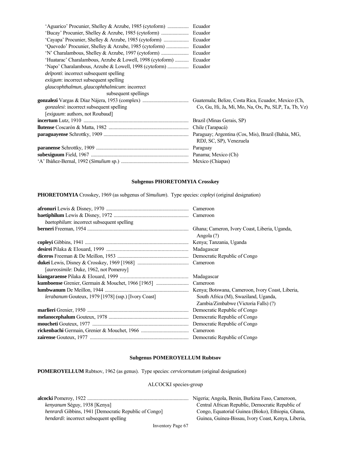| 'Quevedo' Procunier, Shelley & Arzube, 1985 (cytoform)    | Ecuador                                              |
|-----------------------------------------------------------|------------------------------------------------------|
|                                                           | Ecuador                                              |
| 'Huatarac' Charalambous, Arzube & Lowell, 1998 (cytoform) | Ecuador                                              |
|                                                           |                                                      |
| <i>delponti:</i> incorrect subsequent spelling            |                                                      |
| <i>exiigum</i> : incorrect subsequent spelling            |                                                      |
| glaucophthalmun, glaucophthalmicum: incorrect             |                                                      |
| subsequent spellings                                      |                                                      |
|                                                           | Guatemala; Belize, Costa Rica, Ecuador, Mexico (Ch.  |
| gonzalesi: incorrect subsequent spelling                  | Co, Gu, Hi, Ja, Mi, Mo, Na, Ox, Pu, SLP, Ta, Tb, Vz) |
| [exiguum: authors, not Roubaud]                           |                                                      |
|                                                           |                                                      |
|                                                           |                                                      |
|                                                           |                                                      |
|                                                           | RDJ, SC, SP), Venezuela                              |
|                                                           | Paraguay                                             |
|                                                           |                                                      |
|                                                           |                                                      |

#### **Subgenus PHORETOMYIA Crosskey**

**PHORETOMYIA** Crosskey, 1969 (as subgenus of *Simulium*). Type species: *copleyi* (original designation)

| baetophilum: incorrect subsequent spelling                 |                                                             |
|------------------------------------------------------------|-------------------------------------------------------------|
|                                                            | Ghana; Cameron, Ivory Coast, Liberia, Uganda,<br>Angola (?) |
|                                                            |                                                             |
|                                                            |                                                             |
|                                                            |                                                             |
|                                                            |                                                             |
| [ <i>aureosimile</i> : Duke, 1962, not Pomeroy]            |                                                             |
|                                                            | Madagascar                                                  |
|                                                            | Cameroon                                                    |
|                                                            |                                                             |
| <i>lerabanum</i> Gouteux, 1979 [1978] (ssp.) [Ivory Coast] | South Africa (M), Swaziland, Uganda,                        |
|                                                            | Zambia/Zimbabwe (Victoria Falls) (?)                        |
|                                                            | Democratic Republic of Congo                                |
|                                                            |                                                             |
|                                                            |                                                             |
|                                                            |                                                             |
|                                                            |                                                             |

#### **Subgenus POMEROYELLUM Rubtsov**

**POMEROYELLUM** Rubtsov, 1962 (as genus). Type species: *cervicornutum* (original designation)

### ALCOCKI species-group

**alcocki** Pomeroy, 1922 ................................................................................. Nigeria; Angola, Benin, Burkina Faso, Cameroon, *kenyanum* Séguy, 1938 [Kenya] **Central African Republic, Democratic Republic of**  *henrardi* Gibbins, 1941 [Democratic Republic of Congo] Congo, Equatorial Guinea (Bioko), Ethiopia, Ghana, *hendardi*: incorrect subsequent spelling Guinea, Guinea, Guinea, Guinea-Bissau, Ivory Coast, Kenya, Liberia,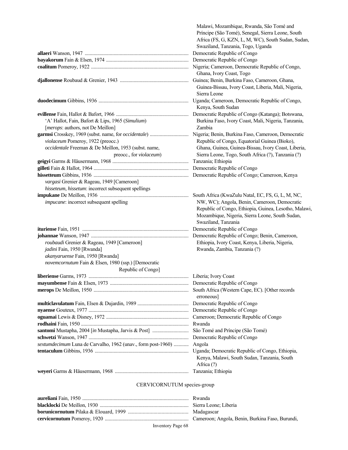|                                                              | Príncipe (São Tomé), Senegal, Sierra Leone, South                                              |
|--------------------------------------------------------------|------------------------------------------------------------------------------------------------|
|                                                              | Africa (FS, G, KZN, L, M, WC), South Sudan, Sudan,                                             |
|                                                              | Swaziland, Tanzania, Togo, Uganda                                                              |
|                                                              | Democratic Republic of Congo                                                                   |
|                                                              | Democratic Republic of Congo                                                                   |
|                                                              |                                                                                                |
|                                                              | Ghana, Ivory Coast, Togo                                                                       |
|                                                              | Guinea; Benin, Burkina Faso, Cameroon, Ghana,                                                  |
|                                                              | Guinea-Bissau, Ivory Coast, Liberia, Mali, Nigeria,<br>Sierra Leone                            |
|                                                              | Uganda; Cameroon, Democratic Republic of Congo,                                                |
|                                                              | Kenya, South Sudan                                                                             |
|                                                              | Democratic Republic of Congo (Katanga); Botswana,                                              |
| 'A' Hallot, Fain, Bafort & Lips, 1965 (Simulium)             | Burkina Faso, Ivory Coast, Mali, Nigeria, Tanzania,                                            |
| [merops: authors, not De Meillon]                            | Zambia                                                                                         |
|                                                              |                                                                                                |
| violaceum Pomeroy, 1922 (preocc.)                            | Republic of Congo, Equatorial Guinea (Bioko),                                                  |
| occidentale Freeman & De Meillon, 1953 (subst. name,         | Ghana, Guinea, Guinea-Bissau, Ivory Coast, Liberia,                                            |
| preocc., for violaceum)                                      | Sierra Leone, Togo, South Africa (?), Tanzania (?)                                             |
|                                                              | Tanzania; Ethiopia                                                                             |
|                                                              | Democratic Republic of Congo                                                                   |
|                                                              | Democratic Republic of Congo; Cameroon, Kenya                                                  |
| vargasi Grenier & Rageau, 1949 [Cameroon]                    |                                                                                                |
| hisseteum, hissetum: incorrect subsequent spellings          |                                                                                                |
|                                                              | South Africa (KwaZulu Natal, EC, FS, G, L, M, NC,                                              |
| impucane: incorrect subsequent spelling                      | NW, WC); Angola, Benin, Cameroon, Democratic                                                   |
|                                                              | Republic of Congo, Ethiopia, Guinea, Lesotho, Malawi,                                          |
|                                                              | Mozambique, Nigeria, Sierra Leone, South Sudan,                                                |
|                                                              | Swaziland, Tanzania                                                                            |
|                                                              | Democratic Republic of Congo                                                                   |
|                                                              | Democratic Republic of Congo; Benin, Cameroon,                                                 |
| roubaudi Grenier & Rageau, 1949 [Cameroon]                   | Ethiopia, Ivory Coast, Kenya, Liberia, Nigeria,                                                |
| jadini Fain, 1950 [Rwanda]                                   | Rwanda, Zambia, Tanzania (?)                                                                   |
| akanyaruense Fain, 1950 [Rwanda]                             |                                                                                                |
| novemcornutum Fain & Elsen, 1980 (ssp.) [Democratic          |                                                                                                |
| Republic of Congo]                                           |                                                                                                |
|                                                              |                                                                                                |
|                                                              |                                                                                                |
|                                                              | South Africa (Western Cape, EC). [Other records<br>erroneous]                                  |
|                                                              |                                                                                                |
|                                                              | Democratic Republic of Congo                                                                   |
|                                                              | Cameroon; Democratic Republic of Congo                                                         |
|                                                              | Rwanda                                                                                         |
|                                                              | São Tomé and Príncipe (São Tomé)                                                               |
|                                                              | Democratic Republic of Congo                                                                   |
| sextumdecimum Luna de Carvalho, 1962 (unav., form post-1960) | Angola                                                                                         |
|                                                              | Uganda; Democratic Republic of Congo, Ethiopia,<br>Kenya, Malawi, South Sudan, Tanzania, South |
|                                                              | Africa (?)                                                                                     |
|                                                              | Tanzania; Ethiopia                                                                             |
|                                                              |                                                                                                |

Malawi, Mozambique, Rwanda, São Tomé and

### CERVICORNUTUM species-group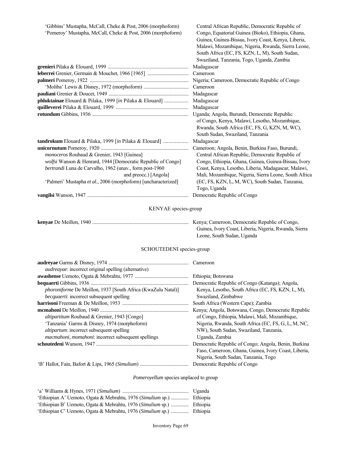| 'Gibbins' Mustapha, McCall, Cheke & Post, 2006 (morphoform)    | Central African Republic, Democratic Republic of      |
|----------------------------------------------------------------|-------------------------------------------------------|
| 'Pomeroy' Mustapha, McCall, Cheke & Post, 2006 (morphoform)    | Congo, Equatorial Guinea (Bioko), Ethiopia, Ghana,    |
|                                                                | Guinea, Guinea-Bissau, Ivory Coast, Kenya, Liberia,   |
|                                                                | Malawi, Mozambique, Nigeria, Rwanda, Sierra Leone,    |
|                                                                | South Africa (EC, FS, KZN, L, M), South Sudan,        |
|                                                                | Swaziland, Tanzania, Togo, Uganda, Zambia             |
|                                                                | Madagascar                                            |
|                                                                | Cameroon                                              |
|                                                                | Nigeria; Cameroon, Democratic Republic of Congo       |
|                                                                | Cameroon                                              |
|                                                                | Madagascar                                            |
| phluktainae Elouard & Pilaka, 1999 [in Pilaka & Elouard]       | Madagascar                                            |
|                                                                | Madagascar                                            |
|                                                                | Uganda; Angola, Burundi, Democratic Republic          |
|                                                                | of Congo, Kenya, Malawi, Lesotho, Mozambique,         |
|                                                                | Rwanda, South Africa (EC, FS, G, KZN, M, WC),         |
|                                                                | South Sudan, Swaziland, Tanzania                      |
| tandrokum Elouard & Pilaka, 1999 [in Pilaka & Elouard]         | Madagascar                                            |
|                                                                | Cameroon; Angola, Benin, Burkina Faso, Burundi,       |
| monoceros Roubaud & Grenier, 1943 [Guinea]                     | Central African Republic, Democratic Republic of      |
| wolfsi Wanson & Henrard, 1944 [Democratic Republic of Congo]   | Congo, Ethiopia, Ghana, Guinea, Guinea-Bissau, Ivory  |
| bertrandi Luna de Carvalho, 1962 (unav., form post-1960        | Coast, Kenya, Lesotho, Liberia, Madagascar, Malawi,   |
| and preocc.) [Angola]                                          | Mali, Mozambique, Nigeria, Sierra Leone, South Africa |
| 'Palmeri' Mustapha et al., 2006 (morphoform) [uncharacterized] | (EC, FS, KZN, L, M, WC), South Sudan, Tanzania,       |
|                                                                | Togo, Uganda                                          |
|                                                                | Democratic Republic of Congo                          |
|                                                                |                                                       |
| KENYAE species-group                                           |                                                       |
|                                                                |                                                       |
|                                                                | Guinea, Ivory Coast, Liberia, Nigeria, Rwanda, Sierra |
|                                                                | Leone, South Sudan, Uganda                            |
|                                                                |                                                       |

# SCHOUTEDENI species-group

|                                                                     | Cameroon                                             |
|---------------------------------------------------------------------|------------------------------------------------------|
| <i>audreayae</i> : incorrect original spelling (alternative)        |                                                      |
|                                                                     | Ethiopia; Botswana                                   |
|                                                                     | Democratic Republic of Congo (Katanga); Angola,      |
| <i>phoroniforme</i> De Meillon, 1937 [South Africa (KwaZulu Natal)] | Kenya, Lesotho, South Africa (EC, FS, KZN, L, M),    |
| becquaerti: incorrect subsequent spelling                           | Swaziland, Zimbabwe                                  |
|                                                                     | South Africa (Western Cape); Zambia                  |
|                                                                     | Kenya; Angola, Botswana, Congo, Democratic Republic  |
| altipartitum Roubaud & Grenier, 1943 [Congo]                        | of Congo, Ethiopia, Malawi, Mali, Mozambique,        |
| 'Tanzania' Garms & Disney, 1974 (morphoform)                        | Nigeria, Rwanda, South Africa (EC, FS, G, L, M, NC,  |
| altipartum: incorrect subsequent spelling                           | NW), South Sudan, Swaziland, Tanzania,               |
| <i>macmahoni</i> , <i>momahoni</i> : incorrect subsequent spellings | Uganda, Zambia                                       |
|                                                                     | Democratic Republic of Congo; Angola, Benin, Burkina |
|                                                                     | Faso, Cameroon, Ghana, Guinea, Ivory Coast, Liberia, |
|                                                                     | Nigeria, South Sudan, Tanzania, Togo                 |
|                                                                     | Democratic Republic of Congo                         |

# *Pomeroyellum* species unplaced to group

|                                                                       | Uganda |
|-----------------------------------------------------------------------|--------|
| 'Ethiopian A' Uemoto, Ogata & Mebrahtu, 1976 (Simulium sp.)  Ethiopia |        |
| 'Ethiopian B' Uemoto, Ogata & Mebrahtu, 1976 (Simulium sp.)  Ethiopia |        |
| 'Ethiopian C' Uemoto, Ogata & Mebrahtu, 1976 (Simulium sp.)  Ethiopia |        |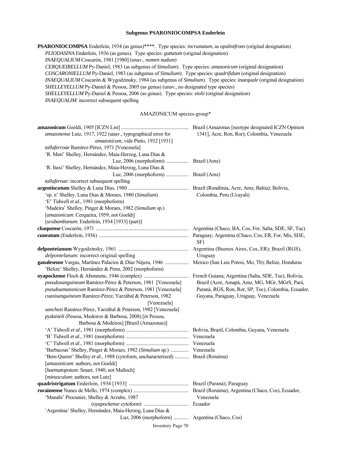#### **Subgenus PSARONIOCOMPSA Enderlein**

**PSARONIOCOMPSA** Enderlein, 1934 (as genus)\*\*\*\*. Type species: *incrustatum*, as *opalinifrons* (original designation)  *PLIODASINA* Enderlein, 1936 (as genus). Type species: *guttatum* (original designation)  *INAEQUALIUM* Coscarón, 1981 [1980] (unav., *nomen nudum*)  *CERQUEIRELLUM* Py-Daniel, 1983 (as subgenus of *Simulium*). Type species: *amazonicum* (original designation)  *COSCARONIELLUM* Py-Daniel, 1983 (as subgenus of *Simulium*). Type species: *quadrifidum* (original designation) *INAEQUALIUM* Coscarón & Wygodzinsky, 1984 (as subgenus of *Simulium*). Type species: *inaequale* (original designation) *SHELLEYELLUM* Py-Daniel & Pessoa, 2005 (as genus) (unav., no designated type species) *SHELLEYELLUM* Py-Daniel & Pessoa, 2006 (as genus). Type species: *siolii* (original designation)  *INAEQUALIM*: incorrect subsequent spelling

#### AMAZONICUM species-group\*

| amazonense Lutz, 1917, 1922 (unav., typographical error for   | 1341], Acre, Ron, Ror); Colombia, Venezuela          |
|---------------------------------------------------------------|------------------------------------------------------|
| amazonicum, vide Pinto, 1932 [1931]                           |                                                      |
| tallaferroae Ramírez-Pérez, 1971 [Venezuela]                  |                                                      |
| 'R. Mari' Shelley, Hernández, Maia-Herzog, Luna Dias &        |                                                      |
| Luz, 2006 (morphoform)  Brazil (Amz)                          |                                                      |
| 'R. Ituxi' Shelley, Hernández, Maia-Herzog, Luna Dias &       |                                                      |
| Luz, 2006 (morphoform)  Brazil (Amz)                          |                                                      |
| tallaferoae: incorrect subsequent spelling                    |                                                      |
|                                                               |                                                      |
| 'sp. n' Shelley, Luna Dias & Moraes, 1980 (Simulium)          | Colombia, Peru (Ucayali)                             |
| 'E' Tidwell et al., 1981 (morphoform)                         |                                                      |
| 'Madeira' Shelley, Pinger & Moraes, 1982 (Simulium sp.)       |                                                      |
| [amazonicum: Cerqueira, 1959, not Goeldi]                     |                                                      |
| [urubambanum: Enderlein, 1934 [1933] (part)]                  |                                                      |
|                                                               | Argentina (Chaco, BA, Cos, For, Salta, SDE, SF, Tuc) |
|                                                               | SF)                                                  |
|                                                               | Argentina (Buenos Aires, Cos, ER); Brazil (RGS),     |
| delpontelanum: incorrect original spelling                    | Uruguay                                              |
| ganalesense Vargas, Martínez Palacios & Díaz Nájera, 1946     | Mexico (San Luis Potosi, Mo, Tb); Belize, Honduras   |
| 'Belize' Shelley, Hernández & Penn, 2002 (morphoform)         |                                                      |
|                                                               | French Guiana; Argentina (Salta, SDE, Tuc), Bolivia, |
| pseudosanguineum Ramírez-Pérez & Peterson, 1981 [Venezuela]   | Brazil (Acre, Amapá, Amz, MG, MGr, MGrS, Pará,       |
| pseudoamazonicum Ramírez-Pérez & Peterson, 1981 [Venezuela]   | Paraná, RGS, Ron, Ror, SP, Toc), Colombia, Ecuador,  |
| cuasisanguineum Ramírez-Pérez, Yarzábal & Peterson, 1982      | Guyana, Paraguay, Uruguay, Venezuela                 |
| [Venezuela]                                                   |                                                      |
| sanchezi Ramírez-Pérez, Yarzábal & Peterson, 1982 [Venezuela] |                                                      |
| pydanieli (Pessoa, Medeiros & Barbosa, 2008) [in Pessoa,      |                                                      |
| Barbosa & Medeiros] [Brazil (Amazonas)]                       |                                                      |
|                                                               |                                                      |
|                                                               | Venezuela                                            |
|                                                               | Venezuela                                            |
| 'Barbacoas' Shelley, Pinger & Moraes, 1982 (Simulium sp.)     | Venezuela                                            |
| 'Bem Querer' Shelley et al., 1988 (cytoform, uncharacterized) | Brazil (Roraima)                                     |
| [amazonicum: authors, not Goeldi]                             |                                                      |
| [haematopotum: Smart, 1940, not Malloch]                      |                                                      |
| [ <i>minusculum</i> : authors, not Lutz]                      |                                                      |
|                                                               |                                                      |
|                                                               |                                                      |
| 'Manabi' Procunier, Shelley & Arzube, 1987                    | Venezuela                                            |
|                                                               | Ecuador                                              |
| 'Argentina' Shelley, Hernández, Maia-Herzog, Luna Dias &      |                                                      |
|                                                               |                                                      |
| Inventory Page 70                                             |                                                      |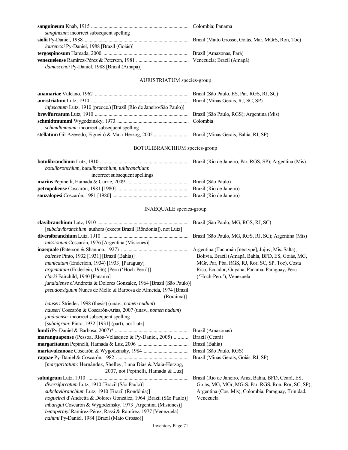| sangineum: incorrect subsequent spelling                                      |                                                     |
|-------------------------------------------------------------------------------|-----------------------------------------------------|
|                                                                               |                                                     |
| lourencoi Py-Daniel, 1988 [Brazil (Goiás)]                                    |                                                     |
|                                                                               |                                                     |
|                                                                               |                                                     |
| damascenoi Py-Daniel, 1988 [Brazil (Amapá)]                                   |                                                     |
| AURISTRIATUM species-group                                                    |                                                     |
|                                                                               |                                                     |
|                                                                               |                                                     |
| infuscatum Lutz, 1910 (preocc.) [Brazil (Rio de Janeiro/São Paulo)]           |                                                     |
|                                                                               |                                                     |
|                                                                               |                                                     |
| schmidtmmumi: incorrect subsequent spelling                                   |                                                     |
|                                                                               |                                                     |
| BOTULIBRANCHIUM species-group                                                 |                                                     |
|                                                                               |                                                     |
| botulibronchium, butulibranchium, tulibranchium:                              |                                                     |
| incorrect subsequent spellings                                                |                                                     |
|                                                                               |                                                     |
|                                                                               |                                                     |
|                                                                               |                                                     |
| <b>INAEQUALE</b> species-group                                                |                                                     |
|                                                                               |                                                     |
| [subclavibranchium: authors (except Brazil [Rôndonia]), not Lutz]             |                                                     |
|                                                                               |                                                     |
| missionum Coscarón, 1976 [Argentina (Misiones)]                               |                                                     |
|                                                                               |                                                     |
| baiense Pinto, 1932 [1931] [Brazil (Bahía)]                                   | Bolivia, Brazil (Amapá, Bahía, BFD, ES, Goiás, MG,  |
| manicatum (Enderlein, 1934) [1933] [Paraguay]                                 | MGr, Par, Pba, RGS, RJ, Ror, SC, SP, Toc), Costa    |
| argentatum (Enderlein, 1936) [Peru ('Hoch-Peru')]                             | Rica, Ecuador, Guyana, Panama, Paraguay, Peru       |
| clarki Fairchild, 1940 [Panama]                                               | ('Hoch-Peru'), Venezuela                            |
| jundiaiense d'Andretta & Dolores González, 1964 [Brazil (São Paulo)]          |                                                     |
| pseudoexiguum Nunes de Mello & Barbosa de Almeida, 1974 [Brazil<br>(Roraima)] |                                                     |
| hauseri Strieder, 1998 (thesis) (unav., nomen nudum)                          |                                                     |
| hauseri Coscarón & Coscarón-Arias, 2007 (unav., nomen nudum)                  |                                                     |
| jundiaense: incorrect subsequent spelling                                     |                                                     |
| [subnigrum: Pinto, 1932 [1931] (part), not Lutz]                              |                                                     |
|                                                                               |                                                     |
| maranguapense (Pessoa, Ríos-Velásquez & Py-Daniel, 2005)  Brazil (Ceará)      |                                                     |
|                                                                               | Brazil (Bahía)                                      |
|                                                                               |                                                     |
|                                                                               | Brazil (Minas Gerais, Goiás, RJ, SP)                |
| [margaritatum: Hernández, Shelley, Luna Dias & Maia-Herzog,                   |                                                     |
| 2007, not Pepinelli, Hamada & Luz]                                            |                                                     |
|                                                                               | Brazil (Rio de Janeiro, Amz, Bahía, BFD, Ceará, ES, |
| diversifurcatum Lutz, 1910 [Brazil (São Paulo)]                               | Goiás, MG, MGr, MGrS, Par, RGS, Ron, Ror, SC, SP);  |
| subclavibranchium Lutz, 1910 [Brazil (Rondônia)]                              | Argentina (Cos, Mis), Colombia, Paraguay, Trinidad, |
| nogueirai d'Andretta & Dolores González, 1964 [Brazil (São Paulo)]            | Venezuela                                           |
| mbarigui Coscarón & Wygodzinsky, 1973 [Argentina (Misiones)]                  |                                                     |
| beaupertuyi Ramírez-Pérez, Rassi & Ramírez, 1977 [Venezuela]                  |                                                     |
| nahimi Py-Daniel, 1984 [Brazil (Mato Grosso)]                                 |                                                     |

**sanguineum** Knab, 1915 .............................................................................. Colombia; Panama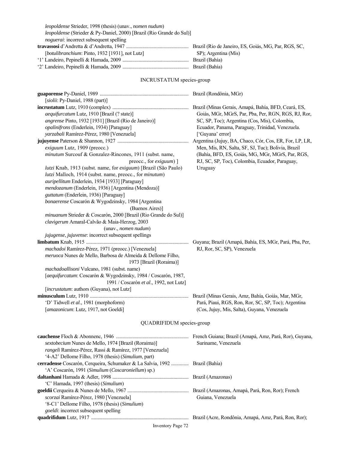| noguerai: incorrect subsequent spelling                                     |                                                         |
|-----------------------------------------------------------------------------|---------------------------------------------------------|
|                                                                             |                                                         |
| [botulibranchium: Pinto, 1932 [1931], not Lutz]                             | SP); Argentina (Mis)                                    |
|                                                                             |                                                         |
|                                                                             |                                                         |
|                                                                             |                                                         |
| <b>INCRUSTATUM</b> species-group                                            |                                                         |
|                                                                             |                                                         |
| [siolii: Py-Daniel, 1988 (part)]                                            |                                                         |
|                                                                             |                                                         |
| aequifurcatum Lutz, 1910 [Brazil (? state)]                                 | Goiás, MGr, MGrS, Par, Pba, Per, RGN, RGS, RJ, Ror,     |
| angrense Pinto, 1932 [1931] [Brazil (Rio de Janeiro)]                       | SC, SP, Toc); Argentina (Cos, Mis), Colombia,           |
| opalinifrons (Enderlein, 1934) [Paraguay]                                   | Ecuador, Panama, Paraguay, Trinidad, Venezuela.         |
| yarzabali Ramírez-Pérez, 1980 [Venezuela]                                   | ['Guyana' error]                                        |
|                                                                             | Argentina (Jujuy, BA, Chaco, Cór, Cos, ER, For, LP, LR, |
| exiguum Lutz, 1909 (preocc.)                                                | Men, Mis, RN, Salta, SF, SJ, Tuc); Bolivia, Brazil      |
| minutum Surcouf & Gonzalez-Rincones, 1911 (subst. name,                     | (Bahía, BFD, ES, Goiás, MG, MGr, MGrS, Par, RGS,        |
| preocc., for <i>exiguum</i> $)$ ]                                           | RJ, SC, SP, Toc), Colombia, Ecuador, Paraguay,          |
| lutzi Knab, 1913 (subst. name, for exiguum) [Brazil (São Paulo)             | Uruguay                                                 |
| lutzi Malloch, 1914 (subst. name, preocc., for minutum)                     |                                                         |
| auripellitum Enderlein, 1934 [1933] [Paraguay]                              |                                                         |
| mendozanum (Enderlein, 1936) [Argentina (Mendoza)]                          |                                                         |
| guttatum (Enderlein, 1936) [Paraguay]                                       |                                                         |
| bonaerense Coscarón & Wygodzinsky, 1984 [Argentina                          |                                                         |
| (Buenos Aires)]                                                             |                                                         |
| minuanum Strieder & Coscarón, 2000 [Brazil (Rio Grande do Sul)]             |                                                         |
| clavigerum Amaral-Calvão & Maia-Herzog, 2003                                |                                                         |
| (unav., nomen nudum)                                                        |                                                         |
| jujugense, jujuvense: incorrect subsequent spellings                        |                                                         |
| machadoi Ramírez-Pérez, 1971 (preocc.) [Venezuela]                          | RJ, Ror, SC, SP), Venezuela                             |
| meruoca Nunes de Mello, Barbosa de Almeida & Dellome Filho,                 |                                                         |
| 1973 [Brazil (Roraima)]                                                     |                                                         |
| machadoallisoni Vulcano, 1981 (subst. name)                                 |                                                         |
| [aequifurcatum: Coscarón & Wygodzinsky, 1984 / Coscarón, 1987,              |                                                         |
| 1991 / Coscarón et al., 1992, not Lutz]                                     |                                                         |
| [incrustatum: authors (Guyana), not Lutz]                                   |                                                         |
|                                                                             | Brazil (Minas Gerais, Amz, Bahía, Goiás, Mar, MGr,      |
| 'D' Tidwell et al., 1981 (morphoform)                                       | Pará, Piaui, RGS, Ron, Ror, SC, SP, Toc); Argentina     |
| [amazonicum: Lutz, 1917, not Goeldi]                                        | (Cos, Jujuy, Mis, Salta), Guyana, Venezuela             |
|                                                                             |                                                         |
| QUADRIFIDUM species-group                                                   |                                                         |
|                                                                             |                                                         |
| sextobecium Nunes de Mello, 1974 [Brazil (Roraima)]                         | Suriname, Venezuela                                     |
| rangeli Ramírez-Pérez, Rassi & Ramírez, 1977 [Venezuela]                    |                                                         |
| '4-A2' Dellome Filho, 1978 (thesis) (Simulium, part)                        |                                                         |
| cerradense Coscarón, Cerqueira, Schumaker & La Salvia, 1992  Brazil (Bahía) |                                                         |
| 'A' Coscarón, 1991 (Simulium (Coscaroniellum) sp.)                          |                                                         |
|                                                                             |                                                         |
| 'C' Hamada, 1997 (thesis) (Simulium)                                        |                                                         |
|                                                                             |                                                         |
| scorzai Ramírez-Pérez, 1980 [Venezuela]                                     | Guiana, Venezuela                                       |
| '8-C1' Dellome Filho, 1978 (thesis) (Simulium)                              |                                                         |
| goeldi: incorrect subsequent spelling                                       |                                                         |
|                                                                             |                                                         |

*leopoldense* Strieder, 1998 (thesis) (unav., *nomen nudum*)

*leopoldense* (Strieder & Py-Daniel, 2000) [Brazil (Rio Grande do Sul)]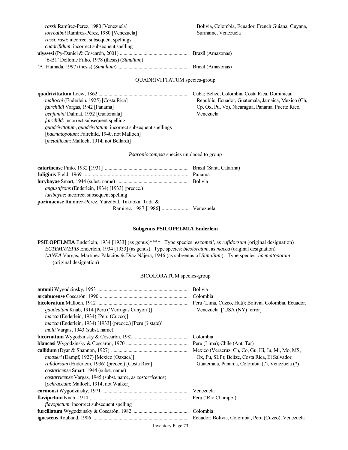| rassii Ramírez-Pérez, 1980 [Venezuela]              | Bolivia, Colombia, Eq |
|-----------------------------------------------------|-----------------------|
| torrealbai Ramírez-Pérez, 1980 [Venezuela]          | Suriname, Venezuela   |
| <i>rassi, rasii:</i> incorrect subsequent spellings |                       |
| <i>cuadrifidum:</i> incorrect subsequent spelling   |                       |
|                                                     |                       |
| '6-B1' Dellome Filho, 1978 (thesis) (Simulium)      |                       |
|                                                     |                       |

#### QUADRIVITTATUM species-group

*mallochi* (Enderlein, 1925) [Costa Rica] Republic, Ecuador, Guatemala, Jamaica, Mexico (Ch,  *fairchildi* Vargas, 1942 [Panama] Cp, Ox, Pu, Vz), Nicaragua, Panama, Puerto Rico,  *benjamini* Dalmat, 1952 [Guatemala] Venezuela *fairchild*: incorrect subsequent spelling *guadrivittatum*, *quadrivitatum*: incorrect subsequent spellings [*haematopotum*: Fairchild, 1940, not Malloch] [*metallicum*: Malloch, 1914, not Bellardi]

**quadrivittatum** Loew, 1862 ........................................................................ Cuba; Belize, Colombia, Costa Rica, Dominican

Ecuador, French Guiana, Guyana,

#### *Psaroniocompsa* species unplaced to group

| <i>angustifrons</i> (Enderlein, 1934) [1933] (preocc.) |  |
|--------------------------------------------------------|--|
| <i>luribayae</i> : incorrect subsequent spelling       |  |
| parimaense Ramírez-Pérez, Yarzábal, Takaoka, Tada &    |  |
| Ramírez, 1987 [1986]  Venezuela                        |  |

#### **Subgenus PSILOPELMIA Enderlein**

**PSILOPELMIA** Enderlein, 1934 [1933] (as genus)\*\*\*\*. Type species: *escomeli*, as *rufidorsum* (original designation) *ECTEMNASPIS* Enderlein, 1934 [1933] (as genus). Type species: *bicoloratum*, as *macca* (original designation) *LANEA* Vargas, Martínez Palacios & Díaz Nájera, 1946 (as subgenus of *Simulium*). Type species: *haematopotum* (original designation)

#### BICOLORATUM species-group

| gaudeatum Knab, 1914 [Peru ('Verrugas Canyon')]                           | Venezuela. ['USA (NY)' error]                  |
|---------------------------------------------------------------------------|------------------------------------------------|
| <i>macca</i> (Enderlein, 1934) [Peru (Cuzco)]                             |                                                |
| <i>macca</i> (Enderlein, 1934) [1933] (preocc.) [Peru (? state)]          |                                                |
| <i>molli</i> Vargas, 1943 (subst. name)                                   |                                                |
|                                                                           |                                                |
|                                                                           |                                                |
|                                                                           |                                                |
| <i>mooseri</i> (Dampf, 1927) [Mexico (Oaxaca)]                            | Ox, Pu, SLP); Belize, Costa Rica, El Salvador, |
| <i>rufidorsum</i> (Enderlein, 1936) (preocc.) [Costa Rica]                | Guatemala, Panama, Colombia (?), Venezuela (?) |
| <i>costaricense</i> Smart, 1944 (subst. name)                             |                                                |
| <i>costarricense</i> Vargas, 1945 (subst. name, as <i>costarricence</i> ) |                                                |
| [ <i>ochraceum</i> : Malloch, 1914, not Walker]                           |                                                |
|                                                                           |                                                |
|                                                                           |                                                |
| <i>flavopictum</i> : incorrect subsequent spelling                        |                                                |
|                                                                           |                                                |
|                                                                           |                                                |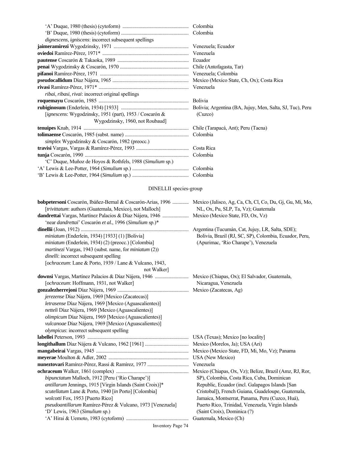| dignescens, igniscens: incorrect subsequent spellings     |            |
|-----------------------------------------------------------|------------|
|                                                           |            |
|                                                           |            |
|                                                           |            |
|                                                           |            |
|                                                           |            |
|                                                           |            |
|                                                           |            |
| <i>ribai, ribasi, rivai: incorrect original spellings</i> |            |
|                                                           |            |
|                                                           |            |
| [ignescens: Wygodzinsky, 1951 (part), 1953 / Coscarón &   | (Cuzco)    |
| Wygodzinsky, 1960, not Roubaud]                           |            |
|                                                           |            |
|                                                           |            |
| <i>simplex</i> Wygodzinsky & Coscarón, 1982 (preocc.)     |            |
|                                                           | Costa Rica |
|                                                           |            |
| 'C' Duque, Muñoz de Hoyos & Rothfels, 1988 (Simulium sp.) |            |
|                                                           | Colombia   |
|                                                           |            |
| DINELLII species-group                                    |            |

| bobpetersoni Coscarón, Ibáñez-Bernal & Coscarón-Arias, 1996  Mexico (Jalisco, Ag, Ca, Ch, Cl, Co, Du, Gj, Gu, Mi, Mo,<br>[trivittatum: authors (Guatemala, Mexico), not Malloch] | NL, Ox, Pu, SLP, Ta, Vz); Guatemala                    |
|----------------------------------------------------------------------------------------------------------------------------------------------------------------------------------|--------------------------------------------------------|
|                                                                                                                                                                                  |                                                        |
|                                                                                                                                                                                  |                                                        |
| 'near dandrettai' Coscarón et al., 1996 (Simulium sp.)*                                                                                                                          |                                                        |
|                                                                                                                                                                                  | Argentina (Tucumán, Cat, Jujuy, LR, Salta, SDE);       |
| miniatum (Enderlein, 1934) [1933] (1) [Bolivia]                                                                                                                                  | Bolivia, Brazil (RJ, SC, SP), Colombia, Ecuador, Peru, |
| miniatum (Enderlein, 1934) (2) (preocc.) [Colombia]                                                                                                                              | (Apurimac, 'Rio Charape'), Venezuela                   |
| martinezi Vargas, 1943 (subst. name, for miniatum (2))                                                                                                                           |                                                        |
| dinelli: incorrect subsequent spelling                                                                                                                                           |                                                        |
| [ochraceum: Lane & Porto, 1939 / Lane & Vulcano, 1943,                                                                                                                           |                                                        |
| not Walker                                                                                                                                                                       |                                                        |
|                                                                                                                                                                                  |                                                        |
| [ochraceum: Hoffmann, 1931, not Walker]                                                                                                                                          | Nicaragua, Venezuela                                   |
|                                                                                                                                                                                  |                                                        |
| jerezense Díaz Nájera, 1969 [Mexico (Zacatecas)]                                                                                                                                 |                                                        |
| letrasense Díaz Nájera, 1969 [Mexico (Aguascalientes)]                                                                                                                           |                                                        |
| netteli Díaz Nájera, 1969 [Mexico (Aguascalientes)]                                                                                                                              |                                                        |
| olimpicum Díaz Nájera, 1969 [Mexico (Aguascalientes)]                                                                                                                            |                                                        |
| vulcanoae Díaz Nájera, 1969 [Mexico (Aguascalientes)]                                                                                                                            |                                                        |
| olympicus: incorrect subsequent spelling                                                                                                                                         |                                                        |
|                                                                                                                                                                                  |                                                        |
|                                                                                                                                                                                  |                                                        |
|                                                                                                                                                                                  |                                                        |
|                                                                                                                                                                                  |                                                        |
|                                                                                                                                                                                  | Venezuela                                              |
|                                                                                                                                                                                  |                                                        |
| bipunctatum Malloch, 1912 [Peru ('Rio Charape')]                                                                                                                                 | SP), Colombia, Costa Rica, Cuba, Dominican             |
| antillarum Jennings, 1915 [Virgin Islands (Saint Croix)]*                                                                                                                        | Republic, Ecuador (incl. Galapagos Islands [San        |
| scutellatum Lane & Porto, 1940 [in Porto] [Colombia]                                                                                                                             | Cristobal]), French Guiana, Guadeloupe, Guatemala,     |
| wolcotti Fox, 1953 [Puerto Rico]                                                                                                                                                 | Jamaica, Montserrat, Panama, Peru (Cuzco, Huá),        |
| pseudoantillarum Ramírez-Pérez & Vulcano, 1973 [Venezuela]                                                                                                                       | Puerto Rico, Trinidad, Venezuela, Virgin Islands       |
| 'D' Lewis, 1963 (Simulium sp.)                                                                                                                                                   | (Saint Croix), Dominica (?)                            |
|                                                                                                                                                                                  | Guatemala, Mexico (Ch)                                 |
| Inventory Page 74                                                                                                                                                                |                                                        |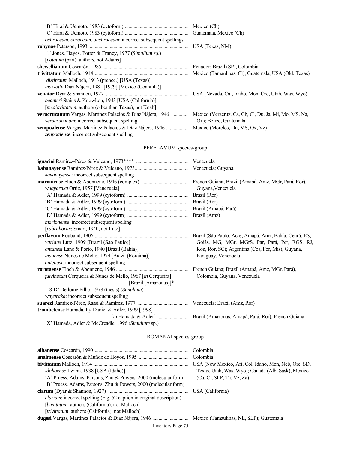| ochruceum, ocraccum, onchraceum: incorrect subsequent spellings                                                   |                                                    |
|-------------------------------------------------------------------------------------------------------------------|----------------------------------------------------|
|                                                                                                                   | USA (Texas, NM)                                    |
| '1' Jones, Hayes, Potter & Francy, 1977 (Simulium sp.)                                                            |                                                    |
| [ <i>notatum</i> (part): authors, not Adams]                                                                      |                                                    |
|                                                                                                                   |                                                    |
|                                                                                                                   |                                                    |
| <i>distinctum</i> Malloch, 1913 (preocc.) [USA (Texas)]                                                           |                                                    |
| <i>mazzottii</i> Díaz Nájera, 1981 [1979] [Mexico (Coahuila)]                                                     |                                                    |
|                                                                                                                   | USA (Nevada, Cal, Idaho, Mon, Ore, Utah, Was, Wyo) |
| <i>beameri</i> Stains & Knowlton, 1943 [USA (California)]                                                         |                                                    |
| [ <i>mediovittatum</i> : authors (other than Texas), not Knab]                                                    |                                                    |
| veracruzanum Vargas, Martínez Palacios & Díaz Nájera, 1946  Mexico (Veracruz, Ca, Ch, Cl, Du, Ja, Mi, Mo, MS, Na, |                                                    |
| <i>veracrucanum</i> : incorrect subsequent spelling                                                               | Ox); Belize, Guatemala                             |
| <b>zempoalense</b> Vargas, Martínez Palacios & Díaz Nájera, 1946  Mexico (Morelos, Du, MS, Ox, Vz)                |                                                    |
| <i>zenpoalense:</i> incorrect subsequent spelling                                                                 |                                                    |

# PERFLAVUM species-group

| <i>kavanayense</i> : incorrect subsequent spelling                |                                                        |
|-------------------------------------------------------------------|--------------------------------------------------------|
|                                                                   |                                                        |
| wuayaraka Ortiz, 1957 [Venezuela]                                 | Guyana, Venezuela                                      |
|                                                                   |                                                        |
|                                                                   |                                                        |
|                                                                   |                                                        |
|                                                                   |                                                        |
| <i>marionense</i> : incorrect subsequent spelling                 |                                                        |
| [rubrithorax: Smart, 1940, not Lutz]                              |                                                        |
|                                                                   | Brazil (São Paulo, Acre, Amapá, Amz, Bahía, Ceará, ES, |
| varians Lutz, 1909 [Brazil (São Paulo)]                           | Goiás, MG, MGr, MGrS, Par, Pará, Per, RGS, RJ,         |
| antunesi Lane & Porto, 1940 [Brazil (Bahía)]                      | Ron, Ror, SC); Argentina (Cos, For, Mis), Guyana,      |
| mauense Nunes de Mello, 1974 [Brazil (Roraima)]                   | Paraguay, Venezuela                                    |
| <i>antenusi:</i> incorrect subsequent spelling                    |                                                        |
|                                                                   |                                                        |
| <i>fulvinotum</i> Cerqueira & Nunes de Mello, 1967 [in Cerqueira] | Colombia, Guyana, Venezuela                            |
| [Brazil (Amazonas)]*                                              |                                                        |
| '18-D' Dellome Filho, 1978 (thesis) (Simulium)                    |                                                        |
| wayaraka: incorrect subsequent spelling                           |                                                        |
|                                                                   |                                                        |
| trombetense Hamada, Py-Daniel & Adler, 1999 [1998]                |                                                        |
|                                                                   |                                                        |
| 'X' Hamada, Adler & McCreadie, 1996 (Simulium sp.)                |                                                        |
|                                                                   |                                                        |

# ROMANAI species-group

|                                                                              | USA (New Mexico, Ari, Col, Idaho, Mon, Neb, Ore, SD, |
|------------------------------------------------------------------------------|------------------------------------------------------|
| <i>idahoense</i> Twinn, 1938 [USA (Idaho)]                                   | Texas, Utah, Was, Wyo); Canada (Alb, Sask), Mexico   |
| 'A' Pruess, Adams, Parsons, Zhu & Powers, 2000 (molecular form)              | (Ca, Cl, SLP, Ta, Vz, Za)                            |
| 'B' Pruess, Adams, Parsons, Zhu & Powers, 2000 (molecular form)              |                                                      |
|                                                                              |                                                      |
| <i>clarium:</i> incorrect spelling (Fig. 52 caption in original description) |                                                      |
| [bivittatum: authors (California), not Malloch]                              |                                                      |
| [trivittatum: authors (California), not Malloch]                             |                                                      |
|                                                                              |                                                      |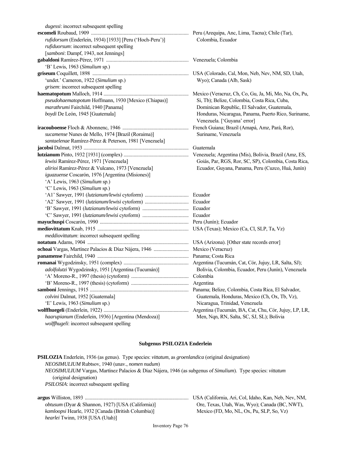| <i>dugessi</i> : incorrect subsequent spelling           |                                                       |
|----------------------------------------------------------|-------------------------------------------------------|
|                                                          |                                                       |
| rufidorsum (Enderlein, 1934) [1933] [Peru ('Hoch-Peru')] | Colombia, Ecuador                                     |
| rufiduorsum: incorrect subsequent spelling               |                                                       |
| [samboni: Dampf, 1943, not Jennings]                     |                                                       |
|                                                          |                                                       |
| 'B' Lewis, 1963 (Simulium sp.)                           |                                                       |
|                                                          |                                                       |
| 'undet.' Cameron, 1922 (Simulium sp.)                    | Wyo); Canada (Alb, Sask)                              |
| grisem: incorrect subsequent spelling                    |                                                       |
|                                                          |                                                       |
| pseudohaematopotum Hoffmann, 1930 [Mexico (Chiapas)]     | Si, Tb); Belize, Colombia, Costa Rica, Cuba,          |
| marathrumi Fairchild, 1940 [Panama]                      | Dominican Republic, El Salvador, Guatemala,           |
| boydi De León, 1945 [Guatemala]                          | Honduras, Nicaragua, Panama, Puerto Rico, Suriname,   |
|                                                          | Venezuela. ['Guyana' error]                           |
|                                                          | French Guiana; Brazil (Amapá, Amz, Pará, Ror),        |
| sucamense Nunes de Mello, 1974 [Brazil (Roraima)]        | Suriname, Venezuela                                   |
| santaelenae Ramírez-Pérez & Peterson, 1981 [Venezuela]   |                                                       |
|                                                          |                                                       |
|                                                          |                                                       |
| lewisi Ramírez-Pérez, 1971 [Venezuela]                   | Goiás, Par, RGS, Ror, SC, SP), Colombia, Costa Rica,  |
| alirioi Ramírez-Pérez & Vulcano, 1973 [Venezuela]        | Ecuador, Guyana, Panama, Peru (Cuzco, Huá, Junín)     |
| iguazuense Coscarón, 1976 [Argentina (Misiones)]         |                                                       |
| 'A' Lewis, 1963 (Simulium sp.)                           |                                                       |
| 'C' Lewis, 1963 (Simulium sp.)                           |                                                       |
|                                                          | Ecuador                                               |
|                                                          | Ecuador                                               |
|                                                          | Ecuador                                               |
|                                                          | Ecuador                                               |
|                                                          |                                                       |
|                                                          |                                                       |
| meddiovittatum: incorrect subsequent spelling            |                                                       |
|                                                          |                                                       |
|                                                          |                                                       |
|                                                          | Panama; Costa Rica                                    |
|                                                          |                                                       |
| adolfolutzi Wygodzinsky, 1951 [Argentina (Tucumán)]      | Bolivia, Colombia, Ecuador, Peru (Junín), Venezuela   |
|                                                          |                                                       |
|                                                          | Argentina                                             |
|                                                          | Panama; Belize, Colombia, Costa Rica, El Salvador,    |
| colvini Dalmat, 1952 [Guatemala]                         | Guatemala, Honduras, Mexico (Ch, Ox, Tb, Vz),         |
| 'E' Lewis, 1963 (Simulium sp.)                           | Nicaragua, Trinidad, Venezuela                        |
|                                                          | Argentina (Tucumán, BA, Cat, Chu, Cór, Jujuy, LP, LR, |
| haarupianum (Enderlein, 1936) [Argentina (Mendoza)]      | Men, Nqn, RN, Salta, SC, SJ, SL); Bolivia             |
| wolffhugeli: incorrect subsequent spelling               |                                                       |

## **Subgenus PSILOZIA Enderlein**

| <b>PSILOZIA</b> Enderlein, 1936 (as genus). Type species: <i>vittatum</i> , as <i>groenlandica</i> (original designation)<br><i>NEOSIMULIUM</i> Rubtsov, 1940 (unav., <i>nomen nudum</i> )<br><i>NEOSIMULIUM</i> Vargas, Martínez Palacios & Díaz Nájera, 1946 (as subgenus of <i>Simulium</i> ). Type species: <i>vittatum</i><br>(original designation)<br><i>PSILOSIA</i> : incorrect subsequent spelling |                                                                                         |
|--------------------------------------------------------------------------------------------------------------------------------------------------------------------------------------------------------------------------------------------------------------------------------------------------------------------------------------------------------------------------------------------------------------|-----------------------------------------------------------------------------------------|
|                                                                                                                                                                                                                                                                                                                                                                                                              | USA (California, Ari, Col, Idaho, Kan, Neb, Nev, NM,                                    |
| <i>obtusum</i> (Dyar & Shannon, 1927) [USA (California)]<br><i>kamloonsi</i> Hearle, 1932 [Canada (British Columbia)]                                                                                                                                                                                                                                                                                        | Ore, Texas, Utah, Was, Wyo); Canada (BC, NWT),<br>Mexico (FD Mo NL Ox Pu SLP So $V_z$ ) |

 *kamloopsi* Hearle, 1932 [Canada (British Columbia)] Mexico (FD, Mo, NL, Ox, Pu, SLP, So, Vz)

Inventory Page 76

 *hearlei* Twinn, 1938 [USA (Utah)]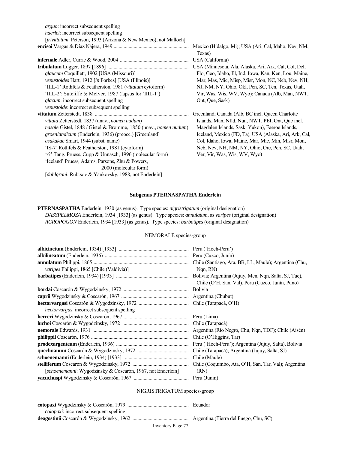*arguo*: incorrect subsequent spelling *haerlei*: incorrect subsequent spelling [*trivittatum*: Peterson, 1993 (Arizona & New Mexico), not Malloch] **encisoi** Vargas & Díaz Nájera, 1949 ............................................................ Mexico (Hidalgo, Mi); USA (Ari, Cal, Idaho, Nev, NM,

**infernale** Adler, Currie & Wood, 2004 ....................................................... USA (California) **tribulatum** Lugger, 1897 [1896] ................................................................. USA (Minnesota, Ala, Alaska, Ari, Ark, Cal, Col, Del, glaucum Coquillett, 1902 [USA (Missouri)] Flo, Geo, Idaho, Ill, Ind, Iowa, Kan, Ken, Lou, Maine, *venustoides* Hart, 1912 [*in* Forbes] [USA (Illinois)] Mar, Mas, Mic, Misp, Misr, Mon, NC, Neb, Nev, NH, 'IIIL-1' Rothfels & Featherston, 1981 (*vittatum* cytoform) NJ, NM, NY, Ohio, Okl, Pen, SC, Ten, Texas, Utah, 'IIIL-2': Sutcliffe & McIver, 1987 (lapsus for 'IIIL-1') Vir, Was, Wis, WV, Wyo); Canada (Alb, Man, NWT, *glacum*: incorrect subsequent spelling Ont, Que, Sask) *venustoide*: incorrect subsequent spelling **vittatum** Zetterstedt, 1838 ........................................................................... Greenland; Canada (Alb, BC incl. Queen Charlotte  *vittata* Zetterstedt, 1837 (unav., *nomen nudum*) Islands, Man, Nfld, Nun, NWT, PEI, Ont, Que incl.  *nasale* Gistel, 1848 / Gistel & Bromme, 1850 (unav., *nomen nudum*) Magdalen Islands, Sask, Yukon), Faeroe Islands,  *groenlandicum* (Enderlein, 1936) (preocc.) [Greenland] Iceland, Mexico (FD, Ta), USA (Alaska, Ari, Ark, Cal,  *asakakae* Smart, 1944 (subst. name) Col, Idaho, Iowa, Maine, Mar, Mic, Min, Misr, Mon, 'IS-7' Rothfels & Featherston, 1981 (cytoform) Neb, Nev, NH, NM, NY, Ohio, Ore, Pen, SC, Utah, '/?' Tang, Pruess, Cupp & Unnasch, 1996 (molecular form) Ver, Vir, Was, Wis, WV, Wyo) 'Iceland' Pruess, Adams, Parsons, Zhu & Powers, 2000 (molecular form) [*dahlgruni*: Rubtsov & Yankovsky, 1988, not Enderlein]

Texas)

#### **Subgenus PTERNASPATHA Enderlein**

**PTERNASPATHA** Enderlein, 1930 (as genus). Type species: *nigristrigatum* (original designation)  *DASYPELMOZA* Enderlein, 1934 [1933] (as genus). Type species: *annulatum*, as *varipes* (original designation)  *ACROPOGON* Enderlein, 1934 [1933] (as genus). Type species: *barbatipes* (original designation)

#### NEMORALE species-group

|                                                             | Peru ('Hoch-Peru')                                                                                        |
|-------------------------------------------------------------|-----------------------------------------------------------------------------------------------------------|
|                                                             |                                                                                                           |
|                                                             | Chile (Santiago, Ara, BB, LL, Maule); Argentina (Chu,                                                     |
| varipes Philippi, 1865 [Chile (Valdivia)]                   | Ngn, RN)                                                                                                  |
|                                                             | Bolivia; Argentina (Jujuy, Men, Nqn, Salta, SJ, Tuc),<br>Chile (O'H, San, Val), Peru (Cuzco, Junín, Puno) |
|                                                             | Bolivia                                                                                                   |
|                                                             |                                                                                                           |
|                                                             |                                                                                                           |
| <i>hectorvargas:</i> incorrect subsequent spelling          |                                                                                                           |
|                                                             |                                                                                                           |
|                                                             |                                                                                                           |
|                                                             | Argentina (Rio Negro, Chu, Nqn, TDF); Chile (Aisén)                                                       |
|                                                             | Chile (O'Higgins, Tar)                                                                                    |
|                                                             | Peru ('Hoch-Peru'); Argentina (Jujuy, Salta), Bolivia                                                     |
|                                                             | Chile (Tarapacá); Argentina (Jujuy, Salta, SJ)                                                            |
|                                                             | Chile (Maule)                                                                                             |
|                                                             |                                                                                                           |
| [schoenemanni: Wygodzinsky & Coscarón, 1967, not Enderlein] | (RN)                                                                                                      |
|                                                             |                                                                                                           |

#### NIGRISTRIGATUM species-group

| <i>colopaxi:</i> incorrect subsequent spelling |                                       |
|------------------------------------------------|---------------------------------------|
|                                                | Argentina (Tierra del Fuego, Chu, SC) |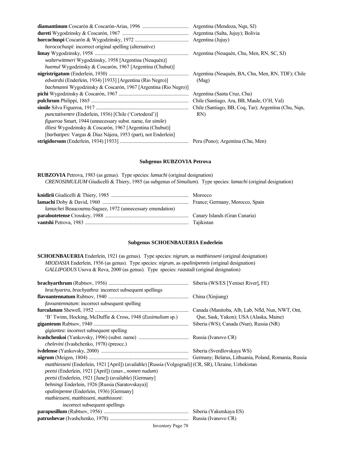|                                                                           | Argentina (Salta, Jujuy); Bolivia                    |
|---------------------------------------------------------------------------|------------------------------------------------------|
|                                                                           |                                                      |
| <i>horocochuspi</i> : incorrect original spelling (alternative)           |                                                      |
|                                                                           | Argentina (Neuquén, Chu, Men, RN, SC, SJ)            |
| <i>walterwittmeri</i> Wygodzinsky, 1958 [Argentina (Neuquén)]             |                                                      |
| <i>huemul</i> Wygodzinsky & Coscarón, 1967 [Argentina (Chubut)]           |                                                      |
|                                                                           | Argentina (Neuquén, BA, Chu, Men, RN, TDF); Chile    |
| <i>edwardsi</i> (Enderlein, 1934) [1933] [Argentina (Rio Negro)]          | (Mag)                                                |
| bachmanni Wygodzinsky & Coscarón, 1967 [Argentina (Rio Negro)]            |                                                      |
|                                                                           | Argentina (Santa Cruz, Chu)                          |
|                                                                           |                                                      |
|                                                                           | Chile (Santiago, BB, Coq, Tar); Argentina (Chu, Nqn, |
| <i>punctativentre</i> (Enderlein, 1936) [Chile ('Cortoderal')]            | RN)                                                  |
| <i>figueroa</i> Smart, 1944 (unnecessary subst. name, for <i>simile</i> ) |                                                      |
| <i>illiesi</i> Wygodzinsky & Coscarón, 1967 [Argentina (Chubut)]          |                                                      |
| [barbatipes: Vargas & Díaz Nájera, 1953 (part), not Enderlein]            |                                                      |
|                                                                           |                                                      |
|                                                                           |                                                      |

#### **Subgenus RUBZOVIA Petrova**

**RUBZOVIA** Petrova, 1983 (as genus). Type species: *lamachi* (original designation)  *CRENOSIMULIUM* Giudicelli & Thiery, 1985 (as subgenus of *Simulium*). Type species: *lamachi* (original designation)

| <i>lamachei</i> Beaucournu-Saguez, 1972 (unnecessary emendation) |  |
|------------------------------------------------------------------|--|
|                                                                  |  |
|                                                                  |  |

#### **Subgenus SCHOENBAUERIA Enderlein**

**SCHOENBAUERIA** Enderlein, 1921 (as genus). Type species: *nigrum*, as *matthiesseni* (original designation)  *MIODASIA* Enderlein, 1936 (as genus). Type species: *nigrum*, as *opalinipennis* (original designation) *GALLIPODUS* Usova & Reva, 2000 (as genus). Type species: *raastadi* (original designation)

|                                                                                                       | Siberia (WS/ES [Yenisei River], FE)              |
|-------------------------------------------------------------------------------------------------------|--------------------------------------------------|
| brachyartra, brachyathra: incorrect subsequent spellings                                              |                                                  |
|                                                                                                       |                                                  |
| favoantennatum: incorrect subsequent spelling                                                         |                                                  |
|                                                                                                       | Canada (Manitoba, Alb, Lab, Nfld, Nun, NWT, Ont, |
| 'B' Twinn, Hocking, McDuffie & Cross, 1948 ( <i>Eusimulium</i> sp.)                                   | Que, Sask, Yukon); USA (Alaska, Maine)           |
|                                                                                                       | Siberia (WS); Canada (Nun), Russia (NR)          |
| <i>gigiantea</i> : incorrect subsequent spelling                                                      |                                                  |
|                                                                                                       |                                                  |
| <i>chelevini</i> (Ivashchenko, 1978) (preocc.)                                                        |                                                  |
|                                                                                                       |                                                  |
|                                                                                                       |                                                  |
| matthiesseni (Enderlein, 1921 [April]) (available) [Russia (Volgograd)] (CR, SR), Ukraine, Uzbekistan |                                                  |
| peetsi (Enderlein, 1921 [April]) (unav., nomen nudum)                                                 |                                                  |
| <i>peetsi</i> (Enderlein, 1921 [June]) (available) [Germany]                                          |                                                  |
| behningi Enderlein, 1926 [Russia (Saratovskaya)]                                                      |                                                  |
| <i>opalinipenne</i> (Enderlein, 1936) [Germany]                                                       |                                                  |
| mathiesseni, matthisseni, matthissoni:                                                                |                                                  |
| incorrect subsequent spellings                                                                        |                                                  |
|                                                                                                       |                                                  |
|                                                                                                       |                                                  |
|                                                                                                       |                                                  |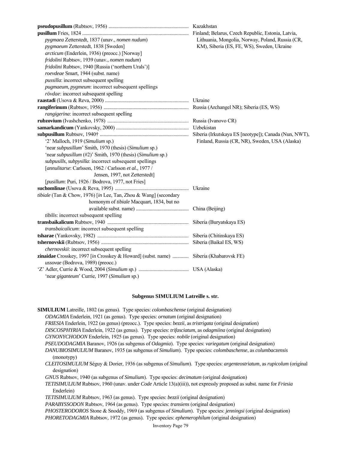| pygmaea Zetterstedt, 1837 (unav., nomen nudum)                                        | Lithuania, Mongolia, Norway, Poland, Russia (CR, |
|---------------------------------------------------------------------------------------|--------------------------------------------------|
| pygmaeum Zetterstedt, 1838 [Sweden]                                                   | KM), Siberia (ES, FE, WS), Sweden, Ukraine       |
| arcticum (Enderlein, 1936) (preocc.) [Norway]                                         |                                                  |
| fridolini Rubtsov, 1939 (unav., nomen nudum)                                          |                                                  |
| fridolini Rubtsov, 1940 [Russia ('northern Urals')]                                   |                                                  |
| roevdeae Smart, 1944 (subst. name)                                                    |                                                  |
| pussilla: incorrect subsequent spelling                                               |                                                  |
| pugmaeum, pygmeum: incorrect subsequent spellings                                     |                                                  |
| rövdae: incorrect subsequent spelling                                                 |                                                  |
|                                                                                       |                                                  |
|                                                                                       |                                                  |
| rangigerina: incorrect subsequent spelling                                            |                                                  |
|                                                                                       |                                                  |
|                                                                                       |                                                  |
|                                                                                       |                                                  |
| '2' Malloch, 1919 (Simulium sp.)                                                      | Finland, Russia (CR, NR), Sweden, USA (Alaska)   |
| 'near subpusillum' Smith, 1970 (thesis) (Simulium sp.)                                |                                                  |
| 'near subpusillum (#2)' Smith, 1970 (thesis) (Simulium sp.)                           |                                                  |
| subpusills, subpysilla: incorrect subsequent spellings                                |                                                  |
| [annulitarse: Carlsson, 1962 / Carlsson et al., 1977 /                                |                                                  |
| Jensen, 1997, not Zetterstedt]                                                        |                                                  |
| [pusillum: Puri, 1926 / Bodrova, 1977, not Fries]                                     |                                                  |
|                                                                                       |                                                  |
| tibiale (Tan & Chow, 1976) [in Lee, Tan, Zhou & Wang] (secondary                      |                                                  |
| homonym of tibiale Macquart, 1834, but no                                             |                                                  |
|                                                                                       | China (Beijing)                                  |
| tibilis: incorrect subsequent spelling                                                |                                                  |
|                                                                                       |                                                  |
| transbaicalicum: incorrect subsequent spelling                                        |                                                  |
|                                                                                       |                                                  |
|                                                                                       | Siberia (Baikal ES, WS)                          |
| chernovskii: incorrect subsequent spelling                                            |                                                  |
| zinaidae Crosskey, 1997 [in Crosskey & Howard] (subst. name)  Siberia (Khabarovsk FE) |                                                  |
| ussovae (Bodrova, 1989) (preocc.)                                                     |                                                  |
|                                                                                       |                                                  |
| 'near giganteum' Currie, 1997 (Simulium sp.)                                          |                                                  |

#### **Subgenus SIMULIUM Latreille s. str.**

**SIMULIUM** Latreille, 1802 (as genus). Type species: *colombaschense* (original designation)  *ODAGMIA* Enderlein, 1921 (as genus). Type species: *ornatum* (original designation)  *FRIESIA* Enderlein, 1922 (as genus) (preocc.). Type species: *bezzii*, as *tristrigata* (original designation)  *DISCOSPHYRIA* Enderlein, 1922 (as genus). Type species: *trifasciatum*, as *odagmiina* (original designation)  *GYNONYCHODON* Enderlein, 1925 (as genus). Type species: *nobile* (original designation)  *PSEUDODAGMIA* Baranov, 1926 (as subgenus of *Odagmia*). Type species: *variegatum* (original designation)  *DANUBIOSIMULIUM* Baranov, 1935 (as subgenus of *Simulium*). Type species: *colombaschense*, as *columbaczensis* (monotypy)  *CLEITOSIMULIUM* Séguy & Dorier, 1936 (as subgenus of *Simulium*). Type species: *argenteostriatum*, as *rupicolum* (original designation)  *GNUS* Rubtsov, 1940 (as subgenus of *Simulium*). Type species: *decimatum* (original designation)  *TETISIMULIUM* Rubtsov, 1960 (unav. under *Code* Article 13(a)(iii)), not expressly proposed as subst. name for *Friesia* Enderlein)  *TETISIMULIUM* Rubtsov, 1963 (as genus). Type species: *bezzii* (original designation)  *PARABYSSODON* Rubtsov, 1964 (as genus). Type species: *transiens* (original designation)  *PHOSTERODOROS* Stone & Snoddy, 1969 (as subgenus of *Simulium*). Type species: *jenningsi* (original designation)  *PHORETODAGMIA* Rubtsov, 1972 (as genus). Type species: *ephemerophilum* (original designation)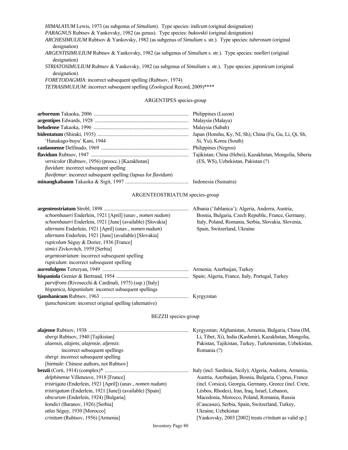*HIMALAYUM* Lewis, 1973 (as subgenus of *Simulium*). Type species: *indicum* (original designation)  *PARAGNUS* Rubtsov & Yankovsky, 1982 (as genus). Type species: *bukovskii* (original designation)  *ARCHESIMULIUM* Rubtsov & Yankovsky, 1982 (as subgenus of *Simulium* s. str.). Type species: *tuberosum* (original designation)  *ARGENTISIMULIUM* Rubtsov & Yankovsky, 1982 (as subgenus of *Simulium* s. str.). Type species: *noelleri* (original designation)  *STRIATOSIMULIUM* Rubtsov & Yankovsky, 1982 (as subgenus of *Simulium* s. str.). Type species: *japonicum* (original designation)  *FORETODAGMIA*: incorrect subsequent spelling (Rubtsov, 1974) *TETRASIMULIUM*: incorrect subsequent spelling (Zoological Record, 2009)\*\*\*\* ARGENTIPES species-group **arboreum** Takaoka, 2006 ............................................................................ Philippines (Luzon) **argentipes** Edwards, 1928 ........................................................................... Malaysia (Malaya) **beludense** Takaoka, 1996 ............................................................................ Malaysia (Sabah) **bidentatum** (Shiraki, 1935) ......................................................................... Japan (Honshu, Ky, NI, Sh); China (Fu, Gu, Li, Qi, Sh, 'Hanakago-buyu' Kani, 1944 Si, Yu), Korea (South) **canlaonense** Delfinado, 1969 ...................................................................... Philippines (Negros) **flavidum** Rubtsov, 1947 .............................................................................. Tajikistan; China (Hebei), Kazakhstan, Mongolia, Siberia  *versicolor* (Rubtsov, 1956) (preocc.) [Kazakhstan] (ES, WS), Uzbekistan, Pakistan (?) *fiavidum*: incorrect subsequent spelling  *flavifemur*: incorrect subsequent spelling (lapsus for *flavidum*) **minangkabaum** Takaoka & Sigit, 1997 ............................................... Indonesia (Sumatra) ARGENTEOSTRIATUM species-group **argenteostriatum** Strobl, 1898 .................................................................... Albania ('Jablanica'); Algeria, Andorra, Austria,  *schoenbaueri* Enderlein, 1921 [April] (unav., *nomen nudum*) Bosnia, Bulgaria, Czech Republic, France, Germany,  *schoenbaueri* Enderlein, 1921 [June] (available) [Slovakia] Italy, Poland, Romania, Serbia, Slovakia, Slovenia,  *alternans* Enderlein, 1921 [April] (unav., *nomen nudum*) Spain, Switzerland, Ukraine  *alternans* Enderlein, 1921 [June] (available) [Slovakia]  *rupicolum* Séguy & Dorier, 1936 [France]

**aureofulgens** Terteryan, 1949 ..................................................................... Armenia; Azerbaijan, Turkey **hispaniola** Grenier & Bertrand, 1954 .......................................................... Spain; Algeria, France, Italy, Portugal, Turkey

**tjanshanicum** Rubtsov, 1963 ...................................................................... Kyrgyzstan

 *simici* Zivkovitch, 1959 [Serbia]

*argentostriatum*: incorrect subsequent spelling *rupiculum*: incorrect subsequent spelling

 *parvifrons* (Rivosecchi & Cardinali, 1975) (ssp.) [Italy]  *hispanica, hispaniolum*: incorrect subsequent spellings

 *tjanschanicum*: incorrect original spelling (alternative)

#### BEZZII species-group

|                                                                  | Kyrgyzstan; Afghanistan, Armenia, Bulgaria, China (IM,       |
|------------------------------------------------------------------|--------------------------------------------------------------|
| sbergi Rubtsov, 1940 [Tajikistan]                                | Li, Tibet, Xi), India (Kashmir), Kazakhstan, Mongolia,       |
| alaensis, alajens, alajensie, aljensis:                          | Pakistan, Tajikistan, Turkey, Turkmenistan, Uzbekistan,      |
| incorrect subsequent spellings                                   | Romania (?)                                                  |
| <i>shergi</i> : incorrect subsequent spelling                    |                                                              |
| [hiemale: Chinese authors, not Rubtsov]                          |                                                              |
|                                                                  | Italy (incl. Sardinia, Sicily); Algeria, Andorra, Armenia,   |
| delphinense Villeneuve, 1918 [France]                            | Austria, Azerbaijan, Bosnia, Bulgaria, Cyprus, France        |
| tristrigata (Enderlein, 1921 [April]) (unav., nomen nudum)       | (incl. Corsica), Georgia, Germany, Greece (incl. Crete,      |
| <i>tristrigatum</i> (Enderlein, 1921 [June]) (available) [Spain] | Lésbos, Rhodes), Iran, Iraq, Israel, Lebanon,                |
| <i>obscurum</i> (Enderlein, 1924) [Bulgaria]                     | Macedonia, Morocco, Poland, Romania, Russia                  |
| <i>kondici</i> (Baranov, 1926) [Serbia]                          | (Caucasus), Serbia, Spain, Switzerland, Turkey,              |
| <i>atlas</i> Séguy, 1930 [Morocco]                               | Ukraine, Uzbekistan                                          |
| crinitum (Rubtsov, 1956) [Armenia]                               | [Yankovsky, 2003 [2002] treats <i>crinitum</i> as valid sp.] |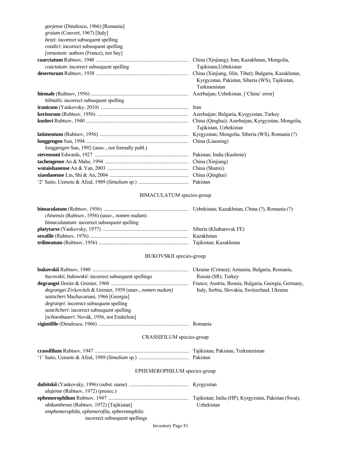| [venustum: authors (France), not Say]<br>coactatum: incorrect subsequent spelling<br>Tajikistan, Uzbekistan<br>Kyrgyzstan, Pakistan, Siberia (WS), Tajikistan,<br>Turkmenistan<br>hilmalis: incorrect subsequent spelling<br>Tajikistan, Uzbekistan<br>longgengen Sun, 1992 (unav., not formally publ.) | gorjense (Dinulescu, 1966) [Romania]<br>graium (Couvert, 1967) [Italy]<br>bezzi: incorrect subsequent spelling<br><i>condici:</i> incorrect subsequent spelling |  |
|---------------------------------------------------------------------------------------------------------------------------------------------------------------------------------------------------------------------------------------------------------------------------------------------------------|-----------------------------------------------------------------------------------------------------------------------------------------------------------------|--|
|                                                                                                                                                                                                                                                                                                         |                                                                                                                                                                 |  |
|                                                                                                                                                                                                                                                                                                         |                                                                                                                                                                 |  |
|                                                                                                                                                                                                                                                                                                         |                                                                                                                                                                 |  |
|                                                                                                                                                                                                                                                                                                         |                                                                                                                                                                 |  |
|                                                                                                                                                                                                                                                                                                         |                                                                                                                                                                 |  |
|                                                                                                                                                                                                                                                                                                         |                                                                                                                                                                 |  |
|                                                                                                                                                                                                                                                                                                         |                                                                                                                                                                 |  |
|                                                                                                                                                                                                                                                                                                         |                                                                                                                                                                 |  |
|                                                                                                                                                                                                                                                                                                         |                                                                                                                                                                 |  |
|                                                                                                                                                                                                                                                                                                         |                                                                                                                                                                 |  |
|                                                                                                                                                                                                                                                                                                         |                                                                                                                                                                 |  |
|                                                                                                                                                                                                                                                                                                         |                                                                                                                                                                 |  |
|                                                                                                                                                                                                                                                                                                         |                                                                                                                                                                 |  |
|                                                                                                                                                                                                                                                                                                         |                                                                                                                                                                 |  |
|                                                                                                                                                                                                                                                                                                         |                                                                                                                                                                 |  |
|                                                                                                                                                                                                                                                                                                         |                                                                                                                                                                 |  |

# BIMACULATUM species-group

| <i>chinensis</i> (Rubtsov, 1956) (unav., <i>nomen nudum</i> ) |  |
|---------------------------------------------------------------|--|
| <i>bimaculatatum</i> : incorrect subsequent spelling          |  |
|                                                               |  |
|                                                               |  |
|                                                               |  |

# BUKOVSKII species-group

|                                                             | Ukraine (Crimea); Armenia, Bulgaria, Romania,        |
|-------------------------------------------------------------|------------------------------------------------------|
| <i>bucovskii, bukowskii: incorrect subsequent spellings</i> | Russia (SR), Turkey                                  |
|                                                             | France; Austria, Bosnia, Bulgaria, Georgia, Germany, |
| degrangei Zivkovitch & Grenier, 1959 (unav., nomen nudum)   | Italy, Serbia, Slovakia, Switzerland, Ukraine        |
| sastscheri Machavariani, 1966 [Georgia]                     |                                                      |
| <i>degraniei:</i> incorrect subsequent spelling             |                                                      |
| sastchcheri: incorrect subsequent spelling                  |                                                      |
| [schoenbaueri: Novák, 1956, not Enderlein]                  |                                                      |
|                                                             |                                                      |

## CRASSIFILUM species-group

| Tajikistan; Pakistan, Turkmenistan |
|------------------------------------|
|                                    |

# EPHEMEROPHILUM species-group

| <i>alajense</i> (Rubtsov, 1972) (preocc.)       |                                                      |
|-------------------------------------------------|------------------------------------------------------|
|                                                 | Tajikistan; India (HP), Kyrgyzstan, Pakistan (Swat), |
| <i>obikumbense</i> (Rubtsov, 1972) [Tajikistan] | Uzbekistan                                           |
| emphemerophila, ephemerofila, epheremophila:    |                                                      |
| incorrect subsequent spellings                  |                                                      |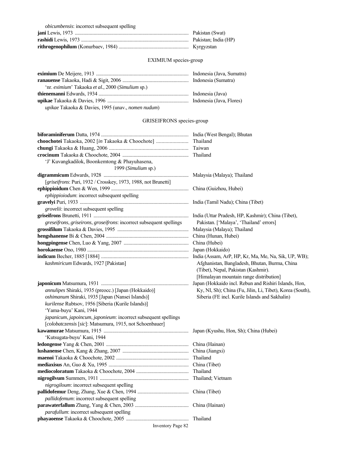| <i>obicumbensis:</i> incorrect subsequent spelling |  |
|----------------------------------------------------|--|
|                                                    |  |
|                                                    |  |
|                                                    |  |

# EXIMIUM species-group

| 'nr. <i>eximium</i> ' Takaoka et al., 2000 (Simulium sp.)         |  |
|-------------------------------------------------------------------|--|
|                                                                   |  |
|                                                                   |  |
| <i>upikae</i> Takaoka & Davies, 1995 (unav., <i>nomen nudum</i> ) |  |

## GRISEIFRONS species-group

|                                                                      | Thailand                                                  |
|----------------------------------------------------------------------|-----------------------------------------------------------|
|                                                                      |                                                           |
|                                                                      |                                                           |
| 'J' Kuvangkadilok, Boonkemtong & Phayuhasena,<br>1999 (Simulium sp.) |                                                           |
|                                                                      |                                                           |
| [griseifrons: Puri, 1932 / Crosskey, 1973, 1988, not Brunetti]       |                                                           |
|                                                                      |                                                           |
| ephippioiodum: incorrect subsequent spelling                         |                                                           |
|                                                                      |                                                           |
| grovelii: incorrect subsequent spelling                              |                                                           |
|                                                                      | India (Uttar Pradesh, HP, Kashmir); China (Tibet),        |
| greseifrons, griseirons, groseifrons: incorrect subsequent spellings | Pakistan. ['Malaya', 'Thailand' errors]                   |
|                                                                      | Malaysia (Malaya); Thailand                               |
|                                                                      | China (Hunan, Hubei)                                      |
|                                                                      | China (Hubei)                                             |
|                                                                      | Japan (Hokkaido)                                          |
|                                                                      |                                                           |
| kashmiricum Edwards, 1927 [Pakistan]                                 | Afghanistan, Bangladesh, Bhutan, Burma, China             |
|                                                                      | (Tibet), Nepal, Pakistan (Kashmir).                       |
|                                                                      | [Himalayan mountain range distribution]                   |
| annulipes Shiraki, 1935 (preocc.) [Japan (Hokkaido)]                 | Japan (Hokkaido incl. Rebun and Rishiri Islands, Hon,     |
| oshimanum Shiraki, 1935 [Japan (Nansei Islands)]                     | Ky, NI, Sh); China (Fu, Jilin, Li, Tibet), Korea (South), |
| kurilense Rubtsov, 1956 [Siberia (Kurile Islands)]                   | Siberia (FE incl. Kurile Islands and Sakhalin)            |
| 'Yama-buyu' Kani, 1944                                               |                                                           |
| japanicum, japoincum, japonieum: incorrect subsequent spellings      |                                                           |
| [colobatczensis [sic]: Matsumura, 1915, not Schoenbauer]             |                                                           |
|                                                                      | Japan (Kyushu, Hon, Sh); China (Hubei)                    |
| 'Kutsugata-buyu' Kani, 1944                                          |                                                           |
|                                                                      |                                                           |
|                                                                      |                                                           |
|                                                                      |                                                           |
|                                                                      |                                                           |
|                                                                      |                                                           |
|                                                                      | Thailand; Vietnam                                         |
| nigrogiloum: incorrect subsequent spelling                           |                                                           |
|                                                                      |                                                           |
| pallidofemum: incorrect subsequent spelling                          |                                                           |
|                                                                      |                                                           |
| parafullum: incorrect subsequent spelling                            |                                                           |
|                                                                      |                                                           |
| <b>Inventory Page 82</b>                                             |                                                           |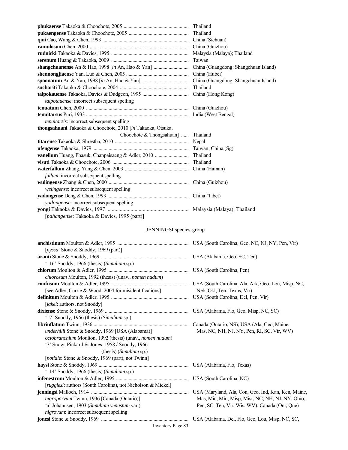|                                                             | China (Guizhou)                      |
|-------------------------------------------------------------|--------------------------------------|
|                                                             |                                      |
|                                                             | Taiwan                               |
|                                                             | China (Guangdong: Shangchuan Island) |
|                                                             | China (Hubei)                        |
|                                                             |                                      |
|                                                             | Thailand                             |
|                                                             |                                      |
| taipotauense: incorrect subsequent spelling                 |                                      |
|                                                             |                                      |
|                                                             |                                      |
| tenuitarsis: incorrect subsequent spelling                  |                                      |
| thongsahuani Takaoka & Choochote, 2010 [in Takaoka, Otsuka, |                                      |
| Choochote $\&$ Thongsahuan]                                 | Thailand                             |
|                                                             |                                      |
|                                                             |                                      |
| vanellum Huang, Phasuk, Chanpaisaeng & Adler, 2010          | Thailand                             |
|                                                             | Thailand                             |
|                                                             |                                      |
| fullum: incorrect subsequent spelling                       |                                      |
|                                                             |                                      |
| welingense: incorrect subsequent spelling                   |                                      |
|                                                             |                                      |
| yodongense: incorrect subsequent spelling                   |                                      |
|                                                             |                                      |
| [pahangense: Takaoka & Davies, 1995 (part)]                 |                                      |

# JENNINGSI species-group

| [nyssa: Stone & Snoddy, 1969 (part)]                                                                                                                                                                                                                                                             |                                                     |
|--------------------------------------------------------------------------------------------------------------------------------------------------------------------------------------------------------------------------------------------------------------------------------------------------|-----------------------------------------------------|
|                                                                                                                                                                                                                                                                                                  |                                                     |
| '116' Snoddy, 1966 (thesis) (Simulium sp.)                                                                                                                                                                                                                                                       |                                                     |
|                                                                                                                                                                                                                                                                                                  |                                                     |
| chlorosum Moulton, 1992 (thesis) (unav., nomen nudum)                                                                                                                                                                                                                                            |                                                     |
|                                                                                                                                                                                                                                                                                                  |                                                     |
| [see Adler, Currie & Wood, 2004 for misidentifications]                                                                                                                                                                                                                                          | Neb, Okl, Ten, Texas, Vir)                          |
|                                                                                                                                                                                                                                                                                                  |                                                     |
| [lakei: authors, not Snoddy]                                                                                                                                                                                                                                                                     |                                                     |
|                                                                                                                                                                                                                                                                                                  | USA (Alabama, Flo, Geo, Misp, NC, SC)               |
| '17' Snoddy, 1966 (thesis) (Simulium sp.)                                                                                                                                                                                                                                                        |                                                     |
|                                                                                                                                                                                                                                                                                                  |                                                     |
| underhilli Stone & Snoddy, 1969 [USA (Alabama)]                                                                                                                                                                                                                                                  | Mas, NC, NH, NJ, NY, Pen, RI, SC, Vir, WV)          |
| octobranchium Moulton, 1992 (thesis) (unav., nomen nudum)                                                                                                                                                                                                                                        |                                                     |
| '7' Snow, Pickard & Jones, 1958 / Snoddy, 1966                                                                                                                                                                                                                                                   |                                                     |
| (thesis) (Simulium sp.)                                                                                                                                                                                                                                                                          |                                                     |
| [notiale: Stone & Snoddy, 1969 (part), not Twinn]                                                                                                                                                                                                                                                |                                                     |
|                                                                                                                                                                                                                                                                                                  |                                                     |
| '114' Snoddy, 1966 (thesis) (Simulium sp.)                                                                                                                                                                                                                                                       |                                                     |
|                                                                                                                                                                                                                                                                                                  |                                                     |
| [ <i>rugglesi</i> : authors (South Carolina), not Nicholson & Mickel]                                                                                                                                                                                                                            |                                                     |
|                                                                                                                                                                                                                                                                                                  | USA (Maryland, Ala, Con, Geo, Ind, Kan, Ken, Maine, |
| nigroparvum Twinn, 1936 [Canada (Ontario)]                                                                                                                                                                                                                                                       | Mas, Mic, Min, Misp, Misr, NC, NH, NJ, NY, Ohio,    |
| 'a' Johannsen, 1903 (Simulium venustum var.)                                                                                                                                                                                                                                                     | Pen, SC, Ten, Vir, Wis, WV); Canada (Ont, Que)      |
| nigrovum: incorrect subsequent spelling                                                                                                                                                                                                                                                          |                                                     |
|                                                                                                                                                                                                                                                                                                  |                                                     |
| $\mathbf{r}$ and $\mathbf{r}$ and $\mathbf{r}$ and $\mathbf{r}$ and $\mathbf{r}$ and $\mathbf{r}$ and $\mathbf{r}$ and $\mathbf{r}$ and $\mathbf{r}$ and $\mathbf{r}$ and $\mathbf{r}$ and $\mathbf{r}$ and $\mathbf{r}$ and $\mathbf{r}$ and $\mathbf{r}$ and $\mathbf{r}$ and $\mathbf{r}$ and |                                                     |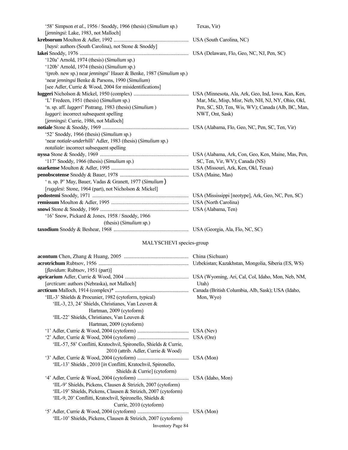| '58' Simpson et al., 1956 / Snoddy, 1966 (thesis) (Simulium sp.)    | Texas, Vir)                                       |
|---------------------------------------------------------------------|---------------------------------------------------|
| [jenningsi: Lake, 1983, not Malloch]                                |                                                   |
|                                                                     |                                                   |
| [haysi: authors (South Carolina), not Stone & Snoddy]               |                                                   |
|                                                                     |                                                   |
| '120a' Arnold, 1974 (thesis) (Simulium sp.)                         |                                                   |
| '120b' Arnold, 1974 (thesis) (Simulium sp.)                         |                                                   |
| '(prob. new sp.) near jenningsi' Hauer & Benke, 1987 (Simulium sp.) |                                                   |
| 'near jenningsi Benke & Parsons, 1990 (Simulium)                    |                                                   |
| [see Adler, Currie & Wood, 2004 for misidentifications]             |                                                   |
|                                                                     |                                                   |
| 'L' Fredeen, 1951 (thesis) (Simulium sp.)                           | Mar, Mic, Misp, Misr, Neb, NH, NJ, NY, Ohio, Okl, |
| 'n. sp. aff. luggeri' Pistrang, 1983 (thesis) (Simulium)            | Pen, SC, SD, Ten, Wis, WV); Canada (Alb, BC, Man, |
| luggari: incorrect subsequent spelling                              | NWT, Ont, Sask)                                   |
| [jenningsi: Currie, 1986, not Malloch]                              |                                                   |
|                                                                     |                                                   |
| '52' Snoddy, 1966 (thesis) (Simulium sp.)                           |                                                   |
| 'near notiale-underhilli' Adler, 1983 (thesis) (Simulium sp.)       |                                                   |
| notaliale: incorrect subsequent spelling                            |                                                   |
|                                                                     |                                                   |
| '117' Snoddy, 1966 (thesis) (Simulium sp.)                          | SC, Ten, Vir, WV); Canada (NS)                    |
|                                                                     |                                                   |
|                                                                     |                                                   |
| ' n. sp. P' May, Bauer, Vadas & Granett, 1977 (Simulium)            |                                                   |
| [ <i>rugglesi</i> : Stone, 1964 (part), not Nicholson & Mickel]     |                                                   |
|                                                                     |                                                   |
|                                                                     |                                                   |
|                                                                     |                                                   |
| '16' Snow, Pickard & Jones, 1958 / Snoddy, 1966                     |                                                   |
| (thesis) (Simulium sp.)                                             |                                                   |
|                                                                     |                                                   |

# MALYSCHEVI species-group

| [flavidum: Rubtsov, 1951 (part)]                                  |           |
|-------------------------------------------------------------------|-----------|
|                                                                   |           |
| [arcticum: authors (Nebraska), not Malloch]                       | Utah)     |
|                                                                   |           |
| 'IIL-3' Shields & Procunier, 1982 (cytoform, typical)             | Mon, Wyo) |
| 'IIL-3, 23, 24' Shields, Christianes, Van Leuven $\&$             |           |
| Hartman, 2009 (cytoform)                                          |           |
| 'IIL-22' Shields, Christianes, Van Leuven &                       |           |
| Hartman, 2009 (cytoform)                                          |           |
|                                                                   |           |
|                                                                   |           |
| 'IIL-57, 58' Conflitti, Kratochvil, Spironello, Shields & Currie, |           |
| 2010 (attrib. Adler, Currie & Wood)                               |           |
|                                                                   |           |
| 'IIL-13' Shields , 2010 [in Conflitti, Kratochvil, Spironello,    |           |
| Shields & Currie] (cytoform)                                      |           |
|                                                                   |           |
| 'IIL-9' Shields, Pickens, Clausen & Strizich, 2007 (cytoform)     |           |
| 'IIL-19' Shields, Pickens, Clausen & Strizich, 2007 (cytoform)    |           |
| 'IIL-9, 20' Conflitti, Kratochvil, Spironello, Shields &          |           |
| Currie, 2010 (cytoform)                                           |           |
|                                                                   |           |
| 'IIL-10' Shields, Pickens, Clausen & Strizich, 2007 (cytoform)    |           |
| <b>Inventory Page 84</b>                                          |           |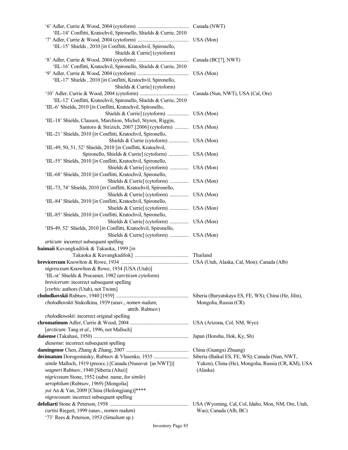| 'IIL-14' Conflitti, Kratochvil, Spironello, Shields & Currie, 2010 |                                                      |
|--------------------------------------------------------------------|------------------------------------------------------|
|                                                                    | USA (Mon)                                            |
| 'IIL-15' Shields , 2010 [in Conflitti, Kratochvil, Spironello,     |                                                      |
| Shields & Currie] (cytoform)                                       |                                                      |
|                                                                    | Canada (BC[?], NWT)                                  |
| 'IIL-16' Conflitti, Kratochvil, Spironello, Shields & Currie, 2010 |                                                      |
|                                                                    | USA (Mon)                                            |
| 'IIL-17' Shields , 2010 [in Conflitti, Kratochvil, Spironello,     |                                                      |
| Shields & Currie] (cytoform)                                       |                                                      |
|                                                                    | Canada (Nun, NWT), USA (Cal, Ore)                    |
| 'IIL-12' Conflitti, Kratochvil, Spironello, Shields & Currie, 2010 |                                                      |
| 'IIL-6' Shields, 2010 [in Conflitti, Kratochvil, Spironello,       |                                                      |
|                                                                    |                                                      |
| 'IIL-18' Shields, Clausen, Marchion, Michel, Styren, Riggin,       |                                                      |
| Santoro & Strizich, 2007 [2006] (cytoform)  USA (Mon)              |                                                      |
| 'IIL-21' Shields, 2010 [in Conflitti, Kratochvil, Spironello,      |                                                      |
|                                                                    |                                                      |
| 'IIL-49, 50, 51, 52' Shields, 2010 [in Conflitti, Kratochvil,      |                                                      |
|                                                                    |                                                      |
| 'IIL-55' Shields, 2010 [in Conflitti, Kratochvil, Spironello,      |                                                      |
| Shields & Currie] (cytoform)  USA (Mon)                            |                                                      |
| 'IIL-68' Shields, 2010 [in Conflitti, Kratochvil, Spironello,      |                                                      |
| Shields & Currie] (cytoform)  USA (Mon)                            |                                                      |
| 'IIL-73, 74' Shields, 2010 [in Conflitti, Kratochvil, Spironello,  |                                                      |
| Shields & Currie] (cytoform)  USA (Mon)                            |                                                      |
| 'IIL-84' Shields, 2010 [in Conflitti, Kratochvil, Spironello,      |                                                      |
| Shields & Currie] (cytoform)  USA (Mon)                            |                                                      |
| 'IIL-85' Shields, 2010 [in Conflitti, Kratochvil, Spironello,      |                                                      |
| Shields & Currie] (cytoform)  USA (Mon)                            |                                                      |
| 'IIS-49, 52' Shields, 2010 [in Conflitti, Kratochvil, Spironello,  |                                                      |
| Shields & Currie] (cytoform)  USA (Mon)                            |                                                      |
| articum: incorrect subsequent spelling                             |                                                      |
| baimaii Kuvangkadilok & Takaoka, 1999 [in                          |                                                      |
|                                                                    |                                                      |
|                                                                    |                                                      |
| nigresceum Knowlton & Rowe, 1934 [USA (Utah)]                      |                                                      |
| 'IIL-st' Shields & Procunier, 1982 (arcticum cytoform)             |                                                      |
| brevicerum: incorrect subsequent spelling                          |                                                      |
| [corbis: authors (Utah), not Twinn]                                |                                                      |
|                                                                    | Siberia (Buryatskaya ES, FE, WS); China (He, Jilin), |
| cholodkovskii Stukolkina, 1939 (unav., nomen nudum,                | Mongolia, Russia (CR)                                |
| attrib. Rubtsov)                                                   |                                                      |
| cholodkowskii: incorrect original spelling                         |                                                      |
|                                                                    |                                                      |
| [arcticum: Tang et al., 1996, not Malloch]                         |                                                      |
|                                                                    | Japan (Honshu, Hok, Ky, Sh)                          |
| diasense: incorrect subsequent spelling                            |                                                      |
|                                                                    | China (Guangxi Zhuang)                               |
|                                                                    | Siberia (Baikal ES, FE, WS); Canada (Nun, NWT,       |
| simile Malloch, 1919 (preocc.) [Canada (Nunavut [as NWT])]         | Yukon), China (He), Mongolia, Russia (CR, KM), USA   |
| wagneri Rubtsov, 1940 [Siberia (Altai)]                            | (Alaska)                                             |
| nigricoxum Stone, 1952 (subst. name, for simile)                   |                                                      |
| xerophilum (Rubtsov, 1969) [Mongolia]                              |                                                      |
| yui An & Yan, 2009 [China (Heilongjiang)]****                      |                                                      |
| nigrocoxum: incorrect subsequent spelling                          |                                                      |
|                                                                    |                                                      |
| curtisi Riegert, 1999 (unav., nomen nudum)                         | Was); Canada (Alb, BC)                               |
| '73' Rees & Peterson, 1953 (Simulium sp.)                          |                                                      |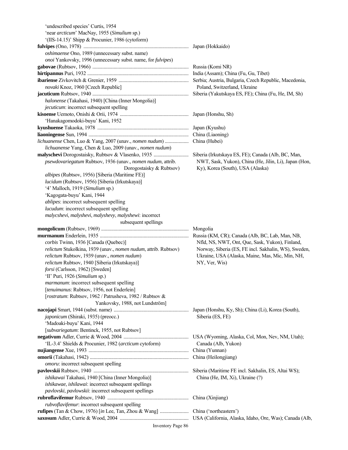| 'undescribed species' Curtis, 1954                                                                      |                                                                                                         |
|---------------------------------------------------------------------------------------------------------|---------------------------------------------------------------------------------------------------------|
| 'near arcticum' MacNay, 1955 (Simulium sp.)                                                             |                                                                                                         |
| '(IIS-14.15)' Shipp & Procunier, 1986 (cytoform)                                                        |                                                                                                         |
|                                                                                                         |                                                                                                         |
| oshimaense Ono, 1989 (unnecessary subst. name)                                                          |                                                                                                         |
| onoi Yankovsky, 1996 (unnecessary subst. name, for fulvipes)                                            |                                                                                                         |
|                                                                                                         |                                                                                                         |
|                                                                                                         |                                                                                                         |
|                                                                                                         |                                                                                                         |
| novaki Knoz, 1960 [Czech Republic]                                                                      | Poland, Switzerland, Ukraine                                                                            |
|                                                                                                         |                                                                                                         |
| halonense (Takahasi, 1940) [China (Inner Mongolia)]                                                     |                                                                                                         |
| <i>jecuticum</i> : incorrect subsequent spelling                                                        |                                                                                                         |
|                                                                                                         |                                                                                                         |
| 'Hanakagomodoki-buyu' Kani, 1952                                                                        |                                                                                                         |
|                                                                                                         |                                                                                                         |
|                                                                                                         |                                                                                                         |
|                                                                                                         |                                                                                                         |
| lichuanense Yang, Chen & Luo, 2009 (unav., nomen nudum)                                                 |                                                                                                         |
|                                                                                                         |                                                                                                         |
| psewdovariegatum Rubtsov, 1936 (unav., nomen nudum, attrib.                                             | NWT, Sask, Yukon), China (He, Jilin, Li), Japan (Hon,                                                   |
| Dorogostaisky & Rubtsov)                                                                                | Ky), Korea (South), USA (Alaska)                                                                        |
| albipes (Rubtsov, 1956) [Siberia (Maritime FE)]                                                         |                                                                                                         |
| lucidum (Rubtsov, 1956) [Siberia (Irkutskaya)]                                                          |                                                                                                         |
| '4' Malloch, 1919 (Simulium sp.)                                                                        |                                                                                                         |
| 'Kagogata-buyu' Kani, 1944                                                                              |                                                                                                         |
| ablipes: incorrect subsequent spelling                                                                  |                                                                                                         |
| lucudum: incorrect subsequent spelling                                                                  |                                                                                                         |
| malycshevi, malyshevi, malyshevy, malyshewi: incorrect                                                  |                                                                                                         |
|                                                                                                         |                                                                                                         |
|                                                                                                         |                                                                                                         |
| subsequent spellings                                                                                    |                                                                                                         |
|                                                                                                         |                                                                                                         |
|                                                                                                         |                                                                                                         |
| corbis Twinn, 1936 [Canada (Quebec)]<br>relictum Stukolkina, 1939 (unav., nomen nudum, attrib. Rubtsov) | Nfld, NS, NWT, Ont, Que, Sask, Yukon), Finland,<br>Norway, Siberia (ES, FE incl. Sakhalin, WS), Sweden, |
| relictum Rubtsov, 1939 (unav., nomen nudum)                                                             | Ukraine, USA (Alaska, Maine, Mas, Mic, Min, NH,                                                         |
| relictum Rubtsov, 1940 [Siberia (Irkutskaya)]                                                           | NY, Ver, Wis)                                                                                           |
| forsi (Carlsson, 1962) [Sweden]                                                                         |                                                                                                         |
| 'II' Puri, 1926 (Simulium sp.)                                                                          |                                                                                                         |
| marmanum: incorrect subsequent spelling                                                                 |                                                                                                         |
| [tenuimanus: Rubtsov, 1956, not Enderlein]                                                              |                                                                                                         |
| [rostratum: Rubtsov, 1962 / Patrusheva, 1982 / Rubtsov &                                                |                                                                                                         |
| Yankovsky, 1988, not Lundström]                                                                         |                                                                                                         |
|                                                                                                         |                                                                                                         |
| japonicum (Shiraki, 1935) (preocc.)                                                                     | Siberia (ES, FE)                                                                                        |
|                                                                                                         |                                                                                                         |
| 'Madoaki-buyu' Kani, 1944                                                                               |                                                                                                         |
| [subvariegatum: Bentinck, 1955, not Rubtsov]                                                            |                                                                                                         |
| 'IL-3.4' Shields & Procunier, 1982 (arcticum cytoform)                                                  | Canada (Alb, Yukon)                                                                                     |
|                                                                                                         |                                                                                                         |
|                                                                                                         |                                                                                                         |
| omoru: incorrect subsequent spelling                                                                    |                                                                                                         |
|                                                                                                         |                                                                                                         |
| ishikawai Takahasi, 1940 [China (Inner Mongolia)]                                                       | China (He, IM, Xi), Ukraine (?)                                                                         |
| ishikawae, ishilawai: incorrect subsequent spellings                                                    |                                                                                                         |
| pavlovski, pavlowskii: incorrect subsequent spellings                                                   |                                                                                                         |
|                                                                                                         |                                                                                                         |
| rubvoflavifemur: incorrect subsequent spelling                                                          |                                                                                                         |
|                                                                                                         |                                                                                                         |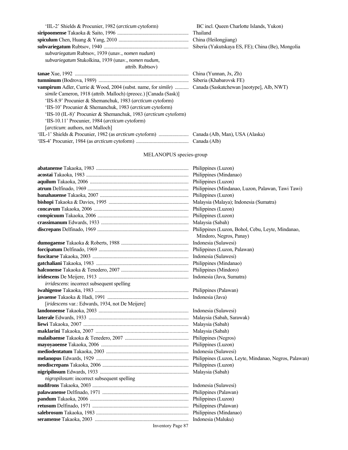| 'IIL-2' Shields & Procunier, 1982 ( <i>arcticum</i> cytoform)                | BC incl. Queen Charlotte Islands, Yukon)          |
|------------------------------------------------------------------------------|---------------------------------------------------|
|                                                                              | Thailand                                          |
|                                                                              | China (Heilongjiang)                              |
|                                                                              | Siberia (Yakutskaya ES, FE); China (Be), Mongolia |
| subvariegatum Rubtsov, 1939 (unav., nomen nudum)                             |                                                   |
| subvariegatum Stukolkina, 1939 (unav., nomen nudum,                          |                                                   |
| attrib. Rubtsov)                                                             |                                                   |
|                                                                              | China (Yunnan, Jx, Zh)                            |
|                                                                              | Siberia (Khabarovsk FE)                           |
| <b>vampirum</b> Adler, Currie & Wood, 2004 (subst. name, for <i>simile</i> ) | Canada (Saskatchewan [neotype], Alb, NWT)         |
| <i>simile</i> Cameron, 1918 (attrib. Malloch) (preocc.) [Canada (Sask)]      |                                                   |
| 'IIS-8.9' Procunier & Shemanchuk, 1983 ( <i>arcticum</i> cytoform)           |                                                   |
| 'IIS-10' Procunier & Shemanchuk, 1983 ( <i>arcticum</i> cytoform)            |                                                   |
| 'IIS-10 (IL-8)' Procunier & Shemanchuk, 1983 ( <i>arcticum</i> cytoform)     |                                                   |
| 'IIS-10.11' Procunier, 1984 (arcticum cytoform)                              |                                                   |
| [arcticum: authors, not Malloch]                                             |                                                   |
|                                                                              | Canada (Alb, Man), USA (Alaska)                   |
|                                                                              |                                                   |

# MELANOPUS species-group

|                                                  | Philippines (Luzon)          |
|--------------------------------------------------|------------------------------|
|                                                  | Philippines (Luzon)          |
|                                                  | Malaysia (Sabah)             |
|                                                  |                              |
|                                                  | Mindoro, Negros, Panay)      |
|                                                  | Indonesia (Sulawesi)         |
|                                                  | Philippines (Luzon, Palawan) |
|                                                  | Indonesia (Sulawesi)         |
|                                                  | Philippines (Mindanao)       |
|                                                  | Philippines (Mindoro)        |
|                                                  | Indonesia (Java, Sumatra)    |
| irridescens: incorrect subsequent spelling       |                              |
|                                                  |                              |
|                                                  |                              |
| [iridescens var.: Edwards, 1934, not De Meijere] |                              |
|                                                  |                              |
|                                                  |                              |
|                                                  |                              |
|                                                  |                              |
|                                                  |                              |
|                                                  |                              |
|                                                  | Indonesia (Sulawesi)         |
|                                                  |                              |
|                                                  |                              |
|                                                  |                              |
| nigropilosum: incorrect subsequent spelling      |                              |
|                                                  | Indonesia (Sulawesi)         |
|                                                  |                              |
|                                                  | Philippines (Luzon)          |
|                                                  | Philippines (Palawan)        |
|                                                  | Philippines (Mindanao)       |
|                                                  |                              |
|                                                  |                              |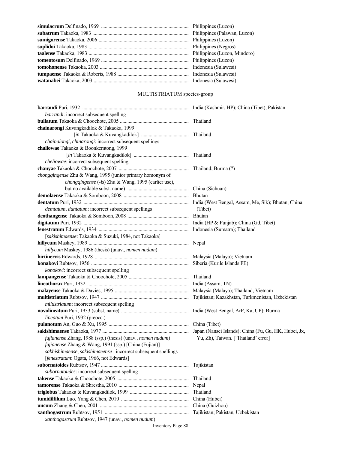| Philippines (Palawan, Luzon) |
|------------------------------|
|                              |
| Philippines (Negros)         |
| Philippines (Luzon, Mindoro) |
|                              |
|                              |
| Indonesia (Sulawesi)         |
|                              |

# MULTISTRIATUM species-group

| barrandi: incorrect subsequent spelling                         |                                     |
|-----------------------------------------------------------------|-------------------------------------|
|                                                                 |                                     |
| chainarongi Kuvangkadilok & Takaoka, 1999                       |                                     |
|                                                                 |                                     |
| chainalongi, chinarongi: incorrect subsequent spellings         |                                     |
| chaliowae Takaoka & Boonkemtong, 1999                           |                                     |
|                                                                 |                                     |
| cheliowae: incorrect subsequent spelling                        |                                     |
|                                                                 |                                     |
| chongqingense Zhu & Wang, 1995 (junior primary homonym of       |                                     |
| chongqingense (-is) Zhu & Wang, 1995 (earlier use),             |                                     |
|                                                                 |                                     |
|                                                                 |                                     |
|                                                                 |                                     |
| demtatum, duntatum: incorrect subsequent spellings              | (Tibet)                             |
|                                                                 |                                     |
|                                                                 |                                     |
|                                                                 |                                     |
| [sakishimaense: Takaoka & Suzuki, 1984, not Takaoka]            |                                     |
|                                                                 |                                     |
| hillycum Maskey, 1986 (thesis) (unav., nomen nudum)             |                                     |
|                                                                 |                                     |
|                                                                 |                                     |
| konokovi: incorrect subsequent spelling                         |                                     |
|                                                                 |                                     |
|                                                                 |                                     |
|                                                                 |                                     |
|                                                                 |                                     |
| miltistriatum: incorrect subsequent spelling                    |                                     |
|                                                                 |                                     |
| lineatum Puri, 1932 (preocc.)                                   |                                     |
|                                                                 |                                     |
|                                                                 |                                     |
| fujianense Zhang, 1988 (ssp.) (thesis) (unav., nomen nudum)     | Yu, Zh), Taiwan. ['Thailand' error] |
| fujianense Zhang & Wang, 1991 (ssp.) [China (Fujian)]           |                                     |
| sakhishimaense, sakishimaeense : incorrect subsequent spellings |                                     |
| [fenestratum: Ogata, 1966, not Edwards]                         |                                     |
|                                                                 | Tajikistan                          |
| subornatoudes: incorrect subsequent spelling                    |                                     |
|                                                                 | Thailand                            |
|                                                                 | Nepal                               |
|                                                                 | Thailand                            |
|                                                                 | China (Hubei)                       |
|                                                                 | China (Guizhou)                     |
|                                                                 | Tajikistan; Pakistan, Uzbekistan    |
| xanthogastrum Rubtsov, 1947 (unav., nomen nudum)                |                                     |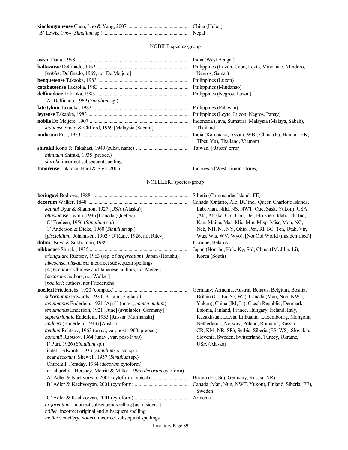| China (Hubei) |
|---------------|
| Nepal         |

NOBILE species-group

|                                                            | Philippines (Luzon, Cebu, Leyte, Mindanao, Mindoro,  |
|------------------------------------------------------------|------------------------------------------------------|
| <i>[nobile: Delfinado, 1969, not De Meijere]</i>           | Negros, Samar)                                       |
|                                                            | Philippines (Luzon)                                  |
|                                                            |                                                      |
|                                                            | Philippines (Negros, Luzon)                          |
| 'A' Delfinado, 1969 (Simulium sp.)                         |                                                      |
|                                                            | Philippines (Palawan)                                |
|                                                            | Philippines (Leyte, Luzon, Negros, Panay)            |
|                                                            | Indonesia (Java, Sumatra); Malaysia (Malaya, Sabah), |
| <i>kiuliense</i> Smart & Clifford, 1969 [Malaysia (Sabah)] | Thailand                                             |
|                                                            | India (Karnataka, Assam, WB); China (Fu, Hainan, HK, |
|                                                            | Tibet, Yu), Thailand, Vietnam                        |
|                                                            |                                                      |
| minutum Shiraki, 1935 (preocc.)                            |                                                      |
| <i>shiraki</i> : incorrect subsequent spelling             |                                                      |
|                                                            |                                                      |

# NOELLERI species-group

|                                                                            | Siberia (Commander Islands FE)                          |
|----------------------------------------------------------------------------|---------------------------------------------------------|
|                                                                            | Canada (Ontario, Alb, BC incl. Queen Charlotte Islands, |
| katmai Dyar & Shannon, 1927 [USA (Alaska)]                                 | Lab, Man, Nfld, NS, NWT, Que, Sask, Yukon); USA         |
| ottawaense Twinn, 1936 [Canada (Quebec)]                                   | (Ala, Alaska, Col, Con, Del, Flo, Geo, Idaho, Ill, Ind, |
| 'C' Fredeen, 1956 (Simulium sp.)                                           | Kan, Maine, Mas, Mic, Min, Misp, Misr, Mon, NC,         |
| '1' Anderson & Dicke, 1960 (Simulium sp.)                                  | Neb, NH, NJ, NY, Ohio, Pen, RI, SC, Ten, Utah, Vir,     |
| [piscicidium: Johannsen, 1902 / O'Kane, 1926, not Riley]                   | Was, Wis, WV, Wyo). [Not Old World (misidentified)]     |
|                                                                            | Ukraine; Belarus                                        |
|                                                                            | Japan (Honshu, Hok, Ky, Sh); China (IM, Jilin, Li),     |
| triangulare Rubtsov, 1963 (ssp. of argyreatum) [Japan (Honshu)]            | Korea (South)                                           |
| nikeoense, nikkaense: incorrect subsequent spellings                       |                                                         |
| [argyreatum: Chinese and Japanese authors, not Meigen]                     |                                                         |
| [decorum: authors, not Walker]                                             |                                                         |
| [noelleri: authors, not Friederichs]                                       |                                                         |
|                                                                            | Germany; Armenia, Austria, Belarus, Belgium, Bosnia,    |
| subornatum Edwards, 1920 [Britain (England)]                               | Britain (CI, En, Sc, Wa), Canada (Man, Nun, NWT,        |
| tenuimanus Enderlein, 1921 [April] (unav., nomen nudum)                    | Yukon), China (IM, Li), Czech Republic, Denmark,        |
| tenuimanus Enderlein, 1921 [June] (available) [Germany]                    | Estonia, Finland, France, Hungary, Ireland, Italy,      |
| septentrionale Enderlein, 1935 [Russia (Murmansk)]                         | Kazakhstan, Latvia, Lithuania, Luxembourg, Mongolia,    |
| lindneri (Enderlein, 1943) [Austria]                                       | Netherlands, Norway, Poland, Romania, Russia            |
| avidum Rubtsov, 1963 (unav., var. post-1960, preocc.)                      | CR, KM, NR, SR), Serbia, Siberia (ES, WS), Slovakia,    |
| bonomii Rubtsov, 1964 (unav., var. post-1960)                              | Slovenia, Sweden, Switzerland, Turkey, Ukraine,         |
| 'T' Puri, 1926 (Simulium sp.)                                              | USA (Alaska)                                            |
| 'indet.' Edwards, 1933 (Simulium s. str. sp.)                              |                                                         |
| 'near decorum' Shewell, 1957 (Simulium sp.)                                |                                                         |
| 'Churchill' Feraday, 1984 (decorum cytoform)                               |                                                         |
| 'nr. churchill' Hershey, Merritt & Miller, 1995 ( <i>decorum</i> cytoform) |                                                         |
|                                                                            |                                                         |
|                                                                            |                                                         |
|                                                                            | Sweden                                                  |
|                                                                            |                                                         |
| <i>argareatum</i> : incorrect subsequent spelling [as misident.]           |                                                         |
| nöller: incorrect original and subsequent spelling                         |                                                         |
| molleri, noellery, nolleri: incorrect subsequent spellings                 |                                                         |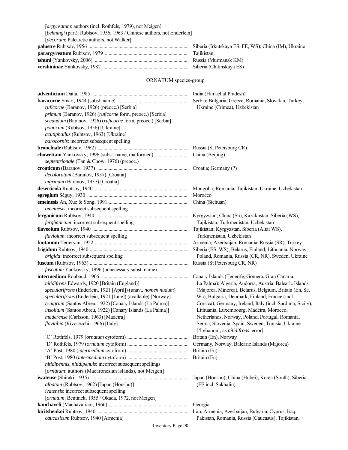| [argyreatum: authors (incl. Rothfels, 1979), not Meigen]                |  |
|-------------------------------------------------------------------------|--|
| [behningi (part): Rubtsov, 1956, 1963 / Chinese authors, not Enderlein] |  |
| [decorum: Palearctic authors, not Walker]                               |  |
|                                                                         |  |
|                                                                         |  |
|                                                                         |  |
|                                                                         |  |

# ORNATUM species-group

| ruficorne (Baranov, 1926) (preocc.) [Serbia]                  | Ukraine (Crimea), Uzbekistan                                |
|---------------------------------------------------------------|-------------------------------------------------------------|
| primum (Baranov, 1926) (ruficorne form, preocc.) [Serbia]     |                                                             |
| secundum (Baranov, 1926) (ruficorne form, preocc.) [Serbia]   |                                                             |
| ponticum (Rubtsov, 1956) [Ukraine]                            |                                                             |
| acutiphallus (Rubtsov, 1963) [Ukraine]                        |                                                             |
| barocornis: incorrect subsequent spelling                     |                                                             |
|                                                               |                                                             |
|                                                               |                                                             |
| septentrionale (Tan & Chow, 1976) (preocc.)                   |                                                             |
|                                                               |                                                             |
| decoloratum (Baranov, 1937) [Croatia]                         |                                                             |
| nigrinum (Baranov, 1937) [Croatia]                            |                                                             |
|                                                               |                                                             |
|                                                               |                                                             |
|                                                               |                                                             |
| omeinesis: incorrect subsequent spelling                      |                                                             |
|                                                               |                                                             |
| ferghanicum: incorrect subsequent spelling                    | Tajikistan, Turkmenistan, Uzbekistan                        |
|                                                               |                                                             |
| <i>flaviolum</i> : incorrect subsequent spelling              | Turkmenistan, Uzbekistan                                    |
|                                                               |                                                             |
|                                                               | Siberia (ES, WS); Belarus, Finland, Lithuania, Norway,      |
| brigida: incorrect subsequent spelling                        | Poland, Romania, Russia (CR, NR), Sweden, Ukraine           |
|                                                               |                                                             |
| fuscatum Yankovsky, 1996 (unnecessary subst. name)            |                                                             |
|                                                               |                                                             |
| nitidifrons Edwards, 1920 [Britain (England)]                 | La Palma); Algeria, Andorra, Austria, Balearic Islands      |
| specularifrons (Enderlein, 1921 [April]) (unav., nomen nudum) | (Majorca, Minorca), Belarus, Belgium, Britain (En, Sc,      |
| specularifrons (Enderlein, 1921 [June]) (available) [Norway]  | Wa), Bulgaria, Denmark, Finland, France (incl.              |
| h-nigrum (Santos Abreu, 1922) [Canary Islands (La Palma)]     | Corsica), Germany, Ireland, Italy (incl. Sardinia, Sicily), |
| insolitum (Santos Abreu, 1922) [Canary Islands (La Palma)]    | Lithuania, Luxembourg, Madeira, Morocco,                    |
| maderense (Carlsson, 1963) [Madeira]                          | Netherlands, Norway, Poland, Portugal, Romania,             |
| flavitibia (Rivosecchi, 1966) [Italy]                         | Serbia, Slovenia, Spain, Sweden, Tunisia, Ukraine.          |
|                                                               | ['Lebanon', as nitidifrons, error]                          |
|                                                               |                                                             |
|                                                               | Germany, Norway, Balearic Islands (Majorca)                 |
|                                                               |                                                             |
|                                                               |                                                             |
| nitidipennis, nitidipenuis: incorrect subsequent spellings    |                                                             |
| [ornatum: authors (Macaronesian islands), not Meigen]         |                                                             |
|                                                               | Japan (Honshu); China (Hubei), Korea (South), Siberia       |
| albatum (Rubtsov, 1962) [Japan (Honshu)]                      | (FE incl. Sakhalin)                                         |
| ivatensis: incorrect subsequent spelling                      |                                                             |
| [ornatum: Bentinck, 1955 / Okada, 1972, not Meigen]           |                                                             |
|                                                               | Georgia                                                     |
|                                                               | Iran; Armenia, Azerbaijan, Bulgaria, Cyprus, Iraq,          |
| caucasicum Rubtsov, 1940 [Armenia]                            | Pakistan, Romania, Russia (Caucasus), Tajikistan,           |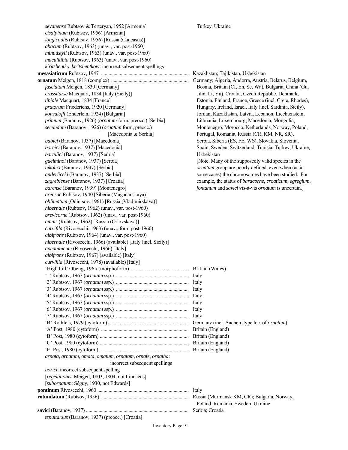*sevanense* Rubtsov & Terteryan, 1952 [Armenia] Turkey, Ukraine  *cisalpinum* (Rubtsov, 1956) [Armenia]  *longicaulis* (Rubtsov, 1956) [Russia (Caucasus)]  *abacum* (Rubtsov, 1963) (unav., var. post-1960)  *minutistyli* (Rubtsov, 1963) (unav., var. post-1960)  *maculitibia* (Rubtsov, 1963) (unav., var. post-1960) *kiritshentko*, *kiritshentkovi*: incorrect subsequent spellings **mesasiaticum** Rubtsov, 1947 ...................................................................... Kazakhstan; Tajikistan, Uzbekistan **ornatum** Meigen, 1818 (complex) .............................................................. Germany; Algeria, Andorra, Austria, Belarus, Belgium, *fasciatum* Meigen, 1830 [Germany] Bosnia, Britain (CI, En, Sc, Wa), Bulgaria, China (Gu,  *crassitarse* Macquart, 1834 [Italy (Sicily)] Jilin, Li, Yu), Croatia, Czech Republic, Denmark,  *tibiale* Macquart, 1834 [France] Estonia, Finland, France, Greece (incl. Crete, Rhodes), *pratorum* Friederichs, 1920 [Germany] Hungary, Ireland, Israel, Italy (incl. Sardinia, Sicily),  *konsuloffi* (Enderlein, 1924) [Bulgaria] Jordan, Kazakhstan, Latvia, Lebanon, Liechtenstein,  *primum* (Baranov, 1926) (*ornatum* form, preocc.) [Serbia] Lithuania, Luxembourg, Macedonia, Mongolia, *secundum* (Baranov, 1926) (*ornatum* form, preocc.) Montenegro, Morocco, Netherlands, Norway, Poland, [Macedonia & Serbia] Portugal, Romania, Russia (CR, KM, NR, SR), *babici* (Baranov, 1937) [Macedonia] Serbia, Siberia (ES, FE, WS), Slovakia, Slovenia, *borcici* (Baranov, 1937) [Macedonia] Spain, Sweden, Switzerland, Tunisia, Turkey, Ukraine, *bartulici* (Baranov, 1937) [Serbia] Uzbekistan *guelminoi* (Baranov, 1937) [Serbia] [Note. Many of the supposedly valid species in the  *nikolici* (Baranov, 1937) [Serbia] *ornatum* group are poorly defined, even when (as in *anderliceki* (Baranov, 1937) [Serbia] some cases) the chromosomes have been studied. For  *zagrebiense* (Baranov, 1937) [Croatia] example, the status of *baracorne*, *croaticum*, *egregium*,  *barense* (Baranov, 1939) [Montenegro] *fontanum* and *savici* vis-à-vis *ornatum* is uncertain.] *arensae* Rubtsov, 1940 [Siberia (Magadanskaya)]  *oblimatum* (Odintsov, 1961) [Russia (Vladimirskaya)]  *hibernale* (Rubtsov, 1962) (unav., var. post-1960)  *brevicorne* (Rubtsov, 1962) (unav., var. post-1960)  *amnis* (Rubtsov, 1962) [Russia (Orlovskaya)]  *curvifila* (Rivosecchi, 1963) (unav., form post-1960)  *albifrons* (Rubtsov, 1964) (unav., var. post-1960)  *hibernale* (Rivosecchi, 1966) (available) [Italy (incl. Sicily)]  *apenninicum* (Rivosecchi, 1966) [Italy]  *albifrons* (Rubtsov, 1967) (available) [Italy]  *curvifila* (Rivosecchi, 1978) (available) [Italy] 'High hill' Obeng, 1965 (morphoform) ........................................... Britian (Wales) '1' Rubtsov, 1967 (*ornatum* ssp.) .......................................................... Italy '2' Rubtsov, 1967 (*ornatum* ssp.) .......................................................... Italy '3' Rubtsov, 1967 (*ornatum* ssp.) .......................................................... Italy '4' Rubtsov, 1967 (*ornatum* ssp.) .......................................................... Italy '5' Rubtsov, 1967 (*ornatum* ssp.) .......................................................... Italy '6' Rubtsov, 1967 (*ornatum* ssp.) .......................................................... Italy '7' Rubtsov, 1967 (*ornatum* ssp.) .......................................................... Italy 'B' Rothfels, 1979 (cytoform) ................................................................ Germany (incl. Aachen, type loc. of *ornatum*) 'A' Post, 1980 (cytoform) ...................................................................... Britain (England) 'B' Post, 1980 (cytoform) ....................................................................... Britain (England) 'C' Post, 1980 (cytoform) ....................................................................... Britain (England) 'E' Post, 1980 (cytoform) ....................................................................... Britain (England) *arnata*, *arnatum*, *omata*, *omatum*, *ornatam*, *ornate*, *ornatha*: incorrect subsequent spellings *borici*: incorrect subsequent spelling [*regelationis*: Meigen, 1803, 1804, not Linnaeus] [*subornatum*: Séguy, 1930, not Edwards] **pontinum** Rivosecchi, 1960 ......................................................................... Italy **rotundatum** (Rubtsov, 1956) ...................................................................... Russia (Murmansk KM, CR); Bulgaria, Norway, Poland, Romania, Sweden, Ukraine **savici** (Baranov, 1937) .................................................................................. Serbia; Croatia  *tenuitarsus* (Baranov, 1937) (preocc.) [Croatia]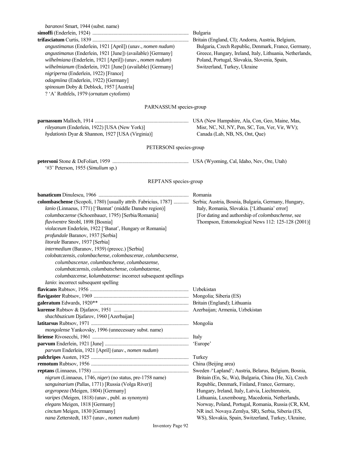| baranovi Smart, 1944 (subst. name)                                                                                     |                                                          |
|------------------------------------------------------------------------------------------------------------------------|----------------------------------------------------------|
|                                                                                                                        |                                                          |
| angustimanus (Enderlein, 1921 [April]) (unav., nomen nudum)                                                            | Bulgaria, Czech Republic, Denmark, France, Germany,      |
| angustimanus (Enderlein, 1921 [June]) (available) [Germany]                                                            | Greece, Hungary, Ireland, Italy, Lithuania, Netherlands, |
|                                                                                                                        | Poland, Portugal, Slovakia, Slovenia, Spain,             |
| wilhelmiana (Enderlein, 1921 [April]) (unav., nomen nudum)                                                             | Switzerland, Turkey, Ukraine                             |
| wilhelmianum (Enderlein, 1921 [June]) (available) [Germany]<br>nigriperna (Enderlein, 1922) [France]                   |                                                          |
| odagmiina (Enderlein, 1922) [Germany]                                                                                  |                                                          |
| spinosum Doby & Deblock, 1957 [Austria]                                                                                |                                                          |
| ? 'A' Rothfels, 1979 (ornatum cytoform)                                                                                |                                                          |
|                                                                                                                        |                                                          |
| PARNASSUM species-group                                                                                                |                                                          |
|                                                                                                                        |                                                          |
| rileyanum (Enderlein, 1922) [USA (New York)]                                                                           | Misr, NC, NJ, NY, Pen, SC, Ten, Ver, Vir, WV);           |
| hydationis Dyar & Shannon, 1927 [USA (Virginia)]                                                                       | Canada (Lab, NB, NS, Ont, Que)                           |
|                                                                                                                        |                                                          |
| PETERSONI species-group                                                                                                |                                                          |
|                                                                                                                        |                                                          |
| '#3' Peterson, 1955 (Simulium sp.)                                                                                     |                                                          |
|                                                                                                                        |                                                          |
| REPTANS species-group                                                                                                  |                                                          |
|                                                                                                                        |                                                          |
| colombaschense (Scopoli, 1780) [usually attrib. Fabricius, 1787]  Serbia; Austria, Bosnia, Bulgaria, Germany, Hungary, |                                                          |
| lanio (Linnaeus, 1771) ['Bannat' (middle Danube region)]                                                               | Italy, Romania, Slovakia. ['Lithuania' error]            |
| columbaczense (Schoenbauer, 1795) [Serbia/Romania]                                                                     | [For dating and authorship of colombaschense, see        |
| flaviventre Strobl, 1898 [Bosnia]                                                                                      | Thompson, Entomological News 112: 125-128 (2001)]        |
| violaceum Enderlein, 1922 ['Banat', Hungary or Romania]                                                                |                                                          |
| profundale Baranov, 1937 [Serbia]                                                                                      |                                                          |
| litorale Baranov, 1937 [Serbia]                                                                                        |                                                          |
| intermedium (Baranov, 1939) (preocc.) [Serbia]                                                                         |                                                          |
| colobatczensis, colombachense, colombascenze, columbacsense,                                                           |                                                          |
| columbascenze, columbaschense, columbaszense,                                                                          |                                                          |
| columbatczensis, columbatschense, columbatzense,                                                                       |                                                          |
| columbazcense, kolumbatzense: incorrect subsequent spellings<br>Ianio: incorrect subsequent spelling                   |                                                          |
|                                                                                                                        |                                                          |
|                                                                                                                        |                                                          |
|                                                                                                                        |                                                          |
|                                                                                                                        |                                                          |
| shachbuzicum Djafarov, 1960 [Azerbaijan]                                                                               |                                                          |
|                                                                                                                        |                                                          |
| mongolense Yankovsky, 1996 (unnecessary subst. name)                                                                   |                                                          |
|                                                                                                                        |                                                          |
|                                                                                                                        | 'Europe'                                                 |
| parvum Enderlein, 1921 [April] (unav., nomen nudum)                                                                    |                                                          |
|                                                                                                                        | Turkey                                                   |
|                                                                                                                        | China (Beijing area)                                     |
|                                                                                                                        | Sweden /'Lapland'; Austria, Belarus, Belgium, Bosnia,    |
| nigrum (Linnaeus, 1746, niger) (no status, pre-1758 name)                                                              | Britain (En, Sc, Wa), Bulgaria, China (He, Xi), Czech    |
| sanguinarium (Pallas, 1771) [Russia (Volga River)]                                                                     | Republic, Denmark, Finland, France, Germany,             |
| argyropeza (Meigen, 1804) [Germany]                                                                                    | Hungary, Ireland, Italy, Latvia, Liechtenstein,          |
| varipes (Meigen, 1818) (unav., publ. as synonym)                                                                       | Lithuania, Luxembourg, Macedonia, Netherlands,           |
| elegans Meigen, 1818 [Germany]                                                                                         | Norway, Poland, Portugal, Romania, Russia (CR, KM,       |
| cinctum Meigen, 1830 [Germany]                                                                                         | NR incl. Novaya Zemlya, SR), Serbia, Siberia (ES,        |
| nana Zetterstedt, 1837 (unav., nomen nudum)                                                                            | WS), Slovakia, Spain, Switzerland, Turkey, Ukraine,      |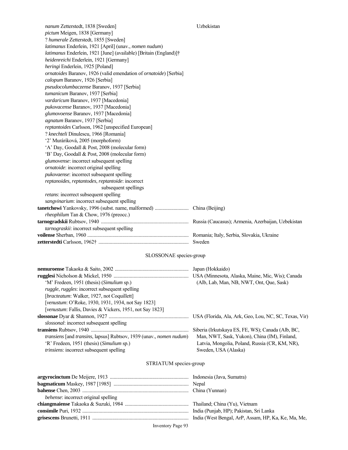| nanum Zetterstedt, 1838 [Sweden]                                  | Uzbekistan |
|-------------------------------------------------------------------|------------|
| pictum Meigen, 1838 [Germany]                                     |            |
| ? humerale Zetterstedt, 1855 [Sweden]                             |            |
| latimanus Enderlein, 1921 [April] (unav., nomen nudum)            |            |
| latimanus Enderlein, 1921 [June] (available) [Britain (England)]† |            |
| heidenreichi Enderlein, 1921 [Germany]                            |            |
| heringi Enderlein, 1925 [Poland]                                  |            |
| ornatoides Baranov, 1926 (valid emendation of ornatoide) [Serbia] |            |
| calopum Baranov, 1926 [Serbia]                                    |            |
| pseudocolumbaczense Baranov, 1937 [Serbia]                        |            |
| tumanicum Baranov, 1937 [Serbia]                                  |            |
| vardaricum Baranov, 1937 [Macedonia]                              |            |
| pukovacense Baranov, 1937 [Macedonia]                             |            |
| glumovoense Baranov, 1937 [Macedonia]                             |            |
| agnatum Baranov, 1937 [Serbia]                                    |            |
| reptantoides Carlsson, 1962 [unspecified European]                |            |
| ? knechteli Dinulescu, 1966 [Romania]                             |            |
| '2' Muráriková, 2005 (morphoform)                                 |            |
| 'A' Day, Goodall & Post, 2008 (molecular form)                    |            |
| 'B' Day, Goodall & Post, 2008 (molecular form)                    |            |
| glumovense: incorrect subsequent spelling                         |            |
| ornatoide: incorrect original spelling                            |            |
| pukovaense: incorrect subsequent spelling                         |            |
| reptanoides, reptantodes, reptantoide: incorrect                  |            |
| subsequent spellings                                              |            |
| retans: incorrect subsequent spelling                             |            |
| sangvinarium: incorrect subsequent spelling                       |            |
|                                                                   |            |
| rheophilum Tan & Chow, 1976 (preocc.)                             |            |
|                                                                   |            |
| tarnograskii: incorrect subsequent spelling                       |            |
|                                                                   |            |
|                                                                   |            |

# SLOSSONAE species-group

|                                                                     | Japan (Hokkaido)                                      |
|---------------------------------------------------------------------|-------------------------------------------------------|
|                                                                     | USA (Minnesota, Alaska, Maine, Mic, Wis); Canada      |
| 'M' Fredeen, 1951 (thesis) (Simulium sp.)                           | (Alb, Lab, Man, NB, NWT, Ont, Oue, Sask)              |
| <i>ruggle, ruggles:</i> incorrect subsequent spelling               |                                                       |
| [ <i>bracteatum</i> : Walker, 1927, not Coquillett]                 |                                                       |
| [venustum: O'Roke, 1930, 1931, 1934, not Say 1823]                  |                                                       |
| <i>venustum: Fallis, Davies &amp; Vickers, 1951, not Say 1823]</i>  |                                                       |
|                                                                     | USA (Florida, Ala, Ark, Geo, Lou, NC, SC, Texas, Vir) |
| <i>slossonal:</i> incorrect subsequent spelling                     |                                                       |
|                                                                     | Siberia (Irkutskaya ES, FE, WS); Canada (Alb, BC,     |
| transiens [and transins, lapsus] Rubtsov, 1939 (unav., nomen nudum) | Man, NWT, Sask, Yukon), China (IM), Finland,          |
| 'R' Fredeen, 1951 (thesis) ( <i>Simulium</i> sp.)                   | Latvia, Mongolia, Poland, Russia (CR, KM, NR),        |
| trinsiens: incorrect subsequent spelling                            | Sweden, USA (Alaska)                                  |
|                                                                     |                                                       |

# STRIATUM species-group

| <i>behense</i> : incorrect original spelling |  |
|----------------------------------------------|--|
|                                              |  |
|                                              |  |
|                                              |  |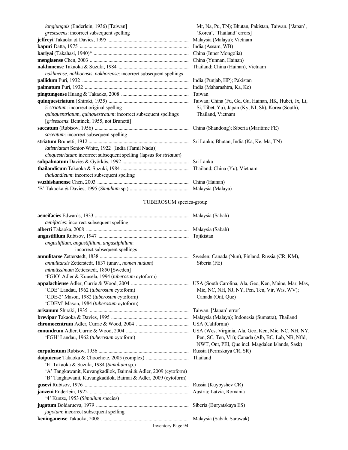| longiunguis (Enderlein, 1936) [Taiwan]                              | Mr, Na, Pu, TN); Bhutan, Pakistan, Taiwan. ['Japan',  |
|---------------------------------------------------------------------|-------------------------------------------------------|
| <i>gresescens:</i> incorrect subsequent spelling                    | 'Korea', 'Thailand' errors]                           |
|                                                                     | Malaysia (Malaya); Vietnam                            |
|                                                                     |                                                       |
|                                                                     | China (Inner Mongolia)                                |
|                                                                     | China (Yunnan, Hainan)                                |
|                                                                     | Thailand; China (Hainan), Vietnam                     |
| nakhnense, nakhoensis, nakhorense: incorrect subsequent spellings   |                                                       |
|                                                                     | India (Punjab, HP); Pakistan                          |
|                                                                     | India (Maharashtra, Ka, Ke)                           |
|                                                                     | Taiwan                                                |
|                                                                     | Taiwan; China (Fu, Gd, Gu, Hainan, HK, Hubei, Jx, Li, |
| 5-striatum: incorrect original spelling                             | Si, Tibet, Yu), Japan (Ky, NI, Sh), Korea (South),    |
| quinquentriatum, quinquestratum: incorrect subsequent spellings     | Thailand, Vietnam                                     |
| [grisescens: Bentinck, 1955, not Brunetti]                          |                                                       |
|                                                                     |                                                       |
| saceatum: incorrect subsequent spelling                             |                                                       |
|                                                                     |                                                       |
| latistriatum Senior-White, 1922 [India (Tamil Nadu)]                |                                                       |
| cinquestriatum: incorrect subsequent spelling (lapsus for striatum) |                                                       |
|                                                                     | Sri Lanka                                             |
|                                                                     |                                                       |
| <i>thailandieum:</i> incorrect subsequent spelling                  |                                                       |
|                                                                     |                                                       |
|                                                                     |                                                       |
|                                                                     |                                                       |

# TUBEROSUM species-group

| <i>aenifacies</i> : incorrect subsequent spelling<br>anguslifilum, angustifilium, angustiphilum:<br>incorrect subsequent spellings<br>Sweden; Canada (Nun), Finland, Russia (CR, KM),<br>annulitarsis Zetterstedt, 1837 (unav., nomen nudum)<br>Siberia (FE)<br>minutissimum Zetterstedt, 1850 [Sweden]<br>'FGIO' Adler & Kuusela, 1994 (tuberosum cytoform)<br>'CDE' Landau, 1962 (tuberosum cytoform)<br>Mic, NC, NH, NJ, NY, Pen, Ten, Vir, Wis, WV);<br>'CDE-2' Mason, 1982 (tuberosum cytoform)<br>Canada (Ont, Que)<br>'CDEM' Mason, 1984 (tuberosum cytoform)<br>'FGH' Landau, 1962 (tuberosum cytoform)<br>Pen, SC, Ten, Vir); Canada (Alb, BC, Lab, NB, Nfld,<br>NWT, Ont, PEI, Que incl. Magdalen Islands, Sask)<br>Russia (Permskaya CR, SR)<br>Thailand<br>'E' Takaoka & Suzuki, 1984 (Simulium sp.)<br>'A' Tangkawanit, Kuvangkadilok, Baimai & Adler, 2009 (cytoform)<br>'B' Tangkawanit, Kuvangkadilok, Baimai & Adler, 2009 (cytoform)<br>Russia (Kuybyshev CR)<br>'4' Kunze, 1953 (Simulium species)<br>Siberia (Buryatskaya ES)<br>jugotum: incorrect subsequent spelling |  |
|---------------------------------------------------------------------------------------------------------------------------------------------------------------------------------------------------------------------------------------------------------------------------------------------------------------------------------------------------------------------------------------------------------------------------------------------------------------------------------------------------------------------------------------------------------------------------------------------------------------------------------------------------------------------------------------------------------------------------------------------------------------------------------------------------------------------------------------------------------------------------------------------------------------------------------------------------------------------------------------------------------------------------------------------------------------------------------------------|--|
|                                                                                                                                                                                                                                                                                                                                                                                                                                                                                                                                                                                                                                                                                                                                                                                                                                                                                                                                                                                                                                                                                             |  |
|                                                                                                                                                                                                                                                                                                                                                                                                                                                                                                                                                                                                                                                                                                                                                                                                                                                                                                                                                                                                                                                                                             |  |
|                                                                                                                                                                                                                                                                                                                                                                                                                                                                                                                                                                                                                                                                                                                                                                                                                                                                                                                                                                                                                                                                                             |  |
|                                                                                                                                                                                                                                                                                                                                                                                                                                                                                                                                                                                                                                                                                                                                                                                                                                                                                                                                                                                                                                                                                             |  |
|                                                                                                                                                                                                                                                                                                                                                                                                                                                                                                                                                                                                                                                                                                                                                                                                                                                                                                                                                                                                                                                                                             |  |
|                                                                                                                                                                                                                                                                                                                                                                                                                                                                                                                                                                                                                                                                                                                                                                                                                                                                                                                                                                                                                                                                                             |  |
|                                                                                                                                                                                                                                                                                                                                                                                                                                                                                                                                                                                                                                                                                                                                                                                                                                                                                                                                                                                                                                                                                             |  |
|                                                                                                                                                                                                                                                                                                                                                                                                                                                                                                                                                                                                                                                                                                                                                                                                                                                                                                                                                                                                                                                                                             |  |
|                                                                                                                                                                                                                                                                                                                                                                                                                                                                                                                                                                                                                                                                                                                                                                                                                                                                                                                                                                                                                                                                                             |  |
|                                                                                                                                                                                                                                                                                                                                                                                                                                                                                                                                                                                                                                                                                                                                                                                                                                                                                                                                                                                                                                                                                             |  |
|                                                                                                                                                                                                                                                                                                                                                                                                                                                                                                                                                                                                                                                                                                                                                                                                                                                                                                                                                                                                                                                                                             |  |
|                                                                                                                                                                                                                                                                                                                                                                                                                                                                                                                                                                                                                                                                                                                                                                                                                                                                                                                                                                                                                                                                                             |  |
|                                                                                                                                                                                                                                                                                                                                                                                                                                                                                                                                                                                                                                                                                                                                                                                                                                                                                                                                                                                                                                                                                             |  |
|                                                                                                                                                                                                                                                                                                                                                                                                                                                                                                                                                                                                                                                                                                                                                                                                                                                                                                                                                                                                                                                                                             |  |
|                                                                                                                                                                                                                                                                                                                                                                                                                                                                                                                                                                                                                                                                                                                                                                                                                                                                                                                                                                                                                                                                                             |  |
|                                                                                                                                                                                                                                                                                                                                                                                                                                                                                                                                                                                                                                                                                                                                                                                                                                                                                                                                                                                                                                                                                             |  |
|                                                                                                                                                                                                                                                                                                                                                                                                                                                                                                                                                                                                                                                                                                                                                                                                                                                                                                                                                                                                                                                                                             |  |
|                                                                                                                                                                                                                                                                                                                                                                                                                                                                                                                                                                                                                                                                                                                                                                                                                                                                                                                                                                                                                                                                                             |  |
|                                                                                                                                                                                                                                                                                                                                                                                                                                                                                                                                                                                                                                                                                                                                                                                                                                                                                                                                                                                                                                                                                             |  |
|                                                                                                                                                                                                                                                                                                                                                                                                                                                                                                                                                                                                                                                                                                                                                                                                                                                                                                                                                                                                                                                                                             |  |
|                                                                                                                                                                                                                                                                                                                                                                                                                                                                                                                                                                                                                                                                                                                                                                                                                                                                                                                                                                                                                                                                                             |  |
|                                                                                                                                                                                                                                                                                                                                                                                                                                                                                                                                                                                                                                                                                                                                                                                                                                                                                                                                                                                                                                                                                             |  |
|                                                                                                                                                                                                                                                                                                                                                                                                                                                                                                                                                                                                                                                                                                                                                                                                                                                                                                                                                                                                                                                                                             |  |
|                                                                                                                                                                                                                                                                                                                                                                                                                                                                                                                                                                                                                                                                                                                                                                                                                                                                                                                                                                                                                                                                                             |  |
|                                                                                                                                                                                                                                                                                                                                                                                                                                                                                                                                                                                                                                                                                                                                                                                                                                                                                                                                                                                                                                                                                             |  |
|                                                                                                                                                                                                                                                                                                                                                                                                                                                                                                                                                                                                                                                                                                                                                                                                                                                                                                                                                                                                                                                                                             |  |
|                                                                                                                                                                                                                                                                                                                                                                                                                                                                                                                                                                                                                                                                                                                                                                                                                                                                                                                                                                                                                                                                                             |  |
|                                                                                                                                                                                                                                                                                                                                                                                                                                                                                                                                                                                                                                                                                                                                                                                                                                                                                                                                                                                                                                                                                             |  |
|                                                                                                                                                                                                                                                                                                                                                                                                                                                                                                                                                                                                                                                                                                                                                                                                                                                                                                                                                                                                                                                                                             |  |
|                                                                                                                                                                                                                                                                                                                                                                                                                                                                                                                                                                                                                                                                                                                                                                                                                                                                                                                                                                                                                                                                                             |  |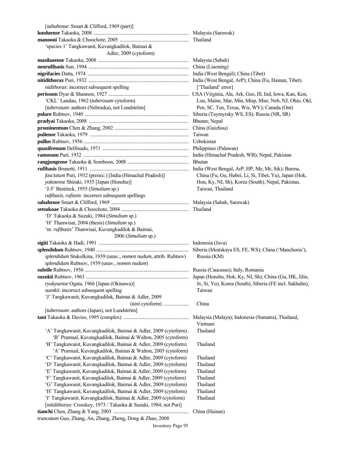| [sabahense: Smart & Clifford, 1969 (part)]                        |                                                          |
|-------------------------------------------------------------------|----------------------------------------------------------|
|                                                                   |                                                          |
|                                                                   |                                                          |
| 'species 1' Tangkawanit, Kuvangkadilok, Baimai &                  |                                                          |
| Adler, 2009 (cytoform)                                            |                                                          |
|                                                                   |                                                          |
|                                                                   |                                                          |
|                                                                   |                                                          |
|                                                                   |                                                          |
| nidithorax: incorrect subsequent spelling                         | ['Thailand' error]                                       |
|                                                                   |                                                          |
| 'CKL' Landau, 1962 (tuberosum cytoform)                           | Lou, Maine, Mar, Min, Misp, Misr, Neb, NJ, Ohio, Okl,    |
| [tuberosum: authors (Nebraska), not Lundström]                    | Pen, SC, Ten, Texas, Wis, WV); Canada (Ont)              |
|                                                                   |                                                          |
|                                                                   |                                                          |
|                                                                   |                                                          |
|                                                                   |                                                          |
|                                                                   |                                                          |
|                                                                   |                                                          |
|                                                                   |                                                          |
|                                                                   |                                                          |
|                                                                   |                                                          |
| fasciatum Puri, 1932 (preocc.) [India (Himachal Pradesh)]         | China (Fu, Gu, Hubei, Li, Si, Tibet, Yu), Japan (Hok,    |
| yokotense Shiraki, 1935 [Japan (Honshu)]                          | Hon, Ky, NI, Sh), Korea (South), Nepal, Pakistan,        |
| 'J-5' Bentinck, 1955 (Simulium sp.)                               | Taiwan, Thailand                                         |
| rafibasis, rufiasis: incorrect subsequent spellings               |                                                          |
|                                                                   |                                                          |
|                                                                   |                                                          |
| 'D' Takaoka & Suzuki, 1984 (Simulium sp.)                         |                                                          |
| 'H' Thanwisai, 2004 (thesis) (Simulium sp.)                       |                                                          |
| 'nr. rufibasis' Thanwisai, Kuvangkadilok & Baimai,                |                                                          |
| 2006 (Simulium sp.)                                               |                                                          |
|                                                                   |                                                          |
|                                                                   |                                                          |
| splendidum Stukolkina, 1939 (unav., nomen nudum, attrib. Rubtsov) | Russia (KM)                                              |
| splendidum Rubtsov, 1939 (unav., nomen nudum)                     |                                                          |
|                                                                   |                                                          |
|                                                                   |                                                          |
| ryukyuense Ogata, 1966 [Japan (Okinawa)]                          | Jx, Si, Yu), Korea (South), Siberia (FE incl. Sakhalin), |
| suznkii: incorrect subsequent spelling                            | Taiwan                                                   |
| 'J' Tangkawanit, Kuvangkadilok, Baimai & Adler, 2009              |                                                          |
| (tani cytoform)                                                   | China                                                    |
| [tuberosum: authors (Japan), not Lundström]                       |                                                          |
|                                                                   | Malaysia (Malaya); Indonesia (Sumatra), Thailand,        |
|                                                                   | Vietnam                                                  |
| 'A' Tangkawanit, Kuvangkadilok, Baimai & Adler, 2009 (cytoform).  | Thailand                                                 |
| 'B' Pramual, Kuvangkadilok, Baimai & Walton, 2005 (cytoform)      |                                                          |
| 'B' Tangkawanit, Kuvangkadilok, Baimai & Adler, 2009 (cytoform)   | Thailand                                                 |
| 'A' Pramual, Kuvangkadilok, Baimai & Walton, 2005 (cytoform)      |                                                          |
| 'C' Tangkawanit, Kuvangkadilok, Baimai & Adler, 2009 (cytoform)   | Thailand                                                 |
| 'D' Tangkawanit, Kuvangkadilok, Baimai & Adler, 2009 (cytoform)   | Thailand                                                 |
| 'E' Tangkawanit, Kuvangkadilok, Baimai & Adler, 2009 (cytoform)   | Thailand                                                 |
| 'F' Tangkawanit, Kuvangkadilok, Baimai & Adler, 2009 (cytoform)   | Thailand                                                 |
| 'G' Tangkawanit, Kuvangkadilok, Baimai & Adler, 2009 (cytoform)   | Thailand                                                 |
| 'H' Tangkawanit, Kuvangkadilok, Baimai & Adler, 2009 (cytoform)   | Thailand                                                 |
| 'I' Tangkawanit, Kuvangkadilok, Baimai & Adler, 2009 (cytoform)   | Thailand                                                 |
| [nitidithorax: Crosskey, 1973 / Takaoka & Suzuki, 1984, not Puri] |                                                          |
|                                                                   | China (Hainan)                                           |
| truncatum Guo, Zhang, An, Zhang, Zheng, Dong & Zhao, 2008         |                                                          |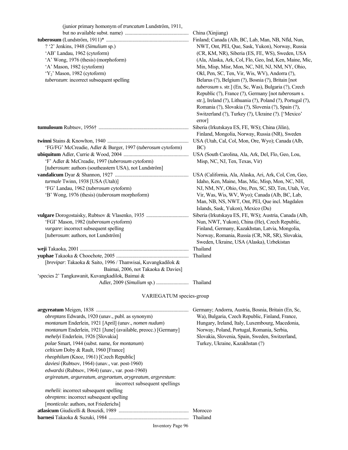| (junior primary homonym of <i>truncatum</i> Lundström, 1911,  |                                                                                              |
|---------------------------------------------------------------|----------------------------------------------------------------------------------------------|
|                                                               | China (Xinjiang)<br>Finland; Canada (Alb, BC, Lab, Man, NB, Nfld, Nun,                       |
| ? '2' Jenkins, 1948 (Simulium sp.)                            | NWT, Ont, PEI, Que, Sask, Yukon), Norway, Russia                                             |
| 'AB' Landau, 1962 (cytoform)                                  | (CR, KM, NR), Siberia (ES, FE, WS), Sweden, USA                                              |
| 'A' Wong, 1976 (thesis) (morphoform)                          | (Ala, Alaska, Ark, Col, Flo, Geo, Ind, Ken, Maine, Mic,                                      |
| 'A' Mason, 1982 (cytoform)                                    | Min, Misp, Misr, Mon, NC, NH, NJ, NM, NY, Ohio,                                              |
| 'Y <sub>2</sub> ' Mason, 1982 (cytoform)                      | Okl, Pen, SC, Ten, Vir, Wis, WV), Andorra (?),                                               |
| tuberozum: incorrect subsequent spelling                      | Belarus (?), Belgium (?), Bosnia (?), Britain [not                                           |
|                                                               | tuberosum s. str.] (En, Sc, Was), Bulgaria (?), Czech                                        |
|                                                               | Republic (?), France (?), Germany [not tuberosum s.                                          |
|                                                               | str.], Ireland (?), Lithuania (?), Poland (?), Portugal (?),                                 |
|                                                               | Romania (?), Slovakia (?), Slovenia (?), Spain (?),                                          |
|                                                               | Switzerland (?), Turkey (?), Ukraine (?). ['Mexico'                                          |
|                                                               | error]                                                                                       |
|                                                               | Siberia (Irkutskaya ES, FE, WS); China (Jilin),                                              |
|                                                               | Finland, Mongolia, Norway, Russia (NR), Sweden                                               |
|                                                               | USA (Utah, Cal, Col, Mon, Ore, Wyo); Canada (Alb,                                            |
| 'FG/FG' McCreadie, Adler & Burger, 1997 (tuberosum cytoform)  | BC)                                                                                          |
|                                                               |                                                                                              |
| 'F' Adler & McCreadie, 1997 (tuberosum cytoform)              | Misp, NC, NJ, Ten, Texas, Vir)                                                               |
| [tuberosum: authors (southeastern USA), not Lundström]        |                                                                                              |
|                                                               |                                                                                              |
| turmale Twinn, 1938 [USA (Utah)]                              | Idaho, Ken, Maine, Mas, Mic, Misp, Mon, NC, NH,                                              |
| 'FG' Landau, 1962 (tuberosum cytoform)                        | NJ, NM, NY, Ohio, Ore, Pen, SC, SD, Ten, Utah, Ver,                                          |
| 'B' Wong, 1976 (thesis) (tuberosum morphoform)                | Vir, Was, Wis, WV, Wyo); Canada (Alb, BC, Lab,                                               |
|                                                               | Man, NB, NS, NWT, Ont, PEI, Que incl. Magdalen                                               |
|                                                               | Islands, Sask, Yukon), Mexico (Du)                                                           |
|                                                               | Siberia (Irkutskaya ES, FE, WS); Austria, Canada (Alb,                                       |
| 'FGI' Mason, 1982 (tuberosum cytoform)                        | Nun, NWT, Yukon), China (He), Czech Republic,                                                |
| vurgare: incorrect subsequent spelling                        | Finland, Germany, Kazakhstan, Latvia, Mongolia,                                              |
| [tuberosum: authors, not Lundström]                           | Norway, Romania, Russia (CR, NR, SR), Slovakia,<br>Sweden, Ukraine, USA (Alaska), Uzbekistan |
|                                                               | Thailand                                                                                     |
|                                                               | Thailand                                                                                     |
| [brevipar: Takaoka & Saito, 1996 / Thanwisai, Kuvangkadilok & |                                                                                              |
| Baimai, 2006, not Takaoka & Davies]                           |                                                                                              |
| 'species 2' Tangkawanit, Kuvangkadilok, Baimai &              |                                                                                              |
|                                                               |                                                                                              |
|                                                               |                                                                                              |
| VARIEGATUM species-group                                      |                                                                                              |

| obreptans Edwards, 1920 (unav., publ. as synonym)<br>montanum Enderlein, 1921 [April] (unav., nomen nudum)<br><i>montanum</i> Enderlein, 1921 [June] (available, preocc.) [Germany]<br>mehelyi Enderlein, 1926 [Slovakia]<br><i>polae</i> Smart, 1944 (subst. name, for <i>montanum</i> )<br>celticum Doby & Rault, 1960 [France]<br><i>rheophilum</i> (Knoz, 1961) [Czech Republic]<br><i>daviesi</i> (Rubtsov, 1964) (unav., var. post-1960)<br>edwardsi (Rubtsov, 1964) (unav., var. post-1960)<br>argireatum, argureatum, argyraetum, arygreatum, argyrestum:<br>incorrect subsequent spellings<br><i>mehelii</i> : incorrect subsequent spelling<br><i>obreptens:</i> incorrect subsequent spelling<br>[ <i>monticola</i> : authors, not Friederichs] | Germany; Andorra, Austria, Bosnia, Britain (En, Sc,<br>Wa), Bulgaria, Czech Republic, Finland, France,<br>Hungary, Ireland, Italy, Luxembourg, Macedonia,<br>Norway, Poland, Portugal, Romania, Serbia,<br>Slovakia, Slovenia, Spain, Sweden, Switzerland,<br>Turkey, Ukraine, Kazakhstan (?) |
|------------------------------------------------------------------------------------------------------------------------------------------------------------------------------------------------------------------------------------------------------------------------------------------------------------------------------------------------------------------------------------------------------------------------------------------------------------------------------------------------------------------------------------------------------------------------------------------------------------------------------------------------------------------------------------------------------------------------------------------------------------|-----------------------------------------------------------------------------------------------------------------------------------------------------------------------------------------------------------------------------------------------------------------------------------------------|
|                                                                                                                                                                                                                                                                                                                                                                                                                                                                                                                                                                                                                                                                                                                                                            | Morocco                                                                                                                                                                                                                                                                                       |
|                                                                                                                                                                                                                                                                                                                                                                                                                                                                                                                                                                                                                                                                                                                                                            | Thailand                                                                                                                                                                                                                                                                                      |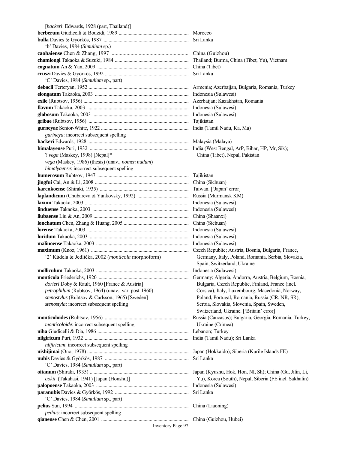[*hackeri*: Edwards, 1928 (part, Thailand)] **berberum** Giudicelli & Bouzidi, 1989 ........................................................ Morocco **bulla** Davies & Györkös, 1987 .................................................................... Sri Lanka 'b' Davies, 1984 (*Simulium* sp.) **caohaiense** Chen & Zhang, 1997 .......................................................... China (Guizhou) **chamlongi** Takaoka & Suzuki, 1984 ........................................................... Thailand; Burma, China (Tibet, Yu), Vietnam **cognatum** An & Yan, 2009 ......................................................................... China (Tibet) **cruszi** Davies & Györkös, 1992 ................................................................... Sri Lanka 'C' Davies, 1984 (*Simulium* sp., part) **debacli** Terteryan, 1952 ................................................................................ Armenia; Azerbaijan, Bulgaria, Romania, Turkey **elongatum** Takaoka, 2003 ........................................................................... Indonesia (Sulawesi) **exile** (Rubtsov, 1956) .................................................................................... Azerbaijan; Kazakhstan, Romania **flavum** Takaoka, 2003 ................................................................................. Indonesia (Sulawesi) **globosum** Takaoka, 2003 ............................................................................. Indonesia (Sulawesi) **gribae** (Rubtsov, 1956) ................................................................................ Tajikistan **gurneyae** Senior-White, 1922 ...................................................................... India (Tamil Nadu, Ka, Ma) *gurineya*: incorrect subsequent spelling **hackeri** Edwards, 1928 ................................................................................ Malaysia (Malaya) **himalayense** Puri, 1932 ............................................................................... India (West Bengal, ArP, Bihar, HP, Mr, Sik); ? *vega* (Maskey, 1998) [Nepal]\* China (Tibet), Nepal, Pakistan *vega* (Maskey, 1986) (thesis) (unav., *nomen nudum*) *himalyaense*: incorrect subsequent spelling **humerosum** Rubtsov, 1947 ......................................................................... Tajikistan **jingfui** Cai, An & Li, 2008 ........................................................................... China (Sichuan) **karenkoense** (Shiraki, 1935) ....................................................................... Taiwan. ['Japan' error] **laplandicum** (Chubareva & Yankovsky, 1992) ......................................... Russia (Murmansk KM) **laxum** Takaoka, 2003 ................................................................................... Indonesia (Sulawesi) **linduense** Takaoka, 2003 ............................................................................. Indonesia (Sulawesi) **liubaense** Liu & An, 2009 ............................................................................ China (Shaanxi) **lonchatum** Chen, Zhang & Huang, 2005 .................................................... China (Sichuan) **lorense** Takaoka, 2003 ................................................................................. Indonesia (Sulawesi) **luridum** Takaoka, 2003 ............................................................................... Indonesia (Sulawesi) **malinoense** Takaoka, 2003 .......................................................................... Indonesia (Sulawesi) **maximum** (Knoz, 1961) .............................................................................. Czech Republic; Austria, Bosnia, Bulgaria, France, '2' Kúdela & Jedlička, 2002 (*monticola* morphoform) Germany, Italy, Poland, Romania, Serbia, Slovakia, Spain, Switzerland, Ukraine **molliculum** Takaoka, 2003 .......................................................................... Indonesia (Sulawesi) **monticola** Friederichs, 1920 ........................................................................ Germany; Algeria, Andorra, Austria, Belgium, Bosnia, dorieri Doby & Rault, 1960 [France & Austria] Bulgaria, Czech Republic, Finland, France (incl.  *petrophilum* (Rubtsov, 1964) (unav., var. post-1960) Corsica), Italy, Luxembourg, Macedonia, Norway,  *stenostylus* (Rubtsov & Carlsson, 1965) [Sweden] Poland, Portugal, Romania, Russia (CR, NR, SR), *stenostyla*: incorrect subsequent spelling Serbia, Slovakia, Slovakia, Slovenia, Spain, Sweden, Switzerland, Ukraine. ['Britain' error] **monticoloides** (Rubtsov, 1956) ................................................................... Russia (Caucasus); Bulgaria, Georgia, Romania, Turkey, *monticoloide*: incorrect subsequent spelling Ukraine (Crimea) **niha** Giudicelli & Dia, 1986 ......................................................................... Lebanon; Turkey **nilgiricum** Puri, 1932 ................................................................................... India (Tamil Nadu); Sri Lanka *niljiricum*: incorrect subsequent spelling **nishijimai** (Ono, 1978) ................................................................................. Japan (Hokkaido); Siberia (Kurile Islands FE) **nubis** Davies & Györkös, 1987 ................................................................... Sri Lanka 'C' Davies, 1984 (*Simulium* sp., part) **oitanum** (Shiraki, 1935) ............................................................................... Japan (Kyushu, Hok, Hon, NI, Sh); China (Gu, Jilin, Li, *aokii* (Takahasi, 1941) [Japan (Honshu)] Yu), Korea (South), Nepal, Siberia (FE incl. Sakhalin) **palopoense** Takaoka, 2003 .......................................................................... Indonesia (Sulawesi) **paranubis** Davies & Györkös, 1992 ........................................................... Sri Lanka 'C' Davies, 1984 (*Simulium* sp., part) **pelius** Sun, 1994 ........................................................................................... China (Liaoning) *pedius*: incorrect subsequent spelling **qianense** Chen & Chen, 2001 ...................................................................... China (Guizhou, Hubei)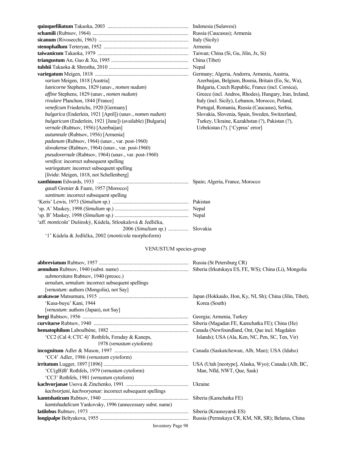|                                                            | China (Tibet)                                          |
|------------------------------------------------------------|--------------------------------------------------------|
|                                                            | Nepal                                                  |
|                                                            | Germany; Algeria, Andorra, Armenia, Austria,           |
| varium Meigen, 1818 [Austria]                              | Azerbaijan, Belgium, Bosnia, Britain (En, Sc, Wa),     |
| luteicorne Stephens, 1829 (unav., nomen nudum)             | Bulgaria, Czech Republic, France (incl. Corsica),      |
| affine Stephens, 1829 (unav., nomen nudum)                 | Greece (incl. Andros, Rhodes), Hungary, Iran, Ireland, |
| rivulare Planchon, 1844 [France]                           | Italy (incl. Sicily), Lebanon, Morocco, Poland,        |
| veneficum Friederichs, 1920 [Germany]                      | Portugal, Romania, Russia (Caucasus), Serbia,          |
| bulgarica (Enderlein, 1921 [April]) (unav., nomen nudum)   | Slovakia, Slovenia, Spain, Sweden, Switzerland,        |
| bulgaricum (Enderlein, 1921 [June]) (available) [Bulgaria] | Turkey, Ukraine, Kazakhstan (?), Pakistan (?),         |
| vernale (Rubtsov, 1956) [Azerbaijan]                       | Uzbekistan (?). ['Cyprus' error]                       |
| autumnale (Rubtsov, 1956) [Armenia]                        |                                                        |
| padanum (Rubtsov, 1964) (unav., var. post-1960)            |                                                        |
| slovakense (Rubtsov, 1964) (unav., var. post-1960)         |                                                        |
| pseudovernale (Rubtsov, 1964) (unav., var. post-1960)      |                                                        |
| venifica: incorrect subsequent spelling                    |                                                        |
| wariegatum: incorrect subsequent spelling                  |                                                        |
| [livida: Meigen, 1818, not Schellenberg]                   |                                                        |
|                                                            | Spain; Algeria, France, Morocco                        |
| gaudi Grenier & Faure, 1957 [Morocco]                      |                                                        |
| xantinum: incorrect subsequent spelling                    |                                                        |
|                                                            |                                                        |
|                                                            |                                                        |
|                                                            |                                                        |
| 'aff. monticola' Dušinský, Kúdela, Stloukalová & Jedlička, |                                                        |
| $2006$ ( <i>Simulium</i> sp.)                              | Slovakia                                               |
| '1' Kúdela & Jedlička, 2002 (monticola morphoform)         |                                                        |
| VENUSTUM species-group                                     |                                                        |
|                                                            |                                                        |
|                                                            |                                                        |
| submorsitans Rubtsov 1940 (preocc.)                        |                                                        |

| <i>submorsitans Kublsov, 1940 (preoce.)</i>                     |                                                   |
|-----------------------------------------------------------------|---------------------------------------------------|
| <i>aenulum, semulum: incorrect subsequent spellings</i>         |                                                   |
| [venustum: authors (Mongolia), not Say]                         |                                                   |
|                                                                 |                                                   |
| 'Kusa-buyu' Kani, 1944                                          | Korea (South)                                     |
| <i>venustum: authors (Japan), not Say]</i>                      |                                                   |
|                                                                 | Georgia; Armenia, Turkey                          |
|                                                                 | Siberia (Magadan FE, Kamchatka FE); China (He)    |
|                                                                 | Canada (Newfoundland, Ont, Que incl. Magdalen     |
| 'CC2 (Cal 4; CTC 4)' Rothfels, Feraday & Kaneps,                | Islands); USA (Ala, Ken, NC, Pen, SC, Ten, Vir)   |
| 1978 ( <i>venustum</i> cytoform)                                |                                                   |
|                                                                 | Canada (Saskatchewan, Alb, Man); USA (Idaho)      |
| 'CC4' Adler, 1986 (venustum cytoform)                           |                                                   |
|                                                                 |                                                   |
| 'CC(gB)B' Rothfels, 1979 (venustum cytoform)                    | Man, Nfld, NWT, Oue, Sask)                        |
| 'CC3' Rothfels, 1981 (venustum cytoform)                        |                                                   |
|                                                                 |                                                   |
| kachvorjani, kachvoryanae: incorrect subsequent spellings       |                                                   |
|                                                                 | Siberia (Kamchatka FE)                            |
| <i>kamtshadalicum</i> Yankovsky, 1996 (unnecessary subst. name) |                                                   |
|                                                                 | Siberia (Krasnoyarsk ES)                          |
|                                                                 | Russia (Permskaya CR, KM, NR, SR); Belarus, China |
| <b>Inventory Page 98</b>                                        |                                                   |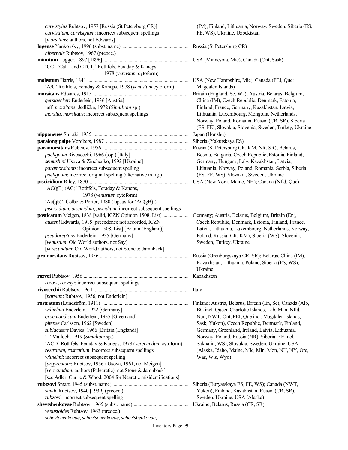| curvistylus Rubtsov, 1957 [Russia (St Petersburg CR)]                            | $(IM)$ , Fin           |
|----------------------------------------------------------------------------------|------------------------|
| curvistilum, curvistylum: incorrect subsequent spellings                         | FE, WS)                |
| [morsitans: authors, not Edwards]                                                |                        |
|                                                                                  |                        |
| hibernale Rubtsov, 1967 (preocc.)                                                |                        |
|                                                                                  |                        |
| 'CC1 (Cal 1 and CTC1)' Rothfels, Feraday & Kaneps,                               |                        |
| 1978 (venustum cytoform)                                                         |                        |
|                                                                                  | <b>USA</b> (Nev        |
| 'A/C' Rothfels, Feraday & Kaneps, 1978 (venustum cytoform)                       | Magdale                |
|                                                                                  | Britain (Er            |
| gerstaeckeri Enderlein, 1936 [Austria]                                           | China (Il              |
| 'aff. morsitans' Jedlička, 1972 (Simulium sp.)                                   | Finland,               |
| morsita, morsitaus: incorrect subsequent spellings                               | Lithuani               |
|                                                                                  | Norway,                |
|                                                                                  | (ES, FE)               |
|                                                                                  | Japan (Ho              |
|                                                                                  | Siberia (Y             |
|                                                                                  | Russia (St             |
| paelignum Rivosecchi, 1966 (ssp.) [Italy]                                        | Bosnia, l              |
| semushini Usova & Zinchenko, 1992 [Ukraine]                                      | Germany                |
| paramorsitants: incorrect subsequent spelling                                    | Lithuani               |
| <i>poelignum</i> : incorrect original spelling (alternative in fig.)             | (ES, FE,               |
|                                                                                  | <b>USA</b> (Nev        |
| 'AC(gB) (AC)' Rothfels, Feraday & Kaneps,                                        |                        |
| 1978 (venustum cytoform)                                                         |                        |
| 'Ac(qb)': Colbo & Porter, 1980 (lapsus for 'AC(gB)')                             |                        |
| piscioidium, piscicidum, piscidium: incorrect subsequent spellings               |                        |
| posticatum Meigen, 1838 [valid, ICZN Opinion 1508, List]                         | Germany;               |
| austeni Edwards, 1915 [precedence not accorded, ICZN                             | Czech R                |
| Opinion 1508, List] [Britain (England)]                                          | Latvia, L              |
| pseudoreptans Enderlein, 1935 [Germany]                                          | Poland, l              |
| [venustum: Old World authors, not Say]                                           | Sweden,                |
| [verecundum: Old World authors, not Stone & Jamnback]                            |                        |
|                                                                                  | Russia (Or             |
|                                                                                  | Kazakhs                |
|                                                                                  | Ukraine                |
| rezvoi Rubtsov, 1956                                                             | Kazakhsta              |
| rezovi, rezvoyi: incorrect subsequent spellings                                  |                        |
|                                                                                  | Italy                  |
| [parvum: Rubtsov, 1956, not Enderlein]                                           |                        |
|                                                                                  | Finland; A<br>BC incl. |
| wilhelmii Enderlein, 1922 [Germany]<br>groenlandicum Enderlein, 1935 [Greenland] | Nun, NV                |
|                                                                                  |                        |
| pitense Carlsson, 1962 [Sweden]<br>sublacustre Davies, 1966 [Britain (England)]  | Sask, Yu               |
| '1' Malloch, 1919 (Simulium sp.)                                                 | Germany<br>Norway,     |
| 'ACD' Rothfels, Feraday & Kaneps, 1978 (verecundum cytoform)                     | Sakhalin               |
| restratum, rostratium: incorrect subsequent spellings                            | (Alaska,               |
| wilhelmi: incorrect subsequent spelling                                          | Was, Wi                |
| [argyreatum: Rubtsov, 1956 / Usova, 1961, not Meigen]                            |                        |
| [verecundum: authors (Palearctic), not Stone & Jamnback]                         |                        |
| [see Adler, Currie & Wood, 2004 for Nearctic misidentifications]                 |                        |
|                                                                                  | Siberia (B)            |
| simile Rubtsov, 1940 [1939] (preocc.)                                            | Yukon),                |
| rubzovi: incorrect subsequent spelling                                           | Sweden,                |
|                                                                                  | Ukraine; E             |
| venustoides Rubtsov, 1963 (preocc.)                                              |                        |
| schevtchenkovae, schevtschenkovae, schevtshenkovae,                              |                        |
|                                                                                  |                        |

*(IM), Finland, Lithuania, Norway, Sweden, Siberia (ES,* FE, WS), Ukraine, Uzbekistan

**Russia (St Petersburg CR)** 

**USA** (Minnesota, Mic); Canada (Ont, Sask)

USA (New Hampshire, Mic); Canada (PEI, Que: 'A/C' Rothfels, Feraday & Kaneps, 1978 (*venustum* cytoform) Magdalen Islands) Britain (England, Sc, Wa); Austria, Belarus, Belgium, *China (IM), Czech Republic, Denmark, Estonia,* Finland, France, Germany, Kazakhstan, Latvia, Lithuania, Luxembourg, Mongolia, Netherlands, Norway, Poland, Romania, Russia (CR, SR), Siberia (ES, FE), Slovakia, Slovenia, Sweden, Turkey, Ukraine Japan (Honshu) Siberia (Yakutskaya ES) Russia (St Petersburg CR, KM, NR, SR); Belarus, Bosnia, Bulgaria, Czech Republic, Estonia, Finland, Germany, Hungary, Italy, Kazakhstan, Latvia, Lithuania, Norway, Poland, Romania, Serbia, Siberia *(ES, FE, WS), Slovakia, Sweden, Ukraine* USA (New York, Maine, NH); Canada (Nfld, Que)

Germany; Austria, Belarus, Belgium, Britain (En), **Czech Republic, Denmark, Estonia, Finland, France,** Latvia, Lithuania, Luxembourg, Netherlands, Norway, Poland, Russia (CR, KM), Siberia (WS), Slovenia,  $S$ weden, Turkey, Ukraine

Russia (Orenburgskaya CR, SR); Belarus, China (IM), Kazakhstan, Lithuania, Poland, Siberia (ES, WS), **Kazakhstan** 

Finland; Austria, Belarus, Britain (En, Sc), Canada (Alb, *BC* incl. Queen Charlotte Islands, Lab, Man, Nfld, *Nun, NWT, Ont, PEI, Que incl. Magdalen Islands, Sask, Yukon), Czech Republic, Denmark, Finland,* Germany, Greenland, Ireland, Latvia, Lithuania, Norway, Poland, Russia (NR), Siberia (FE incl. Sakhalin, WS), Slovakia, Sweden, Ukraine, USA *(Alaska, Idaho, Maine, Mic, Min, Mon, NH, NY, Ore, Was, Wis, Wyo)* 

Siberia (Buryatskaya ES, FE, WS); Canada (NWT, Yukon), Finland, Kazakhstan, Russia (CR, SR), *Sweden, Ukraine, USA (Alaska)* Ukraine; Belarus, Russia (CR, SR)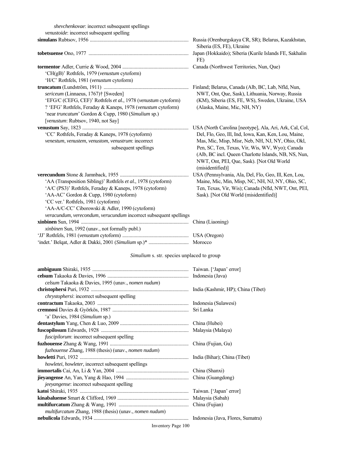*shevchenkovae*: incorrect subsequent spellings  *venustoide*: incorrect subsequent spelling

|                                                                   | Siberia (ES, FE), Ukraine                                                                                       |
|-------------------------------------------------------------------|-----------------------------------------------------------------------------------------------------------------|
|                                                                   | Japan (Hokkaido); Siberia (Kurile Islands FE, Sakhalin<br>FE)                                                   |
|                                                                   | Canada (Northwest Territories, Nun, Que)                                                                        |
| 'CH(gB)' Rothfels, 1979 ( <i>venustum</i> cytoform)               |                                                                                                                 |
| 'H/C' Rothfels, 1981 (venustum cytoform)                          |                                                                                                                 |
|                                                                   | Finland; Belarus, Canada (Alb, BC, Lab, Nfld, Nun,                                                              |
| sericeum (Linnaeus, 1767); [Sweden]                               | NWT, Ont, Que, Sask), Lithuania, Norway, Russia                                                                 |
| 'EFG/C (CEFG, CEF)' Rothfels et al., 1978 (venustum cytoform)     | (KM), Siberia (ES, FE, WS), Sweden, Ukraine, USA                                                                |
| ? 'EFG' Rothfels, Feraday & Kaneps, 1978 (venustum cytoform)      | (Alaska, Maine, Mic, NH, NY)                                                                                    |
| 'near truncatum' Gordon & Cupp, 1980 (Simulium sp.)               |                                                                                                                 |
| [venustum: Rubtsov, 1940, not Say]                                |                                                                                                                 |
| 'CC' Rothfels, Feraday & Kaneps, 1978 (cytoform)                  | USA (North Carolina [neotype], Ala, Ari, Ark, Cal, Col,<br>Del, Flo, Geo, Ill, Ind, Iowa, Kan, Ken, Lou, Maine, |
| venestum, venustem, venustom, venustrum: incorrect                | Mas, Mic, Misp, Misr, Neb, NH, NJ, NY, Ohio, Okl,                                                               |
| subsequent spellings                                              | Pen, SC, Ten, Texas, Vir, Wis, WV, Wyo); Canada                                                                 |
|                                                                   | (Alb, BC incl. Queen Charlotte Islands, NB, NS, Nun,                                                            |
|                                                                   | NWT, Ont, PEI, Que, Sask). [Not Old World                                                                       |
|                                                                   | (misidentified)]                                                                                                |
|                                                                   | USA (Pennsylvania, Ala, Del, Flo, Geo, Ill, Ken, Lou,                                                           |
| 'AA (Transposition Sibling)' Rothfels et al., 1978 (cytoform)     | Maine, Mic, Min, Misp, NC, NH, NJ, NY, Ohio, SC,                                                                |
| 'A/C (PS3)' Rothfels, Feraday & Kaneps, 1978 (cytoform)           | Ten, Texas, Vir, Wis); Canada (Nfld, NWT, Ont, PEI,                                                             |
| 'AA-AC' Gordon & Cupp, 1980 (cytoform)                            | Sask). [Not Old World (misidentified)]                                                                          |
| 'CC ver.' Rothfels, 1981 (cytoform)                               |                                                                                                                 |
| 'AA-A/C-CC' Ciborowski & Adler, 1990 (cytoform)                   |                                                                                                                 |
| veracundum, verecondum, verucundum incorrect subsequent spellings |                                                                                                                 |
|                                                                   | China (Liaoning)                                                                                                |
| xinbinen Sun, 1992 (unav., not formally publ.)                    |                                                                                                                 |
|                                                                   |                                                                                                                 |
|                                                                   |                                                                                                                 |

# *Simulium* s. str. species unplaced to group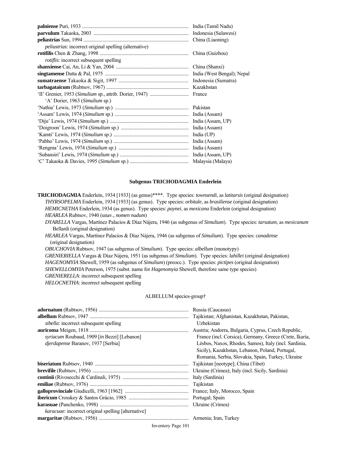|                                                               | India (Tamil Nadu) |
|---------------------------------------------------------------|--------------------|
|                                                               |                    |
|                                                               |                    |
| <i>peliustrias:</i> incorrect original spelling (alternative) |                    |
|                                                               |                    |
| <i>rotiflis:</i> incorrect subsequent spelling                |                    |
|                                                               | China (Shanxi)     |
|                                                               |                    |
|                                                               |                    |
|                                                               |                    |
|                                                               |                    |
| 'A' Dorier, 1963 (Simulium sp.)                               |                    |
|                                                               | Pakistan           |
|                                                               | India (Assam)      |
|                                                               |                    |
|                                                               | India (Assam)      |
|                                                               | India $(UP)$       |
|                                                               | India (Assam)      |
|                                                               |                    |
|                                                               |                    |
|                                                               |                    |

#### **Subgenus TRICHODAGMIA Enderlein**

**TRICHODAGMIA** Enderlein, 1934 [1933] (as genus)\*\*\*\*. Type species: *townsendi*, as *latitarsis* (original designation)  *THYRSOPELMA* Enderlein, 1934 [1933] (as genus). Type species: *orbitale*, as *brasiliense* (original designation) *HEMICNETHA* Enderlein, 1934 (as genus). Type species: *paynei*, as *mexicana* Enderlein (original designation)  *HEARLEA* Rubtsov, 1940 (unav., *nomen nudum*)

 *DYARELLA* Vargas, Martínez Palacios & Díaz Nájera, 1946 (as subgenus of *Simulium*). Type species: *tarsatum*, as *mexicanum* Bellardi (original designation)

*HEARLEA* Vargas, Martínez Palacios & Díaz Nájera, 1946 (as subgenus of *Simulium*). Type species: *canadense* (original designation)

 *OBUCHOVIA* Rubtsov, 1947 (as subgenus of *Simulium*). Type species: *albellum* (monotypy)

*GRENIERIELLA* Vargas & Díaz Nájera, 1951 (as subgenus of *Simulium*). Type species: *lahillei* (original designation)  *HAGENOMYIA* Shewell, 1959 (as subgenus of *Simulium*) (preocc.). Type species: *pictipes* (original designation) *SHEWELLOMYIA* Peterson, 1975 (subst. name for *Hagenomyia* Shewell, therefore same type species) *GRENIERELLA*: incorrect subsequent spelling

 *HELOCNETHA*: incorrect subsequent spelling

#### ALBELLUM species-group†

|                                                     | Russia (Caucasus)                                       |
|-----------------------------------------------------|---------------------------------------------------------|
|                                                     | Tajikistan; Afghanistan, Kazakhstan, Pakistan,          |
| sibella: incorrect subsequent spelling              | Uzbekistan                                              |
|                                                     | Austria; Andorra, Bulgaria, Cyprus, Czech Republic,     |
| syriacum Roubaud, 1909 [in Bezzi] [Lebanon]         | France (incl. Corsica), Germany, Greece (Crete, Ikaría, |
| <i>dierdapense</i> Baranov, 1937 [Serbia]           | Lésbos, Naxos, Rhodes, Samos), Italy (incl. Sardinia,   |
|                                                     | Sicily), Kazakhstan, Lebanon, Poland, Portugal,         |
|                                                     | Romania, Serbia, Slovakia, Spain, Turkey, Ukraine       |
|                                                     | Tajikistan [neotype]; China (Tibet)                     |
|                                                     | Ukraine (Crimea); Italy (incl. Sicily, Sardinia)        |
|                                                     | Italy (Sardinia)                                        |
|                                                     |                                                         |
|                                                     |                                                         |
|                                                     |                                                         |
|                                                     |                                                         |
| karacuae: incorrect original spelling [alternative] |                                                         |
|                                                     |                                                         |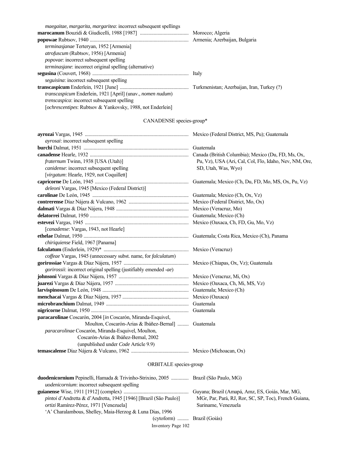| maegaitae, margarita, margaritea: incorrect subsequent spellings          |  |
|---------------------------------------------------------------------------|--|
|                                                                           |  |
|                                                                           |  |
| terminasjanae Terteryan, 1952 [Armenia]                                   |  |
| <i>atrofuscum</i> (Rubtsov, 1956) [Armenia]                               |  |
| <i>popovae</i> : incorrect subsequent spelling                            |  |
| <i>terminasjane</i> : incorrect original spelling (alternative)           |  |
|                                                                           |  |
| <i>seguisina:</i> incorrect subsequent spelling                           |  |
|                                                                           |  |
| <i>transcaspicum</i> Enderlein, 1921 [April] (unav., <i>nomen nudum</i> ) |  |
| <i>trenscaspica</i> : incorrect subsequent spelling                       |  |
| [ <i>ochrescentipes</i> : Rubtsov & Yankovsky, 1988, not Enderlein]       |  |

# CANADENSE species-group\*

| ayrosai: incorrect subsequent spelling                                                                                                                                                                                                                                                                                  |                                                        |  |
|-------------------------------------------------------------------------------------------------------------------------------------------------------------------------------------------------------------------------------------------------------------------------------------------------------------------------|--------------------------------------------------------|--|
|                                                                                                                                                                                                                                                                                                                         |                                                        |  |
|                                                                                                                                                                                                                                                                                                                         |                                                        |  |
| fraternum Twinn, 1938 [USA (Utah)]                                                                                                                                                                                                                                                                                      | Pu, Vz), USA (Ari, Cal, Col, Flo, Idaho, Nev, NM, Ore, |  |
| canidense: incorrect subsequent spelling                                                                                                                                                                                                                                                                                | SD, Utah, Was, Wyo)                                    |  |
| [virgatum: Hearle, 1929, not Coquillett]                                                                                                                                                                                                                                                                                |                                                        |  |
|                                                                                                                                                                                                                                                                                                                         |                                                        |  |
| deleoni Vargas, 1945 [Mexico (Federal District)]                                                                                                                                                                                                                                                                        |                                                        |  |
|                                                                                                                                                                                                                                                                                                                         |                                                        |  |
|                                                                                                                                                                                                                                                                                                                         |                                                        |  |
|                                                                                                                                                                                                                                                                                                                         |                                                        |  |
|                                                                                                                                                                                                                                                                                                                         | Guatemala; Mexico (Ch)                                 |  |
|                                                                                                                                                                                                                                                                                                                         |                                                        |  |
| [canadense: Vargas, 1943, not Hearle]                                                                                                                                                                                                                                                                                   |                                                        |  |
|                                                                                                                                                                                                                                                                                                                         | Guatemala; Costa Rica, Mexico (Ch), Panama             |  |
| chiriquiense Field, 1967 [Panama]                                                                                                                                                                                                                                                                                       |                                                        |  |
|                                                                                                                                                                                                                                                                                                                         |                                                        |  |
| coffeae Vargas, 1945 (unnecessary subst. name, for falculatum)                                                                                                                                                                                                                                                          |                                                        |  |
|                                                                                                                                                                                                                                                                                                                         |                                                        |  |
| gorirossii: incorrect original spelling (justifiably emended -ae)                                                                                                                                                                                                                                                       |                                                        |  |
|                                                                                                                                                                                                                                                                                                                         |                                                        |  |
|                                                                                                                                                                                                                                                                                                                         |                                                        |  |
|                                                                                                                                                                                                                                                                                                                         |                                                        |  |
|                                                                                                                                                                                                                                                                                                                         |                                                        |  |
|                                                                                                                                                                                                                                                                                                                         |                                                        |  |
|                                                                                                                                                                                                                                                                                                                         | Guatemala                                              |  |
| paracarolinae Coscarón, 2004 [in Coscarón, Miranda-Esquivel,                                                                                                                                                                                                                                                            |                                                        |  |
| Moulton, Coscarón-Arias & Ibáñez-Bernal]  Guatemala                                                                                                                                                                                                                                                                     |                                                        |  |
| paracarolinae Coscarón, Miranda-Esquivel, Moulton,                                                                                                                                                                                                                                                                      |                                                        |  |
| Coscarón-Arias & Ibáñez-Bernal, 2002                                                                                                                                                                                                                                                                                    |                                                        |  |
| (unpublished under Code Article 9.9)                                                                                                                                                                                                                                                                                    |                                                        |  |
|                                                                                                                                                                                                                                                                                                                         |                                                        |  |
| ORBITALE species-group                                                                                                                                                                                                                                                                                                  |                                                        |  |
| duodenicornium Pepinelli, Hamada & Trivinho-Strixino, 2005  Brazil (São Paulo, MG)<br>$\mathbf{y}$ , and the contract of the contract of the contract of the contract of the contract of the contract of the contract of the contract of the contract of the contract of the contract of the contract of the contract o |                                                        |  |

| <i>uodenicornium:</i> incorrect subsequent spelling                     |                                                       |
|-------------------------------------------------------------------------|-------------------------------------------------------|
|                                                                         | Guyana; Brazil (Amapá, Amz, ES, Goiás, Mar, MG,       |
| <i>pintoi</i> d'Andretta & d'Andretta, 1945 [1946] [Brazil (São Paulo)] | MGr, Par, Pará, RJ, Ror, SC, SP, Toc), French Guiana, |
| <i>ortizi</i> Ramírez-Pérez, 1971 [Venezuela]                           | Suriname, Venezuela                                   |
| 'A' Charalambous, Shelley, Maia-Herzog & Luna Dias, 1996                |                                                       |
| (cytoform)  Brazil (Goiás)                                              |                                                       |
| Inventory Page 102                                                      |                                                       |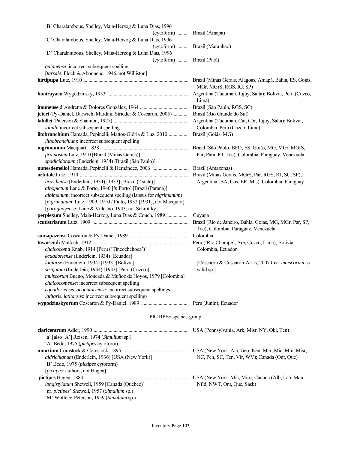| 'B' Charalambous, Shelley, Maia-Herzog & Luna Dias, 1996                                    |                                                     |
|---------------------------------------------------------------------------------------------|-----------------------------------------------------|
| (cytoform)  Brazil (Amapá)                                                                  |                                                     |
| 'C' Charalambous, Shelley, Maia-Herzog & Luna Dias, 1996                                    |                                                     |
|                                                                                             | (cytoform)  Brazil (Maranhao)                       |
| 'D' Charalambous, Shelley, Maia-Herzog & Luna Dias, 1996                                    |                                                     |
| (cytoform)  Brazil (Pará)                                                                   |                                                     |
| quianense: incorrect subsequent spelling                                                    |                                                     |
| [tarsale: Floch & Abonnenc, 1946, not Williston]                                            |                                                     |
|                                                                                             |                                                     |
|                                                                                             | MGr, MGrS, RGS, RJ, SP)                             |
|                                                                                             |                                                     |
|                                                                                             | Lima)                                               |
|                                                                                             |                                                     |
| jeteri (Py-Daniel, Darwich, Mardini, Strieder & Coscarón, 2005)  Brazil (Rio Grande do Sul) |                                                     |
|                                                                                             |                                                     |
| lahilli: incorrect subsequent spelling                                                      | Colombia, Peru (Cuzco, Lima)                        |
| litobranchium Hamada, Pepinelli, Mattos-Glória & Luz, 2010  Brazil (Goiás, MG)              |                                                     |
| lithobranchium: incorrect subsequent spelling                                               |                                                     |
|                                                                                             |                                                     |
| pruinosum Lutz, 1910 [Brazil (Minas Gerais)]                                                | Par, Pará, RJ, Toc); Colombia, Paraguay, Venezuela  |
| spadicidorsum (Enderlein, 1934) [Brazil (São Paulo)]                                        |                                                     |
|                                                                                             |                                                     |
|                                                                                             |                                                     |
| brasiliense (Enderlein, 1934) [1933] [Brazil (? state)]                                     | Argentina (BA, Cos, ER, Mis), Colombia, Paraguay    |
| albopictum Lane & Porto, 1940 [in Porto] [Brazil (Paraná)]                                  |                                                     |
| albimanum: incorrect subsequent spelling (lapsus for nigrimanum)                            |                                                     |
| [nigrimanum: Lutz, 1909, 1910 / Pinto, 1932 [1931], not Macquart]                           |                                                     |
| [paraguayense: Lane & Vulcano, 1943, not Schrottky]                                         |                                                     |
| perplexum Shelley, Maia-Herzog, Luna Dias & Couch, 1989  Guyana                             |                                                     |
|                                                                                             |                                                     |
|                                                                                             | Toc); Colombia, Paraguay, Venezuela                 |
|                                                                                             |                                                     |
|                                                                                             |                                                     |
| chalcocoma Knab, 1914 [Peru ('Tincochchoca')]                                               | Colombia, Ecuador                                   |
| ecuadoriense (Enderlein, 1934) [Ecuador]                                                    |                                                     |
| latitarse (Enderlein, 1934) [1933] [Bolivia]                                                | [Coscarón & Coscarón-Arias, 2007 treat muiscorum as |
| strigatum (Enderlein, 1934) [1933] [Peru (Cuzco)]                                           | valid sp.]                                          |
| muiscorum Bueno, Moncada & Muñoz de Hoyos, 1979 [Colombia]                                  |                                                     |
| chalcocomense: incorrect subsequent spelling                                                |                                                     |
| equadoriensis, aequatoriense: incorrect subsequent spellings                                |                                                     |
| latitaris, latitarsus: incorrect subsequent spellings                                       |                                                     |
|                                                                                             |                                                     |
|                                                                                             |                                                     |
| PICTIPES species-group                                                                      |                                                     |
|                                                                                             |                                                     |
|                                                                                             |                                                     |
| 'a' [also 'A'] Reisen, 1974 (Simulium sp.)                                                  |                                                     |
| 'A' Bedo, 1975 (pictipes cytoform)                                                          |                                                     |
|                                                                                             |                                                     |
| aldrichianum (Enderlein, 1936) [USA (New York)]                                             | NC, Pen, SC, Ten, Vir, WV); Canada (Ont, Que)       |
| 'B' Bedo, 1975 (pictipes cytoform)                                                          |                                                     |
| [pictipes: authors, not Hagen]                                                              |                                                     |
|                                                                                             |                                                     |
| longistylatum Shewell, 1959 [Canada (Quebec)]                                               | Nfld, NWT, Ont, Que, Sask)                          |
| 'nr. pictipes' Shewell, 1957 (Simulium sp.)                                                 |                                                     |
| 'M' Wolfe & Peterson, 1959 (Simulium sp.)                                                   |                                                     |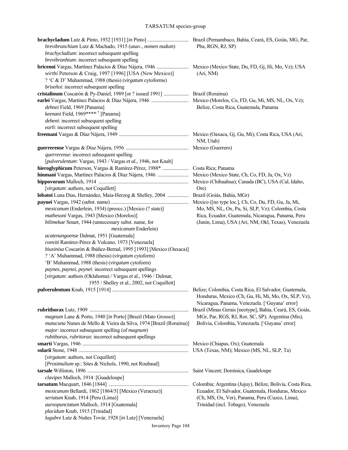#### TARSATUM species-group

| brevibranchium Lutz & Machado, 1915 (unav., nomen nudum)                    | Pba, RGN, RJ, SP)                                         |
|-----------------------------------------------------------------------------|-----------------------------------------------------------|
| brachycladium: incorrect subsequent spelling                                |                                                           |
| brevibranhium: incorrect subsequent spelling                                |                                                           |
|                                                                             |                                                           |
| wirthi Peterson & Craig, 1997 [1996] [USA (New Mexico)]                     | (Ari, NM)                                                 |
| ? 'C & D' Muhammad, 1988 (thesis) (virgatum cytoforms)                      |                                                           |
| briseñoi: incorrect subsequent spelling                                     |                                                           |
|                                                                             |                                                           |
|                                                                             |                                                           |
| dehnei Field, 1969 [Panama]                                                 | Belize, Costa Rica, Guatemala, Panama                     |
| keenani Field, 1969***** <sup>†</sup> [Panama]                              |                                                           |
| deheni: incorrect subsequent spelling                                       |                                                           |
| earli: incorrect subsequent spelling                                        |                                                           |
|                                                                             |                                                           |
|                                                                             | NM, Utah)                                                 |
|                                                                             |                                                           |
| <i>querrerense</i> : incorrect subsequent spelling                          |                                                           |
| [pulverulentum: Vargas, 1943 / Vargas et al., 1946, not Knab]               |                                                           |
| hieroglyphicum Peterson, Vargas & Ramírez-Pérez, 1988*  Costa Rica; Panama  |                                                           |
|                                                                             |                                                           |
|                                                                             |                                                           |
| [virgatum: authors, not Coquillett]                                         | Ore)                                                      |
| lobatoi Luna Dias, Hernández, Maia-Herzog & Shelley, 2004                   | Brazil (Goiás, Bahía, MGr)                                |
|                                                                             | Mexico ([no type loc.], Ch, Co, Du, FD, Gu, Ja, Mi,       |
| mexicanum (Enderlein, 1934) (preocc.) [Mexico (? state)]                    | Mo, MS, NL, Ox, Pu, Si, SLP, Vz); Colombia, Costa         |
| mathesoni Vargas, 1943 [Mexico (Morelos)]                                   | Rica, Ecuador, Guatemala, Nicaragua, Panama, Peru         |
| bilimekae Smart, 1944 (unnecessary subst. name, for<br>mexicanum Enderlein) | (Junin, Lima), USA (Ari, NM, Okl, Texas), Venezuela       |
| acatenangoense Dalmat, 1951 [Guatemala]                                     |                                                           |
| conviti Ramírez-Pérez & Vulcano, 1973 [Venezuela]                           |                                                           |
| biuxinisa Coscarón & Ibáñez-Bernal, 1995 [1993] [Mexico (Oaxaca)]           |                                                           |
| ? 'A' Muhammad, 1988 (thesis) (virgatum cytoform)                           |                                                           |
| 'B' Muhammad, 1988 (thesis) (virgatum cytoform)                             |                                                           |
| paynes, paynoi, peynei: incorrect subsequent spellings                      |                                                           |
| [virgatum: authors (Oklahoma) / Vargas et al., 1946 / Dalmat,               |                                                           |
| 1955 / Shelley et al., 2002, not Coquillett]                                | Belize: Colombia, Costa Rica, El Salvador, Guatemala,     |
|                                                                             | Honduras, Mexico (Ch, Gu, Hi, Mi, Mo, Ox, SLP, Vz),       |
|                                                                             | Nicaragua, Panama, Venezuela. ['Guyana' error]            |
|                                                                             | Brazil (Minas Gerais [neotype], Bahía, Ceará, ES, Goiás,  |
| magnum Lane & Porto, 1940 [in Porto] [Brazil (Mato Grosso)]                 | MGr, Par, RGS, RJ, Ror, SC, SP); Argentina (Mis),         |
| <i>mutucuna</i> Nunes de Mello & Vieira da Silva, 1974 [Brazil (Roraima)]   | Bolivia, Colombia, Venezuela. ['Guyana' error]            |
| major: incorrect subsequent spelling (of magnum)                            |                                                           |
| rubithorax, rubritorax: incorrect subsequent spellings                      |                                                           |
|                                                                             |                                                           |
|                                                                             |                                                           |
| [virgatum: authors, not Coquillett]                                         |                                                           |
| [Prosimulium sp.: Sites & Nichols, 1990, not Roubaud]                       |                                                           |
|                                                                             | Saint Vincent; Dominica, Guadeloupe                       |
| clavipes Malloch, 1914 [Guadeloupe]                                         |                                                           |
|                                                                             | Colombia; Argentina (Jujuy), Belize, Bolivia, Costa Rica, |
| mexicanum Bellardi, 1862 [1864/5] [Mexico (Veracruz)]                       | Ecuador, El Salvador, Guatemala, Honduras, Mexico         |
| seriatum Knab, 1914 [Peru (Lima)]                                           | (Ch, MS, Ox, Ver), Panama, Peru (Cuzco, Lima),            |
| aureopunctatum Malloch, 1914 [Guatemala]                                    | Trinidad (incl. Tobago), Venezuela                        |
| placidum Knab, 1915 [Trinidad]                                              |                                                           |
| lugubre Lutz & Nuñes Továr, 1928 [in Lutz] [Venezuela]                      |                                                           |
| Inventory Page 104                                                          |                                                           |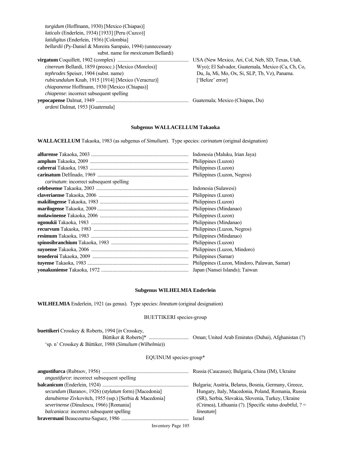| turgidum (Hoffmann, 1930) [Mexico (Chiapas)]                |                                                   |
|-------------------------------------------------------------|---------------------------------------------------|
| <i>laticalx</i> (Enderlein, 1934) [1933] [Peru (Cuzco)]     |                                                   |
| <i>latidigitus</i> (Enderlein, 1936) [Colombia]             |                                                   |
| bellardii (Py-Daniel & Moreira Sampaio, 1994) (unnecessary  |                                                   |
| subst. name for <i>mexicanum</i> Bellardi)                  |                                                   |
|                                                             | USA (New Mexico, Ari, Col, Neb, SD, Texas, Utah,  |
| <i>cinereum</i> Bellardi, 1859 (preocc.) [Mexico (Morelos)] | Wyo); El Salvador, Guatemala, Mexico (Ca, Ch, Co, |
| <i>tephrodes</i> Speiser, 1904 (subst. name)                | Du, Ja, Mi, Mo, Ox, Si, SLP, Tb, Vz), Panama.     |
| <i>rubicundulum</i> Knab, 1915 [1914] [Mexico (Veracruz)]   | ['Belize' error]                                  |
| <i>chiapanense</i> Hoffmann, 1930 [Mexico (Chiapas)]        |                                                   |
| <i>chiapense</i> : incorrect subsequent spelling            |                                                   |
|                                                             | Guatemala; Mexico (Chiapas, Du)                   |
| <i>ardeni</i> Dalmat, 1953 [Guatemala]                      |                                                   |

#### **Subgenus WALLACELLUM Takaoka**

**WALLACELLUM** Takaoka, 1983 (as subgenus of *Simulium*). Type species: *carinatum* (original designation)

| Indonesia (Maluku, Irian Jaya) |
|--------------------------------|
|                                |
|                                |
|                                |
|                                |
| Indonesia (Sulawesi)           |
|                                |
|                                |
|                                |
|                                |
|                                |
| Philippines (Luzon, Negros)    |
|                                |
|                                |
|                                |
|                                |
|                                |
|                                |
|                                |

#### **Subgenus WILHELMIA Enderlein**

**WILHELMIA** Enderlein, 1921 (as genus). Type species: *lineatum* (original designation)

### BUETTIKERI species-group

| <b>buettikeri</b> Crosskey & Roberts, 1994 [in Crosskey,<br>'sp. n' Crosskey & Büttiker, 1988 (Simulium (Wilhelmia)) |  |
|----------------------------------------------------------------------------------------------------------------------|--|
| EQUINUM species-group*                                                                                               |  |
| <i>angustifurce:</i> incorrect subsequent spelling                                                                   |  |

|                                                         | Bulgaria; Austria, Belarus, Bosnia, Germany, Greece,      |
|---------------------------------------------------------|-----------------------------------------------------------|
| secundum (Baranov, 1926) (stylatum form) [Macedonia]    | Hungary, Italy, Macedonia, Poland, Romania, Russia        |
| danubiense Zivkovitch, 1955 (ssp.) [Serbia & Macedonia] | (SR), Serbia, Slovakia, Slovenia, Turkey, Ukraine         |
| severinense (Dinulescu, 1966) [Romania]                 | (Crimea), Lithuania (?). [Specific status doubtful, $? =$ |
| balcaniaca: incorrect subsequent spelling               | lineatum]                                                 |
|                                                         | <b>Israel</b>                                             |
|                                                         |                                                           |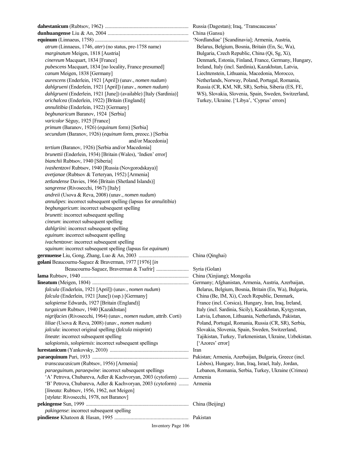**dahestanicum** (Rubtsov, 1962) ................................................................... Russia (Dagestan); Iraq, 'Transcaucasus' **dunhuangense** Liu & An, 2004 ............................................................ China (Gansu) **equinum** (Linnaeus, 1758) ........................................................................... 'Nordlandiae' [Scandinavia]; Armenia, Austria, *atrum* (Linnaeus, 1746, *ater*) (no status, pre-1758 name) Belarus, Belgium, Bosnia, Britain (En, Sc, Wa), *marginatum* Meigen, 1818 [Austria] Bulgaria, Czech Republic, China (Qi, Sg, Xi), *cinereum* Macquart, 1834 [France] Denmark, Estonia, Finland, France, Germany, Hungary,  *pubescens* Macquart, 1834 [no locality, France presumed] Ireland, Italy (incl. Sardinia), Kazakhstan, Latvia,  *canum* Meigen, 1838 [Germany] Liechtenstein, Lithuania, Macedonia, Morocco,  *aurescens* (Enderlein, 1921 [April]) (unav., *nomen nudum*) Netherlands, Norway, Poland, Portugal, Romania,  *dahlgrueni* (Enderlein, 1921 [April]) (unav., *nomen nudum*) Russia (CR, KM, NR, SR), Serbia, Siberia (ES, FE,  *dahlgrueni* (Enderlein, 1921 [June]) (available) [Italy (Sardinia)] WS), Slovakia, Slovenia, Spain, Sweden, Switzerland,  *orichalcea* (Enderlein, 1922) [Britain (England)] Turkey, Ukraine. ['Libya', 'Cyprus' errors]  *annulitibia* (Enderlein, 1922) [Germany]  *begbunaricum* Baranov, 1924 [Serbia]  *varicolor* Séguy, 1925 [France]  *primum* (Baranov, 1926) (*equinum* form) [Serbia]  *secundum* (Baranov, 1926) (*equinum* form, preocc.) [Serbia and/or Macedonia]  *tertium* (Baranov, 1926) [Serbia and/or Macedonia]  *brunettii* (Enderlein, 1934) [Britain (Wales), 'Indien' error]  *bianchii* Rubtsov, 1940 [Siberia]  *ivashentzovi* Rubtsov, 1940 [Russia (Novgorodskaya)]  *avetjanae* (Rubtsov & Terteryan, 1952) [Armenia]  *zetlandense* Davies, 1966 [Britain (Shetland Islands)]  *sangrense* (Rivosecchi, 1967) [Italy] *andreii* (Usova & Reva, 2008) (unav., *nomen nudum*)  *annulipes*: incorrect subsequent spelling (lapsus for *annulitibia*)  *begbungaricum*: incorrect subsequent spelling  *brunetti*: incorrect subsequent spelling *cineum*: incorrect subsequent spelling *dahlgriini*: incorrect subsequent spelling *eguinum*: incorrect subsequent spelling *ivachentzove*: incorrect subsequent spelling *squinum*: incorrect subsequent spelling (lapsus for *equinum*) **germuense** Liu, Gong, Zhang, Luo & An, 2003 ........................................ China (Qinghai) **golani** Beaucournu-Saguez & Braverman, 1977 [1976] [*in* Beaucournu-Saguez, Braverman & Tsafrir] .......................... Syria (Golan) **lama** Rubtsov, 1940 ...................................................................................... China (Xinjiang); Mongolia **lineatum** (Meigen, 1804) ............................................................................. Germany; Afghanistan, Armenia, Austria, Azerbaijan,  *falcula* (Enderlein, 1921 [April]) (unav., *nomen nudum*) Belarus, Belgium, Bosnia, Britain (En, Wa), Bulgaria,  *falcula* (Enderlein, 1921 [June]) (ssp.) [Germany] China (Be, IM, Xi), Czech Republic, Denmark,  *salopiense* Edwards, 1927 [Britain (England)] France (incl. Corsica), Hungary, Iran, Iraq, Ireland,  *turgaicum* Rubtsov, 1940 [Kazakhstan] Italy (incl. Sardinia, Sicily), Kazakhstan, Kyrgyzstan,  *nigrifacies* (Rivosecchi, 1964) (unav., *nomen nudum*, attrib. Corti) Latvia, Lebanon, Lithuania, Netherlands, Pakistan, *liliae* (Usova & Reva, 2008) (unav., *nomen nudum*) Poland, Portugal, Romania, Russia (CR, SR), Serbia,  *jalcula*: incorrect original spelling (*falcula* misprint) Slovakia, Slovenia, Spain, Sweden, Switzerland, *lineate*: incorrect subsequent spelling Tajikistan, Turkey, Turkmenistan, Ukraine, Uzbekistan. *salopionsis*, *solopiensis*: incorrect subsequent spellings ['Azores' error] **lurestanicum** (Yankovsky, 2010) ............................................................... Iran **paraequinum** Puri, 1933 ............................................................................. Pakistan; Armenia, Azerbaijan, Bulgaria, Greece (incl.  *transcaucasicum* (Rubtsov, 1956) [Armenia] Lésbos), Hungary, Iran, Iraq, Israel, Italy, Jordan, *paraeguinum*, *paraeqwine*: incorrect subsequent spellings Lebanon, Romania, Serbia, Turkey, Ukraine (Crimea) 'A' Petrova, Chubareva, Adler & Kachvoryan, 2003 (cytoform) ........ Armenia 'B' Petrova, Chubareva, Adler & Kachvoryan, 2003 (cytoform) ........ Armenia [*lineata*: Rubtsov, 1956, 1962, not Meigen] [*stylata*: Rivosecchi, 1978, not Baranov] **pekingense** Sun, 1999 .................................................................................. China (Beijing) *pakingense*: incorrect subsequent spelling **pindiense** Khatoon & Hasan, 1995 ....................................................... Pakistan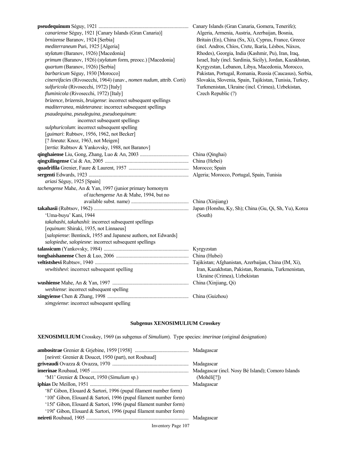| canariense Séguy, 1921 [Canary Islands (Gran Canaria)]               | Algeria, Armenia, Austria, Azerbaijan, Bosnia,              |
|----------------------------------------------------------------------|-------------------------------------------------------------|
| brnizense Baranov, 1924 [Serbia]                                     | Britain (En), China (Sx, Xi), Cyprus, France, Greece        |
| mediterraneum Puri, 1925 [Algeria]                                   | (incl. Andros, Chíos, Crete, Ikaría, Lésbos, Náxos,         |
| stylatum (Baranov, 1926) [Macedonia]                                 | Rhodes), Georgia, India (Kashmir, Pu), Iran, Iraq,          |
| primum (Baranov, 1926) (stylatum form, preocc.) [Macedonia]          | Israel, Italy (incl. Sardinia, Sicily), Jordan, Kazakhstan, |
| quartum (Baranov, 1926) [Serbia]                                     | Kyrgyzstan, Lebanon, Libya, Macedonia, Morocco,             |
| barbaricum Séguy, 1930 [Morocco]                                     | Pakistan, Portugal, Romania, Russia (Caucasus), Serbia,     |
| cinereifacies (Rivosecchi, 1964) (unav., nomen nudum, attrib. Corti) | Slovakia, Slovenia, Spain, Tajikistan, Tunisia, Turkey,     |
| sulfuricola (Rivosecchi, 1972) [Italy]                               | Turkmenistan, Ukraine (incl. Crimea), Uzbekistan,           |
| fluminicola (Rivosecchi, 1972) [Italy]                               | Czech Republic (?)                                          |
| brizence, brizensis, bruigense: incorrect subsequent spellings       |                                                             |
| maditerranea, mideteranea: incorrect subsequent spellings            |                                                             |
| psaudequina, pseudeguina, pseudoequinum:                             |                                                             |
| incorrect subsequent spellings                                       |                                                             |
| sulphuricolum: incorrect subsequent spelling                         |                                                             |
| [guimari: Rubtsov, 1956, 1962, not Becker]                           |                                                             |
| [? lineata: Knoz, 1963, not Meigen]                                  |                                                             |
| [tertia: Rubtsov & Yankovsky, 1988, not Baranov]                     |                                                             |
|                                                                      |                                                             |
|                                                                      |                                                             |
|                                                                      |                                                             |
|                                                                      |                                                             |
| ariasi Séguy, 1925 [Spain]                                           |                                                             |
| tachengense Mahe, An & Yan, 1997 (junior primary homonym             |                                                             |
| of tachengense An & Mahe, 1994, but no                               |                                                             |
|                                                                      | China (Xinjiang)                                            |
|                                                                      | Japan (Honshu, Ky, Sh); China (Gu, Qi, Sh, Yu), Korea       |
| 'Uma-buyu' Kani, 1944                                                | (South)                                                     |
| takahashi, takahashii: incorrect subsequent spellings                |                                                             |
| [equinum: Shiraki, 1935, not Linnaeus]                               |                                                             |
| [salopiense: Bentinck, 1955 and Japanese authors, not Edwards]       |                                                             |
| salopiedse, salopiesne: incorrect subsequent spellings               |                                                             |
|                                                                      |                                                             |
|                                                                      |                                                             |
|                                                                      |                                                             |
| vewltishevi: incorrect subsequent spelling                           | Iran, Kazakhstan, Pakistan, Romania, Turkmenistan,          |
|                                                                      | Ukraine (Crimea), Uzbekistan                                |
|                                                                      |                                                             |
| weshiense: incorrect subsequent spelling                             |                                                             |
|                                                                      |                                                             |
| ximgyiense: incorrect subsequent spelling                            |                                                             |

# **Subgenus XENOSIMULIUM Crosskey**

**XENOSIMULIUM** Crosskey, 1969 (as subgenus of *Simulium*). Type species: *imerinae* (original designation)

| <i>[neireti: Grenier &amp; Doucet, 1950 (part), not Roubaud]</i>  |                          |
|-------------------------------------------------------------------|--------------------------|
|                                                                   |                          |
|                                                                   |                          |
| 'M1' Grenier & Doucet, 1950 (Simulium sp.)                        | (Mohéli <sup>[?]</sup> ) |
|                                                                   |                          |
| '8f' Gibon, Elouard & Sartori, 1996 (pupal filament number form)  |                          |
| '10f' Gibon, Elouard & Sartori, 1996 (pupal filament number form) |                          |
| '15f' Gibon, Elouard & Sartori, 1996 (pupal filament number form) |                          |
| '19f' Gibon, Elouard & Sartori, 1996 (pupal filament number form) |                          |
|                                                                   |                          |
|                                                                   |                          |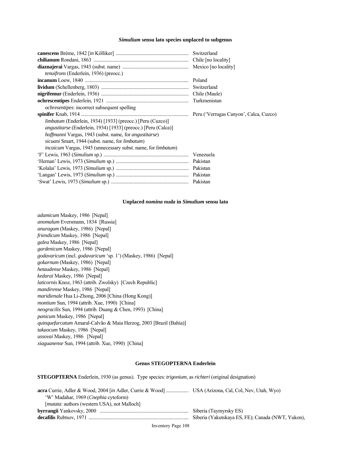#### *Simulium* **sensu lato species unplaced to subgenus**

|                                                                              | Switzerland |
|------------------------------------------------------------------------------|-------------|
|                                                                              |             |
|                                                                              |             |
| <i>tenuifrons</i> (Enderlein, 1936) (preocc.)                                |             |
|                                                                              |             |
|                                                                              |             |
|                                                                              |             |
|                                                                              |             |
| <i>ochresentipes:</i> incorrect subsequent spelling                          |             |
|                                                                              |             |
| <i>limbatum</i> (Enderlein, 1934) [1933] (preocc.) [Peru (Cuzco)]            |             |
| <i>angustitarse</i> (Enderlein, 1934) [1933] (preocc.) [Peru (Calca)]        |             |
| <i>hoffmanni</i> Vargas, 1943 (subst. name, for <i>angustitarse</i> )        |             |
| <i>sicuani</i> Smart, 1944 (subst. name, for <i>limbatum</i> )               |             |
| <i>incaicum</i> Vargas, 1945 (unnecessary subst. name, for <i>limbatum</i> ) |             |
|                                                                              |             |
|                                                                              |             |
|                                                                              |             |
|                                                                              |             |
|                                                                              |             |

#### **Unplaced** *nomina nuda* **in** *Simulium* **sensu lato**

*adamicum* Maskey, 1986 [Nepal] *anomalum* Eversmann, 1834 [Russia] *anuragum* (Maskey, 1986) [Nepal] *friendicum* Maskey, 1986 [Nepal] *galea* Maskey, 1986 [Nepal] *gardenicum* Maskey, 1986 [Nepal] *godavaricum* (incl. *godavaricum* 'sp. 1') (Maskey, 1986) [Nepal] *gokarnum* (Maskey, 1986) [Nepal] *hetaudense* Maskey, 1986 [Nepal] *kedarai* Maskey, 1986 [Nepal] *laticornis* Knoz, 1963 (attrib. Zwolsky) [Czech Republic] *mandirense* Maskey, 1986 [Nepal] *maridienale* Hua Li-Zhong, 2006 [China (Hong Kong)] *montium* Sun, 1994 (attrib. Xue, 1990) [China] *neogracilis* Sun, 1994 (attrib. Duang & Chen, 1993) [China] *panicum* Maskey, 1986 [Nepal] *quinquefurcatum* Amaral-Calvão & Maia Herzog, 2003 [Brazil (Bahía)] *takaocum* Maskey, 1986 [Nepal] *ussovai* Maskey, 1986 [Nepal] *xiaguanense* Sun, 1994 (attrib. Xue, 1990) [China]

#### **Genus STEGOPTERNA Enderlein**

**STEGOPTERNA** Enderlein, 1930 (as genus). Type species: *trigonium*, as *richteri* (original designation)

| 'W' Madahar, 1969 ( <i>Cnephia</i> cytoform)          |                                                   |
|-------------------------------------------------------|---------------------------------------------------|
| [ <i>mutata</i> : authors (western USA), not Malloch] |                                                   |
|                                                       | Siberia (Taymyrsky ES)                            |
|                                                       | Siberia (Yakutskaya ES, FE); Canada (NWT, Yukon), |
|                                                       |                                                   |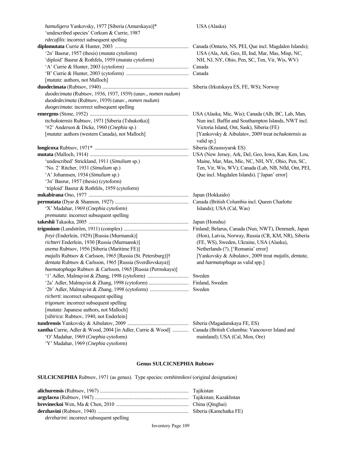*hamuligera* Yankovsky, 1977 [Siberia (Amurskaya)]\* USA (Alaska) 'undescribed species' Corkum & Currie, 1987 *rdecafilis*: incorrect subsequent spelling **diplomutata** Currie & Hunter, 2003 ........................................................... Canada (Ontario, NS, PEI, Que incl. Magdalen Islands); '2n' Basrur, 1957 (thesis) (*mutata* cytoform) USA (Ala, Ark, Geo, Ill, Ind, Mar, Mas, Misp, NC, 'diploid' Basrur & Rothfels, 1959 (*mutata* cytoform) NH, NJ, NY, Ohio, Pen, SC, Ten, Vir, Wis, WV) 'A' Currie & Hunter, 2003 (cytoform) .................................................. Canada 'B' Currie & Hunter, 2003 (cytoform) .................................................. Canada [*mutata*: authors, not Malloch] **duodecimata** (Rubtsov, 1940) ..................................................................... Siberia (Irkutskaya ES, FE, WS); Norway *duodecimata* (Rubtsov, 1936, 1937, 1939) (unav., *nomen nudum*) *duodedecimata* (Rubtsov, 1939) (unav., *nomen nudum*) *duogecimata*: incorrect subsequent spelling **emergens** (Stone, 1952) ............................................................................... USA (Alaska, Mic, Wis); Canada (Alb, BC, Lab, Man, *tschukotensis* Rubtsov, 1971 [Siberia (Tshukotka)] Nun incl. Baffin and Southampton Islands, NWT incl. '#2' Anderson & Dicke, 1960 (*Cnephia* sp.) Victoria Island, Ont, Sask), Siberia (FE) [*mutata*: authors (western Canada), not Malloch] [Yankovsky & Aibulatov, 2009 treat *tschukotensis* as valid sp.] **longicoxa** Rubtsov, 1971\* ........................................................................... Siberia (Krasnoyarsk ES) **mutata** (Malloch, 1914) ............................................................................... USA (New Jersey, Ark, Del, Geo, Iowa, Kan, Ken, Lou, 'undescribed' Strickland, 1911 (*Simulium* sp.) Maine, Mar, Mas, Mic, NC, NH, NY, Ohio, Pen, SC, 'No. 2' Ritcher, 1931 (*Simulium* sp.) Ten, Vir, Wis, WV); Canada (Lab, NB, Nfld, Ont, PEI, 'A' Johannsen, 1934 (*Simulium* sp.) Que incl. Magdalen Islands). ['Japan' error] '3n' Basrur, 1957 (thesis) (cytoform) 'triploid' Basrur & Rothfels, 1959 (cytoform) **nukabirana** Ono, 1977 ................................................................................ Japan (Hokkaido) **permutata** (Dyar & Shannon, 1927) ........................................................... Canada (British Columbia incl. Queen Charlotte 'X' Madahar, 1969 (*Cnephia* cytoform) Islands); USA (Cal, Was) *premutata*: incorrect subsequent spelling **takeshii** Takaoka, 2005 ................................................................................ Japan (Honshu) **trigonium** (Lundström, 1911) (complex) .................................................... Finland; Belarus, Canada (Nun, NWT), Denmark, Japan  *freyi* (Enderlein, 1929) [Russia (Murmansk)] (Hon), Latvia, Norway, Russia (CR, KM, NR), Siberia  *richteri* Enderlein, 1930 [Russia (Murmansk)] (FE, WS), Sweden, Ukraine, USA (Alaska), *asema* Rubtsov, 1956 [Siberia (Maritime FE)] Netherlands (?). ['Romania' error]  *majalis* Rubtsov & Carlsson, 1965 [Russia (St. Petersburg)]† [Yankovsky & Aibulatov, 2009 treat *majalis*, *dentata*,  *dentata* Rubtsov & Carlsson, 1965 [Russia (Sverdlovskaya)] and *haematophaga* as valid spp.]  *haematophaga* Rubtsov & Carlsson, 1965 [Russia (Permskaya)] '1' Adler, Malmqvist & Zhang, 1998 (cytoform) ................................. Sweden '2a' Adler, Malmqvist & Zhang, 1998 (cytoform) ................................ Finland, Sweden '2b' Adler, Malmqvist & Zhang, 1998 (cytoform) ............................... Sweden  *richerti*: incorrect subsequent spelling *trigonum*: incorrect subsequent spelling [*mutata*: Japanese authors, not Malloch] [*sibirica*: Rubtsov, 1940, not Enderlein] **tundrensis** Yankovsky & Aibulatov, 2009 ................................................. Siberia (Magadanskaya FE, ES) **xantha** Currie, Adler & Wood, 2004 [*in* Adler, Currie & Wood] ............. Canada (British Columbia: Vancouver Island and 'O' Madahar, 1969 (*Cnephia* cytoform) mainland); USA (Cal, Mon, Ore) 'Y' Madahar, 1969 (*Cnephia* cytoform)

## **Genus SULCICNEPHIA Rubtsov**

**SULCICNEPHIA** Rubtsov, 1971 (as genus). Type species: *ovtshinnikovi* (original designation)

| <i>derzharini:</i> incorrect subsequent spelling |  |
|--------------------------------------------------|--|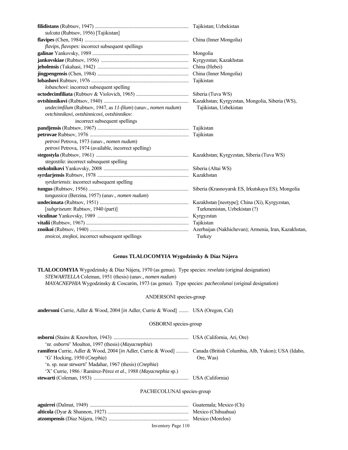| sulcata (Rubtsov, 1956) [Tajikistan]                           |                              |
|----------------------------------------------------------------|------------------------------|
|                                                                |                              |
| flavips, flavopes: incorrect subsequent spellings              |                              |
|                                                                | Mongolia                     |
|                                                                |                              |
|                                                                |                              |
|                                                                |                              |
|                                                                | Tajikistan                   |
| lobaschovi: incorrect subsequent spelling                      |                              |
|                                                                |                              |
|                                                                |                              |
| undecimfilum (Rubtsov, 1947, as 11-filum) (unav., nomen nudum) | Tajikistan, Uzbekistan       |
| ovtchinnikovi, ovtshinnicovi, ovtshinnikov:                    |                              |
| incorrect subsequent spellings                                 |                              |
|                                                                |                              |
|                                                                |                              |
| petrovi Petrova, 1973 (unav., nomen nudum)                     |                              |
| petrovi Petrova, 1974 (available, incorrect spelling)          |                              |
|                                                                |                              |
| stegostila: incorrect subsequent spelling                      |                              |
|                                                                |                              |
|                                                                |                              |
| syrdariensis: incorrect subsequent spelling                    |                              |
|                                                                |                              |
| tungussica (Berzina, 1957) (unav., nomen nudum)                |                              |
|                                                                |                              |
| [subgriseum: Rubtsov, 1940 (part)]                             | Turkmenistan, Uzbekistan (?) |
|                                                                |                              |
|                                                                |                              |
|                                                                |                              |
| znoicoi, znojkoi, incorrect subsequent spellings               | Turkey                       |

# **Genus TLALOCOMYIA Wygodzinsky & Díaz Nájera**

**TLALOCOMYIA** Wygodzinsky & Díaz Nájera, 1970 (as genus). Type species: *revelata* (original designation) *STEWARTELLA* Coleman, 1951 (thesis) (unav., *nomen nudum*) *MAYACNEPHIA* Wygodzinsky & Coscarón, 1973 (as genus). Type species: *pachecolunai* (original designation)

# ANDERSONI species-group

**andersoni** Currie, Adler & Wood, 2004 [*in* Adler, Currie & Wood] ........ USA (Oregon, Cal)

# OSBORNI species-group

| 'nr. <i>osborni</i> ' Moulton, 1997 (thesis) ( <i>Mayacnephia</i> )                                                      |           |
|--------------------------------------------------------------------------------------------------------------------------|-----------|
| <b>ramifera</b> Currie, Adler & Wood, 2004 [in Adler, Currie & Wood]  Canada (British Columbia, Alb, Yukon); USA (Idaho, |           |
| 'G' Hocking, 1950 (Cnephia)                                                                                              | Ore, Was) |
| 'n. sp. near <i>stewarti</i> ' Madahar, 1967 (thesis) ( <i>Cnephia</i> )                                                 |           |
| 'X' Currie, 1986 / Ramírez-Pérez et al., 1988 (Mayacnephia sp.)                                                          |           |
|                                                                                                                          |           |

## PACHECOLUNAI species-group

| Guatemala; Mexico (Ch) |
|------------------------|
| . Mexico (Chihuahua)   |
| Mexico (Morelos)       |

# Inventory Page 110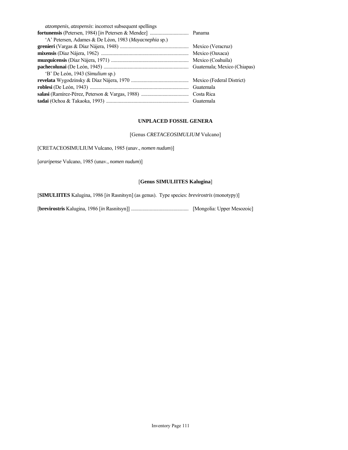| Mexico (Oaxaca) |
|-----------------|
|                 |
|                 |
|                 |
|                 |
|                 |
|                 |
|                 |
|                 |

# **UNPLACED FOSSIL GENERA**

[Genus *CRETACEOSIMULIUM* Vulcano]

[CRETACEOSIMULIUM Vulcano, 1985 (unav., *nomen nudum*)]

[*araripense* Vulcano, 1985 (unav., *nomen nudum*)]

# [**Genus SIMULIITES Kalugina**]

[**SIMULIITES** Kalugina, 1986 [*in* Rasnitsyn] (as genus). Type species: *brevirostris* (monotypy)]

[**brevirostris** Kalugina, 1986 [*in* Rasnitsyn]] .............................................. [Mongolia: Upper Mesozoic]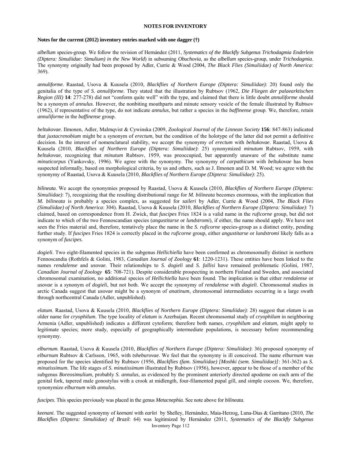## **NOTES FOR INVENTORY**

#### **Notes for the current (2012) inventory entries marked with one dagger (†)**

*albellum* species-group. We follow the revision of Hernández (2011, *Systematics of the Blackfly Subgenus Trichodagmia Enderlein (Diptera: Simuliidae: Simulium) in the New World*) in subsuming *Obuchovia*, as the *albellum* species-group, under *Trichodagmia*. The synonymy originally had been proposed by Adler, Currie & Wood (2004, *The Black Flies (Simuliidae) of North America*: 369).

*annuliforme*. Raastad, Usova & Kuusela (2010, *Blackflies of Northern Europe (Diptera: Simuliidae)*: 20) found only the genitalia of the type of *S. annuliforme*. They stated that the illustration by Rubtsov (1962, *Die Fliegen der palaearktischen Region (III)* **14**: 277-278) did not "conform quite well" with the type, and claimed that there is little doubt *annuliforme* should be a synonym of *annulus*. However, the nonbiting mouthparts and minute sensory vesicle of the female illustrated by Rubtsov (1962), if representative of the type, do not indicate *annulus*, but rather a species in the *baffinense* group. We, therefore, retain *annuliforme* in the *baffinense* group.

*beltukovae*. Ilmonen, Adler, Malmqvist & Cywinska (2009, *Zoological Journal of the Linnean Society* **156**: 847-863) indicated that *juxtacrenobium* might be a synonym of *erectum*, but the condition of the holotype of the latter did not permit a definitive decision. In the interest of nomenclatural stability, we accept the synonymy of *erectum* with *beltukovae*. Raastad, Usova & Kuusela (2010, *Blackflies of Northern Europe (Diptera: Simuliidae)*: 25) synonymized *minutum* Rubtsov, 1959, with *beltukovae*, recognizing that *minutum* Rubtsov, 1959, was preoccupied, but apparently unaware of the substitute name *minuticorpus* (Yankovsky, 1996). We agree with the synonymy. The synonymy of *carpathicum* with *beltukovae* has been suspected informally, based on morphological criteria, by us and others, such as J. Ilmonen and D. M. Wood; we agree with the synonymy of Raastad, Usova & Kuusela (2010, *Blackflies of Northern Europe (Diptera: Simuliidae)*: 25).

*bilineata*. We accept the synonymies proposed by Raastad, Usova & Kuusela (2010, *Blackflies of Northern Europe (Diptera: Simuliidae)*: 7), recognizing that the resulting distributional range for *M. bilineata* becomes enormous, with the implication that *M. bilineata* is probably a species complex, as suggested for *saileri* by Adler, Currie & Wood (2004, *The Black Flies (Simuliidae) of North America*: 304). Raastad, Usova & Kuusela (2010, *Blackflies of Northern Europe (Diptera: Simuliidae)*: 7) claimed, based on correspondence from H. Zwick, that *fuscipes* Fries 1824 is a valid name in the *ruficorne* group, but did not indicate to which of the two Fennoscandian species (*angustitarse* or *lundstromi*), if either, the name should apply. We have not seen the Fries material and, therefore, tentatively place the name in the *S. ruficorne* species-group as a distinct entity, pending further study. If *fuscipes* Fries 1824 is correctly placed in the *ruficorne* group, either *angustitarse* or *lundstromi* likely falls as a synonym of *fuscipes*.

*dogieli*. Two eight-filamented species in the subgenus *Hellichiella* have been confirmed as chromosomally distinct in northern Fennoscandia (Rothfels & Golini, 1983, *Canadian Journal of Zoology* **61**: 1220-1231). These entities have been linked to the names *rendalense* and *usovae*. Their relationships to *S. dogieli* and *S. fallisi* have remained problematic (Golini, 1987, *Canadian Journal of Zoology* **65**: 708-721). Despite considerable prospecting in northern Finland and Sweden, and associated chromosomal examination, no additional species of *Hellichiella* have been found. The implication is that either *rendalense* or *usovae* is a synonym of *dogieli*, but not both. We accept the synonymy of *rendalense* with *dogieli*. Chromosomal studies in arctic Canada suggest that *usovae* might be a synonym of *anatinum*, chromosomal intermediates occurring in a large swath through northcentral Canada (Adler, unpublished).

*elatum*. Raastad, Usova & Kuusela (2010, *Blackflies of Northern Europe (Diptera: Simuliidae)*: 28) suggest that *elatum* is an older name for *cryophilum*. The type locality of *elatum* is Azerbaijan. Recent chromosomal study of *cryophilum* in neighboring Armenia (Adler, unpublished) indicates a different cytoform; therefore both names, *cryophilum* and *elatum*, might apply to legitimate species; more study, especially of geographically intermediate populations, is necessary before recommending synonymy.

*elburnum*. Raastad, Usova & Kuusela (2010, *Blackflies of Northern Europe (Diptera: Simuliidae)*: 36) proposed synonymy of *elburnum* Rubtsov & Carlsson, 1965, with *tsheburovae*. We feel that the synonymy is ill conceived. The name *elburnum* was proposed for the species identified by Rubtsov (1956, *Blackflies (fam. Simuliidae) [Moshki (sem. Simuliidae)]*: 361-362) as *S. minutissimum*. The life stages of *S. minutissimum* illustrated by Rubtsov (1956), however, appear to be those of a member of the subgenus *Boreosimulium*, probably *S. annulus*, as evidenced by the prominent anteriorly directed apodeme on each arm of the genital fork, tapered male gonostylus with a crook at midlength, four-filamented pupal gill, and simple cocoon. We, therefore, synonymize *elburnum* with *annulus*.

*fuscipes*. This species previously was placed in the genus *Metacnephia*. See note above for *bilineata*.

Inventory Page 112 *keenani*. The suggested synonymy of *keenani* with *earlei* by Shelley, Hernández, Maia-Herzog, Luna-Dias & Garritano (2010, *The Blackflies (Diptera: Simuliidae) of Brazil*: 64) was legitimized by Hernández (2011, *Systematics of the Blackfly Subgenus*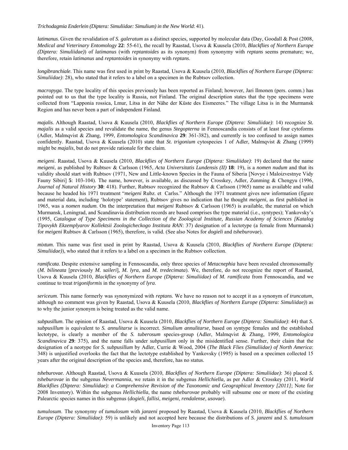*Trichodagmia Enderlein (Diptera: Simuliidae: Simulium) in the New World*: 41).

*latimanus*. Given the revalidation of *S. galeratum* as a distinct species, supported by molecular data (Day, Goodall & Post (2008, *Medical and Veterinary Entomology* **22**: 55-61), the recall by Raastad, Usova & Kuusela (2010, *Blackflies of Northern Europe (Diptera: Simuliidae)*) of *latimanus* (with *reptantoides* as its synonym) from synonymy with *reptans* seems premature; we, therefore, retain *latimanus* and *reptantoides* in synonymy with *reptans*.

*longibranchiale*. This name was first used in print by Raastad, Usova & Kuusela (2010, *Blackflies of Northern Europe (Diptera: Simuliidae)*: 28), who stated that it refers to a label on a specimen in the Rubtsov collection.

*macropyga*. The type locality of this species previously has been reported as Finland; however, Jari Ilmonen (pers. comm.) has pointed out to us that the type locality is Russia, not Finland. The original description states that the type specimens were collected from "Lapponia rossica, Lmur, Litsa in der Nähe der Küste des Eismeeres." The village Litsa is in the Murmansk Region and has never been a part of independent Finland.

*majalis*. Although Raastad, Usova & Kuusela (2010, *Blackflies of Northern Europe (Diptera: Simuliidae)*: 14) recognize *St. majalis* as a valid species and revalidate the name, the genus *Stegopterna* in Fennoscandia consists of at least four cytoforms (Adler, Malmqvist & Zhang, 1999, *Entomologica Scandinavica* **29**: 361-382), and currently is too confused to assign names confidently. Raastad, Usova & Kuusela (2010) state that *St. trigonium* cytospecies 1 of Adler, Malmqvist & Zhang (1999) might be *majalis*, but do not provide rationale for the claim.

*meigeni*. Raastad, Usova & Kuusela (2010, *Blackflies of Northern Europe (Diptera: Simuliidae)*: 19) declared that the name *meigeni*, as published by Rubtsov & Carlsson (1965, *Acta Universitatis Lundensis (II)* **18**: 19), is a *nomen nudum* and that its validity should start with Rubtsov (1971, New and Little-known Species in the Fauna of Siberia [Novye i Maloizvestnye Vidy Fauny Sibiri] **5**: 103-104). The name, however, is available, as discussed by Crosskey, Adler, Zunming & Chengyu (1996, *Journal of Natural History* **30**: 418). Further, Rubtsov recognized the Rubtsov & Carlsson (1965) name as available and valid because he headed his 1971 treatment "*meigeni* Rubz. et Carlss." Although the 1971 treatment gives new information (figure and material data, including 'holotype' statement), Rubtsov gives no indication that he thought *meigeni*, as first published in 1965, was a *nomen nudum*. On the interpretation that *meigeni* Rubtsov & Carlsson (1965) is available, the material on which Murmansk, Leningrad, and Scandinavia distribution records are based comprises the type material (i.e., syntypes); Yankovsky's (1995, *Catalogue of Type Specimens in the Collection of the Zoological Institute, Russian Academy of Sciences [Katalog Tipovykh Ekzemplyarov Kollektsii Zoologicheckogo Instituta RAN*: 37) designation of a lectotype (a female from Murmansk) for *meigeni* Rubtsov & Carlsson (1965), therefore, is valid. (See also Notes for *dogieli* and *tsheburovae*).

*mixtum*. This name was first used in print by Raastad, Usova & Kuusela (2010, *Blackflies of Northern Europe (Diptera: Simuliidae*)), who stated that it refers to a label on a specimen in the Rubtsov collection.

*ramificata*. Despite extensive sampling in Fennoscandia, only three species of *Metacnephia* have been revealed chromosomally (*M. bilineata* [previously *M. saileri*], *M. lyra*, and *M. tredecimata*). We, therefore, do not recognize the report of Raastad, Usova & Kuusela (2010, *Blackflies of Northern Europe (Diptera: Simuliidae)* of *M. ramificata* from Fennoscandia, and we continue to treat *trigoniformis* in the synonymy of *lyra*.

*sericeum*. This name formerly was synonymized with *reptans*. We have no reason not to accept it as a synonym of *truncatum*, although no comment was given by Raastad, Usova & Kuusela (2010, *Blackflies of Northern Europe (Diptera: Simuliidae)*) as to why the junior synonym is being treated as the valid name.

*subpusillum*. The opinion of Raastad, Usova & Kuusela (2010, *Blackflies of Northern Europe (Diptera: Simuliidae)*: 44) that *S. subpusillum* is equivalent to *S. annulitarse* is incorrect. *Simulium annulitarse*, based on syntype females and the established lectotype, is clearly a member of the *S. tuberosum* species-group (Adler, Malmqvist & Zhang, 1999, *Entomologica Scandinavica* **29**: 375), and the name falls under *subpusillum* only in the misidentified sense. Further, their claim that the designation of a neotype for *S. subpusillum* by Adler, Currie & Wood, 2004 (*The Black Flies (Simuliidae) of North America*: 348) is unjustified overlooks the fact that the lectotype established by Yankovsky (1995) is based on a specimen collected 15 years after the original description of the species and, therefore, has no status.

*tsheburovae*. Although Raastad, Usova & Kuusela (2010, *Blackflies of Northern Europe (Diptera: Simuliidae)*: 36) placed *S. tsheburovae* in the subgenus *Nevermannia*, we retain it in the subgenus *Hellichiella,* as per Adler & Crosskey (2011, *World Blackflies (Diptera: Simuliidae): a Comprehensive Revision of the Taxonomic and Geographical Inventory [2011]*; Note for 2008 Inventory). Within the subgenus *Hellichiella*, the name *tsheburovae* probably will subsume one or more of the existing Palearctic species names in this subgenus (*dogieli*, *fallisi*, *meigeni*, *rendalense*, *usovae*).

*tumulosum*. The synonymy of *tumulosum* with *janzeni* proposed by Raastad, Usova & Kuusela (2010, *Blackflies of Northern Europe (Diptera: Simuliidae)*: 59) is unlikely and not accepted here because the distributions of *S. janzeni* and *S. tumulosum*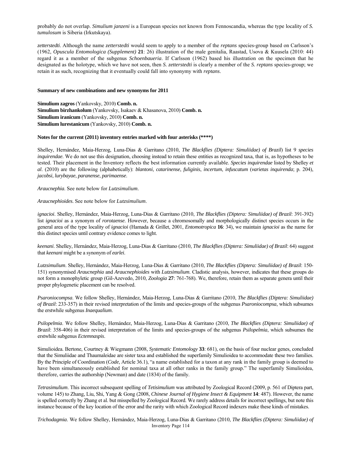probably do not overlap. *Simulium janzeni* is a European species not known from Fennoscandia, whereas the type locality of *S. tumulosum* is Siberia (Irkutskaya).

*zetterstedti*. Although the name *zetterstedti* would seem to apply to a member of the *reptans* species-group based on Carlsson's (1962, *Opuscula Entomologica (Supplement)* **21**: 26) illustration of the male genitalia, Raastad, Usova & Kuusela (2010: 44) regard it as a member of the subgenus *Schoenbaueria*. If Carlsson (1962) based his illustration on the specimen that he designated as the holotype, which we have not seen, then *S. zetterstedti* is clearly a member of the *S. reptans* species-group; we retain it as such, recognizing that it eventually could fall into synonymy with *reptans*.

#### **Summary of new combinations and new synonyms for 2011**

**Simulium zagros** (Yankovsky, 2010) **Comb. n. Simulium birzhankolum** (Yankovsky, Isakaev & Khasanova, 2010) **Comb. n. Simulium iranicum** (Yankovsky, 2010) **Comb. n. Simulium lurestanicum** (Yankovsky, 2010) **Comb. n.**

#### **Notes for the current (2011) inventory entries marked with four asterisks (\*\*\*\*)**

Shelley, Hernández, Maia-Herzog, Luna-Dias & Garritano (2010, *The Blackflies (Diptera: Simuliidae) of Brazil*) list 9 *species inquirendae*. We do not use this designation, choosing instead to retain these entities as recognized taxa, that is, as hypotheses to be tested. Their placement in the Inventory reflects the best information currently available. *Species inquirendae* listed by Shelley *et al*. (2010) are the following (alphabetically): *blantoni*, *catarinense*, *fuliginis*, *incertum*, *infuscatum* (*varietas inquirenda*; p. 204), *jacobsi*, *lurybayae*, *paranense*, *parimaense*.

*Araucnephia*. See note below for *Lutzsimulium*.

#### *Araucnephioides*. See note below for *Lutzsimulium*.

*ignacioi*. Shelley, Hernández, Maia-Herzog, Luna-Dias & Garritano (2010, *The Blackflies (Diptera: Simuliidae) of Brazil*: 391-392) list *ignacioi* as a synonym of *rorotaense*. However, because a chromosomally and morphologically distinct species occurs in the general area of the type locality of *ignacioi* (Hamada & Grillet, 2001, *Entomotropica* **16**: 34), we maintain *ignacioi* as the name for this distinct species until contrary evidence comes to light.

*keenani*. Shelley, Hernández, Maia-Herzog, Luna-Dias & Garritano (2010, *The Blackflies (Diptera: Simuliidae) of Brazil*: 64) suggest that *keenani* might be a synonym of *earlei*.

*Lutzsimulium*. Shelley, Hernández, Maia-Herzog, Luna-Dias & Garritano (2010, *The Blackflies (Diptera: Simuliidae) of Brazil*: 150- 151) synonymised *Araucnephia* and *Araucnephioides* with *Lutzsimulium*. Cladistic analysis, however, indicates that these groups do not form a monophyletic group (Gil-Azevedo, 2010, *Zoologia* **27**: 761-768). We, therefore, retain them as separate genera until their proper phylogenetic placement can be resolved.

*Psaroniocompsa*. We follow Shelley, Hernández, Maia-Herzog, Luna-Dias & Garritano (2010, *The Blackflies (Diptera: Simuliidae) of Brazil*: 233-357) in their revised interpretation of the limits and species-groups of the subgenus *Psaroniocompsa*, which subsumes the erstwhile subgenus *Inaequalium*.

*Psilopelmia*. We follow Shelley, Hernández, Maia-Herzog, Luna-Dias & Garritano (2010, *The Blackflies (Diptera: Simuliidae) of Brazil*: 358-406) in their revised interpretation of the limits and species-groups of the subgenus *Psilopelmia*, which subsumes the erstwhile subgenus *Ectemnaspis*.

Simulioidea. Bertone, Courtney & Wiegmann (2008, *Systematic Entomology* **33**: 681), on the basis of four nuclear genes, concluded that the Simuliidae and Thaumaleidae are sister taxa and established the superfamily Simulioidea to accommodate these two families. By the Principle of Coordination (*Code*, Article 36.1), "a name established for a taxon at any rank in the family group is deemed to have been simultaneously established for nominal taxa at all other ranks in the family group." The superfamily Simulioidea, therefore, carries the authorship (Newman) and date (1834) of the family.

*Tetrasimulium*. This incorrect subsequent spelling of *Tetisimulium* was attributed by Zoological Record (2009, p. 561 of Diptera part, volume 145) to Zhang, Liu, Shi, Yang & Gong (2008, *Chinese Journal of Hygiene Insect & Equipment* **14**: 487). However, the name is spelled correctly by Zhang et al. but misspelled by Zoological Record. We rarely address details for incorrect spellings, but note this instance because of the key location of the error and the rarity with which Zoological Record indexers make these kinds of mistakes.

Inventory Page 114 *Trichodagmia*. We follow Shelley, Hernández, Maia-Herzog, Luna-Dias & Garritano (2010, *The Blackflies (Diptera: Simuliidae) of*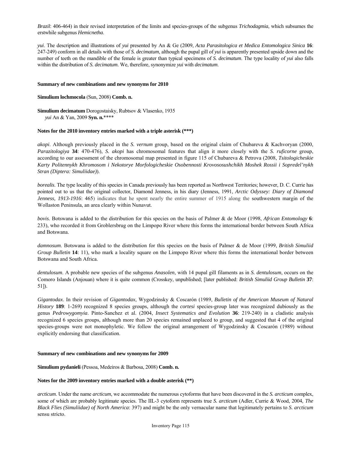*Brazil*: 406-464) in their revised interpretation of the limits and species-groups of the subgenus *Trichodagmia*, which subsumes the erstwhile subgenus *Hemicnetha*.

*yui*. The description and illustrations of *yui* presented by An & Ge (2009, *Acta Parasitologica et Medica Entomologica Sinica* **16**: 247-249) conform in all details with those of *S. decimatum*, although the pupal gill of *yui* is apparently presented upside down and the number of teeth on the mandible of the female is greater than typical specimens of *S. decimatum*. The type locality of *yui* also falls within the distribution of *S. decimatum*. We, therefore, synonymize *yui* with *decimatum*.

#### **Summary of new combinations and new synonyms for 2010**

## **Simulium lochmocola** (Sun, 2008) **Comb. n.**

**Simulium decimatum** Dorogostaisky, Rubtsov & Vlasenko, 1935

 *yui* An & Yan, 2009 **Syn. n.**\*\*\*\*

## **Notes for the 2010 inventory entries marked with a triple asterisk (\*\*\*)**

*akopi*. Although previously placed in the *S. vernum* group, based on the original claim of Chubareva & Kachvoryan (2000, *Parazitologiya* **34**: 470-476), *S. akopi* has chromosomal features that align it more closely with the *S. ruficorne* group, according to our assessment of the chromosomal map presented in figure 115 of Chubareva & Petrova (2008, *Tsitologicheskie Karty Politennykh Khromosom i Nekotorye Morfologicheskie Osobennosti Krovososushchikh Moshek Rossii i Sopredel'nykh Stran (Diptera: Simuliidae)*).

*borealis*. The type locality of this species in Canada previously has been reported as Northwest Territories; however, D. C. Currie has pointed out to us that the original collector, Diamond Jenness, in his diary (Jenness, 1991, *Arctic Odyssey: Diary of Diamond Jenness, 1913-1916*: 465) indicates that he spent nearly the entire summer of 1915 along the southwestern margin of the Wollaston Peninsula, an area clearly within Nunavut.

*bovis*. Botswana is added to the distribution for this species on the basis of Palmer & de Moor (1998, *African Entomology* **6**: 233), who recorded it from Groblersbrug on the Limpopo River where this forms the international border between South Africa and Botswana.

*damnosum*. Botswana is added to the distribution for this species on the basis of Palmer & de Moor (1999, *British Simuliid Group Bulletin* **14**: 11), who mark a locality square on the Limpopo River where this forms the international border between Botswana and South Africa.

*dentulosum*. A probable new species of the subgenus *Anasolen*, with 14 pupal gill filaments as in *S. dentulosum*, occurs on the Comoro Islands (Anjouan) where it is quite common (Crosskey, unpublished; [later published: *British Simuliid Group Bulletin* **37**: 51]).

*Gigantodax*. In their revision of *Gigantodax*, Wygodzinsky & Coscarón (1989, *Bulletin of the American Museum of Natural History* **189**: 1-269) recognized 8 species groups, although the *cortesi* species-group later was recognized dubiously as the genus *Pedrowygomyia*. Pinto-Sanchez et al. (2004, *Insect Systematics and Evolution* **36**: 219-240) in a cladistic analysis recognized 6 species groups, although more than 20 species remained unplaced to group, and suggested that 4 of the original species-groups were not monophyletic. We follow the original arrangement of Wygodzinsky & Coscarón (1989) without explicitly endorsing that classification.

#### **Summary of new combinations and new synonyms for 2009**

## **Simulium pydanieli** (Pessoa, Medeiros & Barbosa, 2008) **Comb. n.**

## **Notes for the 2009 inventory entries marked with a double asterisk (\*\*)**

*arcticum*. Under the name *arcticum*, we accommodate the numerous cytoforms that have been discovered in the *S. arcticum* complex, some of which are probably legitimate species. The IIL-3 cytoform represents true *S. arcticum* (Adler, Currie & Wood, 2004, *The Black Flies (Simuliidae) of North America*: 397) and might be the only vernacular name that legitimately pertains to *S. arcticum*  sensu stricto.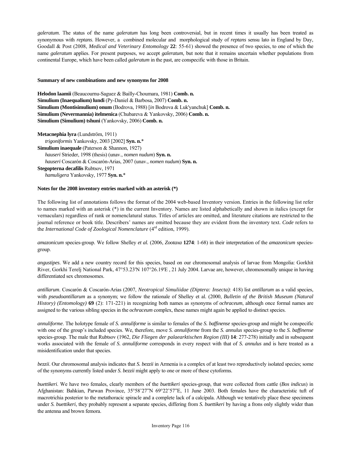*galeratum*. The status of the name *galeratum* has long been controversial, but in recent times it usually has been treated as synonymous with *reptans*. However, a combined molecular and morphological study of *reptans* sensu lato in England by Day, Goodall & Post (2008, *Medical and Veterinary Entomology* **22**: 55-61) showed the presence of two species, to one of which the name *galeratum* applies. For present purposes, we accept *galeratum,* but note that it remains uncertain whether populations from continental Europe, which have been called *galeratum* in the past, are conspecific with those in Britain.

## **Summary of new combinations and new synonyms for 2008**

**Helodon laamii** (Beaucournu-Saguez & Bailly-Choumara, 1981) **Comb. n. Simulium (Inaequalium) lundi** (Py-Daniel & Barbosa, 2007) **Comb. n. Simulium (Montisimulium) onum** (Bodrova, 1988) [*in* Bodrova & Luk'yanchuk] **Comb. n. Simulium (Nevermannia) itelmenica** (Chubareva & Yankovsky, 2006) **Comb. n. Simulium (Simulium) tshuni** (Yankovsky, 2006) **Comb. n.**

**Metacnephia lyra** (Lundström, 1911) *trigoniformis* Yankovsky, 2003 [2002] **Syn. n.**\* **Simulium inaequale** (Paterson & Shannon, 1927)  *hauseri* Strieder, 1998 (thesis) (unav., *nomen nudum*) **Syn. n.**   *hauseri* Coscarón & Coscarón-Arias, 2007 (unav., *nomen nudum*) **Syn. n. Stegopterna decafilis** Rubtsov, 1971

*hamuligera* Yankovsky, 1977 **Syn. n.**\*

### **Notes for the 2008 inventory entries marked with an asterisk (\*)**

The following list of annotations follows the format of the 2004 web-based Inventory version. Entries in the following list refer to names marked with an asterisk (\*) in the current Inventory. Names are listed alphabetically and shown in italics (except for vernaculars) regardless of rank or nomenclatural status. Titles of articles are omitted, and literature citations are restricted to the journal reference or book title. Describers' names are omitted because they are evident from the inventory text. *Code* refers to the *International Code of Zoological Nomenclature* (4rd edition, 1999).

*amazonicum* species-group. We follow Shelley *et al.* (2006, *Zootaxa* **1274**: 1-68) in their interpretation of the *amazonicum* speciesgroup.

*angustipes*. We add a new country record for this species, based on our chromosomal analysis of larvae from Mongolia: Gorkhit River, Gorkhi Terelj National Park, 47°53.23'N 107°26.19'E , 21 July 2004. Larvae are, however, chromosomally unique in having differentiated sex chromosomes.

*antillarum*. Coscarón & Coscarón-Arias (2007, *Neotropical Simuliidae (Diptera: Insecta)*: 418) list *antillarum* as a valid species, with *pseudoantillarum* as a synonym; we follow the rationale of Shelley et al. (2000, *Bulletin of the British Museum (Natural History) (Entomology)* **69** (2): 171-221) in recognizing both names as synonyms of *ochraceum*, although once formal names are assigned to the various sibling species in the *ochraceum* complex, these names might again be applied to distinct species.

*annuliforme*. The holotype female of *S. annuliforme* is similar to females of the *S. baffinense* species-group and might be conspecific with one of the group's included species. We, therefore, move *S. annuliforme* from the *S. annulus* species-group to the *S. baffinense* species-group. The male that Rubtsov (1962, *Die Fliegen der palaearktischen Region (III)* **14**: 277-278) initially and in subsequent works associated with the female of *S. annuliforme* corresponds in every respect with that of *S. annulus* and is here treated as a misidentification under that species.

*bezzii*. Our chromosomal analysis indicates that *S. bezzii* in Armenia is a complex of at least two reproductively isolated species; some of the synonyms currently listed under *S. bezzii* might apply to one or more of these cytoforms.

*buettikeri*. We have two females, clearly members of the *buettikeri* species-group, that were collected from cattle (*Bos indicus*) in Afghanistan: Bahkian, Parwan Province, 35°58'27"N 69°22'57"E, 11 June 2003. Both females have the characteristic tuft of macrotrichia posterior to the metathoracic spiracle and a complete lack of a calcipala. Although we tentatively place these specimens under *S. buettikeri*, they probably represent a separate species, differing from *S. buettikeri* by having a frons only slightly wider than the antenna and brown femora.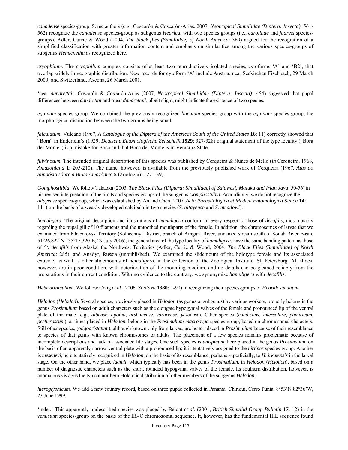*canadense* species-group. Some authors (e.g., Coscarón & Coscarón-Arias, 2007, *Neotropical Simuliidae (Diptera: Insecta)*: 561- 562) recognize the *canadense* species-group as subgenus *Hearlea*, with two species groups (i.e., *carolinae* and *juarezi* speciesgroups). Adler, Currie & Wood (2004, *The black flies (Simuliidae) of North America*: 369) argued for the recognition of a simplified classification with greater information content and emphasis on similarities among the various species-groups of subgenus *Hemicnetha* as recognized here.

*cryophilum*. The *cryophilum* complex consists of at least two reproductively isolated species, cytoforms 'A' and 'B2', that overlap widely in geographic distribution. New records for cytoform 'A' include Austria, near Seekirchen Fischbach, 29 March 2000; and Switzerland, Ascona, 26 March 2001.

'near *dandrettai*'. Coscarón & Coscarón-Arias (2007, *Neotropical Simuliidae (Diptera: Insecta)*: 454) suggested that pupal differences between *dandrettai* and 'near *dandrettai*', albeit slight, might indicate the existence of two species.

*equinum* species-group. We combined the previously recognized *lineatum* species-group with the *equinum* species-group, the morphological distinction between the two groups being small.

*falculatum*. Vulcano (1967, *A Catalogue of the Diptera of the Americas South of the United States* **16**: 11) correctly showed that "Bora" in Enderlein's (1929, *Deutsche Entomologische Zeitschrift* **1929**: 327-328) original statement of the type locality ("Bora del Monte") is a mistake for Boca and that Boca del Monte is in Veracruz State.

*fulvinotum*. The intended original description of this species was published by Cerqueira & Nunes de Mello (*in* Cerqueira, 1968, *Amazoniana* **1**: 205-210). The name, however, is available from the previously published work of Cerqueira (1967, *Atas do Simpósio sôbre a Biota Amazônica* **5** (Zoologia): 127-139).

*Gomphostilbia*. We follow Takaoka (2003, *The Black Flies (Diptera: Simuliidae) of Sulawesi, Maluku and Irian Jaya*: 50-56) in his revised interpretation of the limits and species-groups of the subgenus *Gomphostilbia*. Accordingly, we do not recognize the *altayense* species-group, which was established by An and Chen (2007, *Acta Parasitologica et Medica Entomologica Sinica* **14**: 111) on the basis of a weakly developed calcipala in two species (*S. altayense* and *S. meadowi*).

*hamuligera*. The original description and illustrations of *hamuligera* conform in every respect to those of *decafilis*, most notably regarding the pupal gill of 10 filaments and the untoothed mouthparts of the female. In addition, the chromosomes of larvae that we examined from Khabarovsk Territory (Solnechnyi District, branch of Amgun' River, unnamed stream south of Sonah River Basin, 51°26.822'N 135°15.320'E, 29 July 2006), the general area of the type locality of *hamuligera*, have the same banding pattern as those of *St. decafilis* from Alaska, the Northwest Territories (Adler, Currie & Wood, 2004, *The Black Flies (Simuliidae) of North America*: 285), and Anadyr, Russia (unpublished). We examined the slidemount of the holotype female and its associated exuviae, as well as other slidemounts of *hamuligera*, in the collection of the Zoological Institute, St. Petersburg. All slides, however, are in poor condition, with deterioration of the mounting medium, and no details can be gleaned reliably from the preparations in their current condition. With no evidence to the contrary, we synonymize *hamuligera* with *decafilis*.

*Hebridosimulium*. We follow Craig *et al.* (2006, *Zootaxa* **1380**: 1-90) in recognizing their species-groups of *Hebridosimulium*.

*Helodon* (*Helodon*). Several species, previously placed in *Helodon* (as genus or subgenus) by various workers, properly belong in the genus *Prosimulium* based on adult characters such as the elongate hypogynial valves of the female and pronounced lip of the ventral plate of the male (e.g., *albense*, *apoina*, *arshanense*, *sarurense*, *yezoense*). Other species (*candicans*, *intercalare*, *pamiricum*, *pecticrassum*), at times placed in *Helodon*, belong in the *Prosimulium macropyga* species-group, based on chromosomal characters. Still other species, (*oligoaristatum*), although known only from larvae, are better placed in *Prosimulium* because of their resemblance to species of that genus with known chromosomes or adults. The placement of a few species remains problematic because of incomplete descriptions and lack of associated life stages. One such species is *unispinum*, here placed in the genus *Prosimulium* on the basis of an apparently narrow ventral plate with a pronounced lip; it is tentatively assigned to the *hirtipes* species-group. Another is *mesenevi*, here tentatively recognized in *Helodon*, on the basis of its resemblance, perhaps superficially, to *H. irkutensis* in the larval stage. On the other hand, we place *laamii*, which typically has been in the genus *Prosimulium*, in *Helodon* (*Helodon*), based on a number of diagnostic characters such as the short, rounded hypogynial valves of the female. Its southern distribution, however, is anomalous vis à vis the typical northern Holarctic distribution of other members of the subgenus *Helodon*.

*hieroglyphicum*. We add a new country record, based on three pupae collected in Panama: Chiriqui, Cerro Punta, 8°53'N 82°36'W, 23 June 1999.

'indet.' This apparently undescribed species was placed by Belqat *et al*. (2001, *British Simuliid Group Bulletin* **17**: 12) in the *venustum* species-group on the basis of the IIS-C chromosomal sequence. It, however, has the fundamental IIIL sequence found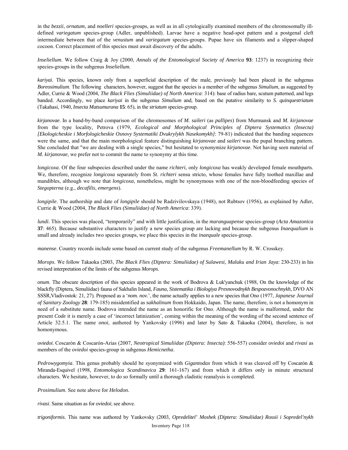in the *bezzii*, *ornatum*, and *noelleri* species-groups, as well as in all cytologically examined members of the chromosomally illdefined *variegatum* species-group (Adler, unpublished). Larvae have a negative head-spot pattern and a postgenal cleft intermediate between that of the *venustum* and *variegatum* species-groups. Pupae have six filaments and a slipper-shaped cocoon. Correct placement of this species must await discovery of the adults.

*Inseliellum*. We follow Craig & Joy (2000, *Annals of the Entomological Society of America* **93**: 1237) in recognizing their species-groups in the subgenus *Inseliellum.* 

*kariyai*. This species, known only from a superficial description of the male, previously had been placed in the subgenus *Boreosimulium*. The following characters, however, suggest that the species is a member of the subgenus *Simulium*, as suggested by Adler, Currie & Wood (2004, *The Black Flies (Simuliidae) of North America*: 314): base of radius bare, scutum patterned, and legs banded. Accordingly, we place *kariyai* in the subgenus *Simulium* and, based on the putative similarity to *S. quinquestriatum* (Takahasi, 1940, *Insecta Matsumurana* **15**: 65), in the *striatum* species-group.

*kirjanovae*. In a band-by-band comparison of the chromosomes of *M. saileri* (as *pallipes*) from Murmansk and *M. kirjanovae* from the type locality, Petrova (1979, *Ecological and Morphological Principles of Diptera Systematics (Insecta) [Ekologicheskie i Morfologicheskie Osnovy Systematiki Dvukrylykh Nasekomykh]*: 79-81) indicated that the banding sequences were the same, and that the main morphological feature distinguishing *kirjanovae* and *saileri* was the pupal branching pattern. She concluded that "we are dealing with a single species," but hesitated to synonymize *kirjanovae*. Not having seen material of *M. kirjanovae*, we prefer not to commit the name to synonymy at this time.

*longicoxa*. Of the four subspecies described under the name *richteri*, only *longicoxa* has weakly developed female mouthparts. We, therefore, recognize *longicoxa* separately from *St. richteri* sensu stricto, whose females have fully toothed maxillae and mandibles, although we note that *longicoxa*, nonetheless, might be synonymous with one of the non-bloodfeeding species of *Stegopterna* (e.g., *decafilis*, *emergens*).

*longipile*. The authorship and date of *longipile* should be Radzivilovskaya (1948), not Rubtsov (1956), as explained by Adler, Currie & Wood (2004, *The Black Flies (Simuliidae) of North America*: 339).

*lundi*. This species was placed, "temporarily" and with little justification, in the *maranguapense* species-group (*Acta Amazonica* **37**: 465). Because substantive characters to justify a new species group are lacking and because the subgenus *Inaequalium* is small and already includes two species groups, we place this species in the *inaequale* species-group.

*manense*. Country records include some based on current study of the subgenus *Freemanellum* by R. W. Crosskey.

*Morops*. We follow Takaoka (2003, *The Black Flies (Diptera: Simuliidae) of Sulawesi, Maluku and Irian Jaya*: 230-233) in his revised interpretation of the limits of the subgenus *Morops*.

*onum*. The obscure description of this species appeared in the work of Bodrova & Luk'yanchuk (1988, On the knowledge of the blackfly (Diptera, Simuliidae) fauna of Sakhalin Island, *Fauna, Sistematika i Biologiya Presnovodnykh Bespozvonochnykh*, DVO AN SSSR,Vladivostok: 21, 27). Proposed as a '*nom. nov.*', the name actually applies to a new species that Ono (1977, *Japanese Journal of Sanitary Zoology* **28**: 179-185) misidentified as *sakhalinum* from Hokkaido, Japan. The name, therefore, is not a homonym in need of a substitute name. Bodrova intended the name as an honorific for Ono. Although the name is malformed, under the present *Code* it is merely a case of 'incorrect latinization', coming within the meaning of the wording of the second sentence of Article 32.5.1. The name *onoi*, authored by Yankovsky (1996) and later by Sato & Takaoka (2004), therefore, is not homonymous.

*oviedoi*. Coscarón & Coscarón-Arias (2007, *Neotropical Simuliidae (Diptera: Insecta)*: 556-557) consider *oviedoi* and *rivasi* as members of the *oviedoi* species-group in subgenus *Hemicnetha*.

*Pedrowygomyia*. This genus probably should be syonymized with *Gigantodax* from which it was cleaved off by Coscarón & Miranda-Esquivel (1998, *Entomologica Scandinavica* **29**: 161-167) and from which it differs only in minute structural characters. We hesitate, however, to do so formally until a thorough cladistic reanalysis is completed.

*Prosimulium*. See note above for *Helodon.* 

*rivasi*. Same situation as for *oviedoi*; see above.

*trigoniformis*. This name was authored by Yankovsky (2003, *Opredelitel' Moshek (Diptera: Simuliidae) Rossii i Sopredel'nykh*